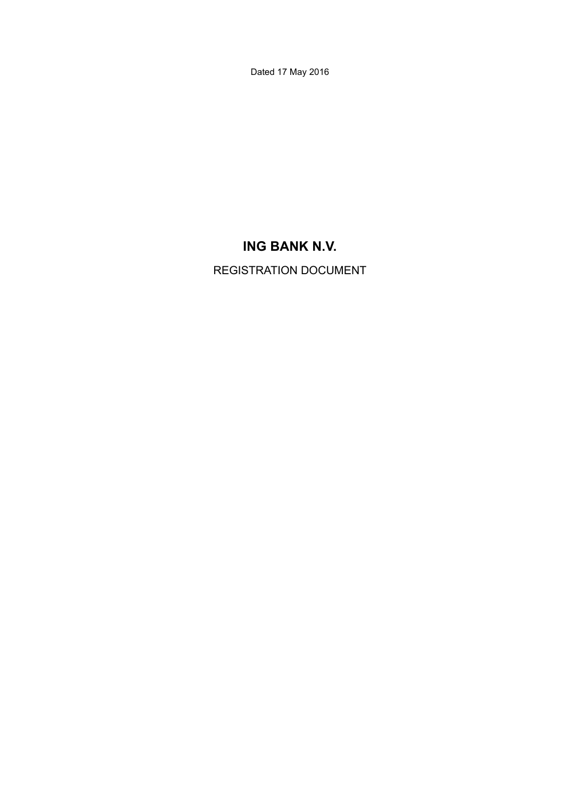Dated 17 May 2016

# **ING BANK N.V.**

REGISTRATION DOCUMENT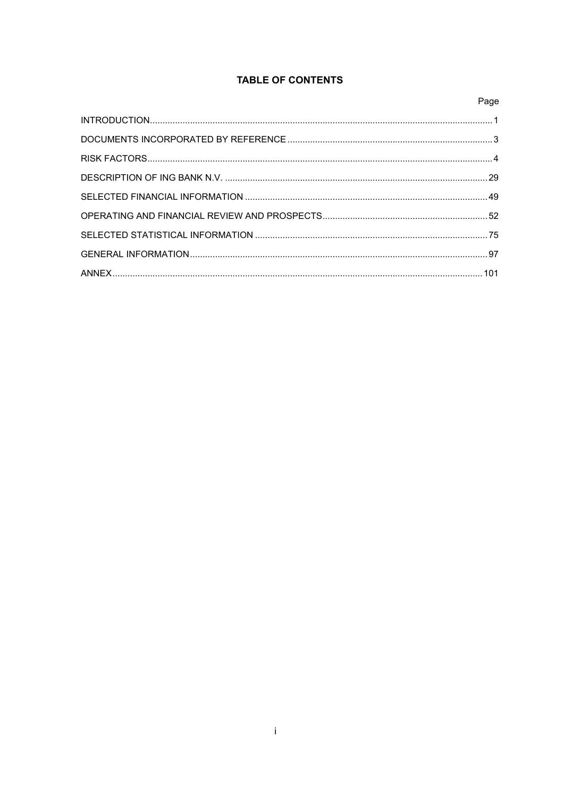## **TABLE OF CONTENTS**

| Page |
|------|
|      |
|      |
|      |
|      |
|      |
|      |
|      |
|      |
|      |
|      |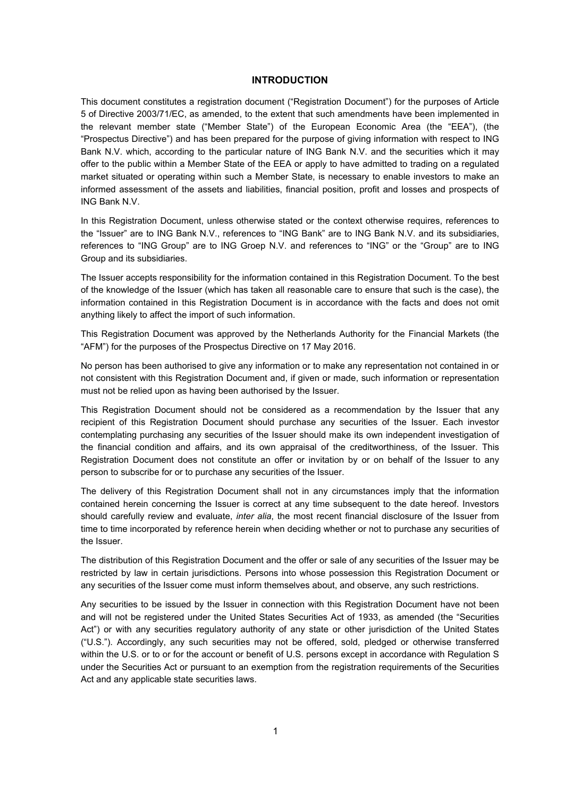### **INTRODUCTION**

This document constitutes a registration document ("Registration Document") for the purposes of Article 5 of Directive 2003/71/EC, as amended, to the extent that such amendments have been implemented in the relevant member state ("Member State") of the European Economic Area (the "EEA"), (the "Prospectus Directive") and has been prepared for the purpose of giving information with respect to ING Bank N.V. which, according to the particular nature of ING Bank N.V. and the securities which it may offer to the public within a Member State of the EEA or apply to have admitted to trading on a regulated market situated or operating within such a Member State, is necessary to enable investors to make an informed assessment of the assets and liabilities, financial position, profit and losses and prospects of ING Bank N.V.

In this Registration Document, unless otherwise stated or the context otherwise requires, references to the "Issuer" are to ING Bank N.V., references to "ING Bank" are to ING Bank N.V. and its subsidiaries, references to "ING Group" are to ING Groep N.V. and references to "ING" or the "Group" are to ING Group and its subsidiaries.

The Issuer accepts responsibility for the information contained in this Registration Document. To the best of the knowledge of the Issuer (which has taken all reasonable care to ensure that such is the case), the information contained in this Registration Document is in accordance with the facts and does not omit anything likely to affect the import of such information.

This Registration Document was approved by the Netherlands Authority for the Financial Markets (the "AFM") for the purposes of the Prospectus Directive on 17 May 2016.

No person has been authorised to give any information or to make any representation not contained in or not consistent with this Registration Document and, if given or made, such information or representation must not be relied upon as having been authorised by the Issuer.

This Registration Document should not be considered as a recommendation by the Issuer that any recipient of this Registration Document should purchase any securities of the Issuer. Each investor contemplating purchasing any securities of the Issuer should make its own independent investigation of the financial condition and affairs, and its own appraisal of the creditworthiness, of the Issuer. This Registration Document does not constitute an offer or invitation by or on behalf of the Issuer to any person to subscribe for or to purchase any securities of the Issuer.

The delivery of this Registration Document shall not in any circumstances imply that the information contained herein concerning the Issuer is correct at any time subsequent to the date hereof. Investors should carefully review and evaluate, *inter alia*, the most recent financial disclosure of the Issuer from time to time incorporated by reference herein when deciding whether or not to purchase any securities of the Issuer.

The distribution of this Registration Document and the offer or sale of any securities of the Issuer may be restricted by law in certain jurisdictions. Persons into whose possession this Registration Document or any securities of the Issuer come must inform themselves about, and observe, any such restrictions.

Any securities to be issued by the Issuer in connection with this Registration Document have not been and will not be registered under the United States Securities Act of 1933, as amended (the "Securities Act") or with any securities regulatory authority of any state or other jurisdiction of the United States ("U.S."). Accordingly, any such securities may not be offered, sold, pledged or otherwise transferred within the U.S. or to or for the account or benefit of U.S. persons except in accordance with Regulation S under the Securities Act or pursuant to an exemption from the registration requirements of the Securities Act and any applicable state securities laws.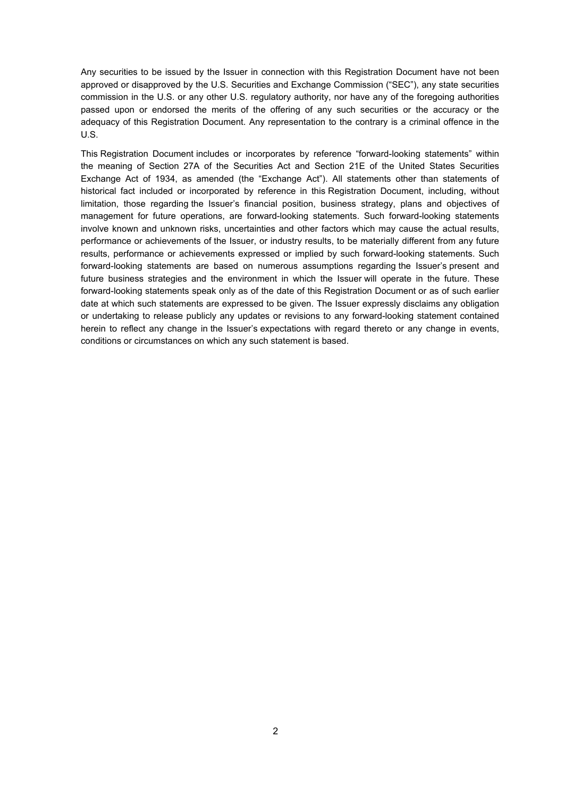Any securities to be issued by the Issuer in connection with this Registration Document have not been approved or disapproved by the U.S. Securities and Exchange Commission ("SEC"), any state securities commission in the U.S. or any other U.S. regulatory authority, nor have any of the foregoing authorities passed upon or endorsed the merits of the offering of any such securities or the accuracy or the adequacy of this Registration Document. Any representation to the contrary is a criminal offence in the U.S.

This Registration Document includes or incorporates by reference "forward-looking statements" within the meaning of Section 27A of the Securities Act and Section 21E of the United States Securities Exchange Act of 1934, as amended (the "Exchange Act"). All statements other than statements of historical fact included or incorporated by reference in this Registration Document, including, without limitation, those regarding the Issuer's financial position, business strategy, plans and objectives of management for future operations, are forward-looking statements. Such forward-looking statements involve known and unknown risks, uncertainties and other factors which may cause the actual results, performance or achievements of the Issuer, or industry results, to be materially different from any future results, performance or achievements expressed or implied by such forward-looking statements. Such forward-looking statements are based on numerous assumptions regarding the Issuer's present and future business strategies and the environment in which the Issuer will operate in the future. These forward-looking statements speak only as of the date of this Registration Document or as of such earlier date at which such statements are expressed to be given. The Issuer expressly disclaims any obligation or undertaking to release publicly any updates or revisions to any forward-looking statement contained herein to reflect any change in the Issuer's expectations with regard thereto or any change in events, conditions or circumstances on which any such statement is based.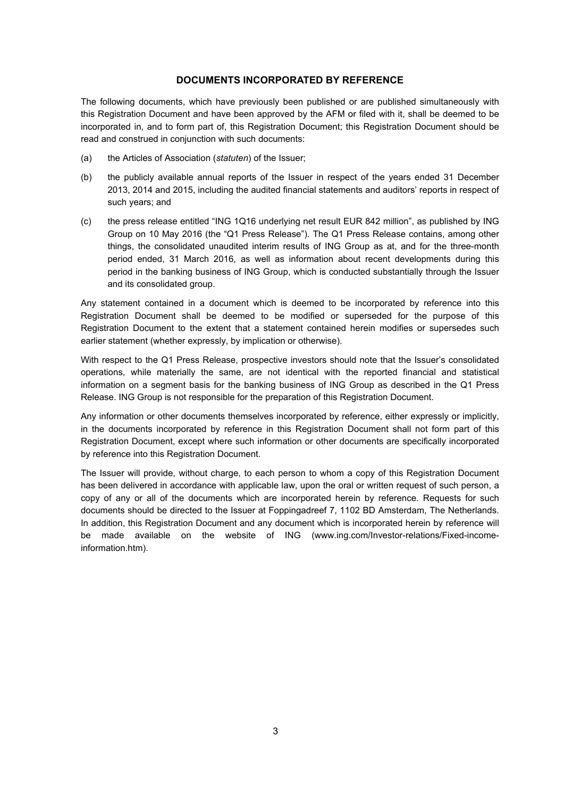### **DOCUMENTS INCORPORATED BY REFERENCE**

The following documents, which have previously been published or are published simultaneously with this Registration Document and have been approved by the AFM or filed with it, shall be deemed to be incorporated in, and to form part of, this Registration Document; this Registration Document should be read and construed in conjunction with such documents:

- (a) the Articles of Association (*statuten*) of the Issuer;
- (b) the publicly available annual reports of the Issuer in respect of the years ended 31 December 2013, 2014 and 2015, including the audited financial statements and auditors' reports in respect of such years; and
- (c) the press release entitled "ING 1Q16 underlying net result EUR 842 million", as published by ING Group on 10 May 2016 (the "Q1 Press Release"). The Q1 Press Release contains, among other things, the consolidated unaudited interim results of ING Group as at, and for the three-month period ended, 31 March 2016, as well as information about recent developments during this period in the banking business of ING Group, which is conducted substantially through the Issuer and its consolidated group.

Any statement contained in a document which is deemed to be incorporated by reference into this Registration Document shall be deemed to be modified or superseded for the purpose of this Registration Document to the extent that a statement contained herein modifies or supersedes such earlier statement (whether expressly, by implication or otherwise).

With respect to the Q1 Press Release, prospective investors should note that the Issuer's consolidated operations, while materially the same, are not identical with the reported financial and statistical information on a segment basis for the banking business of ING Group as described in the Q1 Press Release. ING Group is not responsible for the preparation of this Registration Document.

Any information or other documents themselves incorporated by reference, either expressly or implicitly, in the documents incorporated by reference in this Registration Document shall not form part of this Registration Document, except where such information or other documents are specifically incorporated by reference into this Registration Document.

The Issuer will provide, without charge, to each person to whom a copy of this Registration Document has been delivered in accordance with applicable law, upon the oral or written request of such person, a copy of any or all of the documents which are incorporated herein by reference. Requests for such documents should be directed to the Issuer at Foppingadreef 7, 1102 BD Amsterdam, The Netherlands. In addition, this Registration Document and any document which is incorporated herein by reference will be made available on the website of ING (www.ing.com/Investor-relations/Fixed-incomeinformation.htm).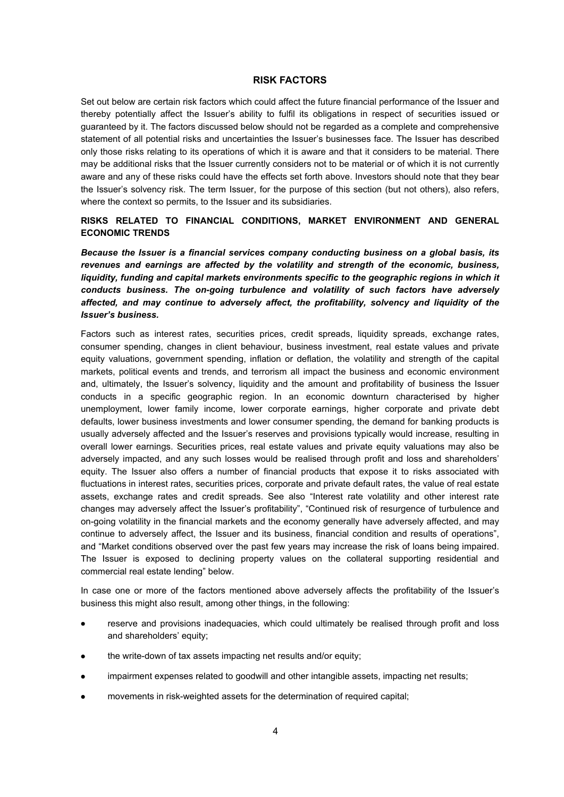### **RISK FACTORS**

Set out below are certain risk factors which could affect the future financial performance of the Issuer and thereby potentially affect the Issuer's ability to fulfil its obligations in respect of securities issued or guaranteed by it. The factors discussed below should not be regarded as a complete and comprehensive statement of all potential risks and uncertainties the Issuer's businesses face. The Issuer has described only those risks relating to its operations of which it is aware and that it considers to be material. There may be additional risks that the Issuer currently considers not to be material or of which it is not currently aware and any of these risks could have the effects set forth above. Investors should note that they bear the Issuer's solvency risk. The term Issuer, for the purpose of this section (but not others), also refers, where the context so permits, to the Issuer and its subsidiaries.

### **RISKS RELATED TO FINANCIAL CONDITIONS, MARKET ENVIRONMENT AND GENERAL ECONOMIC TRENDS**

*Because the Issuer is a financial services company conducting business on a global basis, its revenues and earnings are affected by the volatility and strength of the economic, business,*  liquidity, funding and capital markets environments specific to the geographic regions in which it *conducts business. The on-going turbulence and volatility of such factors have adversely affected, and may continue to adversely affect, the profitability, solvency and liquidity of the Issuer's business.* 

Factors such as interest rates, securities prices, credit spreads, liquidity spreads, exchange rates, consumer spending, changes in client behaviour, business investment, real estate values and private equity valuations, government spending, inflation or deflation, the volatility and strength of the capital markets, political events and trends, and terrorism all impact the business and economic environment and, ultimately, the Issuer's solvency, liquidity and the amount and profitability of business the Issuer conducts in a specific geographic region. In an economic downturn characterised by higher unemployment, lower family income, lower corporate earnings, higher corporate and private debt defaults, lower business investments and lower consumer spending, the demand for banking products is usually adversely affected and the Issuer's reserves and provisions typically would increase, resulting in overall lower earnings. Securities prices, real estate values and private equity valuations may also be adversely impacted, and any such losses would be realised through profit and loss and shareholders' equity. The Issuer also offers a number of financial products that expose it to risks associated with fluctuations in interest rates, securities prices, corporate and private default rates, the value of real estate assets, exchange rates and credit spreads. See also "Interest rate volatility and other interest rate changes may adversely affect the Issuer's profitability", "Continued risk of resurgence of turbulence and on-going volatility in the financial markets and the economy generally have adversely affected, and may continue to adversely affect, the Issuer and its business, financial condition and results of operations", and "Market conditions observed over the past few years may increase the risk of loans being impaired. The Issuer is exposed to declining property values on the collateral supporting residential and commercial real estate lending" below.

In case one or more of the factors mentioned above adversely affects the profitability of the Issuer's business this might also result, among other things, in the following:

- reserve and provisions inadequacies, which could ultimately be realised through profit and loss and shareholders' equity;
- the write-down of tax assets impacting net results and/or equity;
- impairment expenses related to goodwill and other intangible assets, impacting net results;
- movements in risk-weighted assets for the determination of required capital;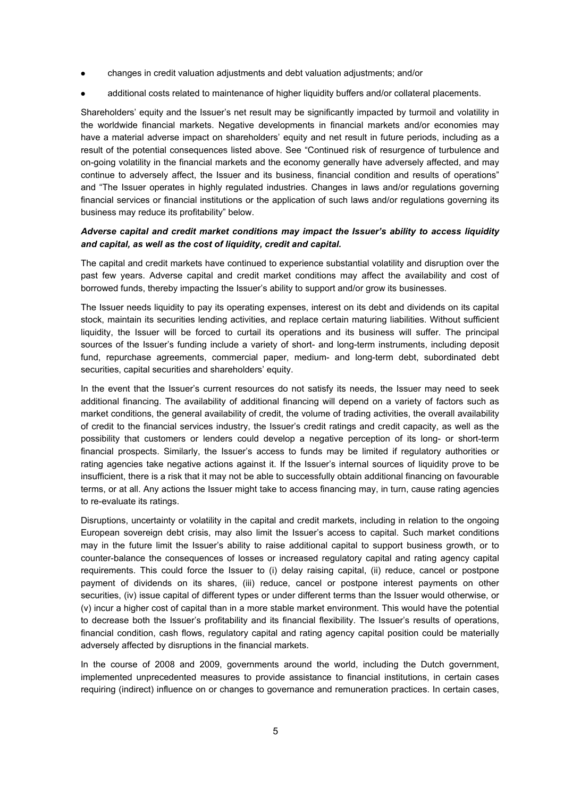- changes in credit valuation adjustments and debt valuation adjustments; and/or
- additional costs related to maintenance of higher liquidity buffers and/or collateral placements.

Shareholders' equity and the Issuer's net result may be significantly impacted by turmoil and volatility in the worldwide financial markets. Negative developments in financial markets and/or economies may have a material adverse impact on shareholders' equity and net result in future periods, including as a result of the potential consequences listed above. See "Continued risk of resurgence of turbulence and on-going volatility in the financial markets and the economy generally have adversely affected, and may continue to adversely affect, the Issuer and its business, financial condition and results of operations" and "The Issuer operates in highly regulated industries. Changes in laws and/or regulations governing financial services or financial institutions or the application of such laws and/or regulations governing its business may reduce its profitability" below.

### *Adverse capital and credit market conditions may impact the Issuer's ability to access liquidity and capital, as well as the cost of liquidity, credit and capital.*

The capital and credit markets have continued to experience substantial volatility and disruption over the past few years. Adverse capital and credit market conditions may affect the availability and cost of borrowed funds, thereby impacting the Issuer's ability to support and/or grow its businesses.

The Issuer needs liquidity to pay its operating expenses, interest on its debt and dividends on its capital stock, maintain its securities lending activities, and replace certain maturing liabilities. Without sufficient liquidity, the Issuer will be forced to curtail its operations and its business will suffer. The principal sources of the Issuer's funding include a variety of short- and long-term instruments, including deposit fund, repurchase agreements, commercial paper, medium- and long-term debt, subordinated debt securities, capital securities and shareholders' equity.

In the event that the Issuer's current resources do not satisfy its needs, the Issuer may need to seek additional financing. The availability of additional financing will depend on a variety of factors such as market conditions, the general availability of credit, the volume of trading activities, the overall availability of credit to the financial services industry, the Issuer's credit ratings and credit capacity, as well as the possibility that customers or lenders could develop a negative perception of its long- or short-term financial prospects. Similarly, the Issuer's access to funds may be limited if regulatory authorities or rating agencies take negative actions against it. If the Issuer's internal sources of liquidity prove to be insufficient, there is a risk that it may not be able to successfully obtain additional financing on favourable terms, or at all. Any actions the Issuer might take to access financing may, in turn, cause rating agencies to re-evaluate its ratings.

Disruptions, uncertainty or volatility in the capital and credit markets, including in relation to the ongoing European sovereign debt crisis, may also limit the Issuer's access to capital. Such market conditions may in the future limit the Issuer's ability to raise additional capital to support business growth, or to counter-balance the consequences of losses or increased regulatory capital and rating agency capital requirements. This could force the Issuer to (i) delay raising capital, (ii) reduce, cancel or postpone payment of dividends on its shares, (iii) reduce, cancel or postpone interest payments on other securities, (iv) issue capital of different types or under different terms than the Issuer would otherwise, or (v) incur a higher cost of capital than in a more stable market environment. This would have the potential to decrease both the Issuer's profitability and its financial flexibility. The Issuer's results of operations, financial condition, cash flows, regulatory capital and rating agency capital position could be materially adversely affected by disruptions in the financial markets.

In the course of 2008 and 2009, governments around the world, including the Dutch government, implemented unprecedented measures to provide assistance to financial institutions, in certain cases requiring (indirect) influence on or changes to governance and remuneration practices. In certain cases,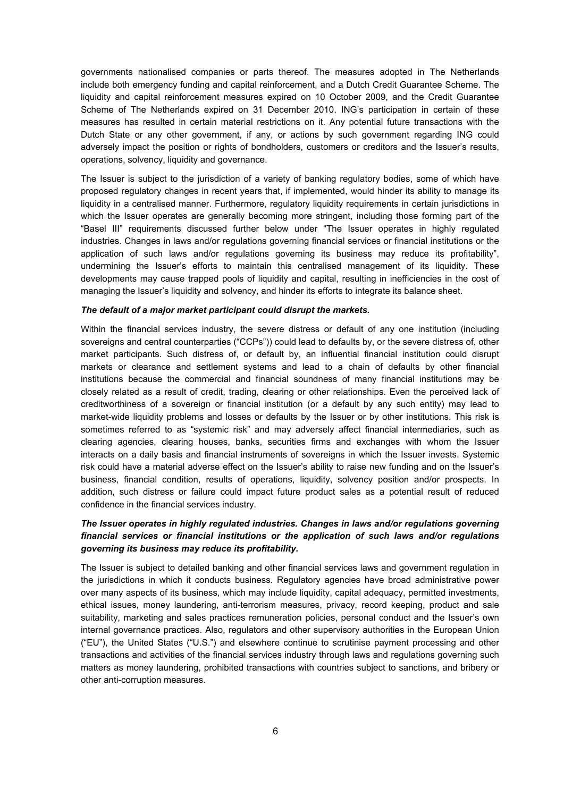governments nationalised companies or parts thereof. The measures adopted in The Netherlands include both emergency funding and capital reinforcement, and a Dutch Credit Guarantee Scheme. The liquidity and capital reinforcement measures expired on 10 October 2009, and the Credit Guarantee Scheme of The Netherlands expired on 31 December 2010. ING's participation in certain of these measures has resulted in certain material restrictions on it. Any potential future transactions with the Dutch State or any other government, if any, or actions by such government regarding ING could adversely impact the position or rights of bondholders, customers or creditors and the Issuer's results, operations, solvency, liquidity and governance.

The Issuer is subject to the jurisdiction of a variety of banking regulatory bodies, some of which have proposed regulatory changes in recent years that, if implemented, would hinder its ability to manage its liquidity in a centralised manner. Furthermore, regulatory liquidity requirements in certain jurisdictions in which the Issuer operates are generally becoming more stringent, including those forming part of the "Basel III" requirements discussed further below under "The Issuer operates in highly regulated industries. Changes in laws and/or regulations governing financial services or financial institutions or the application of such laws and/or regulations governing its business may reduce its profitability", undermining the Issuer's efforts to maintain this centralised management of its liquidity. These developments may cause trapped pools of liquidity and capital, resulting in inefficiencies in the cost of managing the Issuer's liquidity and solvency, and hinder its efforts to integrate its balance sheet.

#### *The default of a major market participant could disrupt the markets.*

Within the financial services industry, the severe distress or default of any one institution (including sovereigns and central counterparties ("CCPs")) could lead to defaults by, or the severe distress of, other market participants. Such distress of, or default by, an influential financial institution could disrupt markets or clearance and settlement systems and lead to a chain of defaults by other financial institutions because the commercial and financial soundness of many financial institutions may be closely related as a result of credit, trading, clearing or other relationships. Even the perceived lack of creditworthiness of a sovereign or financial institution (or a default by any such entity) may lead to market-wide liquidity problems and losses or defaults by the Issuer or by other institutions. This risk is sometimes referred to as "systemic risk" and may adversely affect financial intermediaries, such as clearing agencies, clearing houses, banks, securities firms and exchanges with whom the Issuer interacts on a daily basis and financial instruments of sovereigns in which the Issuer invests. Systemic risk could have a material adverse effect on the Issuer's ability to raise new funding and on the Issuer's business, financial condition, results of operations, liquidity, solvency position and/or prospects. In addition, such distress or failure could impact future product sales as a potential result of reduced confidence in the financial services industry.

### *The Issuer operates in highly regulated industries. Changes in laws and/or regulations governing financial services or financial institutions or the application of such laws and/or regulations governing its business may reduce its profitability.*

The Issuer is subject to detailed banking and other financial services laws and government regulation in the jurisdictions in which it conducts business. Regulatory agencies have broad administrative power over many aspects of its business, which may include liquidity, capital adequacy, permitted investments, ethical issues, money laundering, anti-terrorism measures, privacy, record keeping, product and sale suitability, marketing and sales practices remuneration policies, personal conduct and the Issuer's own internal governance practices. Also, regulators and other supervisory authorities in the European Union ("EU"), the United States ("U.S.") and elsewhere continue to scrutinise payment processing and other transactions and activities of the financial services industry through laws and regulations governing such matters as money laundering, prohibited transactions with countries subject to sanctions, and bribery or other anti-corruption measures.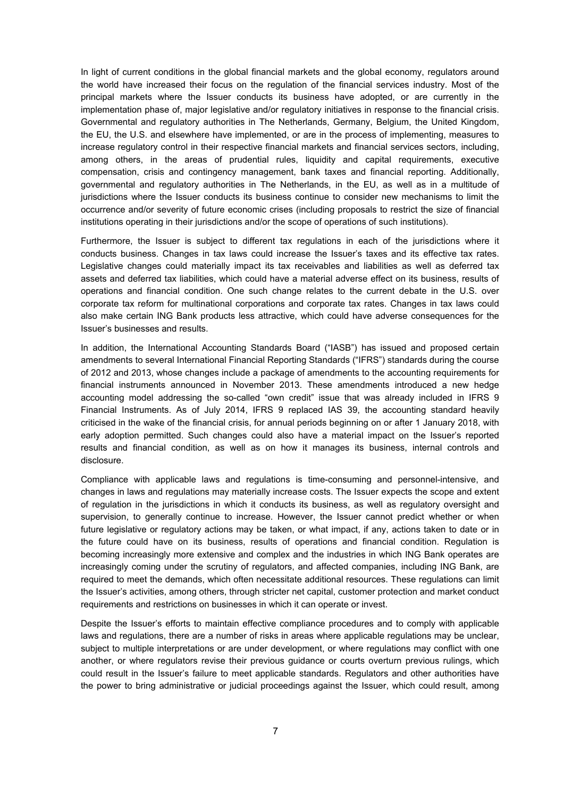In light of current conditions in the global financial markets and the global economy, regulators around the world have increased their focus on the regulation of the financial services industry. Most of the principal markets where the Issuer conducts its business have adopted, or are currently in the implementation phase of, major legislative and/or regulatory initiatives in response to the financial crisis. Governmental and regulatory authorities in The Netherlands, Germany, Belgium, the United Kingdom, the EU, the U.S. and elsewhere have implemented, or are in the process of implementing, measures to increase regulatory control in their respective financial markets and financial services sectors, including, among others, in the areas of prudential rules, liquidity and capital requirements, executive compensation, crisis and contingency management, bank taxes and financial reporting. Additionally, governmental and regulatory authorities in The Netherlands, in the EU, as well as in a multitude of jurisdictions where the Issuer conducts its business continue to consider new mechanisms to limit the occurrence and/or severity of future economic crises (including proposals to restrict the size of financial institutions operating in their jurisdictions and/or the scope of operations of such institutions).

Furthermore, the Issuer is subject to different tax regulations in each of the jurisdictions where it conducts business. Changes in tax laws could increase the Issuer's taxes and its effective tax rates. Legislative changes could materially impact its tax receivables and liabilities as well as deferred tax assets and deferred tax liabilities, which could have a material adverse effect on its business, results of operations and financial condition. One such change relates to the current debate in the U.S. over corporate tax reform for multinational corporations and corporate tax rates. Changes in tax laws could also make certain ING Bank products less attractive, which could have adverse consequences for the Issuer's businesses and results.

In addition, the International Accounting Standards Board ("IASB") has issued and proposed certain amendments to several International Financial Reporting Standards ("IFRS") standards during the course of 2012 and 2013, whose changes include a package of amendments to the accounting requirements for financial instruments announced in November 2013. These amendments introduced a new hedge accounting model addressing the so-called "own credit" issue that was already included in IFRS 9 Financial Instruments. As of July 2014, IFRS 9 replaced IAS 39, the accounting standard heavily criticised in the wake of the financial crisis, for annual periods beginning on or after 1 January 2018, with early adoption permitted. Such changes could also have a material impact on the Issuer's reported results and financial condition, as well as on how it manages its business, internal controls and disclosure.

Compliance with applicable laws and regulations is time-consuming and personnel-intensive, and changes in laws and regulations may materially increase costs. The Issuer expects the scope and extent of regulation in the jurisdictions in which it conducts its business, as well as regulatory oversight and supervision, to generally continue to increase. However, the Issuer cannot predict whether or when future legislative or regulatory actions may be taken, or what impact, if any, actions taken to date or in the future could have on its business, results of operations and financial condition. Regulation is becoming increasingly more extensive and complex and the industries in which ING Bank operates are increasingly coming under the scrutiny of regulators, and affected companies, including ING Bank, are required to meet the demands, which often necessitate additional resources. These regulations can limit the Issuer's activities, among others, through stricter net capital, customer protection and market conduct requirements and restrictions on businesses in which it can operate or invest.

Despite the Issuer's efforts to maintain effective compliance procedures and to comply with applicable laws and regulations, there are a number of risks in areas where applicable regulations may be unclear, subject to multiple interpretations or are under development, or where regulations may conflict with one another, or where regulators revise their previous guidance or courts overturn previous rulings, which could result in the Issuer's failure to meet applicable standards. Regulators and other authorities have the power to bring administrative or judicial proceedings against the Issuer, which could result, among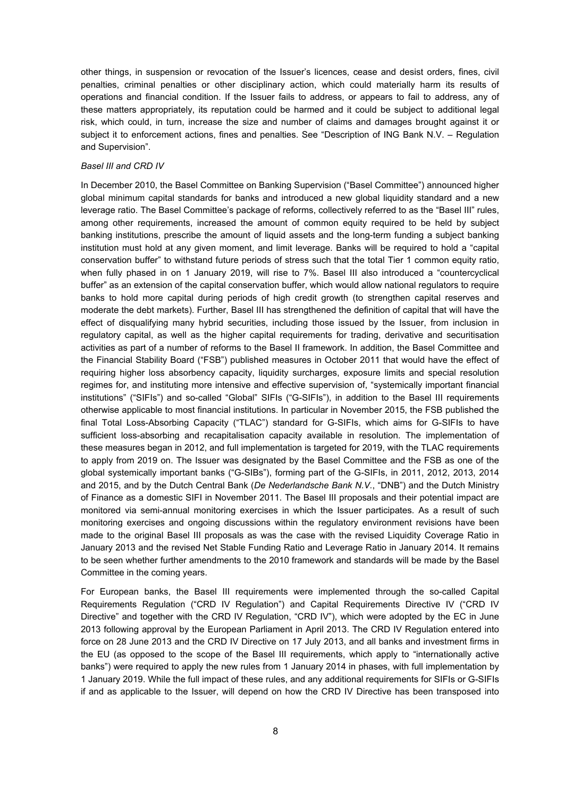other things, in suspension or revocation of the Issuer's licences, cease and desist orders, fines, civil penalties, criminal penalties or other disciplinary action, which could materially harm its results of operations and financial condition. If the Issuer fails to address, or appears to fail to address, any of these matters appropriately, its reputation could be harmed and it could be subject to additional legal risk, which could, in turn, increase the size and number of claims and damages brought against it or subject it to enforcement actions, fines and penalties. See "Description of ING Bank N.V. – Regulation and Supervision".

#### *Basel III and CRD IV*

In December 2010, the Basel Committee on Banking Supervision ("Basel Committee") announced higher global minimum capital standards for banks and introduced a new global liquidity standard and a new leverage ratio. The Basel Committee's package of reforms, collectively referred to as the "Basel III" rules, among other requirements, increased the amount of common equity required to be held by subject banking institutions, prescribe the amount of liquid assets and the long-term funding a subject banking institution must hold at any given moment, and limit leverage. Banks will be required to hold a "capital conservation buffer" to withstand future periods of stress such that the total Tier 1 common equity ratio, when fully phased in on 1 January 2019, will rise to 7%. Basel III also introduced a "countercyclical buffer" as an extension of the capital conservation buffer, which would allow national regulators to require banks to hold more capital during periods of high credit growth (to strengthen capital reserves and moderate the debt markets). Further, Basel III has strengthened the definition of capital that will have the effect of disqualifying many hybrid securities, including those issued by the Issuer, from inclusion in regulatory capital, as well as the higher capital requirements for trading, derivative and securitisation activities as part of a number of reforms to the Basel II framework. In addition, the Basel Committee and the Financial Stability Board ("FSB") published measures in October 2011 that would have the effect of requiring higher loss absorbency capacity, liquidity surcharges, exposure limits and special resolution regimes for, and instituting more intensive and effective supervision of, "systemically important financial institutions" ("SIFIs") and so-called "Global" SIFIs ("G-SIFIs"), in addition to the Basel III requirements otherwise applicable to most financial institutions. In particular in November 2015, the FSB published the final Total Loss-Absorbing Capacity ("TLAC") standard for G-SIFIs, which aims for G-SIFIs to have sufficient loss-absorbing and recapitalisation capacity available in resolution. The implementation of these measures began in 2012, and full implementation is targeted for 2019, with the TLAC requirements to apply from 2019 on. The Issuer was designated by the Basel Committee and the FSB as one of the global systemically important banks ("G-SIBs"), forming part of the G-SIFIs, in 2011, 2012, 2013, 2014 and 2015, and by the Dutch Central Bank (*De Nederlandsche Bank N.V.*, "DNB") and the Dutch Ministry of Finance as a domestic SIFI in November 2011. The Basel III proposals and their potential impact are monitored via semi-annual monitoring exercises in which the Issuer participates. As a result of such monitoring exercises and ongoing discussions within the regulatory environment revisions have been made to the original Basel III proposals as was the case with the revised Liquidity Coverage Ratio in January 2013 and the revised Net Stable Funding Ratio and Leverage Ratio in January 2014. It remains to be seen whether further amendments to the 2010 framework and standards will be made by the Basel Committee in the coming years.

For European banks, the Basel III requirements were implemented through the so-called Capital Requirements Regulation ("CRD IV Regulation") and Capital Requirements Directive IV ("CRD IV Directive" and together with the CRD IV Regulation, "CRD IV"), which were adopted by the EC in June 2013 following approval by the European Parliament in April 2013. The CRD IV Regulation entered into force on 28 June 2013 and the CRD IV Directive on 17 July 2013, and all banks and investment firms in the EU (as opposed to the scope of the Basel III requirements, which apply to "internationally active banks") were required to apply the new rules from 1 January 2014 in phases, with full implementation by 1 January 2019. While the full impact of these rules, and any additional requirements for SIFIs or G-SIFIs if and as applicable to the Issuer, will depend on how the CRD IV Directive has been transposed into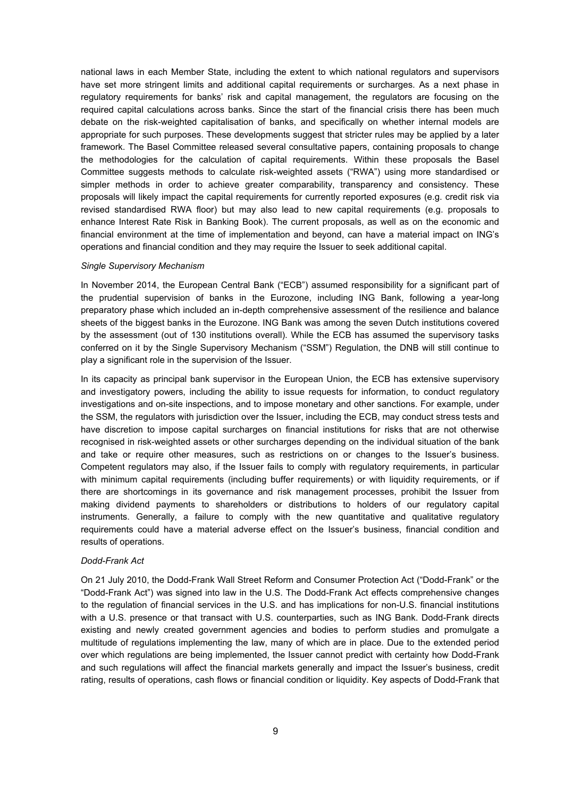national laws in each Member State, including the extent to which national regulators and supervisors have set more stringent limits and additional capital requirements or surcharges. As a next phase in regulatory requirements for banks' risk and capital management, the regulators are focusing on the required capital calculations across banks. Since the start of the financial crisis there has been much debate on the risk-weighted capitalisation of banks, and specifically on whether internal models are appropriate for such purposes. These developments suggest that stricter rules may be applied by a later framework. The Basel Committee released several consultative papers, containing proposals to change the methodologies for the calculation of capital requirements. Within these proposals the Basel Committee suggests methods to calculate risk-weighted assets ("RWA") using more standardised or simpler methods in order to achieve greater comparability, transparency and consistency. These proposals will likely impact the capital requirements for currently reported exposures (e.g. credit risk via revised standardised RWA floor) but may also lead to new capital requirements (e.g. proposals to enhance Interest Rate Risk in Banking Book). The current proposals, as well as on the economic and financial environment at the time of implementation and beyond, can have a material impact on ING's operations and financial condition and they may require the Issuer to seek additional capital.

#### *Single Supervisory Mechanism*

In November 2014, the European Central Bank ("ECB") assumed responsibility for a significant part of the prudential supervision of banks in the Eurozone, including ING Bank, following a year-long preparatory phase which included an in-depth comprehensive assessment of the resilience and balance sheets of the biggest banks in the Eurozone. ING Bank was among the seven Dutch institutions covered by the assessment (out of 130 institutions overall). While the ECB has assumed the supervisory tasks conferred on it by the Single Supervisory Mechanism ("SSM") Regulation, the DNB will still continue to play a significant role in the supervision of the Issuer.

In its capacity as principal bank supervisor in the European Union, the ECB has extensive supervisory and investigatory powers, including the ability to issue requests for information, to conduct regulatory investigations and on-site inspections, and to impose monetary and other sanctions. For example, under the SSM, the regulators with jurisdiction over the Issuer, including the ECB, may conduct stress tests and have discretion to impose capital surcharges on financial institutions for risks that are not otherwise recognised in risk-weighted assets or other surcharges depending on the individual situation of the bank and take or require other measures, such as restrictions on or changes to the Issuer's business. Competent regulators may also, if the Issuer fails to comply with regulatory requirements, in particular with minimum capital requirements (including buffer requirements) or with liquidity requirements, or if there are shortcomings in its governance and risk management processes, prohibit the Issuer from making dividend payments to shareholders or distributions to holders of our regulatory capital instruments. Generally, a failure to comply with the new quantitative and qualitative regulatory requirements could have a material adverse effect on the Issuer's business, financial condition and results of operations.

#### *Dodd-Frank Act*

On 21 July 2010, the Dodd-Frank Wall Street Reform and Consumer Protection Act ("Dodd-Frank" or the "Dodd-Frank Act") was signed into law in the U.S. The Dodd-Frank Act effects comprehensive changes to the regulation of financial services in the U.S. and has implications for non-U.S. financial institutions with a U.S. presence or that transact with U.S. counterparties, such as ING Bank. Dodd-Frank directs existing and newly created government agencies and bodies to perform studies and promulgate a multitude of regulations implementing the law, many of which are in place. Due to the extended period over which regulations are being implemented, the Issuer cannot predict with certainty how Dodd-Frank and such regulations will affect the financial markets generally and impact the Issuer's business, credit rating, results of operations, cash flows or financial condition or liquidity. Key aspects of Dodd-Frank that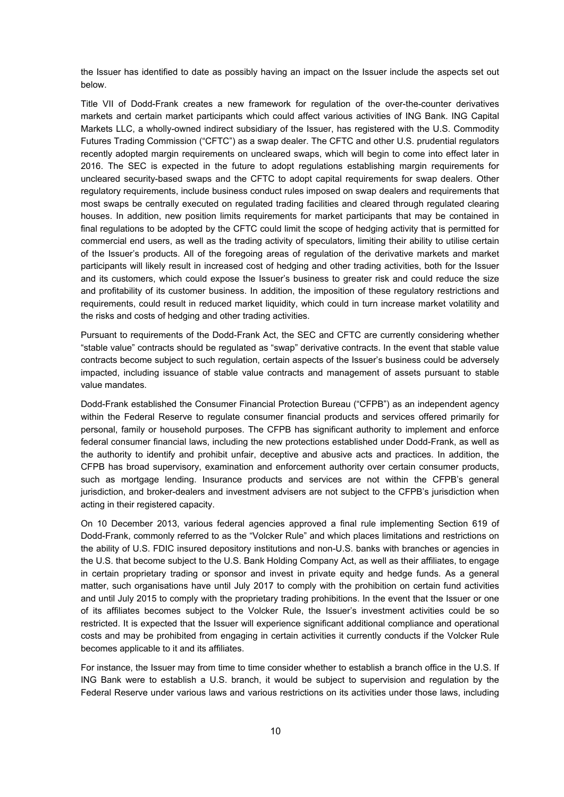the Issuer has identified to date as possibly having an impact on the Issuer include the aspects set out below.

Title VII of Dodd-Frank creates a new framework for regulation of the over-the-counter derivatives markets and certain market participants which could affect various activities of ING Bank. ING Capital Markets LLC, a wholly-owned indirect subsidiary of the Issuer, has registered with the U.S. Commodity Futures Trading Commission ("CFTC") as a swap dealer. The CFTC and other U.S. prudential regulators recently adopted margin requirements on uncleared swaps, which will begin to come into effect later in 2016. The SEC is expected in the future to adopt regulations establishing margin requirements for uncleared security-based swaps and the CFTC to adopt capital requirements for swap dealers. Other regulatory requirements, include business conduct rules imposed on swap dealers and requirements that most swaps be centrally executed on regulated trading facilities and cleared through regulated clearing houses. In addition, new position limits requirements for market participants that may be contained in final regulations to be adopted by the CFTC could limit the scope of hedging activity that is permitted for commercial end users, as well as the trading activity of speculators, limiting their ability to utilise certain of the Issuer's products. All of the foregoing areas of regulation of the derivative markets and market participants will likely result in increased cost of hedging and other trading activities, both for the Issuer and its customers, which could expose the Issuer's business to greater risk and could reduce the size and profitability of its customer business. In addition, the imposition of these regulatory restrictions and requirements, could result in reduced market liquidity, which could in turn increase market volatility and the risks and costs of hedging and other trading activities.

Pursuant to requirements of the Dodd-Frank Act, the SEC and CFTC are currently considering whether "stable value" contracts should be regulated as "swap" derivative contracts. In the event that stable value contracts become subject to such regulation, certain aspects of the Issuer's business could be adversely impacted, including issuance of stable value contracts and management of assets pursuant to stable value mandates.

Dodd-Frank established the Consumer Financial Protection Bureau ("CFPB") as an independent agency within the Federal Reserve to regulate consumer financial products and services offered primarily for personal, family or household purposes. The CFPB has significant authority to implement and enforce federal consumer financial laws, including the new protections established under Dodd-Frank, as well as the authority to identify and prohibit unfair, deceptive and abusive acts and practices. In addition, the CFPB has broad supervisory, examination and enforcement authority over certain consumer products, such as mortgage lending. Insurance products and services are not within the CFPB's general jurisdiction, and broker-dealers and investment advisers are not subject to the CFPB's jurisdiction when acting in their registered capacity.

On 10 December 2013, various federal agencies approved a final rule implementing Section 619 of Dodd-Frank, commonly referred to as the "Volcker Rule" and which places limitations and restrictions on the ability of U.S. FDIC insured depository institutions and non-U.S. banks with branches or agencies in the U.S. that become subject to the U.S. Bank Holding Company Act, as well as their affiliates, to engage in certain proprietary trading or sponsor and invest in private equity and hedge funds. As a general matter, such organisations have until July 2017 to comply with the prohibition on certain fund activities and until July 2015 to comply with the proprietary trading prohibitions. In the event that the Issuer or one of its affiliates becomes subject to the Volcker Rule, the Issuer's investment activities could be so restricted. It is expected that the Issuer will experience significant additional compliance and operational costs and may be prohibited from engaging in certain activities it currently conducts if the Volcker Rule becomes applicable to it and its affiliates.

For instance, the Issuer may from time to time consider whether to establish a branch office in the U.S. If ING Bank were to establish a U.S. branch, it would be subject to supervision and regulation by the Federal Reserve under various laws and various restrictions on its activities under those laws, including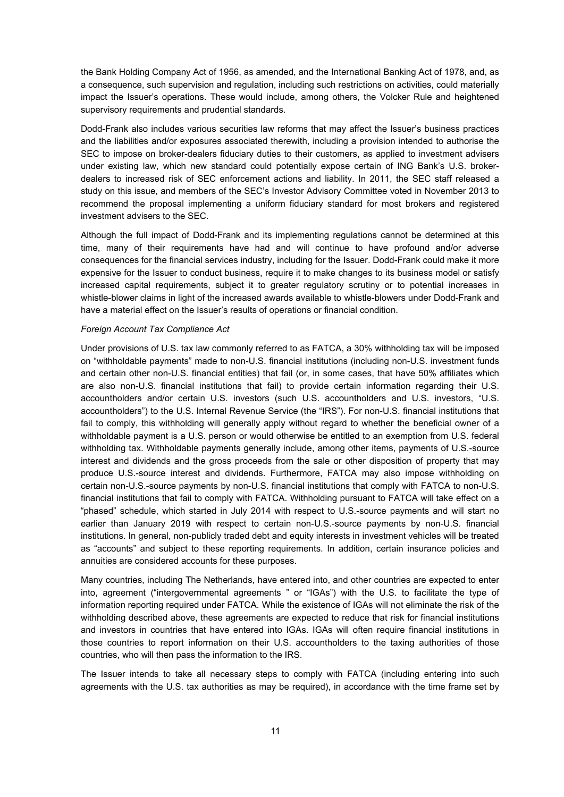the Bank Holding Company Act of 1956, as amended, and the International Banking Act of 1978, and, as a consequence, such supervision and regulation, including such restrictions on activities, could materially impact the Issuer's operations. These would include, among others, the Volcker Rule and heightened supervisory requirements and prudential standards.

Dodd-Frank also includes various securities law reforms that may affect the Issuer's business practices and the liabilities and/or exposures associated therewith, including a provision intended to authorise the SEC to impose on broker-dealers fiduciary duties to their customers, as applied to investment advisers under existing law, which new standard could potentially expose certain of ING Bank's U.S. brokerdealers to increased risk of SEC enforcement actions and liability. In 2011, the SEC staff released a study on this issue, and members of the SEC's Investor Advisory Committee voted in November 2013 to recommend the proposal implementing a uniform fiduciary standard for most brokers and registered investment advisers to the SEC.

Although the full impact of Dodd-Frank and its implementing regulations cannot be determined at this time, many of their requirements have had and will continue to have profound and/or adverse consequences for the financial services industry, including for the Issuer. Dodd-Frank could make it more expensive for the Issuer to conduct business, require it to make changes to its business model or satisfy increased capital requirements, subject it to greater regulatory scrutiny or to potential increases in whistle-blower claims in light of the increased awards available to whistle-blowers under Dodd-Frank and have a material effect on the Issuer's results of operations or financial condition.

### *Foreign Account Tax Compliance Act*

Under provisions of U.S. tax law commonly referred to as FATCA, a 30% withholding tax will be imposed on "withholdable payments" made to non-U.S. financial institutions (including non-U.S. investment funds and certain other non-U.S. financial entities) that fail (or, in some cases, that have 50% affiliates which are also non-U.S. financial institutions that fail) to provide certain information regarding their U.S. accountholders and/or certain U.S. investors (such U.S. accountholders and U.S. investors, "U.S. accountholders") to the U.S. Internal Revenue Service (the "IRS"). For non-U.S. financial institutions that fail to comply, this withholding will generally apply without regard to whether the beneficial owner of a withholdable payment is a U.S. person or would otherwise be entitled to an exemption from U.S. federal withholding tax. Withholdable payments generally include, among other items, payments of U.S.-source interest and dividends and the gross proceeds from the sale or other disposition of property that may produce U.S.-source interest and dividends. Furthermore, FATCA may also impose withholding on certain non-U.S.-source payments by non-U.S. financial institutions that comply with FATCA to non-U.S. financial institutions that fail to comply with FATCA. Withholding pursuant to FATCA will take effect on a "phased" schedule, which started in July 2014 with respect to U.S.-source payments and will start no earlier than January 2019 with respect to certain non-U.S.-source payments by non-U.S. financial institutions. In general, non-publicly traded debt and equity interests in investment vehicles will be treated as "accounts" and subject to these reporting requirements. In addition, certain insurance policies and annuities are considered accounts for these purposes.

Many countries, including The Netherlands, have entered into, and other countries are expected to enter into, agreement ("intergovernmental agreements " or "IGAs") with the U.S. to facilitate the type of information reporting required under FATCA. While the existence of IGAs will not eliminate the risk of the withholding described above, these agreements are expected to reduce that risk for financial institutions and investors in countries that have entered into IGAs. IGAs will often require financial institutions in those countries to report information on their U.S. accountholders to the taxing authorities of those countries, who will then pass the information to the IRS.

The Issuer intends to take all necessary steps to comply with FATCA (including entering into such agreements with the U.S. tax authorities as may be required), in accordance with the time frame set by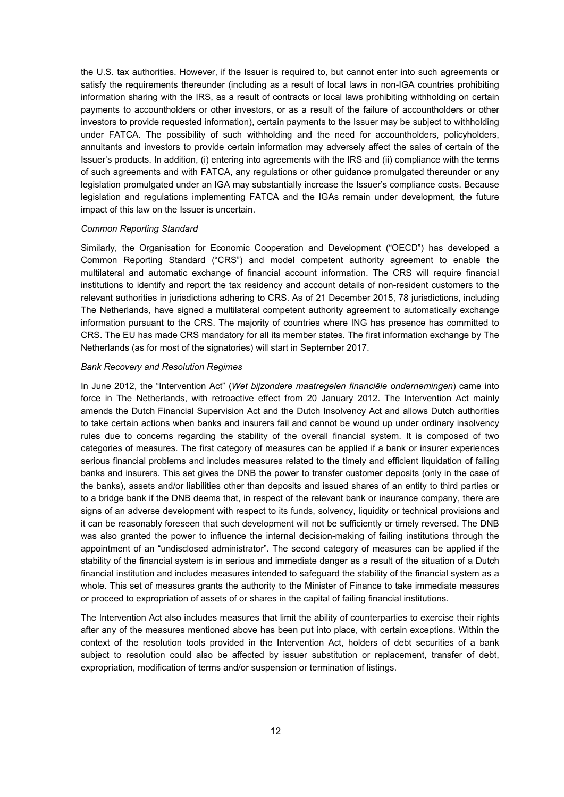the U.S. tax authorities. However, if the Issuer is required to, but cannot enter into such agreements or satisfy the requirements thereunder (including as a result of local laws in non-IGA countries prohibiting information sharing with the IRS, as a result of contracts or local laws prohibiting withholding on certain payments to accountholders or other investors, or as a result of the failure of accountholders or other investors to provide requested information), certain payments to the Issuer may be subject to withholding under FATCA. The possibility of such withholding and the need for accountholders, policyholders, annuitants and investors to provide certain information may adversely affect the sales of certain of the Issuer's products. In addition, (i) entering into agreements with the IRS and (ii) compliance with the terms of such agreements and with FATCA, any regulations or other guidance promulgated thereunder or any legislation promulgated under an IGA may substantially increase the Issuer's compliance costs. Because legislation and regulations implementing FATCA and the IGAs remain under development, the future impact of this law on the Issuer is uncertain.

#### *Common Reporting Standard*

Similarly, the Organisation for Economic Cooperation and Development ("OECD") has developed a Common Reporting Standard ("CRS") and model competent authority agreement to enable the multilateral and automatic exchange of financial account information. The CRS will require financial institutions to identify and report the tax residency and account details of non-resident customers to the relevant authorities in jurisdictions adhering to CRS. As of 21 December 2015, 78 jurisdictions, including The Netherlands, have signed a multilateral competent authority agreement to automatically exchange information pursuant to the CRS. The majority of countries where ING has presence has committed to CRS. The EU has made CRS mandatory for all its member states. The first information exchange by The Netherlands (as for most of the signatories) will start in September 2017.

### *Bank Recovery and Resolution Regimes*

In June 2012, the "Intervention Act" (*Wet bijzondere maatregelen financiële ondernemingen*) came into force in The Netherlands, with retroactive effect from 20 January 2012. The Intervention Act mainly amends the Dutch Financial Supervision Act and the Dutch Insolvency Act and allows Dutch authorities to take certain actions when banks and insurers fail and cannot be wound up under ordinary insolvency rules due to concerns regarding the stability of the overall financial system. It is composed of two categories of measures. The first category of measures can be applied if a bank or insurer experiences serious financial problems and includes measures related to the timely and efficient liquidation of failing banks and insurers. This set gives the DNB the power to transfer customer deposits (only in the case of the banks), assets and/or liabilities other than deposits and issued shares of an entity to third parties or to a bridge bank if the DNB deems that, in respect of the relevant bank or insurance company, there are signs of an adverse development with respect to its funds, solvency, liquidity or technical provisions and it can be reasonably foreseen that such development will not be sufficiently or timely reversed. The DNB was also granted the power to influence the internal decision-making of failing institutions through the appointment of an "undisclosed administrator". The second category of measures can be applied if the stability of the financial system is in serious and immediate danger as a result of the situation of a Dutch financial institution and includes measures intended to safeguard the stability of the financial system as a whole. This set of measures grants the authority to the Minister of Finance to take immediate measures or proceed to expropriation of assets of or shares in the capital of failing financial institutions.

The Intervention Act also includes measures that limit the ability of counterparties to exercise their rights after any of the measures mentioned above has been put into place, with certain exceptions. Within the context of the resolution tools provided in the Intervention Act, holders of debt securities of a bank subject to resolution could also be affected by issuer substitution or replacement, transfer of debt, expropriation, modification of terms and/or suspension or termination of listings.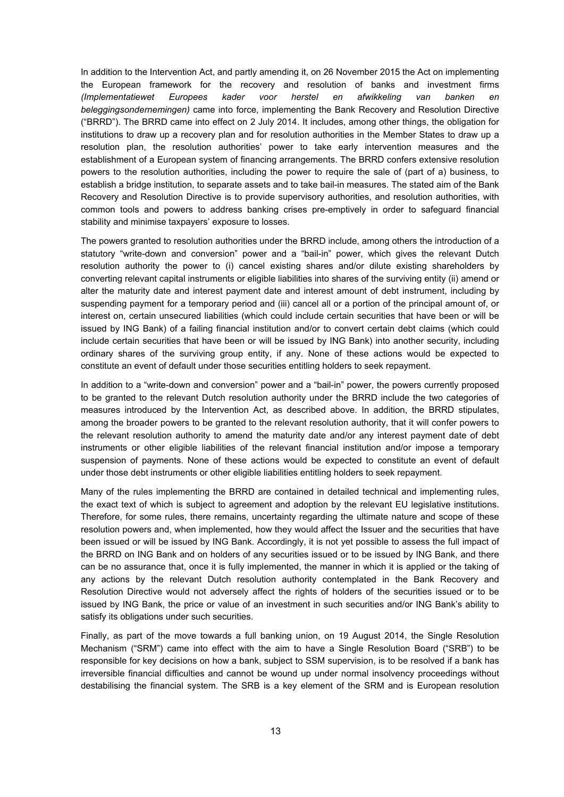In addition to the Intervention Act, and partly amending it, on 26 November 2015 the Act on implementing the European framework for the recovery and resolution of banks and investment firms *(Implementatiewet Europees kader voor herstel en afwikkeling van banken en beleggingsondernemingen)* came into force, implementing the Bank Recovery and Resolution Directive ("BRRD"). The BRRD came into effect on 2 July 2014. It includes, among other things, the obligation for institutions to draw up a recovery plan and for resolution authorities in the Member States to draw up a resolution plan, the resolution authorities' power to take early intervention measures and the establishment of a European system of financing arrangements. The BRRD confers extensive resolution powers to the resolution authorities, including the power to require the sale of (part of a) business, to establish a bridge institution, to separate assets and to take bail-in measures. The stated aim of the Bank Recovery and Resolution Directive is to provide supervisory authorities, and resolution authorities, with common tools and powers to address banking crises pre-emptively in order to safeguard financial stability and minimise taxpayers' exposure to losses.

The powers granted to resolution authorities under the BRRD include, among others the introduction of a statutory "write-down and conversion" power and a "bail-in" power, which gives the relevant Dutch resolution authority the power to (i) cancel existing shares and/or dilute existing shareholders by converting relevant capital instruments or eligible liabilities into shares of the surviving entity (ii) amend or alter the maturity date and interest payment date and interest amount of debt instrument, including by suspending payment for a temporary period and (iii) cancel all or a portion of the principal amount of, or interest on, certain unsecured liabilities (which could include certain securities that have been or will be issued by ING Bank) of a failing financial institution and/or to convert certain debt claims (which could include certain securities that have been or will be issued by ING Bank) into another security, including ordinary shares of the surviving group entity, if any. None of these actions would be expected to constitute an event of default under those securities entitling holders to seek repayment.

In addition to a "write-down and conversion" power and a "bail-in" power, the powers currently proposed to be granted to the relevant Dutch resolution authority under the BRRD include the two categories of measures introduced by the Intervention Act, as described above. In addition, the BRRD stipulates, among the broader powers to be granted to the relevant resolution authority, that it will confer powers to the relevant resolution authority to amend the maturity date and/or any interest payment date of debt instruments or other eligible liabilities of the relevant financial institution and/or impose a temporary suspension of payments. None of these actions would be expected to constitute an event of default under those debt instruments or other eligible liabilities entitling holders to seek repayment.

Many of the rules implementing the BRRD are contained in detailed technical and implementing rules, the exact text of which is subject to agreement and adoption by the relevant EU legislative institutions. Therefore, for some rules, there remains, uncertainty regarding the ultimate nature and scope of these resolution powers and, when implemented, how they would affect the Issuer and the securities that have been issued or will be issued by ING Bank. Accordingly, it is not yet possible to assess the full impact of the BRRD on ING Bank and on holders of any securities issued or to be issued by ING Bank, and there can be no assurance that, once it is fully implemented, the manner in which it is applied or the taking of any actions by the relevant Dutch resolution authority contemplated in the Bank Recovery and Resolution Directive would not adversely affect the rights of holders of the securities issued or to be issued by ING Bank, the price or value of an investment in such securities and/or ING Bank's ability to satisfy its obligations under such securities.

Finally, as part of the move towards a full banking union, on 19 August 2014, the Single Resolution Mechanism ("SRM") came into effect with the aim to have a Single Resolution Board ("SRB") to be responsible for key decisions on how a bank, subject to SSM supervision, is to be resolved if a bank has irreversible financial difficulties and cannot be wound up under normal insolvency proceedings without destabilising the financial system. The SRB is a key element of the SRM and is European resolution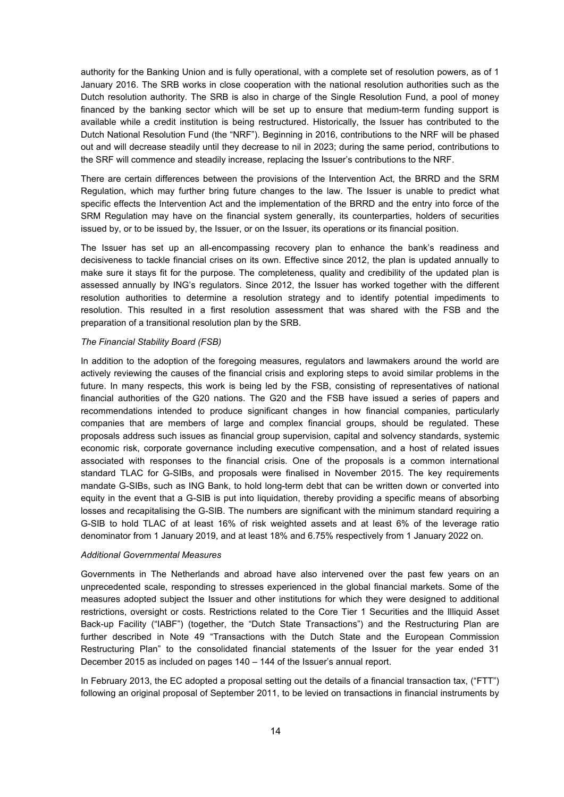authority for the Banking Union and is fully operational, with a complete set of resolution powers, as of 1 January 2016. The SRB works in close cooperation with the national resolution authorities such as the Dutch resolution authority. The SRB is also in charge of the Single Resolution Fund, a pool of money financed by the banking sector which will be set up to ensure that medium-term funding support is available while a credit institution is being restructured. Historically, the Issuer has contributed to the Dutch National Resolution Fund (the "NRF"). Beginning in 2016, contributions to the NRF will be phased out and will decrease steadily until they decrease to nil in 2023; during the same period, contributions to the SRF will commence and steadily increase, replacing the Issuer's contributions to the NRF.

There are certain differences between the provisions of the Intervention Act, the BRRD and the SRM Regulation, which may further bring future changes to the law. The Issuer is unable to predict what specific effects the Intervention Act and the implementation of the BRRD and the entry into force of the SRM Regulation may have on the financial system generally, its counterparties, holders of securities issued by, or to be issued by, the Issuer, or on the Issuer, its operations or its financial position.

The Issuer has set up an all-encompassing recovery plan to enhance the bank's readiness and decisiveness to tackle financial crises on its own. Effective since 2012, the plan is updated annually to make sure it stays fit for the purpose. The completeness, quality and credibility of the updated plan is assessed annually by ING's regulators. Since 2012, the Issuer has worked together with the different resolution authorities to determine a resolution strategy and to identify potential impediments to resolution. This resulted in a first resolution assessment that was shared with the FSB and the preparation of a transitional resolution plan by the SRB.

### *The Financial Stability Board (FSB)*

In addition to the adoption of the foregoing measures, regulators and lawmakers around the world are actively reviewing the causes of the financial crisis and exploring steps to avoid similar problems in the future. In many respects, this work is being led by the FSB, consisting of representatives of national financial authorities of the G20 nations. The G20 and the FSB have issued a series of papers and recommendations intended to produce significant changes in how financial companies, particularly companies that are members of large and complex financial groups, should be regulated. These proposals address such issues as financial group supervision, capital and solvency standards, systemic economic risk, corporate governance including executive compensation, and a host of related issues associated with responses to the financial crisis. One of the proposals is a common international standard TLAC for G-SIBs, and proposals were finalised in November 2015. The key requirements mandate G-SIBs, such as ING Bank, to hold long-term debt that can be written down or converted into equity in the event that a G-SIB is put into liquidation, thereby providing a specific means of absorbing losses and recapitalising the G-SIB. The numbers are significant with the minimum standard requiring a G-SIB to hold TLAC of at least 16% of risk weighted assets and at least 6% of the leverage ratio denominator from 1 January 2019, and at least 18% and 6.75% respectively from 1 January 2022 on.

#### *Additional Governmental Measures*

Governments in The Netherlands and abroad have also intervened over the past few years on an unprecedented scale, responding to stresses experienced in the global financial markets. Some of the measures adopted subject the Issuer and other institutions for which they were designed to additional restrictions, oversight or costs. Restrictions related to the Core Tier 1 Securities and the Illiquid Asset Back-up Facility ("IABF") (together, the "Dutch State Transactions") and the Restructuring Plan are further described in Note 49 "Transactions with the Dutch State and the European Commission Restructuring Plan" to the consolidated financial statements of the Issuer for the year ended 31 December 2015 as included on pages 140 – 144 of the Issuer's annual report.

In February 2013, the EC adopted a proposal setting out the details of a financial transaction tax, ("FTT") following an original proposal of September 2011, to be levied on transactions in financial instruments by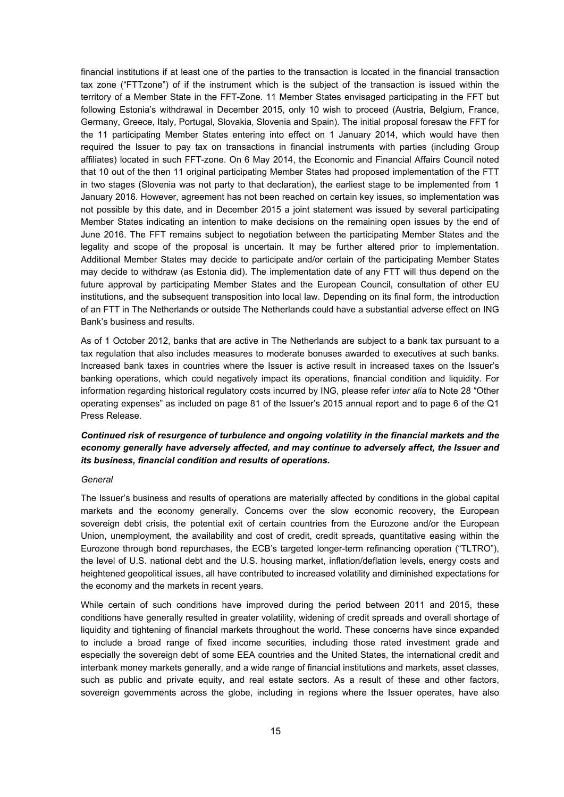financial institutions if at least one of the parties to the transaction is located in the financial transaction tax zone ("FTTzone") of if the instrument which is the subject of the transaction is issued within the territory of a Member State in the FFT-Zone. 11 Member States envisaged participating in the FFT but following Estonia's withdrawal in December 2015, only 10 wish to proceed (Austria, Belgium, France, Germany, Greece, Italy, Portugal, Slovakia, Slovenia and Spain). The initial proposal foresaw the FFT for the 11 participating Member States entering into effect on 1 January 2014, which would have then required the Issuer to pay tax on transactions in financial instruments with parties (including Group affiliates) located in such FFT-zone. On 6 May 2014, the Economic and Financial Affairs Council noted that 10 out of the then 11 original participating Member States had proposed implementation of the FTT in two stages (Slovenia was not party to that declaration), the earliest stage to be implemented from 1 January 2016. However, agreement has not been reached on certain key issues, so implementation was not possible by this date, and in December 2015 a joint statement was issued by several participating Member States indicating an intention to make decisions on the remaining open issues by the end of June 2016. The FFT remains subject to negotiation between the participating Member States and the legality and scope of the proposal is uncertain. It may be further altered prior to implementation. Additional Member States may decide to participate and/or certain of the participating Member States may decide to withdraw (as Estonia did). The implementation date of any FTT will thus depend on the future approval by participating Member States and the European Council, consultation of other EU institutions, and the subsequent transposition into local law. Depending on its final form, the introduction of an FTT in The Netherlands or outside The Netherlands could have a substantial adverse effect on ING Bank's business and results.

As of 1 October 2012, banks that are active in The Netherlands are subject to a bank tax pursuant to a tax regulation that also includes measures to moderate bonuses awarded to executives at such banks. Increased bank taxes in countries where the Issuer is active result in increased taxes on the Issuer's banking operations, which could negatively impact its operations, financial condition and liquidity. For information regarding historical regulatory costs incurred by ING, please refer i*nter alia* to Note 28 "Other operating expenses" as included on page 81 of the Issuer's 2015 annual report and to page 6 of the Q1 Press Release.

### *Continued risk of resurgence of turbulence and ongoing volatility in the financial markets and the economy generally have adversely affected, and may continue to adversely affect, the Issuer and its business, financial condition and results of operations.*

#### *General*

The Issuer's business and results of operations are materially affected by conditions in the global capital markets and the economy generally. Concerns over the slow economic recovery, the European sovereign debt crisis, the potential exit of certain countries from the Eurozone and/or the European Union, unemployment, the availability and cost of credit, credit spreads, quantitative easing within the Eurozone through bond repurchases, the ECB's targeted longer-term refinancing operation ("TLTRO"), the level of U.S. national debt and the U.S. housing market, inflation/deflation levels, energy costs and heightened geopolitical issues, all have contributed to increased volatility and diminished expectations for the economy and the markets in recent years.

While certain of such conditions have improved during the period between 2011 and 2015, these conditions have generally resulted in greater volatility, widening of credit spreads and overall shortage of liquidity and tightening of financial markets throughout the world. These concerns have since expanded to include a broad range of fixed income securities, including those rated investment grade and especially the sovereign debt of some EEA countries and the United States, the international credit and interbank money markets generally, and a wide range of financial institutions and markets, asset classes, such as public and private equity, and real estate sectors. As a result of these and other factors, sovereign governments across the globe, including in regions where the Issuer operates, have also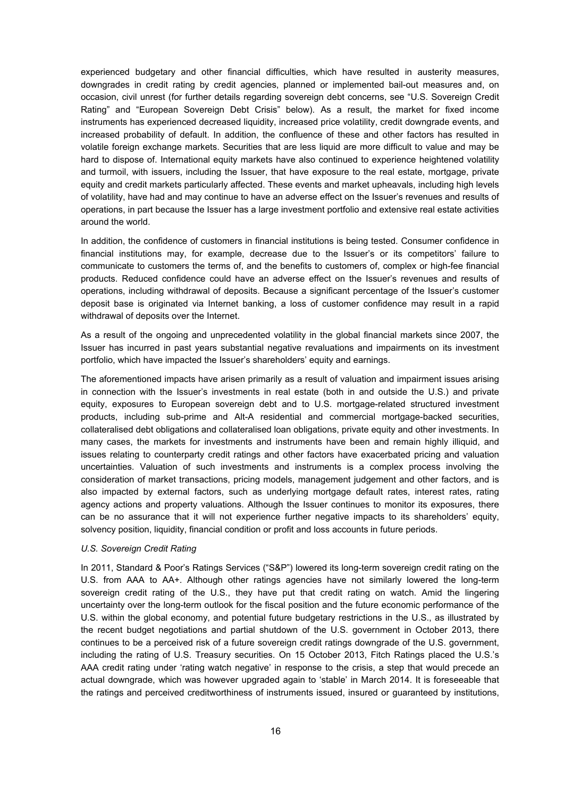experienced budgetary and other financial difficulties, which have resulted in austerity measures, downgrades in credit rating by credit agencies, planned or implemented bail-out measures and, on occasion, civil unrest (for further details regarding sovereign debt concerns, see "U.S. Sovereign Credit Rating" and "European Sovereign Debt Crisis" below). As a result, the market for fixed income instruments has experienced decreased liquidity, increased price volatility, credit downgrade events, and increased probability of default. In addition, the confluence of these and other factors has resulted in volatile foreign exchange markets. Securities that are less liquid are more difficult to value and may be hard to dispose of. International equity markets have also continued to experience heightened volatility and turmoil, with issuers, including the Issuer, that have exposure to the real estate, mortgage, private equity and credit markets particularly affected. These events and market upheavals, including high levels of volatility, have had and may continue to have an adverse effect on the Issuer's revenues and results of operations, in part because the Issuer has a large investment portfolio and extensive real estate activities around the world.

In addition, the confidence of customers in financial institutions is being tested. Consumer confidence in financial institutions may, for example, decrease due to the Issuer's or its competitors' failure to communicate to customers the terms of, and the benefits to customers of, complex or high-fee financial products. Reduced confidence could have an adverse effect on the Issuer's revenues and results of operations, including withdrawal of deposits. Because a significant percentage of the Issuer's customer deposit base is originated via Internet banking, a loss of customer confidence may result in a rapid withdrawal of deposits over the Internet.

As a result of the ongoing and unprecedented volatility in the global financial markets since 2007, the Issuer has incurred in past years substantial negative revaluations and impairments on its investment portfolio, which have impacted the Issuer's shareholders' equity and earnings.

The aforementioned impacts have arisen primarily as a result of valuation and impairment issues arising in connection with the Issuer's investments in real estate (both in and outside the U.S.) and private equity, exposures to European sovereign debt and to U.S. mortgage-related structured investment products, including sub-prime and Alt-A residential and commercial mortgage-backed securities, collateralised debt obligations and collateralised loan obligations, private equity and other investments. In many cases, the markets for investments and instruments have been and remain highly illiquid, and issues relating to counterparty credit ratings and other factors have exacerbated pricing and valuation uncertainties. Valuation of such investments and instruments is a complex process involving the consideration of market transactions, pricing models, management judgement and other factors, and is also impacted by external factors, such as underlying mortgage default rates, interest rates, rating agency actions and property valuations. Although the Issuer continues to monitor its exposures, there can be no assurance that it will not experience further negative impacts to its shareholders' equity, solvency position, liquidity, financial condition or profit and loss accounts in future periods.

#### *U.S. Sovereign Credit Rating*

In 2011, Standard & Poor's Ratings Services ("S&P") lowered its long-term sovereign credit rating on the U.S. from AAA to AA+. Although other ratings agencies have not similarly lowered the long-term sovereign credit rating of the U.S., they have put that credit rating on watch. Amid the lingering uncertainty over the long-term outlook for the fiscal position and the future economic performance of the U.S. within the global economy, and potential future budgetary restrictions in the U.S., as illustrated by the recent budget negotiations and partial shutdown of the U.S. government in October 2013, there continues to be a perceived risk of a future sovereign credit ratings downgrade of the U.S. government, including the rating of U.S. Treasury securities. On 15 October 2013, Fitch Ratings placed the U.S.'s AAA credit rating under 'rating watch negative' in response to the crisis, a step that would precede an actual downgrade, which was however upgraded again to 'stable' in March 2014. It is foreseeable that the ratings and perceived creditworthiness of instruments issued, insured or guaranteed by institutions,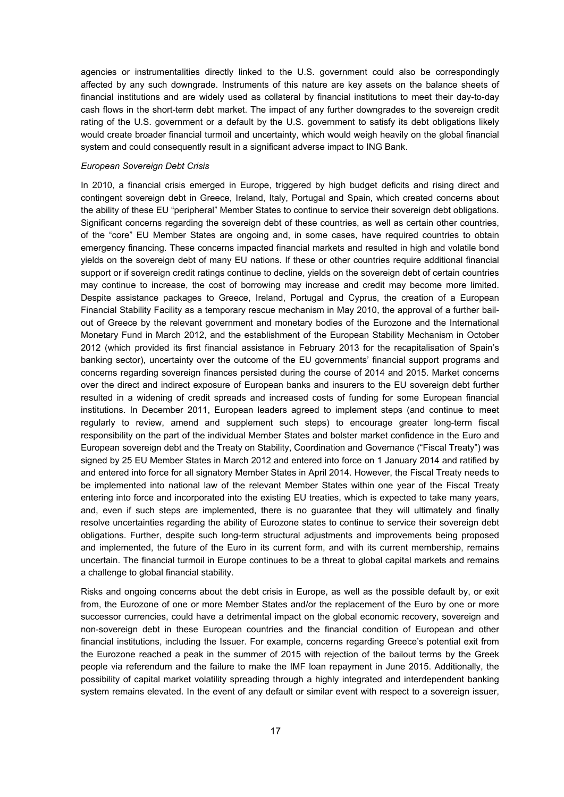agencies or instrumentalities directly linked to the U.S. government could also be correspondingly affected by any such downgrade. Instruments of this nature are key assets on the balance sheets of financial institutions and are widely used as collateral by financial institutions to meet their day-to-day cash flows in the short-term debt market. The impact of any further downgrades to the sovereign credit rating of the U.S. government or a default by the U.S. government to satisfy its debt obligations likely would create broader financial turmoil and uncertainty, which would weigh heavily on the global financial system and could consequently result in a significant adverse impact to ING Bank.

#### *European Sovereign Debt Crisis*

In 2010, a financial crisis emerged in Europe, triggered by high budget deficits and rising direct and contingent sovereign debt in Greece, Ireland, Italy, Portugal and Spain, which created concerns about the ability of these EU "peripheral" Member States to continue to service their sovereign debt obligations. Significant concerns regarding the sovereign debt of these countries, as well as certain other countries, of the "core" EU Member States are ongoing and, in some cases, have required countries to obtain emergency financing. These concerns impacted financial markets and resulted in high and volatile bond yields on the sovereign debt of many EU nations. If these or other countries require additional financial support or if sovereign credit ratings continue to decline, yields on the sovereign debt of certain countries may continue to increase, the cost of borrowing may increase and credit may become more limited. Despite assistance packages to Greece, Ireland, Portugal and Cyprus, the creation of a European Financial Stability Facility as a temporary rescue mechanism in May 2010, the approval of a further bailout of Greece by the relevant government and monetary bodies of the Eurozone and the International Monetary Fund in March 2012, and the establishment of the European Stability Mechanism in October 2012 (which provided its first financial assistance in February 2013 for the recapitalisation of Spain's banking sector), uncertainty over the outcome of the EU governments' financial support programs and concerns regarding sovereign finances persisted during the course of 2014 and 2015. Market concerns over the direct and indirect exposure of European banks and insurers to the EU sovereign debt further resulted in a widening of credit spreads and increased costs of funding for some European financial institutions. In December 2011, European leaders agreed to implement steps (and continue to meet regularly to review, amend and supplement such steps) to encourage greater long-term fiscal responsibility on the part of the individual Member States and bolster market confidence in the Euro and European sovereign debt and the Treaty on Stability, Coordination and Governance ("Fiscal Treaty") was signed by 25 EU Member States in March 2012 and entered into force on 1 January 2014 and ratified by and entered into force for all signatory Member States in April 2014. However, the Fiscal Treaty needs to be implemented into national law of the relevant Member States within one year of the Fiscal Treaty entering into force and incorporated into the existing EU treaties, which is expected to take many years, and, even if such steps are implemented, there is no guarantee that they will ultimately and finally resolve uncertainties regarding the ability of Eurozone states to continue to service their sovereign debt obligations. Further, despite such long-term structural adjustments and improvements being proposed and implemented, the future of the Euro in its current form, and with its current membership, remains uncertain. The financial turmoil in Europe continues to be a threat to global capital markets and remains a challenge to global financial stability.

Risks and ongoing concerns about the debt crisis in Europe, as well as the possible default by, or exit from, the Eurozone of one or more Member States and/or the replacement of the Euro by one or more successor currencies, could have a detrimental impact on the global economic recovery, sovereign and non-sovereign debt in these European countries and the financial condition of European and other financial institutions, including the Issuer. For example, concerns regarding Greece's potential exit from the Eurozone reached a peak in the summer of 2015 with rejection of the bailout terms by the Greek people via referendum and the failure to make the IMF loan repayment in June 2015. Additionally, the possibility of capital market volatility spreading through a highly integrated and interdependent banking system remains elevated. In the event of any default or similar event with respect to a sovereign issuer,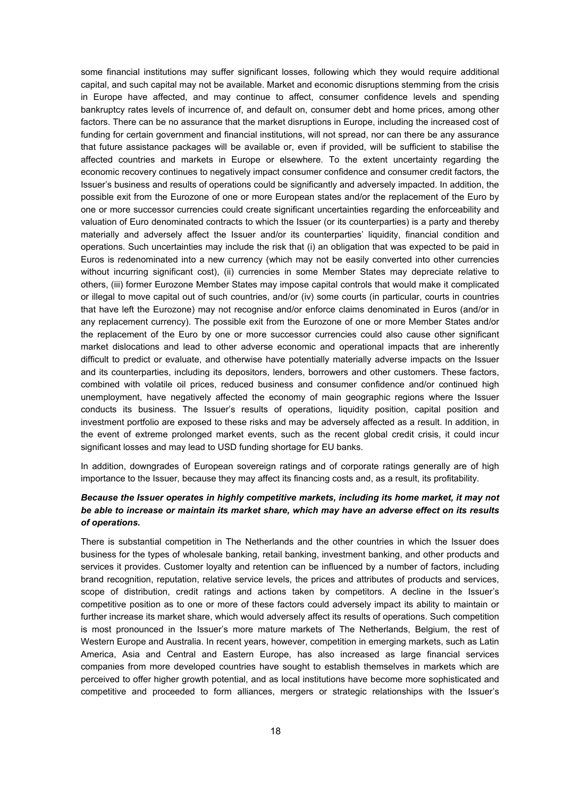some financial institutions may suffer significant losses, following which they would require additional capital, and such capital may not be available. Market and economic disruptions stemming from the crisis in Europe have affected, and may continue to affect, consumer confidence levels and spending bankruptcy rates levels of incurrence of, and default on, consumer debt and home prices, among other factors. There can be no assurance that the market disruptions in Europe, including the increased cost of funding for certain government and financial institutions, will not spread, nor can there be any assurance that future assistance packages will be available or, even if provided, will be sufficient to stabilise the affected countries and markets in Europe or elsewhere. To the extent uncertainty regarding the economic recovery continues to negatively impact consumer confidence and consumer credit factors, the Issuer's business and results of operations could be significantly and adversely impacted. In addition, the possible exit from the Eurozone of one or more European states and/or the replacement of the Euro by one or more successor currencies could create significant uncertainties regarding the enforceability and valuation of Euro denominated contracts to which the Issuer (or its counterparties) is a party and thereby materially and adversely affect the Issuer and/or its counterparties' liquidity, financial condition and operations. Such uncertainties may include the risk that (i) an obligation that was expected to be paid in Euros is redenominated into a new currency (which may not be easily converted into other currencies without incurring significant cost), (ii) currencies in some Member States may depreciate relative to others, (iii) former Eurozone Member States may impose capital controls that would make it complicated or illegal to move capital out of such countries, and/or (iv) some courts (in particular, courts in countries that have left the Eurozone) may not recognise and/or enforce claims denominated in Euros (and/or in any replacement currency). The possible exit from the Eurozone of one or more Member States and/or the replacement of the Euro by one or more successor currencies could also cause other significant market dislocations and lead to other adverse economic and operational impacts that are inherently difficult to predict or evaluate, and otherwise have potentially materially adverse impacts on the Issuer and its counterparties, including its depositors, lenders, borrowers and other customers. These factors, combined with volatile oil prices, reduced business and consumer confidence and/or continued high unemployment, have negatively affected the economy of main geographic regions where the Issuer conducts its business. The Issuer's results of operations, liquidity position, capital position and investment portfolio are exposed to these risks and may be adversely affected as a result. In addition, in the event of extreme prolonged market events, such as the recent global credit crisis, it could incur significant losses and may lead to USD funding shortage for EU banks.

In addition, downgrades of European sovereign ratings and of corporate ratings generally are of high importance to the Issuer, because they may affect its financing costs and, as a result, its profitability.

### *Because the Issuer operates in highly competitive markets, including its home market, it may not be able to increase or maintain its market share, which may have an adverse effect on its results of operations.*

There is substantial competition in The Netherlands and the other countries in which the Issuer does business for the types of wholesale banking, retail banking, investment banking, and other products and services it provides. Customer loyalty and retention can be influenced by a number of factors, including brand recognition, reputation, relative service levels, the prices and attributes of products and services, scope of distribution, credit ratings and actions taken by competitors. A decline in the Issuer's competitive position as to one or more of these factors could adversely impact its ability to maintain or further increase its market share, which would adversely affect its results of operations. Such competition is most pronounced in the Issuer's more mature markets of The Netherlands, Belgium, the rest of Western Europe and Australia. In recent years, however, competition in emerging markets, such as Latin America, Asia and Central and Eastern Europe, has also increased as large financial services companies from more developed countries have sought to establish themselves in markets which are perceived to offer higher growth potential, and as local institutions have become more sophisticated and competitive and proceeded to form alliances, mergers or strategic relationships with the Issuer's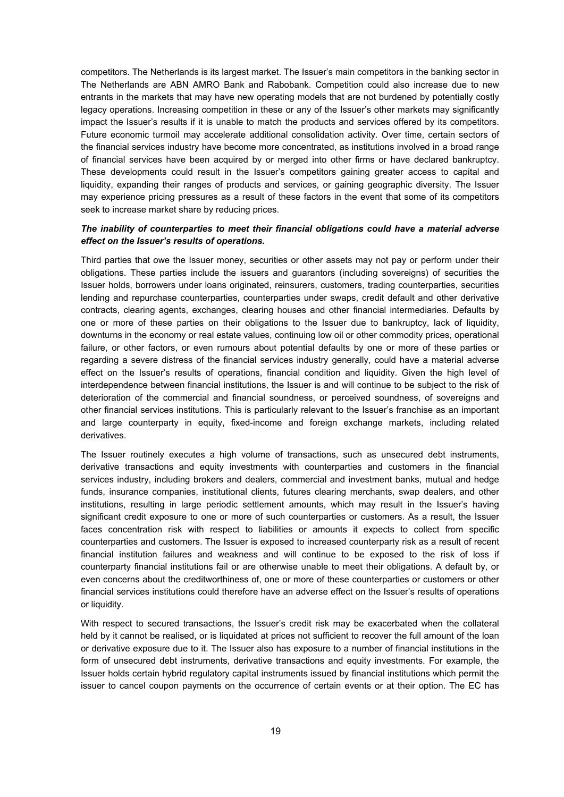competitors. The Netherlands is its largest market. The Issuer's main competitors in the banking sector in The Netherlands are ABN AMRO Bank and Rabobank. Competition could also increase due to new entrants in the markets that may have new operating models that are not burdened by potentially costly legacy operations. Increasing competition in these or any of the Issuer's other markets may significantly impact the Issuer's results if it is unable to match the products and services offered by its competitors. Future economic turmoil may accelerate additional consolidation activity. Over time, certain sectors of the financial services industry have become more concentrated, as institutions involved in a broad range of financial services have been acquired by or merged into other firms or have declared bankruptcy. These developments could result in the Issuer's competitors gaining greater access to capital and liquidity, expanding their ranges of products and services, or gaining geographic diversity. The Issuer may experience pricing pressures as a result of these factors in the event that some of its competitors seek to increase market share by reducing prices.

### *The inability of counterparties to meet their financial obligations could have a material adverse effect on the Issuer's results of operations.*

Third parties that owe the Issuer money, securities or other assets may not pay or perform under their obligations. These parties include the issuers and guarantors (including sovereigns) of securities the Issuer holds, borrowers under loans originated, reinsurers, customers, trading counterparties, securities lending and repurchase counterparties, counterparties under swaps, credit default and other derivative contracts, clearing agents, exchanges, clearing houses and other financial intermediaries. Defaults by one or more of these parties on their obligations to the Issuer due to bankruptcy, lack of liquidity, downturns in the economy or real estate values, continuing low oil or other commodity prices, operational failure, or other factors, or even rumours about potential defaults by one or more of these parties or regarding a severe distress of the financial services industry generally, could have a material adverse effect on the Issuer's results of operations, financial condition and liquidity. Given the high level of interdependence between financial institutions, the Issuer is and will continue to be subject to the risk of deterioration of the commercial and financial soundness, or perceived soundness, of sovereigns and other financial services institutions. This is particularly relevant to the Issuer's franchise as an important and large counterparty in equity, fixed-income and foreign exchange markets, including related derivatives.

The Issuer routinely executes a high volume of transactions, such as unsecured debt instruments, derivative transactions and equity investments with counterparties and customers in the financial services industry, including brokers and dealers, commercial and investment banks, mutual and hedge funds, insurance companies, institutional clients, futures clearing merchants, swap dealers, and other institutions, resulting in large periodic settlement amounts, which may result in the Issuer's having significant credit exposure to one or more of such counterparties or customers. As a result, the Issuer faces concentration risk with respect to liabilities or amounts it expects to collect from specific counterparties and customers. The Issuer is exposed to increased counterparty risk as a result of recent financial institution failures and weakness and will continue to be exposed to the risk of loss if counterparty financial institutions fail or are otherwise unable to meet their obligations. A default by, or even concerns about the creditworthiness of, one or more of these counterparties or customers or other financial services institutions could therefore have an adverse effect on the Issuer's results of operations or liquidity.

With respect to secured transactions, the Issuer's credit risk may be exacerbated when the collateral held by it cannot be realised, or is liquidated at prices not sufficient to recover the full amount of the loan or derivative exposure due to it. The Issuer also has exposure to a number of financial institutions in the form of unsecured debt instruments, derivative transactions and equity investments. For example, the Issuer holds certain hybrid regulatory capital instruments issued by financial institutions which permit the issuer to cancel coupon payments on the occurrence of certain events or at their option. The EC has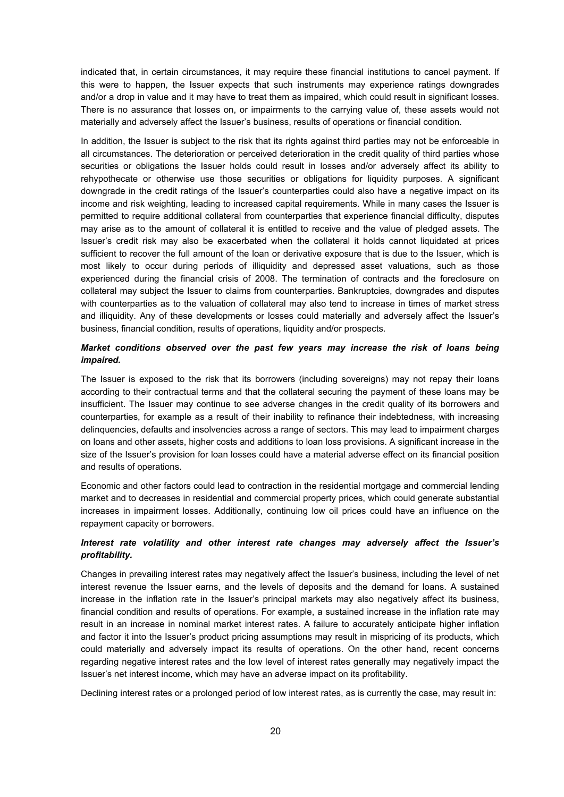indicated that, in certain circumstances, it may require these financial institutions to cancel payment. If this were to happen, the Issuer expects that such instruments may experience ratings downgrades and/or a drop in value and it may have to treat them as impaired, which could result in significant losses. There is no assurance that losses on, or impairments to the carrying value of, these assets would not materially and adversely affect the Issuer's business, results of operations or financial condition.

In addition, the Issuer is subject to the risk that its rights against third parties may not be enforceable in all circumstances. The deterioration or perceived deterioration in the credit quality of third parties whose securities or obligations the Issuer holds could result in losses and/or adversely affect its ability to rehypothecate or otherwise use those securities or obligations for liquidity purposes. A significant downgrade in the credit ratings of the Issuer's counterparties could also have a negative impact on its income and risk weighting, leading to increased capital requirements. While in many cases the Issuer is permitted to require additional collateral from counterparties that experience financial difficulty, disputes may arise as to the amount of collateral it is entitled to receive and the value of pledged assets. The Issuer's credit risk may also be exacerbated when the collateral it holds cannot liquidated at prices sufficient to recover the full amount of the loan or derivative exposure that is due to the Issuer, which is most likely to occur during periods of illiquidity and depressed asset valuations, such as those experienced during the financial crisis of 2008. The termination of contracts and the foreclosure on collateral may subject the Issuer to claims from counterparties. Bankruptcies, downgrades and disputes with counterparties as to the valuation of collateral may also tend to increase in times of market stress and illiquidity. Any of these developments or losses could materially and adversely affect the Issuer's business, financial condition, results of operations, liquidity and/or prospects.

### *Market conditions observed over the past few years may increase the risk of loans being impaired.*

The Issuer is exposed to the risk that its borrowers (including sovereigns) may not repay their loans according to their contractual terms and that the collateral securing the payment of these loans may be insufficient. The Issuer may continue to see adverse changes in the credit quality of its borrowers and counterparties, for example as a result of their inability to refinance their indebtedness, with increasing delinquencies, defaults and insolvencies across a range of sectors. This may lead to impairment charges on loans and other assets, higher costs and additions to loan loss provisions. A significant increase in the size of the Issuer's provision for loan losses could have a material adverse effect on its financial position and results of operations.

Economic and other factors could lead to contraction in the residential mortgage and commercial lending market and to decreases in residential and commercial property prices, which could generate substantial increases in impairment losses. Additionally, continuing low oil prices could have an influence on the repayment capacity or borrowers.

### *Interest rate volatility and other interest rate changes may adversely affect the Issuer's profitability.*

Changes in prevailing interest rates may negatively affect the Issuer's business, including the level of net interest revenue the Issuer earns, and the levels of deposits and the demand for loans. A sustained increase in the inflation rate in the Issuer's principal markets may also negatively affect its business, financial condition and results of operations. For example, a sustained increase in the inflation rate may result in an increase in nominal market interest rates. A failure to accurately anticipate higher inflation and factor it into the Issuer's product pricing assumptions may result in mispricing of its products, which could materially and adversely impact its results of operations. On the other hand, recent concerns regarding negative interest rates and the low level of interest rates generally may negatively impact the Issuer's net interest income, which may have an adverse impact on its profitability.

Declining interest rates or a prolonged period of low interest rates, as is currently the case, may result in: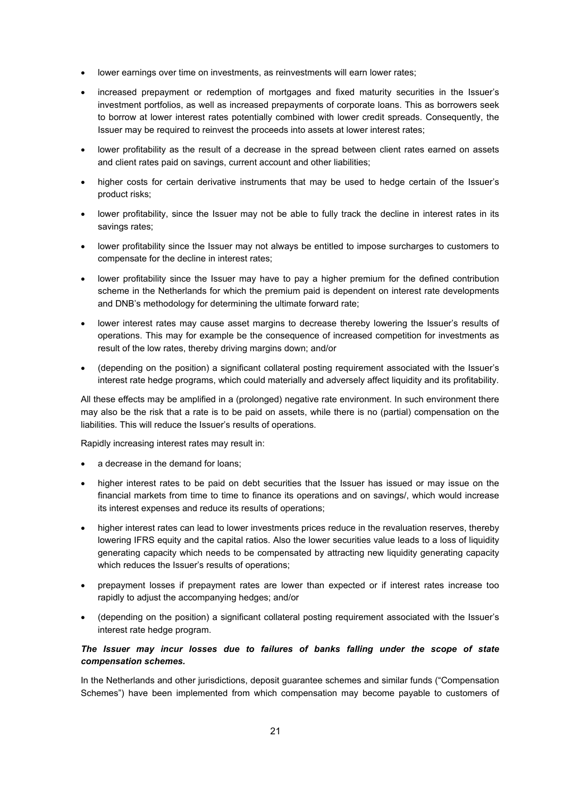- lower earnings over time on investments, as reinvestments will earn lower rates;
- increased prepayment or redemption of mortgages and fixed maturity securities in the Issuer's investment portfolios, as well as increased prepayments of corporate loans. This as borrowers seek to borrow at lower interest rates potentially combined with lower credit spreads. Consequently, the Issuer may be required to reinvest the proceeds into assets at lower interest rates;
- lower profitability as the result of a decrease in the spread between client rates earned on assets and client rates paid on savings, current account and other liabilities;
- higher costs for certain derivative instruments that may be used to hedge certain of the Issuer's product risks;
- lower profitability, since the Issuer may not be able to fully track the decline in interest rates in its savings rates;
- lower profitability since the Issuer may not always be entitled to impose surcharges to customers to compensate for the decline in interest rates;
- lower profitability since the Issuer may have to pay a higher premium for the defined contribution scheme in the Netherlands for which the premium paid is dependent on interest rate developments and DNB's methodology for determining the ultimate forward rate;
- lower interest rates may cause asset margins to decrease thereby lowering the Issuer's results of operations. This may for example be the consequence of increased competition for investments as result of the low rates, thereby driving margins down; and/or
- (depending on the position) a significant collateral posting requirement associated with the Issuer's interest rate hedge programs, which could materially and adversely affect liquidity and its profitability.

All these effects may be amplified in a (prolonged) negative rate environment. In such environment there may also be the risk that a rate is to be paid on assets, while there is no (partial) compensation on the liabilities. This will reduce the Issuer's results of operations.

Rapidly increasing interest rates may result in:

- a decrease in the demand for loans;
- higher interest rates to be paid on debt securities that the Issuer has issued or may issue on the financial markets from time to time to finance its operations and on savings/, which would increase its interest expenses and reduce its results of operations;
- higher interest rates can lead to lower investments prices reduce in the revaluation reserves, thereby lowering IFRS equity and the capital ratios. Also the lower securities value leads to a loss of liquidity generating capacity which needs to be compensated by attracting new liquidity generating capacity which reduces the Issuer's results of operations;
- prepayment losses if prepayment rates are lower than expected or if interest rates increase too rapidly to adjust the accompanying hedges; and/or
- (depending on the position) a significant collateral posting requirement associated with the Issuer's interest rate hedge program.

### *The Issuer may incur losses due to failures of banks falling under the scope of state compensation schemes.*

In the Netherlands and other jurisdictions, deposit guarantee schemes and similar funds ("Compensation Schemes") have been implemented from which compensation may become payable to customers of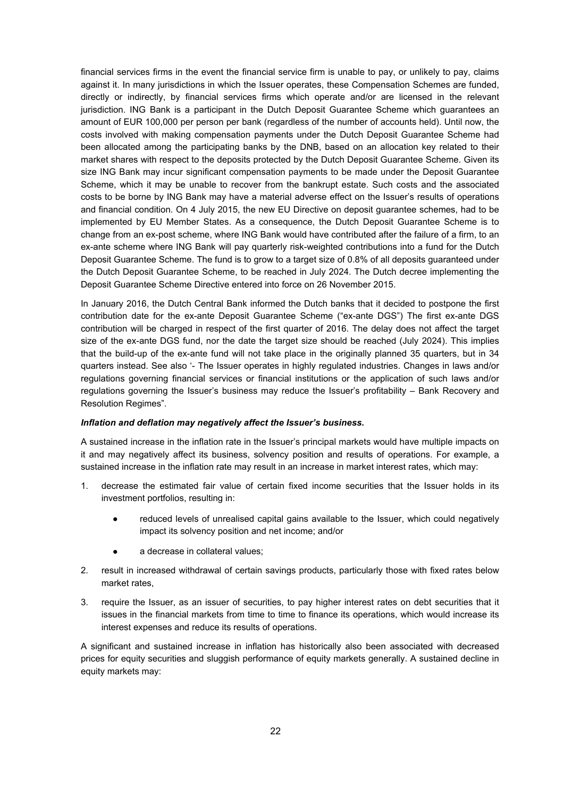financial services firms in the event the financial service firm is unable to pay, or unlikely to pay, claims against it. In many jurisdictions in which the Issuer operates, these Compensation Schemes are funded, directly or indirectly, by financial services firms which operate and/or are licensed in the relevant jurisdiction. ING Bank is a participant in the Dutch Deposit Guarantee Scheme which guarantees an amount of EUR 100,000 per person per bank (regardless of the number of accounts held). Until now, the costs involved with making compensation payments under the Dutch Deposit Guarantee Scheme had been allocated among the participating banks by the DNB, based on an allocation key related to their market shares with respect to the deposits protected by the Dutch Deposit Guarantee Scheme. Given its size ING Bank may incur significant compensation payments to be made under the Deposit Guarantee Scheme, which it may be unable to recover from the bankrupt estate. Such costs and the associated costs to be borne by ING Bank may have a material adverse effect on the Issuer's results of operations and financial condition. On 4 July 2015, the new EU Directive on deposit guarantee schemes, had to be implemented by EU Member States. As a consequence, the Dutch Deposit Guarantee Scheme is to change from an ex-post scheme, where ING Bank would have contributed after the failure of a firm, to an ex-ante scheme where ING Bank will pay quarterly risk-weighted contributions into a fund for the Dutch Deposit Guarantee Scheme. The fund is to grow to a target size of 0.8% of all deposits guaranteed under the Dutch Deposit Guarantee Scheme, to be reached in July 2024. The Dutch decree implementing the Deposit Guarantee Scheme Directive entered into force on 26 November 2015.

In January 2016, the Dutch Central Bank informed the Dutch banks that it decided to postpone the first contribution date for the ex-ante Deposit Guarantee Scheme ("ex-ante DGS") The first ex-ante DGS contribution will be charged in respect of the first quarter of 2016. The delay does not affect the target size of the ex-ante DGS fund, nor the date the target size should be reached (July 2024). This implies that the build-up of the ex-ante fund will not take place in the originally planned 35 quarters, but in 34 quarters instead. See also '- The Issuer operates in highly regulated industries. Changes in laws and/or regulations governing financial services or financial institutions or the application of such laws and/or regulations governing the Issuer's business may reduce the Issuer's profitability – Bank Recovery and Resolution Regimes".

### *Inflation and deflation may negatively affect the Issuer's business.*

A sustained increase in the inflation rate in the Issuer's principal markets would have multiple impacts on it and may negatively affect its business, solvency position and results of operations. For example, a sustained increase in the inflation rate may result in an increase in market interest rates, which may:

- decrease the estimated fair value of certain fixed income securities that the Issuer holds in its investment portfolios, resulting in:
	- reduced levels of unrealised capital gains available to the Issuer, which could negatively impact its solvency position and net income; and/or
	- a decrease in collateral values;
- 2. result in increased withdrawal of certain savings products, particularly those with fixed rates below market rates,
- 3. require the Issuer, as an issuer of securities, to pay higher interest rates on debt securities that it issues in the financial markets from time to time to finance its operations, which would increase its interest expenses and reduce its results of operations.

A significant and sustained increase in inflation has historically also been associated with decreased prices for equity securities and sluggish performance of equity markets generally. A sustained decline in equity markets may: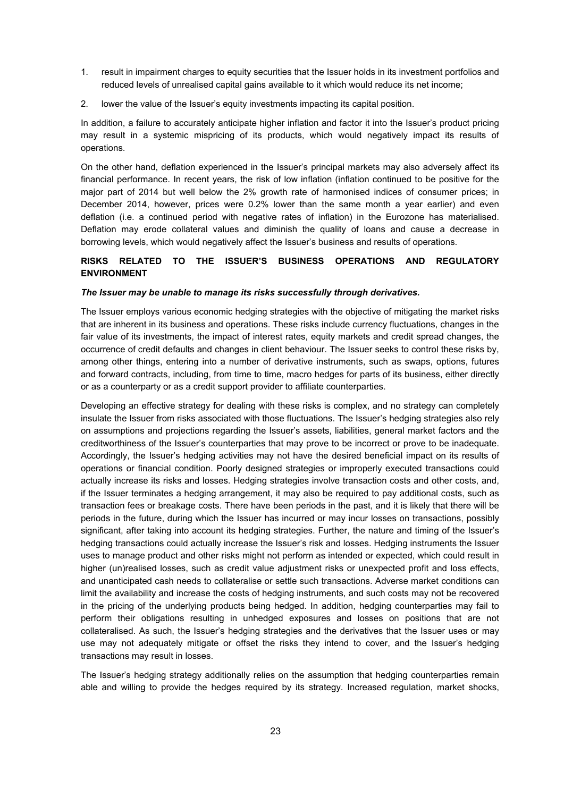- 1. result in impairment charges to equity securities that the Issuer holds in its investment portfolios and reduced levels of unrealised capital gains available to it which would reduce its net income;
- 2. lower the value of the Issuer's equity investments impacting its capital position.

In addition, a failure to accurately anticipate higher inflation and factor it into the Issuer's product pricing may result in a systemic mispricing of its products, which would negatively impact its results of operations.

On the other hand, deflation experienced in the Issuer's principal markets may also adversely affect its financial performance. In recent years, the risk of low inflation (inflation continued to be positive for the major part of 2014 but well below the 2% growth rate of harmonised indices of consumer prices; in December 2014, however, prices were 0.2% lower than the same month a year earlier) and even deflation (i.e. a continued period with negative rates of inflation) in the Eurozone has materialised. Deflation may erode collateral values and diminish the quality of loans and cause a decrease in borrowing levels, which would negatively affect the Issuer's business and results of operations.

### **RISKS RELATED TO THE ISSUER'S BUSINESS OPERATIONS AND REGULATORY ENVIRONMENT**

#### *The Issuer may be unable to manage its risks successfully through derivatives.*

The Issuer employs various economic hedging strategies with the objective of mitigating the market risks that are inherent in its business and operations. These risks include currency fluctuations, changes in the fair value of its investments, the impact of interest rates, equity markets and credit spread changes, the occurrence of credit defaults and changes in client behaviour. The Issuer seeks to control these risks by, among other things, entering into a number of derivative instruments, such as swaps, options, futures and forward contracts, including, from time to time, macro hedges for parts of its business, either directly or as a counterparty or as a credit support provider to affiliate counterparties.

Developing an effective strategy for dealing with these risks is complex, and no strategy can completely insulate the Issuer from risks associated with those fluctuations. The Issuer's hedging strategies also rely on assumptions and projections regarding the Issuer's assets, liabilities, general market factors and the creditworthiness of the Issuer's counterparties that may prove to be incorrect or prove to be inadequate. Accordingly, the Issuer's hedging activities may not have the desired beneficial impact on its results of operations or financial condition. Poorly designed strategies or improperly executed transactions could actually increase its risks and losses. Hedging strategies involve transaction costs and other costs, and, if the Issuer terminates a hedging arrangement, it may also be required to pay additional costs, such as transaction fees or breakage costs. There have been periods in the past, and it is likely that there will be periods in the future, during which the Issuer has incurred or may incur losses on transactions, possibly significant, after taking into account its hedging strategies. Further, the nature and timing of the Issuer's hedging transactions could actually increase the Issuer's risk and losses. Hedging instruments the Issuer uses to manage product and other risks might not perform as intended or expected, which could result in higher (un)realised losses, such as credit value adjustment risks or unexpected profit and loss effects, and unanticipated cash needs to collateralise or settle such transactions. Adverse market conditions can limit the availability and increase the costs of hedging instruments, and such costs may not be recovered in the pricing of the underlying products being hedged. In addition, hedging counterparties may fail to perform their obligations resulting in unhedged exposures and losses on positions that are not collateralised. As such, the Issuer's hedging strategies and the derivatives that the Issuer uses or may use may not adequately mitigate or offset the risks they intend to cover, and the Issuer's hedging transactions may result in losses.

The Issuer's hedging strategy additionally relies on the assumption that hedging counterparties remain able and willing to provide the hedges required by its strategy. Increased regulation, market shocks,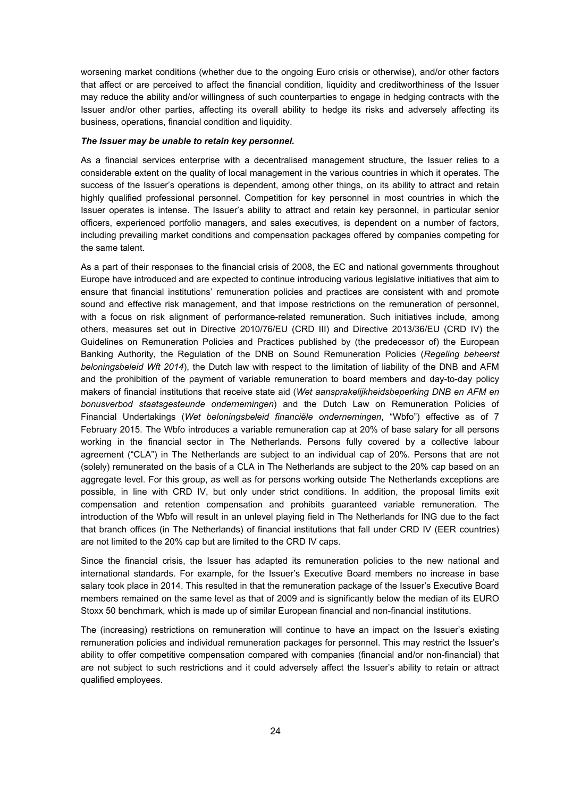worsening market conditions (whether due to the ongoing Euro crisis or otherwise), and/or other factors that affect or are perceived to affect the financial condition, liquidity and creditworthiness of the Issuer may reduce the ability and/or willingness of such counterparties to engage in hedging contracts with the Issuer and/or other parties, affecting its overall ability to hedge its risks and adversely affecting its business, operations, financial condition and liquidity.

#### *The Issuer may be unable to retain key personnel.*

As a financial services enterprise with a decentralised management structure, the Issuer relies to a considerable extent on the quality of local management in the various countries in which it operates. The success of the Issuer's operations is dependent, among other things, on its ability to attract and retain highly qualified professional personnel. Competition for key personnel in most countries in which the Issuer operates is intense. The Issuer's ability to attract and retain key personnel, in particular senior officers, experienced portfolio managers, and sales executives, is dependent on a number of factors, including prevailing market conditions and compensation packages offered by companies competing for the same talent.

As a part of their responses to the financial crisis of 2008, the EC and national governments throughout Europe have introduced and are expected to continue introducing various legislative initiatives that aim to ensure that financial institutions' remuneration policies and practices are consistent with and promote sound and effective risk management, and that impose restrictions on the remuneration of personnel, with a focus on risk alignment of performance-related remuneration. Such initiatives include, among others, measures set out in Directive 2010/76/EU (CRD III) and Directive 2013/36/EU (CRD IV) the Guidelines on Remuneration Policies and Practices published by (the predecessor of) the European Banking Authority, the Regulation of the DNB on Sound Remuneration Policies (*Regeling beheerst beloningsbeleid Wft 2014*), the Dutch law with respect to the limitation of liability of the DNB and AFM and the prohibition of the payment of variable remuneration to board members and day-to-day policy makers of financial institutions that receive state aid (*Wet aansprakelijkheidsbeperking DNB en AFM en bonusverbod staatsgesteunde ondernemingen*) and the Dutch Law on Remuneration Policies of Financial Undertakings (*Wet beloningsbeleid financiële ondernemingen*, "Wbfo") effective as of 7 February 2015. The Wbfo introduces a variable remuneration cap at 20% of base salary for all persons working in the financial sector in The Netherlands. Persons fully covered by a collective labour agreement ("CLA") in The Netherlands are subject to an individual cap of 20%. Persons that are not (solely) remunerated on the basis of a CLA in The Netherlands are subject to the 20% cap based on an aggregate level. For this group, as well as for persons working outside The Netherlands exceptions are possible, in line with CRD IV, but only under strict conditions. In addition, the proposal limits exit compensation and retention compensation and prohibits guaranteed variable remuneration. The introduction of the Wbfo will result in an unlevel playing field in The Netherlands for ING due to the fact that branch offices (in The Netherlands) of financial institutions that fall under CRD IV (EER countries) are not limited to the 20% cap but are limited to the CRD IV caps.

Since the financial crisis, the Issuer has adapted its remuneration policies to the new national and international standards. For example, for the Issuer's Executive Board members no increase in base salary took place in 2014. This resulted in that the remuneration package of the Issuer's Executive Board members remained on the same level as that of 2009 and is significantly below the median of its EURO Stoxx 50 benchmark, which is made up of similar European financial and non-financial institutions.

The (increasing) restrictions on remuneration will continue to have an impact on the Issuer's existing remuneration policies and individual remuneration packages for personnel. This may restrict the Issuer's ability to offer competitive compensation compared with companies (financial and/or non-financial) that are not subject to such restrictions and it could adversely affect the Issuer's ability to retain or attract qualified employees.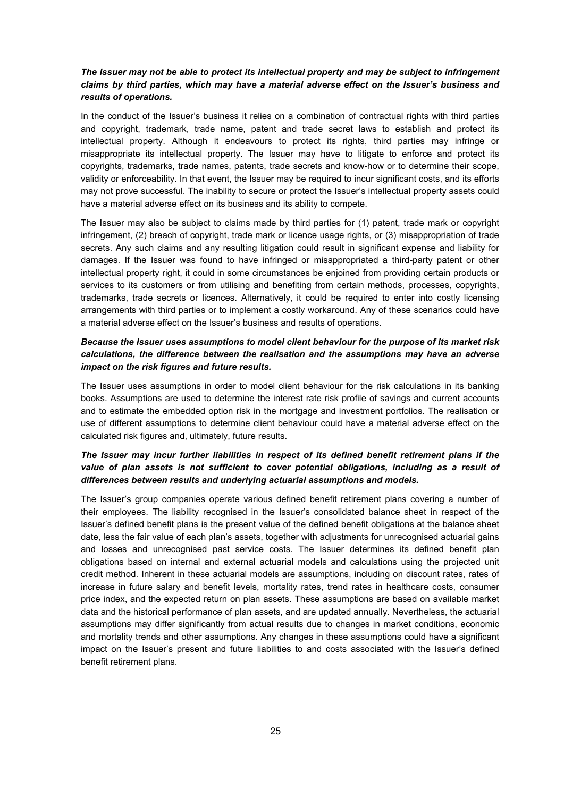### *The Issuer may not be able to protect its intellectual property and may be subject to infringement claims by third parties, which may have a material adverse effect on the Issuer's business and results of operations.*

In the conduct of the Issuer's business it relies on a combination of contractual rights with third parties and copyright, trademark, trade name, patent and trade secret laws to establish and protect its intellectual property. Although it endeavours to protect its rights, third parties may infringe or misappropriate its intellectual property. The Issuer may have to litigate to enforce and protect its copyrights, trademarks, trade names, patents, trade secrets and know-how or to determine their scope, validity or enforceability. In that event, the Issuer may be required to incur significant costs, and its efforts may not prove successful. The inability to secure or protect the Issuer's intellectual property assets could have a material adverse effect on its business and its ability to compete.

The Issuer may also be subject to claims made by third parties for (1) patent, trade mark or copyright infringement, (2) breach of copyright, trade mark or licence usage rights, or (3) misappropriation of trade secrets. Any such claims and any resulting litigation could result in significant expense and liability for damages. If the Issuer was found to have infringed or misappropriated a third-party patent or other intellectual property right, it could in some circumstances be enjoined from providing certain products or services to its customers or from utilising and benefiting from certain methods, processes, copyrights, trademarks, trade secrets or licences. Alternatively, it could be required to enter into costly licensing arrangements with third parties or to implement a costly workaround. Any of these scenarios could have a material adverse effect on the Issuer's business and results of operations.

### *Because the Issuer uses assumptions to model client behaviour for the purpose of its market risk calculations, the difference between the realisation and the assumptions may have an adverse impact on the risk figures and future results.*

The Issuer uses assumptions in order to model client behaviour for the risk calculations in its banking books. Assumptions are used to determine the interest rate risk profile of savings and current accounts and to estimate the embedded option risk in the mortgage and investment portfolios. The realisation or use of different assumptions to determine client behaviour could have a material adverse effect on the calculated risk figures and, ultimately, future results.

### *The Issuer may incur further liabilities in respect of its defined benefit retirement plans if the value of plan assets is not sufficient to cover potential obligations, including as a result of differences between results and underlying actuarial assumptions and models.*

The Issuer's group companies operate various defined benefit retirement plans covering a number of their employees. The liability recognised in the Issuer's consolidated balance sheet in respect of the Issuer's defined benefit plans is the present value of the defined benefit obligations at the balance sheet date, less the fair value of each plan's assets, together with adjustments for unrecognised actuarial gains and losses and unrecognised past service costs. The Issuer determines its defined benefit plan obligations based on internal and external actuarial models and calculations using the projected unit credit method. Inherent in these actuarial models are assumptions, including on discount rates, rates of increase in future salary and benefit levels, mortality rates, trend rates in healthcare costs, consumer price index, and the expected return on plan assets. These assumptions are based on available market data and the historical performance of plan assets, and are updated annually. Nevertheless, the actuarial assumptions may differ significantly from actual results due to changes in market conditions, economic and mortality trends and other assumptions. Any changes in these assumptions could have a significant impact on the Issuer's present and future liabilities to and costs associated with the Issuer's defined benefit retirement plans.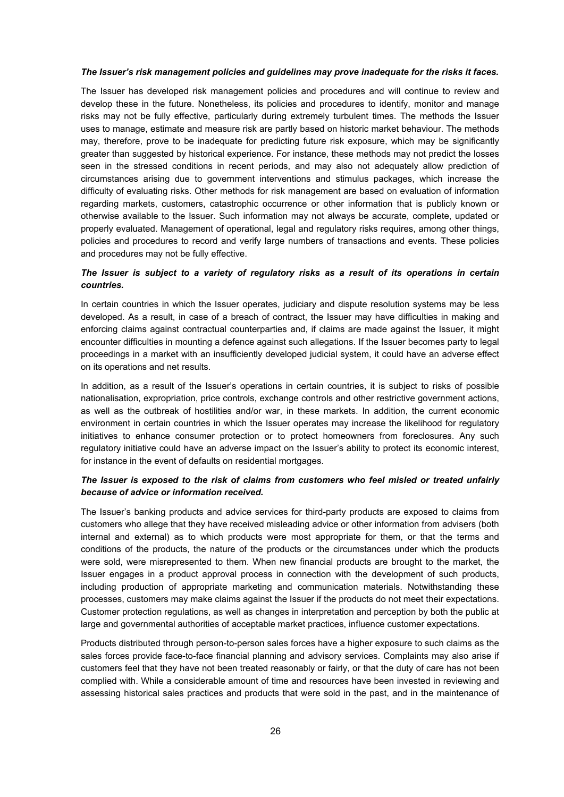#### *The Issuer's risk management policies and guidelines may prove inadequate for the risks it faces.*

The Issuer has developed risk management policies and procedures and will continue to review and develop these in the future. Nonetheless, its policies and procedures to identify, monitor and manage risks may not be fully effective, particularly during extremely turbulent times. The methods the Issuer uses to manage, estimate and measure risk are partly based on historic market behaviour. The methods may, therefore, prove to be inadequate for predicting future risk exposure, which may be significantly greater than suggested by historical experience. For instance, these methods may not predict the losses seen in the stressed conditions in recent periods, and may also not adequately allow prediction of circumstances arising due to government interventions and stimulus packages, which increase the difficulty of evaluating risks. Other methods for risk management are based on evaluation of information regarding markets, customers, catastrophic occurrence or other information that is publicly known or otherwise available to the Issuer. Such information may not always be accurate, complete, updated or properly evaluated. Management of operational, legal and regulatory risks requires, among other things, policies and procedures to record and verify large numbers of transactions and events. These policies and procedures may not be fully effective.

### *The Issuer is subject to a variety of regulatory risks as a result of its operations in certain countries.*

In certain countries in which the Issuer operates, judiciary and dispute resolution systems may be less developed. As a result, in case of a breach of contract, the Issuer may have difficulties in making and enforcing claims against contractual counterparties and, if claims are made against the Issuer, it might encounter difficulties in mounting a defence against such allegations. If the Issuer becomes party to legal proceedings in a market with an insufficiently developed judicial system, it could have an adverse effect on its operations and net results.

In addition, as a result of the Issuer's operations in certain countries, it is subject to risks of possible nationalisation, expropriation, price controls, exchange controls and other restrictive government actions, as well as the outbreak of hostilities and/or war, in these markets. In addition, the current economic environment in certain countries in which the Issuer operates may increase the likelihood for regulatory initiatives to enhance consumer protection or to protect homeowners from foreclosures. Any such regulatory initiative could have an adverse impact on the Issuer's ability to protect its economic interest, for instance in the event of defaults on residential mortgages.

### *The Issuer is exposed to the risk of claims from customers who feel misled or treated unfairly because of advice or information received.*

The Issuer's banking products and advice services for third-party products are exposed to claims from customers who allege that they have received misleading advice or other information from advisers (both internal and external) as to which products were most appropriate for them, or that the terms and conditions of the products, the nature of the products or the circumstances under which the products were sold, were misrepresented to them. When new financial products are brought to the market, the Issuer engages in a product approval process in connection with the development of such products, including production of appropriate marketing and communication materials. Notwithstanding these processes, customers may make claims against the Issuer if the products do not meet their expectations. Customer protection regulations, as well as changes in interpretation and perception by both the public at large and governmental authorities of acceptable market practices, influence customer expectations.

Products distributed through person-to-person sales forces have a higher exposure to such claims as the sales forces provide face-to-face financial planning and advisory services. Complaints may also arise if customers feel that they have not been treated reasonably or fairly, or that the duty of care has not been complied with. While a considerable amount of time and resources have been invested in reviewing and assessing historical sales practices and products that were sold in the past, and in the maintenance of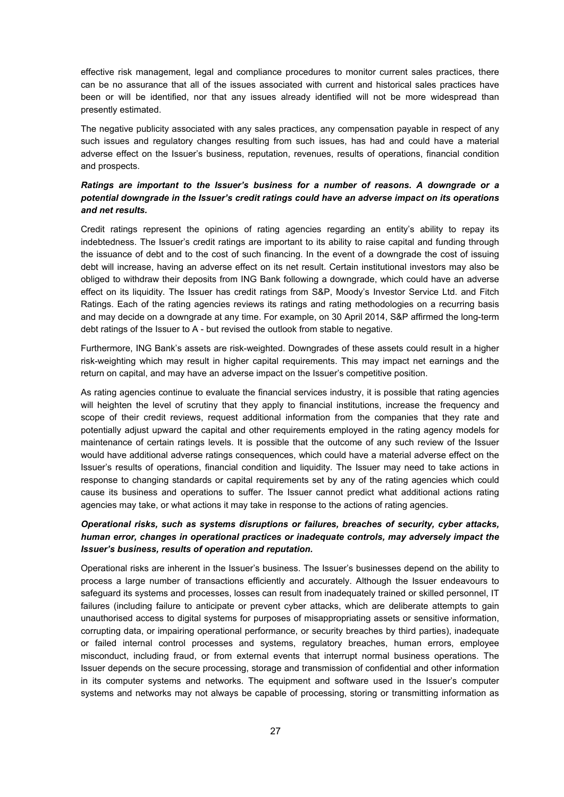effective risk management, legal and compliance procedures to monitor current sales practices, there can be no assurance that all of the issues associated with current and historical sales practices have been or will be identified, nor that any issues already identified will not be more widespread than presently estimated.

The negative publicity associated with any sales practices, any compensation payable in respect of any such issues and regulatory changes resulting from such issues, has had and could have a material adverse effect on the Issuer's business, reputation, revenues, results of operations, financial condition and prospects.

### *Ratings are important to the Issuer's business for a number of reasons. A downgrade or a potential downgrade in the Issuer's credit ratings could have an adverse impact on its operations and net results.*

Credit ratings represent the opinions of rating agencies regarding an entity's ability to repay its indebtedness. The Issuer's credit ratings are important to its ability to raise capital and funding through the issuance of debt and to the cost of such financing. In the event of a downgrade the cost of issuing debt will increase, having an adverse effect on its net result. Certain institutional investors may also be obliged to withdraw their deposits from ING Bank following a downgrade, which could have an adverse effect on its liquidity. The Issuer has credit ratings from S&P, Moody's Investor Service Ltd. and Fitch Ratings. Each of the rating agencies reviews its ratings and rating methodologies on a recurring basis and may decide on a downgrade at any time. For example, on 30 April 2014, S&P affirmed the long-term debt ratings of the Issuer to A - but revised the outlook from stable to negative.

Furthermore, ING Bank's assets are risk-weighted. Downgrades of these assets could result in a higher risk-weighting which may result in higher capital requirements. This may impact net earnings and the return on capital, and may have an adverse impact on the Issuer's competitive position.

As rating agencies continue to evaluate the financial services industry, it is possible that rating agencies will heighten the level of scrutiny that they apply to financial institutions, increase the frequency and scope of their credit reviews, request additional information from the companies that they rate and potentially adjust upward the capital and other requirements employed in the rating agency models for maintenance of certain ratings levels. It is possible that the outcome of any such review of the Issuer would have additional adverse ratings consequences, which could have a material adverse effect on the Issuer's results of operations, financial condition and liquidity. The Issuer may need to take actions in response to changing standards or capital requirements set by any of the rating agencies which could cause its business and operations to suffer. The Issuer cannot predict what additional actions rating agencies may take, or what actions it may take in response to the actions of rating agencies.

### *Operational risks, such as systems disruptions or failures, breaches of security, cyber attacks, human error, changes in operational practices or inadequate controls, may adversely impact the Issuer's business, results of operation and reputation.*

Operational risks are inherent in the Issuer's business. The Issuer's businesses depend on the ability to process a large number of transactions efficiently and accurately. Although the Issuer endeavours to safeguard its systems and processes, losses can result from inadequately trained or skilled personnel, IT failures (including failure to anticipate or prevent cyber attacks, which are deliberate attempts to gain unauthorised access to digital systems for purposes of misappropriating assets or sensitive information, corrupting data, or impairing operational performance, or security breaches by third parties), inadequate or failed internal control processes and systems, regulatory breaches, human errors, employee misconduct, including fraud, or from external events that interrupt normal business operations. The Issuer depends on the secure processing, storage and transmission of confidential and other information in its computer systems and networks. The equipment and software used in the Issuer's computer systems and networks may not always be capable of processing, storing or transmitting information as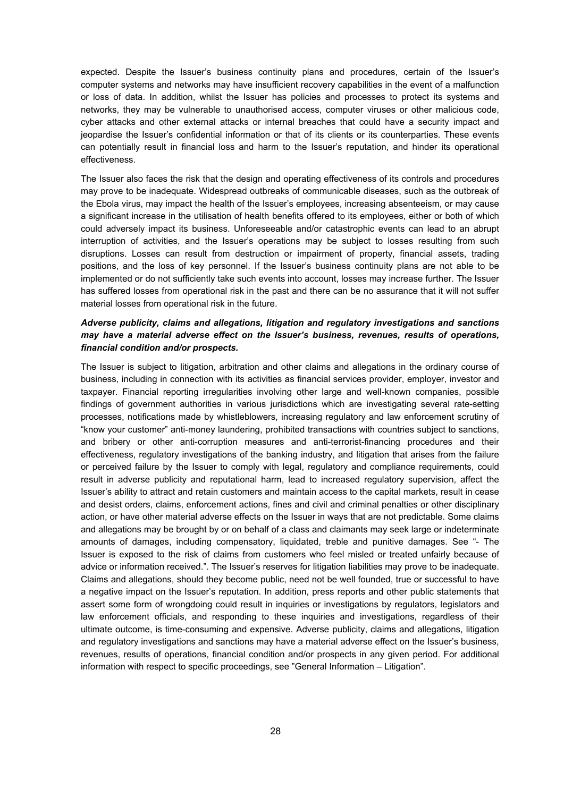expected. Despite the Issuer's business continuity plans and procedures, certain of the Issuer's computer systems and networks may have insufficient recovery capabilities in the event of a malfunction or loss of data. In addition, whilst the Issuer has policies and processes to protect its systems and networks, they may be vulnerable to unauthorised access, computer viruses or other malicious code, cyber attacks and other external attacks or internal breaches that could have a security impact and jeopardise the Issuer's confidential information or that of its clients or its counterparties. These events can potentially result in financial loss and harm to the Issuer's reputation, and hinder its operational effectiveness.

The Issuer also faces the risk that the design and operating effectiveness of its controls and procedures may prove to be inadequate. Widespread outbreaks of communicable diseases, such as the outbreak of the Ebola virus, may impact the health of the Issuer's employees, increasing absenteeism, or may cause a significant increase in the utilisation of health benefits offered to its employees, either or both of which could adversely impact its business. Unforeseeable and/or catastrophic events can lead to an abrupt interruption of activities, and the Issuer's operations may be subject to losses resulting from such disruptions. Losses can result from destruction or impairment of property, financial assets, trading positions, and the loss of key personnel. If the Issuer's business continuity plans are not able to be implemented or do not sufficiently take such events into account, losses may increase further. The Issuer has suffered losses from operational risk in the past and there can be no assurance that it will not suffer material losses from operational risk in the future.

### *Adverse publicity, claims and allegations, litigation and regulatory investigations and sanctions may have a material adverse effect on the Issuer's business, revenues, results of operations, financial condition and/or prospects.*

The Issuer is subject to litigation, arbitration and other claims and allegations in the ordinary course of business, including in connection with its activities as financial services provider, employer, investor and taxpayer. Financial reporting irregularities involving other large and well-known companies, possible findings of government authorities in various jurisdictions which are investigating several rate-setting processes, notifications made by whistleblowers, increasing regulatory and law enforcement scrutiny of "know your customer" anti-money laundering, prohibited transactions with countries subject to sanctions, and bribery or other anti-corruption measures and anti-terrorist-financing procedures and their effectiveness, regulatory investigations of the banking industry, and litigation that arises from the failure or perceived failure by the Issuer to comply with legal, regulatory and compliance requirements, could result in adverse publicity and reputational harm, lead to increased regulatory supervision, affect the Issuer's ability to attract and retain customers and maintain access to the capital markets, result in cease and desist orders, claims, enforcement actions, fines and civil and criminal penalties or other disciplinary action, or have other material adverse effects on the Issuer in ways that are not predictable. Some claims and allegations may be brought by or on behalf of a class and claimants may seek large or indeterminate amounts of damages, including compensatory, liquidated, treble and punitive damages. See "- The Issuer is exposed to the risk of claims from customers who feel misled or treated unfairly because of advice or information received.". The Issuer's reserves for litigation liabilities may prove to be inadequate. Claims and allegations, should they become public, need not be well founded, true or successful to have a negative impact on the Issuer's reputation. In addition, press reports and other public statements that assert some form of wrongdoing could result in inquiries or investigations by regulators, legislators and law enforcement officials, and responding to these inquiries and investigations, regardless of their ultimate outcome, is time-consuming and expensive. Adverse publicity, claims and allegations, litigation and regulatory investigations and sanctions may have a material adverse effect on the Issuer's business, revenues, results of operations, financial condition and/or prospects in any given period. For additional information with respect to specific proceedings, see "General Information – Litigation".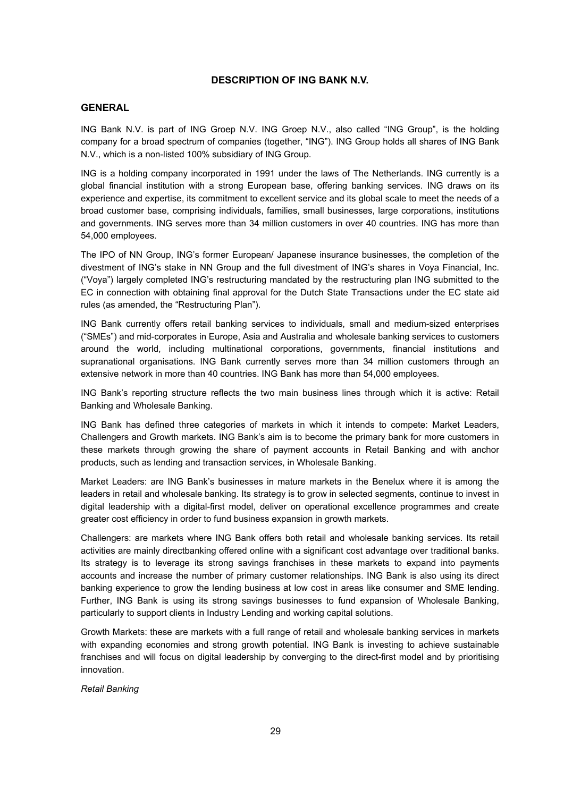### **DESCRIPTION OF ING BANK N.V.**

### **GENERAL**

ING Bank N.V. is part of ING Groep N.V. ING Groep N.V., also called "ING Group", is the holding company for a broad spectrum of companies (together, "ING"). ING Group holds all shares of ING Bank N.V., which is a non-listed 100% subsidiary of ING Group.

ING is a holding company incorporated in 1991 under the laws of The Netherlands. ING currently is a global financial institution with a strong European base, offering banking services. ING draws on its experience and expertise, its commitment to excellent service and its global scale to meet the needs of a broad customer base, comprising individuals, families, small businesses, large corporations, institutions and governments. ING serves more than 34 million customers in over 40 countries. ING has more than 54,000 employees.

The IPO of NN Group, ING's former European/ Japanese insurance businesses, the completion of the divestment of ING's stake in NN Group and the full divestment of ING's shares in Voya Financial, Inc. ("Voya") largely completed ING's restructuring mandated by the restructuring plan ING submitted to the EC in connection with obtaining final approval for the Dutch State Transactions under the EC state aid rules (as amended, the "Restructuring Plan").

ING Bank currently offers retail banking services to individuals, small and medium-sized enterprises ("SMEs") and mid-corporates in Europe, Asia and Australia and wholesale banking services to customers around the world, including multinational corporations, governments, financial institutions and supranational organisations. ING Bank currently serves more than 34 million customers through an extensive network in more than 40 countries. ING Bank has more than 54,000 employees.

ING Bank's reporting structure reflects the two main business lines through which it is active: Retail Banking and Wholesale Banking.

ING Bank has defined three categories of markets in which it intends to compete: Market Leaders, Challengers and Growth markets. ING Bank's aim is to become the primary bank for more customers in these markets through growing the share of payment accounts in Retail Banking and with anchor products, such as lending and transaction services, in Wholesale Banking.

Market Leaders: are ING Bank's businesses in mature markets in the Benelux where it is among the leaders in retail and wholesale banking. Its strategy is to grow in selected segments, continue to invest in digital leadership with a digital-first model, deliver on operational excellence programmes and create greater cost efficiency in order to fund business expansion in growth markets.

Challengers: are markets where ING Bank offers both retail and wholesale banking services. Its retail activities are mainly directbanking offered online with a significant cost advantage over traditional banks. Its strategy is to leverage its strong savings franchises in these markets to expand into payments accounts and increase the number of primary customer relationships. ING Bank is also using its direct banking experience to grow the lending business at low cost in areas like consumer and SME lending. Further, ING Bank is using its strong savings businesses to fund expansion of Wholesale Banking, particularly to support clients in Industry Lending and working capital solutions.

Growth Markets: these are markets with a full range of retail and wholesale banking services in markets with expanding economies and strong growth potential. ING Bank is investing to achieve sustainable franchises and will focus on digital leadership by converging to the direct-first model and by prioritising innovation.

*Retail Banking*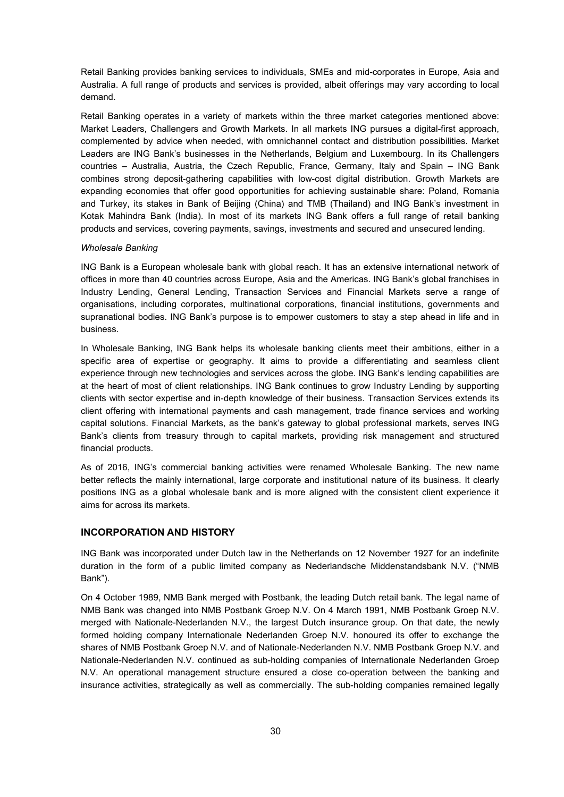Retail Banking provides banking services to individuals, SMEs and mid-corporates in Europe, Asia and Australia. A full range of products and services is provided, albeit offerings may vary according to local demand.

Retail Banking operates in a variety of markets within the three market categories mentioned above: Market Leaders, Challengers and Growth Markets. In all markets ING pursues a digital-first approach, complemented by advice when needed, with omnichannel contact and distribution possibilities. Market Leaders are ING Bank's businesses in the Netherlands, Belgium and Luxembourg. In its Challengers countries – Australia, Austria, the Czech Republic, France, Germany, Italy and Spain – ING Bank combines strong deposit-gathering capabilities with low-cost digital distribution. Growth Markets are expanding economies that offer good opportunities for achieving sustainable share: Poland, Romania and Turkey, its stakes in Bank of Beijing (China) and TMB (Thailand) and ING Bank's investment in Kotak Mahindra Bank (India). In most of its markets ING Bank offers a full range of retail banking products and services, covering payments, savings, investments and secured and unsecured lending.

#### *Wholesale Banking*

ING Bank is a European wholesale bank with global reach. It has an extensive international network of offices in more than 40 countries across Europe, Asia and the Americas. ING Bank's global franchises in Industry Lending, General Lending, Transaction Services and Financial Markets serve a range of organisations, including corporates, multinational corporations, financial institutions, governments and supranational bodies. ING Bank's purpose is to empower customers to stay a step ahead in life and in business.

In Wholesale Banking, ING Bank helps its wholesale banking clients meet their ambitions, either in a specific area of expertise or geography. It aims to provide a differentiating and seamless client experience through new technologies and services across the globe. ING Bank's lending capabilities are at the heart of most of client relationships. ING Bank continues to grow Industry Lending by supporting clients with sector expertise and in-depth knowledge of their business. Transaction Services extends its client offering with international payments and cash management, trade finance services and working capital solutions. Financial Markets, as the bank's gateway to global professional markets, serves ING Bank's clients from treasury through to capital markets, providing risk management and structured financial products.

As of 2016, ING's commercial banking activities were renamed Wholesale Banking. The new name better reflects the mainly international, large corporate and institutional nature of its business. It clearly positions ING as a global wholesale bank and is more aligned with the consistent client experience it aims for across its markets.

### **INCORPORATION AND HISTORY**

ING Bank was incorporated under Dutch law in the Netherlands on 12 November 1927 for an indefinite duration in the form of a public limited company as Nederlandsche Middenstandsbank N.V. ("NMB Bank").

On 4 October 1989, NMB Bank merged with Postbank, the leading Dutch retail bank. The legal name of NMB Bank was changed into NMB Postbank Groep N.V. On 4 March 1991, NMB Postbank Groep N.V. merged with Nationale-Nederlanden N.V., the largest Dutch insurance group. On that date, the newly formed holding company Internationale Nederlanden Groep N.V. honoured its offer to exchange the shares of NMB Postbank Groep N.V. and of Nationale-Nederlanden N.V. NMB Postbank Groep N.V. and Nationale-Nederlanden N.V. continued as sub-holding companies of Internationale Nederlanden Groep N.V. An operational management structure ensured a close co-operation between the banking and insurance activities, strategically as well as commercially. The sub-holding companies remained legally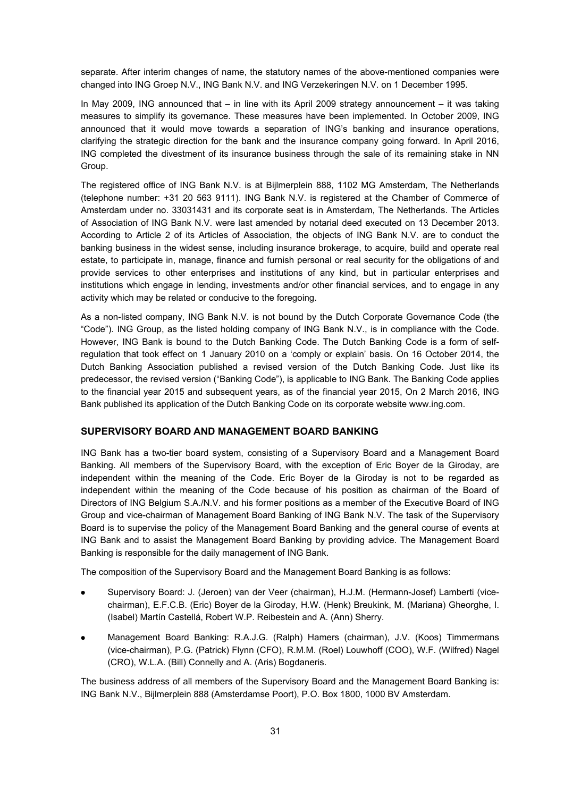separate. After interim changes of name, the statutory names of the above-mentioned companies were changed into ING Groep N.V., ING Bank N.V. and ING Verzekeringen N.V. on 1 December 1995.

In May 2009, ING announced that – in line with its April 2009 strategy announcement – it was taking measures to simplify its governance. These measures have been implemented. In October 2009, ING announced that it would move towards a separation of ING's banking and insurance operations, clarifying the strategic direction for the bank and the insurance company going forward. In April 2016, ING completed the divestment of its insurance business through the sale of its remaining stake in NN Group.

The registered office of ING Bank N.V. is at Bijlmerplein 888, 1102 MG Amsterdam, The Netherlands (telephone number: +31 20 563 9111). ING Bank N.V. is registered at the Chamber of Commerce of Amsterdam under no. 33031431 and its corporate seat is in Amsterdam, The Netherlands. The Articles of Association of ING Bank N.V. were last amended by notarial deed executed on 13 December 2013. According to Article 2 of its Articles of Association, the objects of ING Bank N.V. are to conduct the banking business in the widest sense, including insurance brokerage, to acquire, build and operate real estate, to participate in, manage, finance and furnish personal or real security for the obligations of and provide services to other enterprises and institutions of any kind, but in particular enterprises and institutions which engage in lending, investments and/or other financial services, and to engage in any activity which may be related or conducive to the foregoing.

As a non-listed company, ING Bank N.V. is not bound by the Dutch Corporate Governance Code (the "Code"). ING Group, as the listed holding company of ING Bank N.V., is in compliance with the Code. However, ING Bank is bound to the Dutch Banking Code. The Dutch Banking Code is a form of selfregulation that took effect on 1 January 2010 on a 'comply or explain' basis. On 16 October 2014, the Dutch Banking Association published a revised version of the Dutch Banking Code. Just like its predecessor, the revised version ("Banking Code"), is applicable to ING Bank. The Banking Code applies to the financial year 2015 and subsequent years, as of the financial year 2015, On 2 March 2016, ING Bank published its application of the Dutch Banking Code on its corporate website www.ing.com.

### **SUPERVISORY BOARD AND MANAGEMENT BOARD BANKING**

ING Bank has a two-tier board system, consisting of a Supervisory Board and a Management Board Banking. All members of the Supervisory Board, with the exception of Eric Boyer de la Giroday, are independent within the meaning of the Code. Eric Boyer de la Giroday is not to be regarded as independent within the meaning of the Code because of his position as chairman of the Board of Directors of ING Belgium S.A./N.V. and his former positions as a member of the Executive Board of ING Group and vice-chairman of Management Board Banking of ING Bank N.V. The task of the Supervisory Board is to supervise the policy of the Management Board Banking and the general course of events at ING Bank and to assist the Management Board Banking by providing advice. The Management Board Banking is responsible for the daily management of ING Bank.

The composition of the Supervisory Board and the Management Board Banking is as follows:

- Supervisory Board: J. (Jeroen) van der Veer (chairman), H.J.M. (Hermann-Josef) Lamberti (vicechairman), E.F.C.B. (Eric) Boyer de la Giroday, H.W. (Henk) Breukink, M. (Mariana) Gheorghe, I. (Isabel) Martín Castellá, Robert W.P. Reibestein and A. (Ann) Sherry.
- Management Board Banking: R.A.J.G. (Ralph) Hamers (chairman), J.V. (Koos) Timmermans (vice-chairman), P.G. (Patrick) Flynn (CFO), R.M.M. (Roel) Louwhoff (COO), W.F. (Wilfred) Nagel (CRO), W.L.A. (Bill) Connelly and A. (Aris) Bogdaneris.

The business address of all members of the Supervisory Board and the Management Board Banking is: ING Bank N.V., Bijlmerplein 888 (Amsterdamse Poort), P.O. Box 1800, 1000 BV Amsterdam.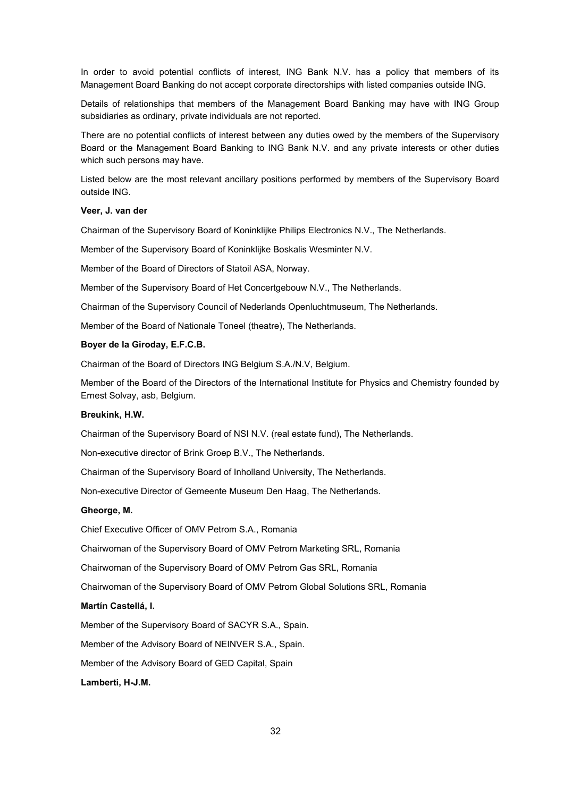In order to avoid potential conflicts of interest, ING Bank N.V. has a policy that members of its Management Board Banking do not accept corporate directorships with listed companies outside ING.

Details of relationships that members of the Management Board Banking may have with ING Group subsidiaries as ordinary, private individuals are not reported.

There are no potential conflicts of interest between any duties owed by the members of the Supervisory Board or the Management Board Banking to ING Bank N.V. and any private interests or other duties which such persons may have.

Listed below are the most relevant ancillary positions performed by members of the Supervisory Board outside ING.

#### **Veer, J. van der**

Chairman of the Supervisory Board of Koninklijke Philips Electronics N.V., The Netherlands.

Member of the Supervisory Board of Koninklijke Boskalis Wesminter N.V.

Member of the Board of Directors of Statoil ASA, Norway.

Member of the Supervisory Board of Het Concertgebouw N.V., The Netherlands.

Chairman of the Supervisory Council of Nederlands Openluchtmuseum, The Netherlands.

Member of the Board of Nationale Toneel (theatre), The Netherlands.

#### **Boyer de la Giroday, E.F.C.B.**

Chairman of the Board of Directors ING Belgium S.A./N.V, Belgium.

Member of the Board of the Directors of the International Institute for Physics and Chemistry founded by Ernest Solvay, asb, Belgium.

### **Breukink, H.W.**

Chairman of the Supervisory Board of NSI N.V. (real estate fund), The Netherlands.

Non-executive director of Brink Groep B.V., The Netherlands.

Chairman of the Supervisory Board of Inholland University, The Netherlands.

Non-executive Director of Gemeente Museum Den Haag, The Netherlands.

#### **Gheorge, M.**

Chief Executive Officer of OMV Petrom S.A., Romania

Chairwoman of the Supervisory Board of OMV Petrom Marketing SRL, Romania

Chairwoman of the Supervisory Board of OMV Petrom Gas SRL, Romania

Chairwoman of the Supervisory Board of OMV Petrom Global Solutions SRL, Romania

#### **Martín Castellá, I.**

Member of the Supervisory Board of SACYR S.A., Spain.

Member of the Advisory Board of NEINVER S.A., Spain.

Member of the Advisory Board of GED Capital, Spain

#### **Lamberti, H-J.M.**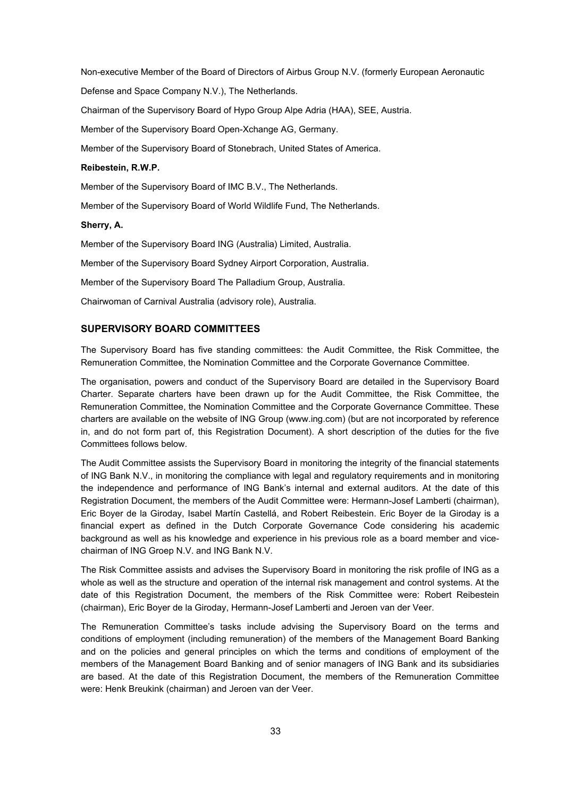Non-executive Member of the Board of Directors of Airbus Group N.V. (formerly European Aeronautic

Defense and Space Company N.V.), The Netherlands.

Chairman of the Supervisory Board of Hypo Group Alpe Adria (HAA), SEE, Austria.

Member of the Supervisory Board Open-Xchange AG, Germany.

Member of the Supervisory Board of Stonebrach, United States of America.

#### **Reibestein, R.W.P.**

Member of the Supervisory Board of IMC B.V., The Netherlands.

Member of the Supervisory Board of World Wildlife Fund, The Netherlands.

#### **Sherry, A.**

Member of the Supervisory Board ING (Australia) Limited, Australia.

Member of the Supervisory Board Sydney Airport Corporation, Australia.

Member of the Supervisory Board The Palladium Group, Australia.

Chairwoman of Carnival Australia (advisory role), Australia.

### **SUPERVISORY BOARD COMMITTEES**

The Supervisory Board has five standing committees: the Audit Committee, the Risk Committee, the Remuneration Committee, the Nomination Committee and the Corporate Governance Committee.

The organisation, powers and conduct of the Supervisory Board are detailed in the Supervisory Board Charter. Separate charters have been drawn up for the Audit Committee, the Risk Committee, the Remuneration Committee, the Nomination Committee and the Corporate Governance Committee. These charters are available on the website of ING Group (www.ing.com) (but are not incorporated by reference in, and do not form part of, this Registration Document). A short description of the duties for the five Committees follows below.

The Audit Committee assists the Supervisory Board in monitoring the integrity of the financial statements of ING Bank N.V., in monitoring the compliance with legal and regulatory requirements and in monitoring the independence and performance of ING Bank's internal and external auditors. At the date of this Registration Document, the members of the Audit Committee were: Hermann-Josef Lamberti (chairman), Eric Boyer de la Giroday, Isabel Martín Castellá, and Robert Reibestein. Eric Boyer de la Giroday is a financial expert as defined in the Dutch Corporate Governance Code considering his academic background as well as his knowledge and experience in his previous role as a board member and vicechairman of ING Groep N.V. and ING Bank N.V.

The Risk Committee assists and advises the Supervisory Board in monitoring the risk profile of ING as a whole as well as the structure and operation of the internal risk management and control systems. At the date of this Registration Document, the members of the Risk Committee were: Robert Reibestein (chairman), Eric Boyer de la Giroday, Hermann-Josef Lamberti and Jeroen van der Veer.

The Remuneration Committee's tasks include advising the Supervisory Board on the terms and conditions of employment (including remuneration) of the members of the Management Board Banking and on the policies and general principles on which the terms and conditions of employment of the members of the Management Board Banking and of senior managers of ING Bank and its subsidiaries are based. At the date of this Registration Document, the members of the Remuneration Committee were: Henk Breukink (chairman) and Jeroen van der Veer.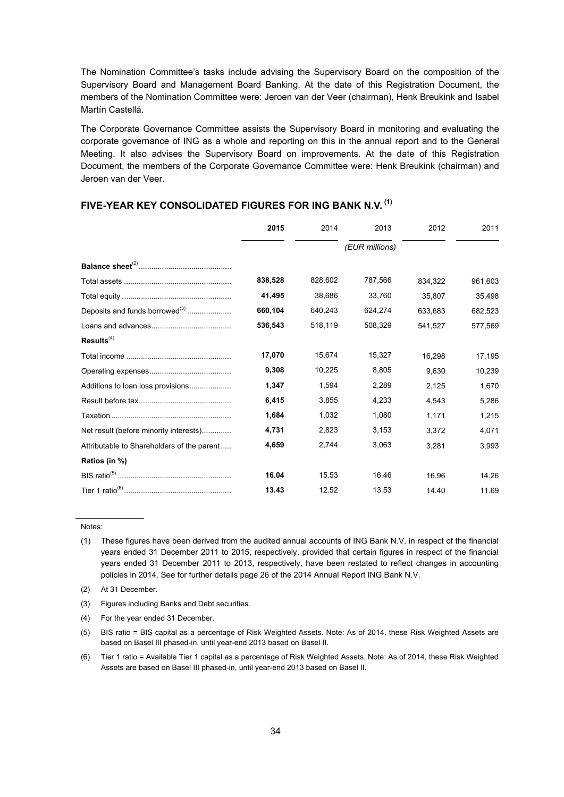The Nomination Committee's tasks include advising the Supervisory Board on the composition of the Supervisory Board and Management Board Banking. At the date of this Registration Document, the members of the Nomination Committee were: Jeroen van der Veer (chairman), Henk Breukink and Isabel Martín Castellá.

The Corporate Governance Committee assists the Supervisory Board in monitoring and evaluating the corporate governance of ING as a whole and reporting on this in the annual report and to the General Meeting. It also advises the Supervisory Board on improvements. At the date of this Registration Document, the members of the Corporate Governance Committee were: Henk Breukink (chairman) and Jeroen van der Veer.

|                                            | 2015           | 2014    | 2013    | 2012    | 2011    |  |
|--------------------------------------------|----------------|---------|---------|---------|---------|--|
|                                            | (EUR millions) |         |         |         |         |  |
|                                            |                |         |         |         |         |  |
|                                            | 838,528        | 828,602 | 787,566 | 834,322 | 961,603 |  |
|                                            | 41,495         | 38,686  | 33,760  | 35,807  | 35,498  |  |
| Deposits and funds borrowed <sup>(3)</sup> | 660,104        | 640,243 | 624,274 | 633,683 | 682,523 |  |
|                                            | 536,543        | 518,119 | 508,329 | 541,527 | 577,569 |  |
| Results <sup>(4)</sup>                     |                |         |         |         |         |  |
|                                            | 17,070         | 15,674  | 15,327  | 16.298  | 17,195  |  |
|                                            | 9,308          | 10,225  | 8,805   | 9,630   | 10,239  |  |
| Additions to loan loss provisions          | 1,347          | 1,594   | 2,289   | 2,125   | 1,670   |  |
|                                            | 6,415          | 3,855   | 4,233   | 4.543   | 5,286   |  |
|                                            | 1.684          | 1.032   | 1.080   | 1,171   | 1,215   |  |
| Net result (before minority interests)     | 4,731          | 2,823   | 3,153   | 3,372   | 4,071   |  |
| Attributable to Shareholders of the parent | 4,659          | 2,744   | 3,063   | 3,281   | 3,993   |  |
| Ratios (in %)                              |                |         |         |         |         |  |
|                                            | 16.04          | 15.53   | 16.46   | 16.96   | 14.26   |  |
|                                            | 13.43          | 12.52   | 13.53   | 14.40   | 11.69   |  |

### **FIVE-YEAR KEY CONSOLIDATED FIGURES FOR ING BANK N.V. (1)**

#### Notes:

(6) Tier 1 ratio = Available Tier 1 capital as a percentage of Risk Weighted Assets. Note: As of 2014, these Risk Weighted Assets are based on Basel III phased-in, until year-end 2013 based on Basel II.

<sup>(1)</sup> These figures have been derived from the audited annual accounts of ING Bank N.V. in respect of the financial years ended 31 December 2011 to 2015, respectively, provided that certain figures in respect of the financial years ended 31 December 2011 to 2013, respectively, have been restated to reflect changes in accounting policies in 2014. See for further details page 26 of the 2014 Annual Report ING Bank N.V.

<sup>(2)</sup> At 31 December.

<sup>(3)</sup> Figures including Banks and Debt securities.

<sup>(4)</sup> For the year ended 31 December.

<sup>(5)</sup> BIS ratio = BIS capital as a percentage of Risk Weighted Assets. Note: As of 2014, these Risk Weighted Assets are based on Basel III phased-in, until year-end 2013 based on Basel II.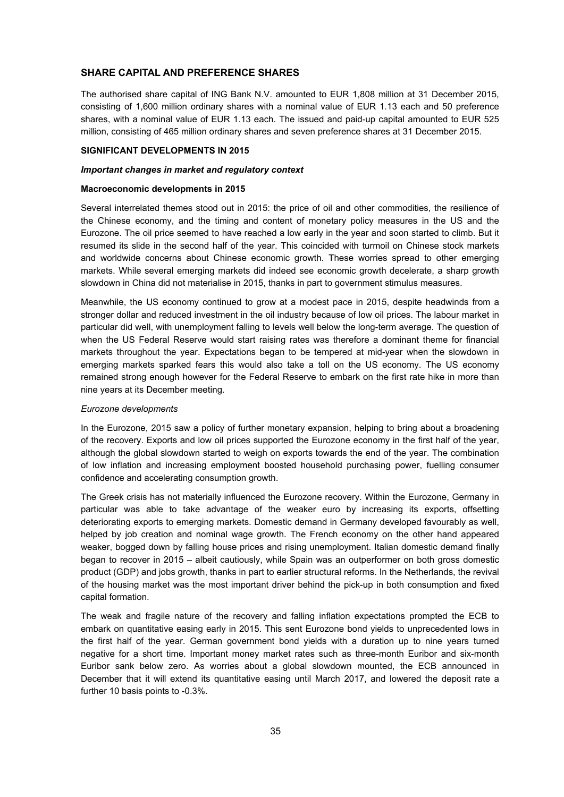# **SHARE CAPITAL AND PREFERENCE SHARES**

The authorised share capital of ING Bank N.V. amounted to EUR 1,808 million at 31 December 2015, consisting of 1,600 million ordinary shares with a nominal value of EUR 1.13 each and 50 preference shares, with a nominal value of EUR 1.13 each. The issued and paid-up capital amounted to EUR 525 million, consisting of 465 million ordinary shares and seven preference shares at 31 December 2015.

### **SIGNIFICANT DEVELOPMENTS IN 2015**

## *Important changes in market and regulatory context*

#### **Macroeconomic developments in 2015**

Several interrelated themes stood out in 2015: the price of oil and other commodities, the resilience of the Chinese economy, and the timing and content of monetary policy measures in the US and the Eurozone. The oil price seemed to have reached a low early in the year and soon started to climb. But it resumed its slide in the second half of the year. This coincided with turmoil on Chinese stock markets and worldwide concerns about Chinese economic growth. These worries spread to other emerging markets. While several emerging markets did indeed see economic growth decelerate, a sharp growth slowdown in China did not materialise in 2015, thanks in part to government stimulus measures.

Meanwhile, the US economy continued to grow at a modest pace in 2015, despite headwinds from a stronger dollar and reduced investment in the oil industry because of low oil prices. The labour market in particular did well, with unemployment falling to levels well below the long-term average. The question of when the US Federal Reserve would start raising rates was therefore a dominant theme for financial markets throughout the year. Expectations began to be tempered at mid-year when the slowdown in emerging markets sparked fears this would also take a toll on the US economy. The US economy remained strong enough however for the Federal Reserve to embark on the first rate hike in more than nine years at its December meeting.

# *Eurozone developments*

In the Eurozone, 2015 saw a policy of further monetary expansion, helping to bring about a broadening of the recovery. Exports and low oil prices supported the Eurozone economy in the first half of the year, although the global slowdown started to weigh on exports towards the end of the year. The combination of low inflation and increasing employment boosted household purchasing power, fuelling consumer confidence and accelerating consumption growth.

The Greek crisis has not materially influenced the Eurozone recovery. Within the Eurozone, Germany in particular was able to take advantage of the weaker euro by increasing its exports, offsetting deteriorating exports to emerging markets. Domestic demand in Germany developed favourably as well, helped by job creation and nominal wage growth. The French economy on the other hand appeared weaker, bogged down by falling house prices and rising unemployment. Italian domestic demand finally began to recover in 2015 – albeit cautiously, while Spain was an outperformer on both gross domestic product (GDP) and jobs growth, thanks in part to earlier structural reforms. In the Netherlands, the revival of the housing market was the most important driver behind the pick-up in both consumption and fixed capital formation.

The weak and fragile nature of the recovery and falling inflation expectations prompted the ECB to embark on quantitative easing early in 2015. This sent Eurozone bond yields to unprecedented lows in the first half of the year. German government bond yields with a duration up to nine years turned negative for a short time. Important money market rates such as three-month Euribor and six-month Euribor sank below zero. As worries about a global slowdown mounted, the ECB announced in December that it will extend its quantitative easing until March 2017, and lowered the deposit rate a further 10 basis points to -0.3%.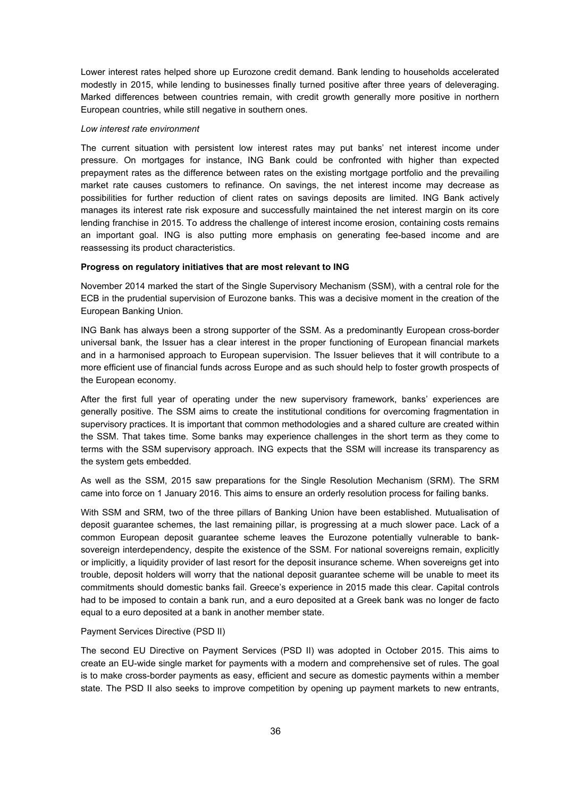Lower interest rates helped shore up Eurozone credit demand. Bank lending to households accelerated modestly in 2015, while lending to businesses finally turned positive after three years of deleveraging. Marked differences between countries remain, with credit growth generally more positive in northern European countries, while still negative in southern ones.

### *Low interest rate environment*

The current situation with persistent low interest rates may put banks' net interest income under pressure. On mortgages for instance, ING Bank could be confronted with higher than expected prepayment rates as the difference between rates on the existing mortgage portfolio and the prevailing market rate causes customers to refinance. On savings, the net interest income may decrease as possibilities for further reduction of client rates on savings deposits are limited. ING Bank actively manages its interest rate risk exposure and successfully maintained the net interest margin on its core lending franchise in 2015. To address the challenge of interest income erosion, containing costs remains an important goal. ING is also putting more emphasis on generating fee-based income and are reassessing its product characteristics.

# **Progress on regulatory initiatives that are most relevant to ING**

November 2014 marked the start of the Single Supervisory Mechanism (SSM), with a central role for the ECB in the prudential supervision of Eurozone banks. This was a decisive moment in the creation of the European Banking Union.

ING Bank has always been a strong supporter of the SSM. As a predominantly European cross-border universal bank, the Issuer has a clear interest in the proper functioning of European financial markets and in a harmonised approach to European supervision. The Issuer believes that it will contribute to a more efficient use of financial funds across Europe and as such should help to foster growth prospects of the European economy.

After the first full year of operating under the new supervisory framework, banks' experiences are generally positive. The SSM aims to create the institutional conditions for overcoming fragmentation in supervisory practices. It is important that common methodologies and a shared culture are created within the SSM. That takes time. Some banks may experience challenges in the short term as they come to terms with the SSM supervisory approach. ING expects that the SSM will increase its transparency as the system gets embedded.

As well as the SSM, 2015 saw preparations for the Single Resolution Mechanism (SRM). The SRM came into force on 1 January 2016. This aims to ensure an orderly resolution process for failing banks.

With SSM and SRM, two of the three pillars of Banking Union have been established. Mutualisation of deposit guarantee schemes, the last remaining pillar, is progressing at a much slower pace. Lack of a common European deposit guarantee scheme leaves the Eurozone potentially vulnerable to banksovereign interdependency, despite the existence of the SSM. For national sovereigns remain, explicitly or implicitly, a liquidity provider of last resort for the deposit insurance scheme. When sovereigns get into trouble, deposit holders will worry that the national deposit guarantee scheme will be unable to meet its commitments should domestic banks fail. Greece's experience in 2015 made this clear. Capital controls had to be imposed to contain a bank run, and a euro deposited at a Greek bank was no longer de facto equal to a euro deposited at a bank in another member state.

#### Payment Services Directive (PSD II)

The second EU Directive on Payment Services (PSD II) was adopted in October 2015. This aims to create an EU-wide single market for payments with a modern and comprehensive set of rules. The goal is to make cross-border payments as easy, efficient and secure as domestic payments within a member state. The PSD II also seeks to improve competition by opening up payment markets to new entrants,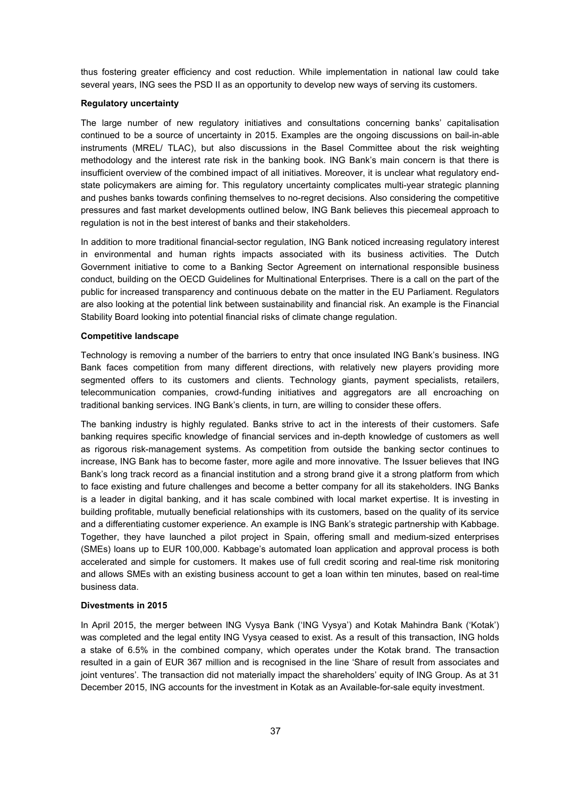thus fostering greater efficiency and cost reduction. While implementation in national law could take several years, ING sees the PSD II as an opportunity to develop new ways of serving its customers.

# **Regulatory uncertainty**

The large number of new regulatory initiatives and consultations concerning banks' capitalisation continued to be a source of uncertainty in 2015. Examples are the ongoing discussions on bail-in-able instruments (MREL/ TLAC), but also discussions in the Basel Committee about the risk weighting methodology and the interest rate risk in the banking book. ING Bank's main concern is that there is insufficient overview of the combined impact of all initiatives. Moreover, it is unclear what regulatory endstate policymakers are aiming for. This regulatory uncertainty complicates multi-year strategic planning and pushes banks towards confining themselves to no-regret decisions. Also considering the competitive pressures and fast market developments outlined below, ING Bank believes this piecemeal approach to regulation is not in the best interest of banks and their stakeholders.

In addition to more traditional financial-sector regulation, ING Bank noticed increasing regulatory interest in environmental and human rights impacts associated with its business activities. The Dutch Government initiative to come to a Banking Sector Agreement on international responsible business conduct, building on the OECD Guidelines for Multinational Enterprises. There is a call on the part of the public for increased transparency and continuous debate on the matter in the EU Parliament. Regulators are also looking at the potential link between sustainability and financial risk. An example is the Financial Stability Board looking into potential financial risks of climate change regulation.

#### **Competitive landscape**

Technology is removing a number of the barriers to entry that once insulated ING Bank's business. ING Bank faces competition from many different directions, with relatively new players providing more segmented offers to its customers and clients. Technology giants, payment specialists, retailers, telecommunication companies, crowd-funding initiatives and aggregators are all encroaching on traditional banking services. ING Bank's clients, in turn, are willing to consider these offers.

The banking industry is highly regulated. Banks strive to act in the interests of their customers. Safe banking requires specific knowledge of financial services and in-depth knowledge of customers as well as rigorous risk-management systems. As competition from outside the banking sector continues to increase, ING Bank has to become faster, more agile and more innovative. The Issuer believes that ING Bank's long track record as a financial institution and a strong brand give it a strong platform from which to face existing and future challenges and become a better company for all its stakeholders. ING Banks is a leader in digital banking, and it has scale combined with local market expertise. It is investing in building profitable, mutually beneficial relationships with its customers, based on the quality of its service and a differentiating customer experience. An example is ING Bank's strategic partnership with Kabbage. Together, they have launched a pilot project in Spain, offering small and medium-sized enterprises (SMEs) loans up to EUR 100,000. Kabbage's automated loan application and approval process is both accelerated and simple for customers. It makes use of full credit scoring and real-time risk monitoring and allows SMEs with an existing business account to get a loan within ten minutes, based on real-time business data.

## **Divestments in 2015**

In April 2015, the merger between ING Vysya Bank ('ING Vysya') and Kotak Mahindra Bank ('Kotak') was completed and the legal entity ING Vysya ceased to exist. As a result of this transaction, ING holds a stake of 6.5% in the combined company, which operates under the Kotak brand. The transaction resulted in a gain of EUR 367 million and is recognised in the line 'Share of result from associates and joint ventures'. The transaction did not materially impact the shareholders' equity of ING Group. As at 31 December 2015, ING accounts for the investment in Kotak as an Available-for-sale equity investment.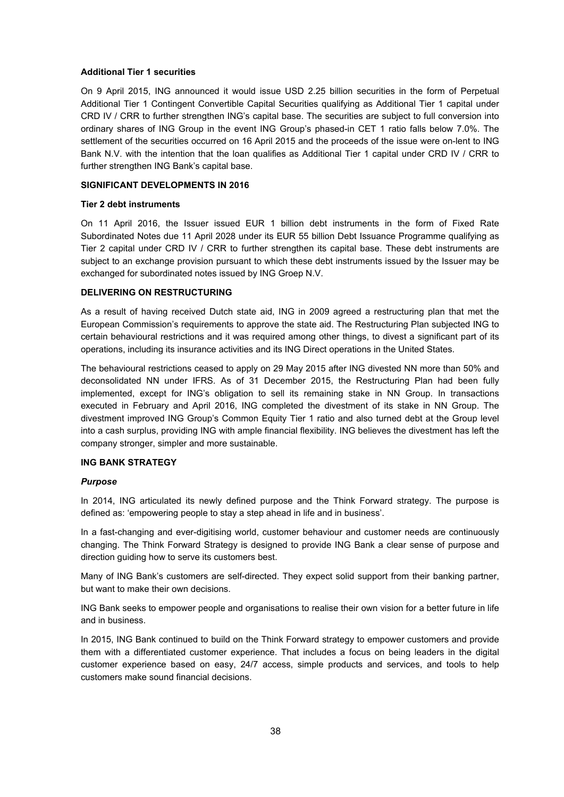### **Additional Tier 1 securities**

On 9 April 2015, ING announced it would issue USD 2.25 billion securities in the form of Perpetual Additional Tier 1 Contingent Convertible Capital Securities qualifying as Additional Tier 1 capital under CRD IV / CRR to further strengthen ING's capital base. The securities are subject to full conversion into ordinary shares of ING Group in the event ING Group's phased-in CET 1 ratio falls below 7.0%. The settlement of the securities occurred on 16 April 2015 and the proceeds of the issue were on-lent to ING Bank N.V. with the intention that the loan qualifies as Additional Tier 1 capital under CRD IV / CRR to further strengthen ING Bank's capital base.

### **SIGNIFICANT DEVELOPMENTS IN 2016**

### **Tier 2 debt instruments**

On 11 April 2016, the Issuer issued EUR 1 billion debt instruments in the form of Fixed Rate Subordinated Notes due 11 April 2028 under its EUR 55 billion Debt Issuance Programme qualifying as Tier 2 capital under CRD IV / CRR to further strengthen its capital base. These debt instruments are subject to an exchange provision pursuant to which these debt instruments issued by the Issuer may be exchanged for subordinated notes issued by ING Groep N.V.

# **DELIVERING ON RESTRUCTURING**

As a result of having received Dutch state aid, ING in 2009 agreed a restructuring plan that met the European Commission's requirements to approve the state aid. The Restructuring Plan subjected ING to certain behavioural restrictions and it was required among other things, to divest a significant part of its operations, including its insurance activities and its ING Direct operations in the United States.

The behavioural restrictions ceased to apply on 29 May 2015 after ING divested NN more than 50% and deconsolidated NN under IFRS. As of 31 December 2015, the Restructuring Plan had been fully implemented, except for ING's obligation to sell its remaining stake in NN Group. In transactions executed in February and April 2016, ING completed the divestment of its stake in NN Group. The divestment improved ING Group's Common Equity Tier 1 ratio and also turned debt at the Group level into a cash surplus, providing ING with ample financial flexibility. ING believes the divestment has left the company stronger, simpler and more sustainable.

# **ING BANK STRATEGY**

# *Purpose*

In 2014, ING articulated its newly defined purpose and the Think Forward strategy. The purpose is defined as: 'empowering people to stay a step ahead in life and in business'.

In a fast-changing and ever-digitising world, customer behaviour and customer needs are continuously changing. The Think Forward Strategy is designed to provide ING Bank a clear sense of purpose and direction guiding how to serve its customers best.

Many of ING Bank's customers are self-directed. They expect solid support from their banking partner, but want to make their own decisions.

ING Bank seeks to empower people and organisations to realise their own vision for a better future in life and in business.

In 2015, ING Bank continued to build on the Think Forward strategy to empower customers and provide them with a differentiated customer experience. That includes a focus on being leaders in the digital customer experience based on easy, 24/7 access, simple products and services, and tools to help customers make sound financial decisions.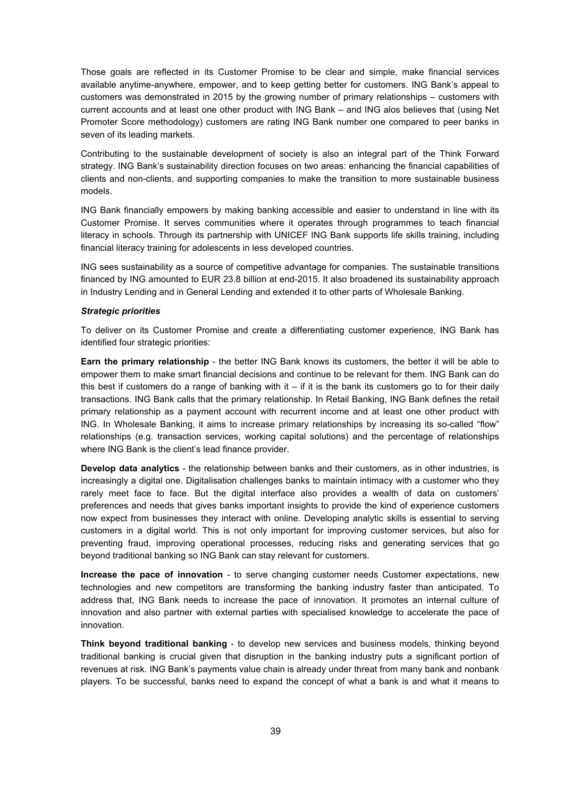Those goals are reflected in its Customer Promise to be clear and simple, make financial services available anytime-anywhere, empower, and to keep getting better for customers. ING Bank's appeal to customers was demonstrated in 2015 by the growing number of primary relationships – customers with current accounts and at least one other product with ING Bank – and ING alos believes that (using Net Promoter Score methodology) customers are rating ING Bank number one compared to peer banks in seven of its leading markets.

Contributing to the sustainable development of society is also an integral part of the Think Forward strategy. ING Bank's sustainability direction focuses on two areas: enhancing the financial capabilities of clients and non-clients, and supporting companies to make the transition to more sustainable business models.

ING Bank financially empowers by making banking accessible and easier to understand in line with its Customer Promise. It serves communities where it operates through programmes to teach financial literacy in schools. Through its partnership with UNICEF ING Bank supports life skills training, including financial literacy training for adolescents in less developed countries.

ING sees sustainability as a source of competitive advantage for companies. The sustainable transitions financed by ING amounted to EUR 23.8 billion at end-2015. It also broadened its sustainability approach in Industry Lending and in General Lending and extended it to other parts of Wholesale Banking.

### *Strategic priorities*

To deliver on its Customer Promise and create a differentiating customer experience, ING Bank has identified four strategic priorities:

**Earn the primary relationship** - the better ING Bank knows its customers, the better it will be able to empower them to make smart financial decisions and continue to be relevant for them. ING Bank can do this best if customers do a range of banking with it – if it is the bank its customers go to for their daily transactions. ING Bank calls that the primary relationship. In Retail Banking, ING Bank defines the retail primary relationship as a payment account with recurrent income and at least one other product with ING. In Wholesale Banking, it aims to increase primary relationships by increasing its so-called "flow" relationships (e.g. transaction services, working capital solutions) and the percentage of relationships where ING Bank is the client's lead finance provider.

**Develop data analytics** - the relationship between banks and their customers, as in other industries, is increasingly a digital one. Digitalisation challenges banks to maintain intimacy with a customer who they rarely meet face to face. But the digital interface also provides a wealth of data on customers' preferences and needs that gives banks important insights to provide the kind of experience customers now expect from businesses they interact with online. Developing analytic skills is essential to serving customers in a digital world. This is not only important for improving customer services, but also for preventing fraud, improving operational processes, reducing risks and generating services that go beyond traditional banking so ING Bank can stay relevant for customers.

**Increase the pace of innovation** - to serve changing customer needs Customer expectations, new technologies and new competitors are transforming the banking industry faster than anticipated. To address that, ING Bank needs to increase the pace of innovation. It promotes an internal culture of innovation and also partner with external parties with specialised knowledge to accelerate the pace of innovation.

**Think beyond traditional banking** - to develop new services and business models, thinking beyond traditional banking is crucial given that disruption in the banking industry puts a significant portion of revenues at risk. ING Bank's payments value chain is already under threat from many bank and nonbank players. To be successful, banks need to expand the concept of what a bank is and what it means to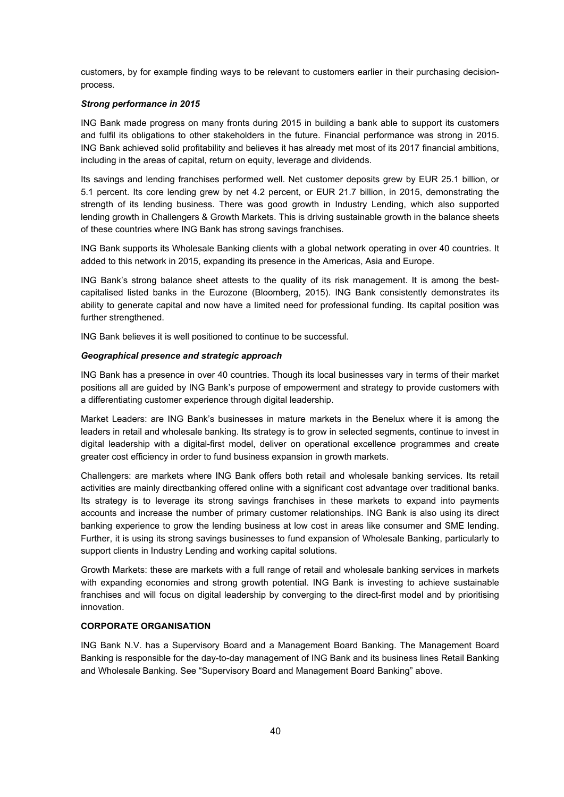customers, by for example finding ways to be relevant to customers earlier in their purchasing decisionprocess.

# *Strong performance in 2015*

ING Bank made progress on many fronts during 2015 in building a bank able to support its customers and fulfil its obligations to other stakeholders in the future. Financial performance was strong in 2015. ING Bank achieved solid profitability and believes it has already met most of its 2017 financial ambitions, including in the areas of capital, return on equity, leverage and dividends.

Its savings and lending franchises performed well. Net customer deposits grew by EUR 25.1 billion, or 5.1 percent. Its core lending grew by net 4.2 percent, or EUR 21.7 billion, in 2015, demonstrating the strength of its lending business. There was good growth in Industry Lending, which also supported lending growth in Challengers & Growth Markets. This is driving sustainable growth in the balance sheets of these countries where ING Bank has strong savings franchises.

ING Bank supports its Wholesale Banking clients with a global network operating in over 40 countries. It added to this network in 2015, expanding its presence in the Americas, Asia and Europe.

ING Bank's strong balance sheet attests to the quality of its risk management. It is among the bestcapitalised listed banks in the Eurozone (Bloomberg, 2015). ING Bank consistently demonstrates its ability to generate capital and now have a limited need for professional funding. Its capital position was further strengthened.

ING Bank believes it is well positioned to continue to be successful.

# *Geographical presence and strategic approach*

ING Bank has a presence in over 40 countries. Though its local businesses vary in terms of their market positions all are guided by ING Bank's purpose of empowerment and strategy to provide customers with a differentiating customer experience through digital leadership.

Market Leaders: are ING Bank's businesses in mature markets in the Benelux where it is among the leaders in retail and wholesale banking. Its strategy is to grow in selected segments, continue to invest in digital leadership with a digital-first model, deliver on operational excellence programmes and create greater cost efficiency in order to fund business expansion in growth markets.

Challengers: are markets where ING Bank offers both retail and wholesale banking services. Its retail activities are mainly directbanking offered online with a significant cost advantage over traditional banks. Its strategy is to leverage its strong savings franchises in these markets to expand into payments accounts and increase the number of primary customer relationships. ING Bank is also using its direct banking experience to grow the lending business at low cost in areas like consumer and SME lending. Further, it is using its strong savings businesses to fund expansion of Wholesale Banking, particularly to support clients in Industry Lending and working capital solutions.

Growth Markets: these are markets with a full range of retail and wholesale banking services in markets with expanding economies and strong growth potential. ING Bank is investing to achieve sustainable franchises and will focus on digital leadership by converging to the direct-first model and by prioritising innovation.

# **CORPORATE ORGANISATION**

ING Bank N.V. has a Supervisory Board and a Management Board Banking. The Management Board Banking is responsible for the day-to-day management of ING Bank and its business lines Retail Banking and Wholesale Banking. See "Supervisory Board and Management Board Banking" above.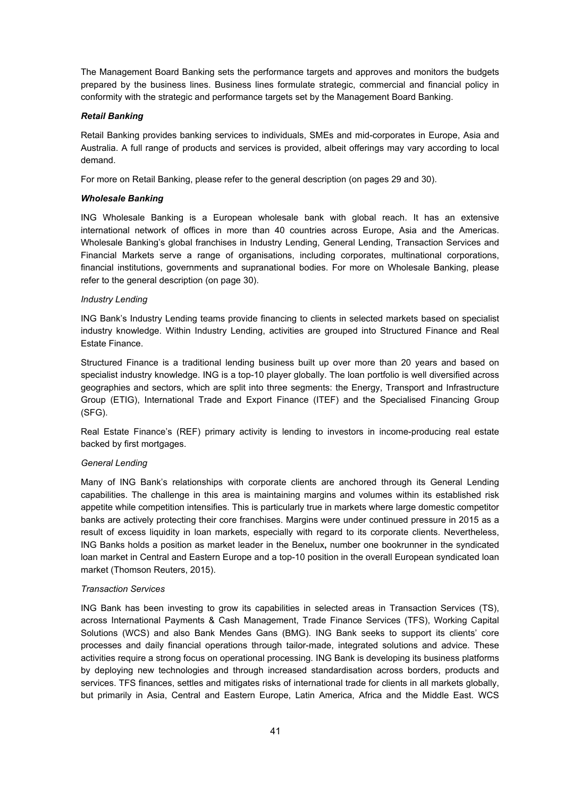The Management Board Banking sets the performance targets and approves and monitors the budgets prepared by the business lines. Business lines formulate strategic, commercial and financial policy in conformity with the strategic and performance targets set by the Management Board Banking.

# *Retail Banking*

Retail Banking provides banking services to individuals, SMEs and mid-corporates in Europe, Asia and Australia. A full range of products and services is provided, albeit offerings may vary according to local demand.

For more on Retail Banking, please refer to the general description (on pages 29 and 30).

# *Wholesale Banking*

ING Wholesale Banking is a European wholesale bank with global reach. It has an extensive international network of offices in more than 40 countries across Europe, Asia and the Americas. Wholesale Banking's global franchises in Industry Lending, General Lending, Transaction Services and Financial Markets serve a range of organisations, including corporates, multinational corporations, financial institutions, governments and supranational bodies. For more on Wholesale Banking, please refer to the general description (on page 30).

# *Industry Lending*

ING Bank's Industry Lending teams provide financing to clients in selected markets based on specialist industry knowledge. Within Industry Lending, activities are grouped into Structured Finance and Real Estate Finance.

Structured Finance is a traditional lending business built up over more than 20 years and based on specialist industry knowledge. ING is a top-10 player globally. The loan portfolio is well diversified across geographies and sectors, which are split into three segments: the Energy, Transport and Infrastructure Group (ETIG), International Trade and Export Finance (ITEF) and the Specialised Financing Group (SFG).

Real Estate Finance's (REF) primary activity is lending to investors in income-producing real estate backed by first mortgages.

# *General Lending*

Many of ING Bank's relationships with corporate clients are anchored through its General Lending capabilities. The challenge in this area is maintaining margins and volumes within its established risk appetite while competition intensifies. This is particularly true in markets where large domestic competitor banks are actively protecting their core franchises. Margins were under continued pressure in 2015 as a result of excess liquidity in loan markets, especially with regard to its corporate clients. Nevertheless, ING Banks holds a position as market leader in the Benelux**,** number one bookrunner in the syndicated loan market in Central and Eastern Europe and a top-10 position in the overall European syndicated loan market (Thomson Reuters, 2015).

# *Transaction Services*

ING Bank has been investing to grow its capabilities in selected areas in Transaction Services (TS), across International Payments & Cash Management, Trade Finance Services (TFS), Working Capital Solutions (WCS) and also Bank Mendes Gans (BMG). ING Bank seeks to support its clients' core processes and daily financial operations through tailor-made, integrated solutions and advice. These activities require a strong focus on operational processing. ING Bank is developing its business platforms by deploying new technologies and through increased standardisation across borders, products and services. TFS finances, settles and mitigates risks of international trade for clients in all markets globally, but primarily in Asia, Central and Eastern Europe, Latin America, Africa and the Middle East. WCS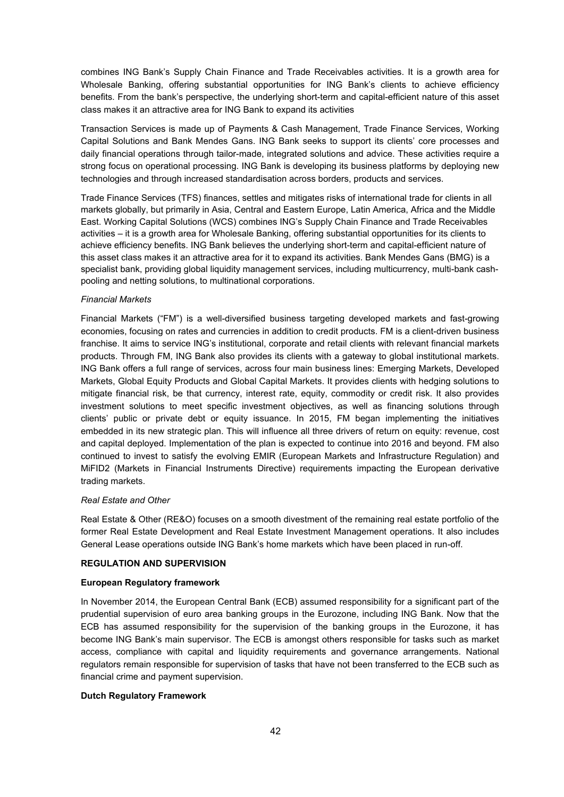combines ING Bank's Supply Chain Finance and Trade Receivables activities. It is a growth area for Wholesale Banking, offering substantial opportunities for ING Bank's clients to achieve efficiency benefits. From the bank's perspective, the underlying short-term and capital-efficient nature of this asset class makes it an attractive area for ING Bank to expand its activities

Transaction Services is made up of Payments & Cash Management, Trade Finance Services, Working Capital Solutions and Bank Mendes Gans. ING Bank seeks to support its clients' core processes and daily financial operations through tailor-made, integrated solutions and advice. These activities require a strong focus on operational processing. ING Bank is developing its business platforms by deploying new technologies and through increased standardisation across borders, products and services.

Trade Finance Services (TFS) finances, settles and mitigates risks of international trade for clients in all markets globally, but primarily in Asia, Central and Eastern Europe, Latin America, Africa and the Middle East. Working Capital Solutions (WCS) combines ING's Supply Chain Finance and Trade Receivables activities – it is a growth area for Wholesale Banking, offering substantial opportunities for its clients to achieve efficiency benefits. ING Bank believes the underlying short-term and capital-efficient nature of this asset class makes it an attractive area for it to expand its activities. Bank Mendes Gans (BMG) is a specialist bank, providing global liquidity management services, including multicurrency, multi-bank cashpooling and netting solutions, to multinational corporations.

# *Financial Markets*

Financial Markets ("FM") is a well-diversified business targeting developed markets and fast-growing economies, focusing on rates and currencies in addition to credit products. FM is a client-driven business franchise. It aims to service ING's institutional, corporate and retail clients with relevant financial markets products. Through FM, ING Bank also provides its clients with a gateway to global institutional markets. ING Bank offers a full range of services, across four main business lines: Emerging Markets, Developed Markets, Global Equity Products and Global Capital Markets. It provides clients with hedging solutions to mitigate financial risk, be that currency, interest rate, equity, commodity or credit risk. It also provides investment solutions to meet specific investment objectives, as well as financing solutions through clients' public or private debt or equity issuance. In 2015, FM began implementing the initiatives embedded in its new strategic plan. This will influence all three drivers of return on equity: revenue, cost and capital deployed. Implementation of the plan is expected to continue into 2016 and beyond. FM also continued to invest to satisfy the evolving EMIR (European Markets and Infrastructure Regulation) and MiFID2 (Markets in Financial Instruments Directive) requirements impacting the European derivative trading markets.

# *Real Estate and Other*

Real Estate & Other (RE&O) focuses on a smooth divestment of the remaining real estate portfolio of the former Real Estate Development and Real Estate Investment Management operations. It also includes General Lease operations outside ING Bank's home markets which have been placed in run-off.

# **REGULATION AND SUPERVISION**

# **European Regulatory framework**

In November 2014, the European Central Bank (ECB) assumed responsibility for a significant part of the prudential supervision of euro area banking groups in the Eurozone, including ING Bank. Now that the ECB has assumed responsibility for the supervision of the banking groups in the Eurozone, it has become ING Bank's main supervisor. The ECB is amongst others responsible for tasks such as market access, compliance with capital and liquidity requirements and governance arrangements. National regulators remain responsible for supervision of tasks that have not been transferred to the ECB such as financial crime and payment supervision.

# **Dutch Regulatory Framework**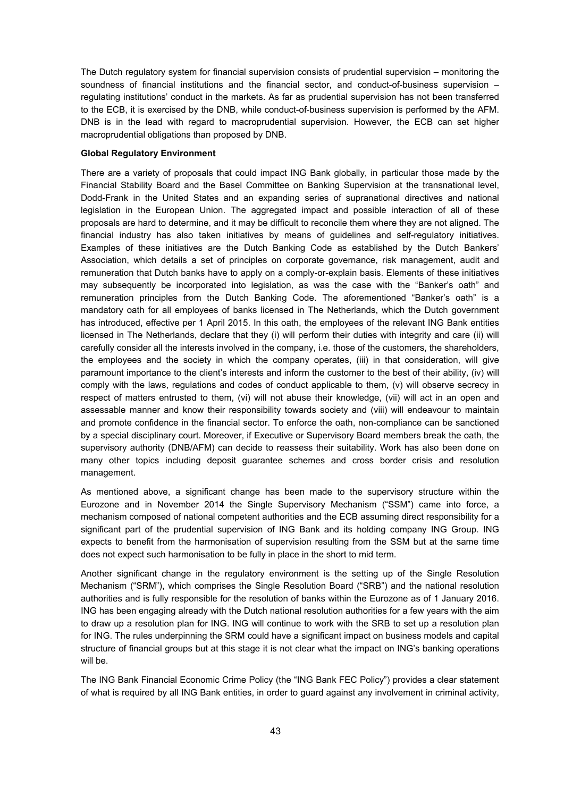The Dutch regulatory system for financial supervision consists of prudential supervision – monitoring the soundness of financial institutions and the financial sector, and conduct-of-business supervision – regulating institutions' conduct in the markets. As far as prudential supervision has not been transferred to the ECB, it is exercised by the DNB, while conduct-of-business supervision is performed by the AFM. DNB is in the lead with regard to macroprudential supervision. However, the ECB can set higher macroprudential obligations than proposed by DNB.

# **Global Regulatory Environment**

There are a variety of proposals that could impact ING Bank globally, in particular those made by the Financial Stability Board and the Basel Committee on Banking Supervision at the transnational level, Dodd-Frank in the United States and an expanding series of supranational directives and national legislation in the European Union. The aggregated impact and possible interaction of all of these proposals are hard to determine, and it may be difficult to reconcile them where they are not aligned. The financial industry has also taken initiatives by means of guidelines and self-regulatory initiatives. Examples of these initiatives are the Dutch Banking Code as established by the Dutch Bankers' Association, which details a set of principles on corporate governance, risk management, audit and remuneration that Dutch banks have to apply on a comply-or-explain basis. Elements of these initiatives may subsequently be incorporated into legislation, as was the case with the "Banker's oath" and remuneration principles from the Dutch Banking Code. The aforementioned "Banker's oath" is a mandatory oath for all employees of banks licensed in The Netherlands, which the Dutch government has introduced, effective per 1 April 2015. In this oath, the employees of the relevant ING Bank entities licensed in The Netherlands, declare that they (i) will perform their duties with integrity and care (ii) will carefully consider all the interests involved in the company, i.e. those of the customers, the shareholders, the employees and the society in which the company operates, (iii) in that consideration, will give paramount importance to the client's interests and inform the customer to the best of their ability, (iv) will comply with the laws, regulations and codes of conduct applicable to them, (v) will observe secrecy in respect of matters entrusted to them, (vi) will not abuse their knowledge, (vii) will act in an open and assessable manner and know their responsibility towards society and (viii) will endeavour to maintain and promote confidence in the financial sector. To enforce the oath, non-compliance can be sanctioned by a special disciplinary court. Moreover, if Executive or Supervisory Board members break the oath, the supervisory authority (DNB/AFM) can decide to reassess their suitability. Work has also been done on many other topics including deposit guarantee schemes and cross border crisis and resolution management.

As mentioned above, a significant change has been made to the supervisory structure within the Eurozone and in November 2014 the Single Supervisory Mechanism ("SSM") came into force, a mechanism composed of national competent authorities and the ECB assuming direct responsibility for a significant part of the prudential supervision of ING Bank and its holding company ING Group. ING expects to benefit from the harmonisation of supervision resulting from the SSM but at the same time does not expect such harmonisation to be fully in place in the short to mid term.

Another significant change in the regulatory environment is the setting up of the Single Resolution Mechanism ("SRM"), which comprises the Single Resolution Board ("SRB") and the national resolution authorities and is fully responsible for the resolution of banks within the Eurozone as of 1 January 2016. ING has been engaging already with the Dutch national resolution authorities for a few years with the aim to draw up a resolution plan for ING. ING will continue to work with the SRB to set up a resolution plan for ING. The rules underpinning the SRM could have a significant impact on business models and capital structure of financial groups but at this stage it is not clear what the impact on ING's banking operations will be.

The ING Bank Financial Economic Crime Policy (the "ING Bank FEC Policy") provides a clear statement of what is required by all ING Bank entities, in order to guard against any involvement in criminal activity,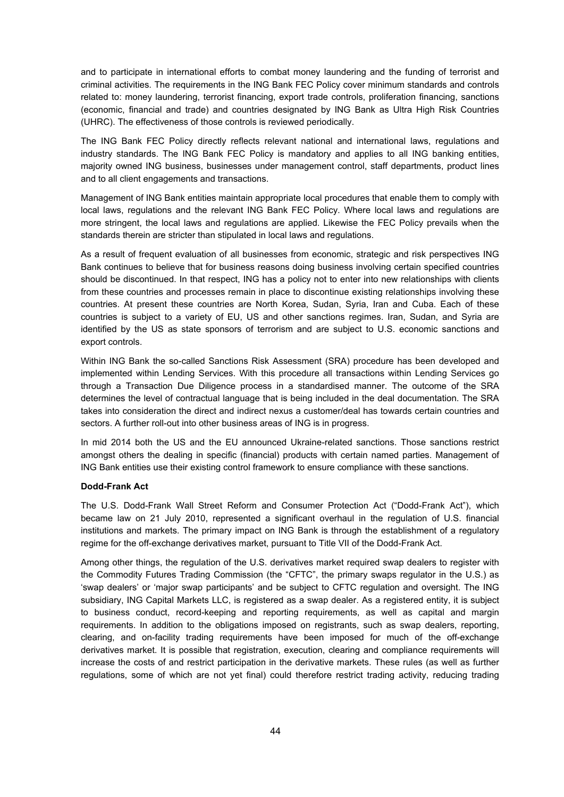and to participate in international efforts to combat money laundering and the funding of terrorist and criminal activities. The requirements in the ING Bank FEC Policy cover minimum standards and controls related to: money laundering, terrorist financing, export trade controls, proliferation financing, sanctions (economic, financial and trade) and countries designated by ING Bank as Ultra High Risk Countries (UHRC). The effectiveness of those controls is reviewed periodically.

The ING Bank FEC Policy directly reflects relevant national and international laws, regulations and industry standards. The ING Bank FEC Policy is mandatory and applies to all ING banking entities, majority owned ING business, businesses under management control, staff departments, product lines and to all client engagements and transactions.

Management of ING Bank entities maintain appropriate local procedures that enable them to comply with local laws, regulations and the relevant ING Bank FEC Policy. Where local laws and regulations are more stringent, the local laws and regulations are applied. Likewise the FEC Policy prevails when the standards therein are stricter than stipulated in local laws and regulations.

As a result of frequent evaluation of all businesses from economic, strategic and risk perspectives ING Bank continues to believe that for business reasons doing business involving certain specified countries should be discontinued. In that respect, ING has a policy not to enter into new relationships with clients from these countries and processes remain in place to discontinue existing relationships involving these countries. At present these countries are North Korea, Sudan, Syria, Iran and Cuba. Each of these countries is subject to a variety of EU, US and other sanctions regimes. Iran, Sudan, and Syria are identified by the US as state sponsors of terrorism and are subject to U.S. economic sanctions and export controls.

Within ING Bank the so-called Sanctions Risk Assessment (SRA) procedure has been developed and implemented within Lending Services. With this procedure all transactions within Lending Services go through a Transaction Due Diligence process in a standardised manner. The outcome of the SRA determines the level of contractual language that is being included in the deal documentation. The SRA takes into consideration the direct and indirect nexus a customer/deal has towards certain countries and sectors. A further roll-out into other business areas of ING is in progress.

In mid 2014 both the US and the EU announced Ukraine-related sanctions. Those sanctions restrict amongst others the dealing in specific (financial) products with certain named parties. Management of ING Bank entities use their existing control framework to ensure compliance with these sanctions.

# **Dodd-Frank Act**

The U.S. Dodd-Frank Wall Street Reform and Consumer Protection Act ("Dodd-Frank Act"), which became law on 21 July 2010, represented a significant overhaul in the regulation of U.S. financial institutions and markets. The primary impact on ING Bank is through the establishment of a regulatory regime for the off-exchange derivatives market, pursuant to Title VII of the Dodd-Frank Act.

Among other things, the regulation of the U.S. derivatives market required swap dealers to register with the Commodity Futures Trading Commission (the "CFTC", the primary swaps regulator in the U.S.) as 'swap dealers' or 'major swap participants' and be subject to CFTC regulation and oversight. The ING subsidiary, ING Capital Markets LLC, is registered as a swap dealer. As a registered entity, it is subject to business conduct, record-keeping and reporting requirements, as well as capital and margin requirements. In addition to the obligations imposed on registrants, such as swap dealers, reporting, clearing, and on-facility trading requirements have been imposed for much of the off-exchange derivatives market. It is possible that registration, execution, clearing and compliance requirements will increase the costs of and restrict participation in the derivative markets. These rules (as well as further regulations, some of which are not yet final) could therefore restrict trading activity, reducing trading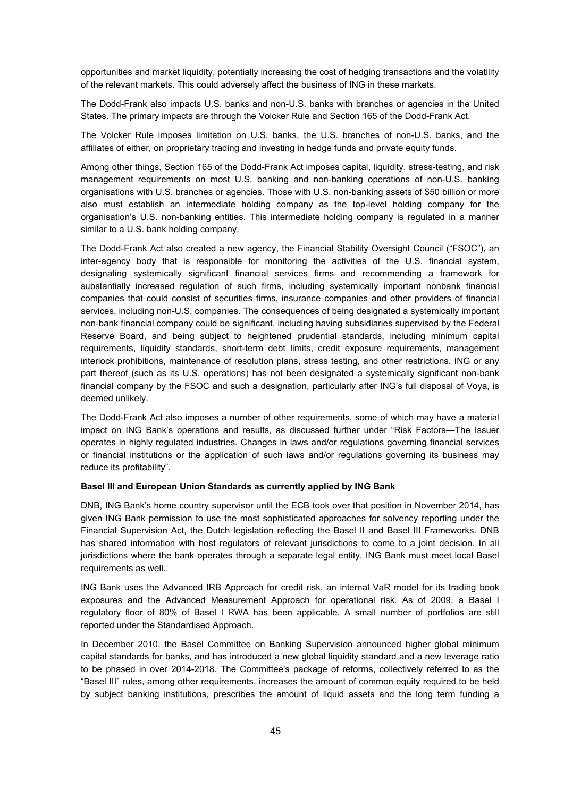opportunities and market liquidity, potentially increasing the cost of hedging transactions and the volatility of the relevant markets. This could adversely affect the business of ING in these markets.

The Dodd-Frank also impacts U.S. banks and non-U.S. banks with branches or agencies in the United States. The primary impacts are through the Volcker Rule and Section 165 of the Dodd-Frank Act.

The Volcker Rule imposes limitation on U.S. banks, the U.S. branches of non-U.S. banks, and the affiliates of either, on proprietary trading and investing in hedge funds and private equity funds.

Among other things, Section 165 of the Dodd-Frank Act imposes capital, liquidity, stress-testing, and risk management requirements on most U.S. banking and non-banking operations of non-U.S. banking organisations with U.S. branches or agencies. Those with U.S. non-banking assets of \$50 billion or more also must establish an intermediate holding company as the top-level holding company for the organisation's U.S. non-banking entities. This intermediate holding company is regulated in a manner similar to a U.S. bank holding company.

The Dodd-Frank Act also created a new agency, the Financial Stability Oversight Council ("FSOC"), an inter-agency body that is responsible for monitoring the activities of the U.S. financial system, designating systemically significant financial services firms and recommending a framework for substantially increased regulation of such firms, including systemically important nonbank financial companies that could consist of securities firms, insurance companies and other providers of financial services, including non-U.S. companies. The consequences of being designated a systemically important non-bank financial company could be significant, including having subsidiaries supervised by the Federal Reserve Board, and being subject to heightened prudential standards, including minimum capital requirements, liquidity standards, short-term debt limits, credit exposure requirements, management interlock prohibitions, maintenance of resolution plans, stress testing, and other restrictions. ING or any part thereof (such as its U.S. operations) has not been designated a systemically significant non-bank financial company by the FSOC and such a designation, particularly after ING's full disposal of Voya, is deemed unlikely.

The Dodd-Frank Act also imposes a number of other requirements, some of which may have a material impact on ING Bank's operations and results, as discussed further under "Risk Factors—The Issuer operates in highly regulated industries. Changes in laws and/or regulations governing financial services or financial institutions or the application of such laws and/or regulations governing its business may reduce its profitability".

# **Basel III and European Union Standards as currently applied by ING Bank**

DNB, ING Bank's home country supervisor until the ECB took over that position in November 2014, has given ING Bank permission to use the most sophisticated approaches for solvency reporting under the Financial Supervision Act, the Dutch legislation reflecting the Basel II and Basel III Frameworks. DNB has shared information with host regulators of relevant jurisdictions to come to a joint decision. In all jurisdictions where the bank operates through a separate legal entity, ING Bank must meet local Basel requirements as well.

ING Bank uses the Advanced IRB Approach for credit risk, an internal VaR model for its trading book exposures and the Advanced Measurement Approach for operational risk. As of 2009, a Basel I regulatory floor of 80% of Basel I RWA has been applicable. A small number of portfolios are still reported under the Standardised Approach.

In December 2010, the Basel Committee on Banking Supervision announced higher global minimum capital standards for banks, and has introduced a new global liquidity standard and a new leverage ratio to be phased in over 2014-2018. The Committee's package of reforms, collectively referred to as the "Basel III" rules, among other requirements, increases the amount of common equity required to be held by subject banking institutions, prescribes the amount of liquid assets and the long term funding a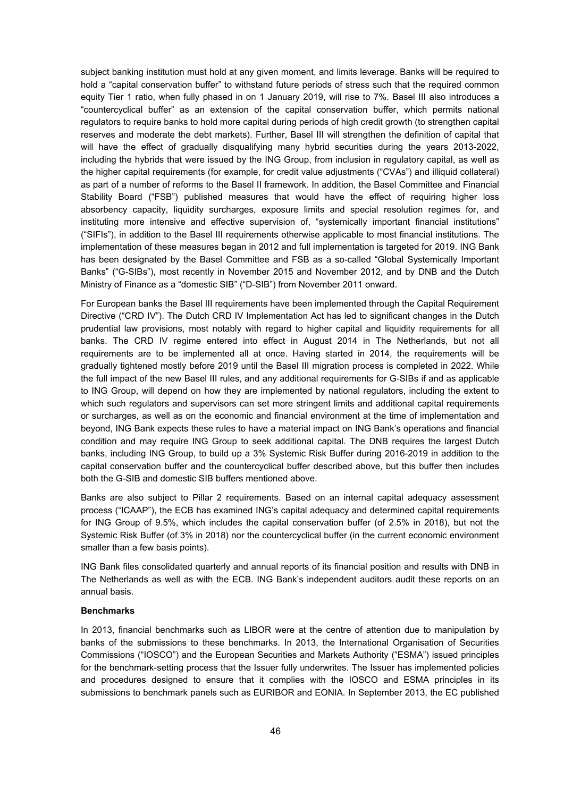subject banking institution must hold at any given moment, and limits leverage. Banks will be required to hold a "capital conservation buffer" to withstand future periods of stress such that the required common equity Tier 1 ratio, when fully phased in on 1 January 2019, will rise to 7%. Basel III also introduces a "countercyclical buffer" as an extension of the capital conservation buffer, which permits national regulators to require banks to hold more capital during periods of high credit growth (to strengthen capital reserves and moderate the debt markets). Further, Basel III will strengthen the definition of capital that will have the effect of gradually disqualifying many hybrid securities during the years 2013-2022, including the hybrids that were issued by the ING Group, from inclusion in regulatory capital, as well as the higher capital requirements (for example, for credit value adjustments ("CVAs") and illiquid collateral) as part of a number of reforms to the Basel II framework. In addition, the Basel Committee and Financial Stability Board ("FSB") published measures that would have the effect of requiring higher loss absorbency capacity, liquidity surcharges, exposure limits and special resolution regimes for, and instituting more intensive and effective supervision of, "systemically important financial institutions" ("SIFIs"), in addition to the Basel III requirements otherwise applicable to most financial institutions. The implementation of these measures began in 2012 and full implementation is targeted for 2019. ING Bank has been designated by the Basel Committee and FSB as a so-called "Global Systemically Important Banks" ("G-SIBs"), most recently in November 2015 and November 2012, and by DNB and the Dutch Ministry of Finance as a "domestic SIB" ("D-SIB") from November 2011 onward.

For European banks the Basel III requirements have been implemented through the Capital Requirement Directive ("CRD IV"). The Dutch CRD IV Implementation Act has led to significant changes in the Dutch prudential law provisions, most notably with regard to higher capital and liquidity requirements for all banks. The CRD IV regime entered into effect in August 2014 in The Netherlands, but not all requirements are to be implemented all at once. Having started in 2014, the requirements will be gradually tightened mostly before 2019 until the Basel III migration process is completed in 2022. While the full impact of the new Basel III rules, and any additional requirements for G-SIBs if and as applicable to ING Group, will depend on how they are implemented by national regulators, including the extent to which such regulators and supervisors can set more stringent limits and additional capital requirements or surcharges, as well as on the economic and financial environment at the time of implementation and beyond, ING Bank expects these rules to have a material impact on ING Bank's operations and financial condition and may require ING Group to seek additional capital. The DNB requires the largest Dutch banks, including ING Group, to build up a 3% Systemic Risk Buffer during 2016-2019 in addition to the capital conservation buffer and the countercyclical buffer described above, but this buffer then includes both the G-SIB and domestic SIB buffers mentioned above.

Banks are also subject to Pillar 2 requirements. Based on an internal capital adequacy assessment process ("ICAAP"), the ECB has examined ING's capital adequacy and determined capital requirements for ING Group of 9.5%, which includes the capital conservation buffer (of 2.5% in 2018), but not the Systemic Risk Buffer (of 3% in 2018) nor the countercyclical buffer (in the current economic environment smaller than a few basis points).

ING Bank files consolidated quarterly and annual reports of its financial position and results with DNB in The Netherlands as well as with the ECB. ING Bank's independent auditors audit these reports on an annual basis.

#### **Benchmarks**

In 2013, financial benchmarks such as LIBOR were at the centre of attention due to manipulation by banks of the submissions to these benchmarks. In 2013, the International Organisation of Securities Commissions ("IOSCO") and the European Securities and Markets Authority ("ESMA") issued principles for the benchmark-setting process that the Issuer fully underwrites. The Issuer has implemented policies and procedures designed to ensure that it complies with the IOSCO and ESMA principles in its submissions to benchmark panels such as EURIBOR and EONIA. In September 2013, the EC published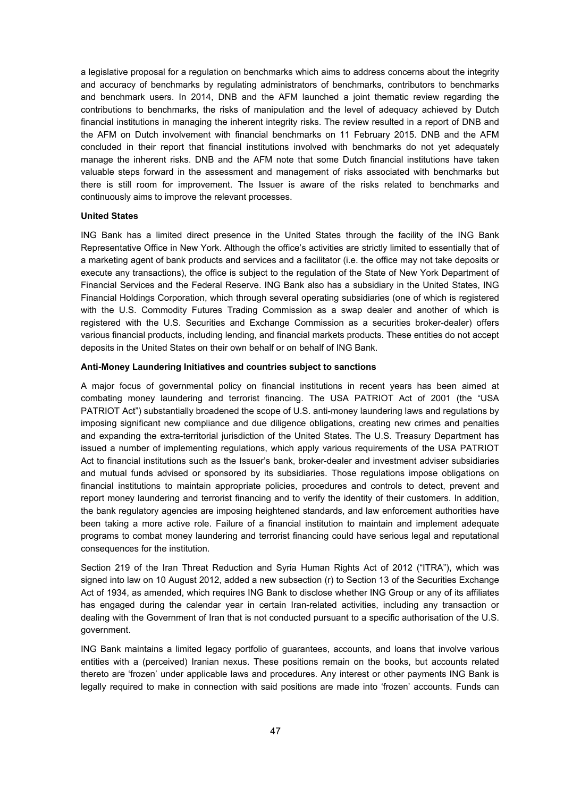a legislative proposal for a regulation on benchmarks which aims to address concerns about the integrity and accuracy of benchmarks by regulating administrators of benchmarks, contributors to benchmarks and benchmark users. In 2014, DNB and the AFM launched a joint thematic review regarding the contributions to benchmarks, the risks of manipulation and the level of adequacy achieved by Dutch financial institutions in managing the inherent integrity risks. The review resulted in a report of DNB and the AFM on Dutch involvement with financial benchmarks on 11 February 2015. DNB and the AFM concluded in their report that financial institutions involved with benchmarks do not yet adequately manage the inherent risks. DNB and the AFM note that some Dutch financial institutions have taken valuable steps forward in the assessment and management of risks associated with benchmarks but there is still room for improvement. The Issuer is aware of the risks related to benchmarks and continuously aims to improve the relevant processes.

### **United States**

ING Bank has a limited direct presence in the United States through the facility of the ING Bank Representative Office in New York. Although the office's activities are strictly limited to essentially that of a marketing agent of bank products and services and a facilitator (i.e. the office may not take deposits or execute any transactions), the office is subject to the regulation of the State of New York Department of Financial Services and the Federal Reserve. ING Bank also has a subsidiary in the United States, ING Financial Holdings Corporation, which through several operating subsidiaries (one of which is registered with the U.S. Commodity Futures Trading Commission as a swap dealer and another of which is registered with the U.S. Securities and Exchange Commission as a securities broker-dealer) offers various financial products, including lending, and financial markets products. These entities do not accept deposits in the United States on their own behalf or on behalf of ING Bank.

### **Anti-Money Laundering Initiatives and countries subject to sanctions**

A major focus of governmental policy on financial institutions in recent years has been aimed at combating money laundering and terrorist financing. The USA PATRIOT Act of 2001 (the "USA PATRIOT Act") substantially broadened the scope of U.S. anti-money laundering laws and regulations by imposing significant new compliance and due diligence obligations, creating new crimes and penalties and expanding the extra-territorial jurisdiction of the United States. The U.S. Treasury Department has issued a number of implementing regulations, which apply various requirements of the USA PATRIOT Act to financial institutions such as the Issuer's bank, broker-dealer and investment adviser subsidiaries and mutual funds advised or sponsored by its subsidiaries. Those regulations impose obligations on financial institutions to maintain appropriate policies, procedures and controls to detect, prevent and report money laundering and terrorist financing and to verify the identity of their customers. In addition, the bank regulatory agencies are imposing heightened standards, and law enforcement authorities have been taking a more active role. Failure of a financial institution to maintain and implement adequate programs to combat money laundering and terrorist financing could have serious legal and reputational consequences for the institution.

Section 219 of the Iran Threat Reduction and Syria Human Rights Act of 2012 ("ITRA"), which was signed into law on 10 August 2012, added a new subsection (r) to Section 13 of the Securities Exchange Act of 1934, as amended, which requires ING Bank to disclose whether ING Group or any of its affiliates has engaged during the calendar year in certain Iran-related activities, including any transaction or dealing with the Government of Iran that is not conducted pursuant to a specific authorisation of the U.S. government.

ING Bank maintains a limited legacy portfolio of guarantees, accounts, and loans that involve various entities with a (perceived) Iranian nexus. These positions remain on the books, but accounts related thereto are 'frozen' under applicable laws and procedures. Any interest or other payments ING Bank is legally required to make in connection with said positions are made into 'frozen' accounts. Funds can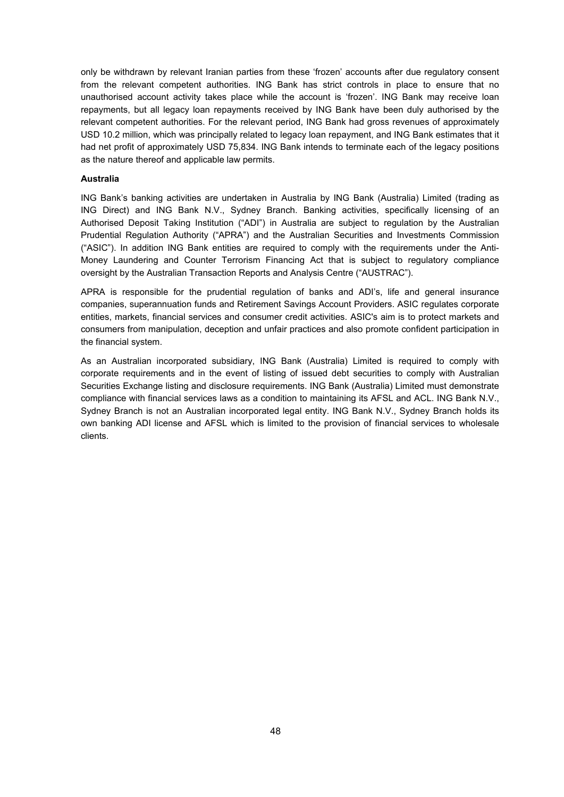only be withdrawn by relevant Iranian parties from these 'frozen' accounts after due regulatory consent from the relevant competent authorities. ING Bank has strict controls in place to ensure that no unauthorised account activity takes place while the account is 'frozen'. ING Bank may receive loan repayments, but all legacy loan repayments received by ING Bank have been duly authorised by the relevant competent authorities. For the relevant period, ING Bank had gross revenues of approximately USD 10.2 million, which was principally related to legacy loan repayment, and ING Bank estimates that it had net profit of approximately USD 75,834. ING Bank intends to terminate each of the legacy positions as the nature thereof and applicable law permits.

# **Australia**

ING Bank's banking activities are undertaken in Australia by ING Bank (Australia) Limited (trading as ING Direct) and ING Bank N.V., Sydney Branch. Banking activities, specifically licensing of an Authorised Deposit Taking Institution ("ADI") in Australia are subject to regulation by the Australian Prudential Regulation Authority ("APRA") and the Australian Securities and Investments Commission ("ASIC"). In addition ING Bank entities are required to comply with the requirements under the Anti-Money Laundering and Counter Terrorism Financing Act that is subject to regulatory compliance oversight by the Australian Transaction Reports and Analysis Centre ("AUSTRAC").

APRA is responsible for the prudential regulation of banks and ADI's, life and general insurance companies, superannuation funds and Retirement Savings Account Providers. ASIC regulates corporate entities, markets, financial services and consumer credit activities. ASIC's aim is to protect markets and consumers from manipulation, deception and unfair practices and also promote confident participation in the financial system.

As an Australian incorporated subsidiary, ING Bank (Australia) Limited is required to comply with corporate requirements and in the event of listing of issued debt securities to comply with Australian Securities Exchange listing and disclosure requirements. ING Bank (Australia) Limited must demonstrate compliance with financial services laws as a condition to maintaining its AFSL and ACL. ING Bank N.V., Sydney Branch is not an Australian incorporated legal entity. ING Bank N.V., Sydney Branch holds its own banking ADI license and AFSL which is limited to the provision of financial services to wholesale clients.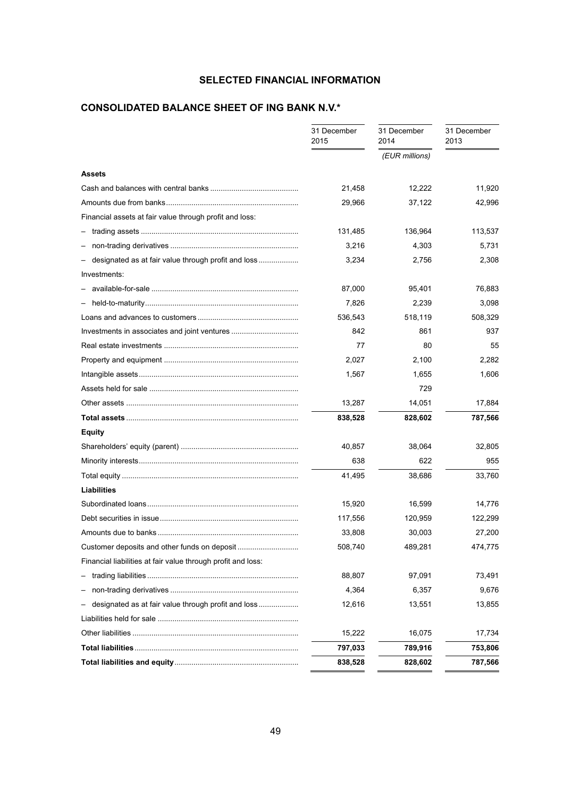# **SELECTED FINANCIAL INFORMATION**

# **CONSOLIDATED BALANCE SHEET OF ING BANK N.V.\***

|                                                              | 31 December<br>2015 | 31 December<br>2014 | 31 December<br>2013 |
|--------------------------------------------------------------|---------------------|---------------------|---------------------|
|                                                              |                     | (EUR millions)      |                     |
| <b>Assets</b>                                                |                     |                     |                     |
|                                                              | 21,458              | 12,222              | 11,920              |
|                                                              | 29,966              | 37,122              | 42,996              |
| Financial assets at fair value through profit and loss:      |                     |                     |                     |
|                                                              | 131,485             | 136,964             | 113,537             |
|                                                              | 3,216               | 4,303               | 5,731               |
| designated as at fair value through profit and loss          | 3,234               | 2,756               | 2,308               |
| Investments:                                                 |                     |                     |                     |
|                                                              | 87,000              | 95,401              | 76,883              |
|                                                              | 7,826               | 2,239               | 3,098               |
|                                                              | 536,543             | 518,119             | 508,329             |
|                                                              | 842                 | 861                 | 937                 |
|                                                              | 77                  | 80                  | 55                  |
|                                                              | 2,027               | 2,100               | 2,282               |
|                                                              | 1,567               | 1,655               | 1,606               |
|                                                              |                     | 729                 |                     |
|                                                              | 13,287              | 14,051              | 17,884              |
|                                                              | 838,528             | 828,602             | 787,566             |
| <b>Equity</b>                                                |                     |                     |                     |
|                                                              | 40,857              | 38,064              | 32,805              |
|                                                              | 638                 | 622                 | 955                 |
|                                                              | 41,495              | 38,686              | 33,760              |
| <b>Liabilities</b>                                           |                     |                     |                     |
|                                                              | 15,920              | 16,599              | 14,776              |
|                                                              | 117,556             | 120,959             | 122,299             |
|                                                              | 33,808              | 30,003              | 27,200              |
| Customer deposits and other funds on deposit.                | 508,740             | 489,281             | 474,775             |
| Financial liabilities at fair value through profit and loss: |                     |                     |                     |
|                                                              | 88,807              | 97,091              | 73,491              |
|                                                              | 4,364               | 6,357               | 9,676               |
| designated as at fair value through profit and loss          | 12,616              | 13,551              | 13,855              |
|                                                              |                     |                     |                     |
|                                                              | 15,222              | 16,075              | 17,734              |
|                                                              | 797,033             | 789,916             | 753,806             |
|                                                              | 838,528             | 828,602             | 787,566             |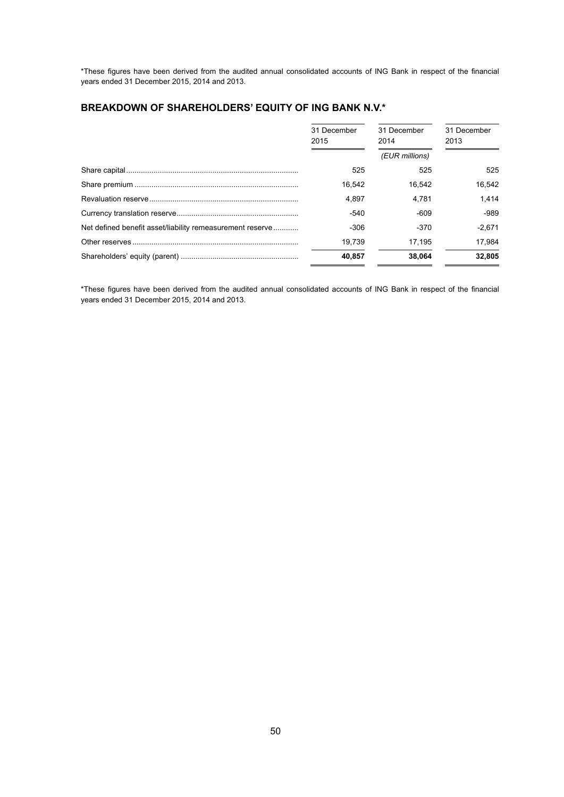\*These figures have been derived from the audited annual consolidated accounts of ING Bank in respect of the financial years ended 31 December 2015, 2014 and 2013.

# **BREAKDOWN OF SHAREHOLDERS' EQUITY OF ING BANK N.V.\***

|                                                           | 31 December<br>2015 | 31 December<br>2014 | 31 December<br>2013 |  |
|-----------------------------------------------------------|---------------------|---------------------|---------------------|--|
|                                                           |                     | (EUR millions)      |                     |  |
|                                                           | 525                 | 525                 | 525                 |  |
|                                                           | 16.542              | 16.542              | 16.542              |  |
|                                                           | 4.897               | 4.781               | 1.414               |  |
|                                                           | -540                | $-609$              | $-989$              |  |
| Net defined benefit asset/liability remeasurement reserve | $-306$              | $-370$              | $-2.671$            |  |
|                                                           | 19.739              | 17.195              | 17.984              |  |
|                                                           | 40.857              | 38.064              | 32.805              |  |

\*These figures have been derived from the audited annual consolidated accounts of ING Bank in respect of the financial years ended 31 December 2015, 2014 and 2013.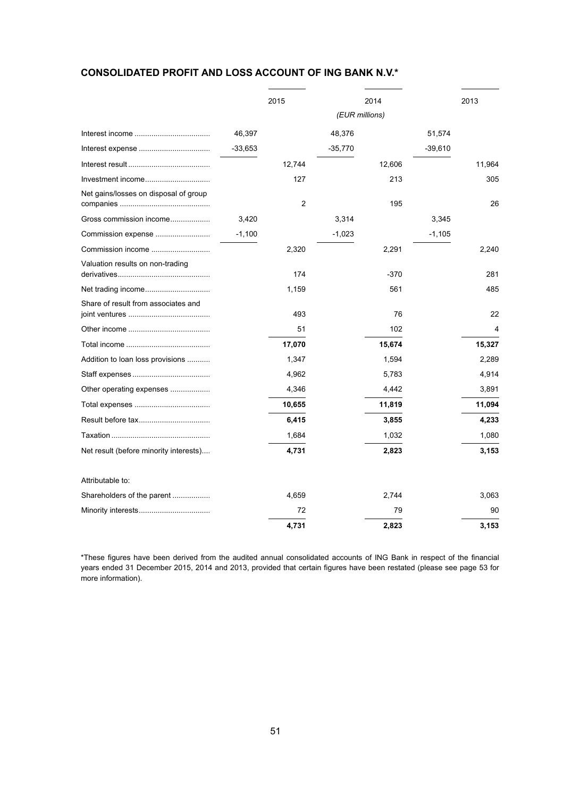# **CONSOLIDATED PROFIT AND LOSS ACCOUNT OF ING BANK N.V.\***

|                                        |          | 2015           |           | 2014   |           | 2013   |
|----------------------------------------|----------|----------------|-----------|--------|-----------|--------|
|                                        |          | (EUR millions) |           |        |           |        |
|                                        | 46,397   |                | 48,376    |        | 51,574    |        |
|                                        | -33,653  |                | $-35,770$ |        | $-39,610$ |        |
|                                        |          | 12,744         |           | 12,606 |           | 11,964 |
| Investment income                      |          | 127            |           | 213    |           | 305    |
| Net gains/losses on disposal of group  |          | $\overline{c}$ |           | 195    |           | 26     |
| Gross commission income                | 3,420    |                | 3,314     |        | 3,345     |        |
| Commission expense                     | $-1,100$ |                | $-1,023$  |        | $-1,105$  |        |
| Commission income                      |          | 2,320          |           | 2,291  |           | 2,240  |
| Valuation results on non-trading       |          | 174            |           | $-370$ |           | 281    |
|                                        |          | 1,159          |           | 561    |           | 485    |
| Share of result from associates and    |          | 493            |           | 76     |           | 22     |
|                                        |          | 51             |           | 102    |           | 4      |
|                                        |          | 17,070         |           | 15,674 |           | 15,327 |
| Addition to loan loss provisions       |          | 1,347          |           | 1,594  |           | 2,289  |
|                                        |          | 4,962          |           | 5,783  |           | 4,914  |
| Other operating expenses               |          | 4,346          |           | 4,442  |           | 3,891  |
|                                        |          | 10,655         |           | 11,819 |           | 11,094 |
|                                        |          | 6,415          |           | 3,855  |           | 4,233  |
|                                        |          | 1,684          |           | 1,032  |           | 1,080  |
| Net result (before minority interests) |          | 4,731          |           | 2,823  |           | 3,153  |
| Attributable to:                       |          |                |           |        |           |        |
|                                        |          | 4,659          |           | 2,744  |           | 3,063  |
|                                        |          | 72             |           | 79     |           | 90     |
|                                        |          | 4,731          |           | 2,823  |           | 3,153  |

\*These figures have been derived from the audited annual consolidated accounts of ING Bank in respect of the financial years ended 31 December 2015, 2014 and 2013, provided that certain figures have been restated (please see page 53 for more information).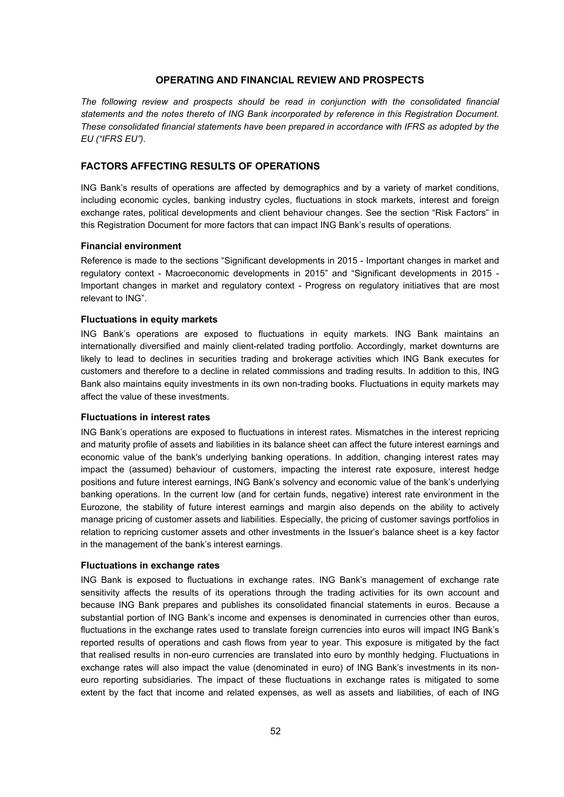# **OPERATING AND FINANCIAL REVIEW AND PROSPECTS**

*The following review and prospects should be read in conjunction with the consolidated financial statements and the notes thereto of ING Bank incorporated by reference in this Registration Document. These consolidated financial statements have been prepared in accordance with IFRS as adopted by the EU ("IFRS EU")*.

# **FACTORS AFFECTING RESULTS OF OPERATIONS**

ING Bank's results of operations are affected by demographics and by a variety of market conditions, including economic cycles, banking industry cycles, fluctuations in stock markets, interest and foreign exchange rates, political developments and client behaviour changes. See the section "Risk Factors" in this Registration Document for more factors that can impact ING Bank's results of operations.

#### **Financial environment**

Reference is made to the sections "Significant developments in 2015 - Important changes in market and regulatory context - Macroeconomic developments in 2015" and "Significant developments in 2015 - Important changes in market and regulatory context - Progress on regulatory initiatives that are most relevant to ING".

### **Fluctuations in equity markets**

ING Bank's operations are exposed to fluctuations in equity markets. ING Bank maintains an internationally diversified and mainly client-related trading portfolio. Accordingly, market downturns are likely to lead to declines in securities trading and brokerage activities which ING Bank executes for customers and therefore to a decline in related commissions and trading results. In addition to this, ING Bank also maintains equity investments in its own non-trading books. Fluctuations in equity markets may affect the value of these investments.

#### **Fluctuations in interest rates**

ING Bank's operations are exposed to fluctuations in interest rates. Mismatches in the interest repricing and maturity profile of assets and liabilities in its balance sheet can affect the future interest earnings and economic value of the bank's underlying banking operations. In addition, changing interest rates may impact the (assumed) behaviour of customers, impacting the interest rate exposure, interest hedge positions and future interest earnings, ING Bank's solvency and economic value of the bank's underlying banking operations. In the current low (and for certain funds, negative) interest rate environment in the Eurozone, the stability of future interest earnings and margin also depends on the ability to actively manage pricing of customer assets and liabilities. Especially, the pricing of customer savings portfolios in relation to repricing customer assets and other investments in the Issuer's balance sheet is a key factor in the management of the bank's interest earnings.

# **Fluctuations in exchange rates**

ING Bank is exposed to fluctuations in exchange rates. ING Bank's management of exchange rate sensitivity affects the results of its operations through the trading activities for its own account and because ING Bank prepares and publishes its consolidated financial statements in euros. Because a substantial portion of ING Bank's income and expenses is denominated in currencies other than euros, fluctuations in the exchange rates used to translate foreign currencies into euros will impact ING Bank's reported results of operations and cash flows from year to year. This exposure is mitigated by the fact that realised results in non-euro currencies are translated into euro by monthly hedging. Fluctuations in exchange rates will also impact the value (denominated in euro) of ING Bank's investments in its noneuro reporting subsidiaries. The impact of these fluctuations in exchange rates is mitigated to some extent by the fact that income and related expenses, as well as assets and liabilities, of each of ING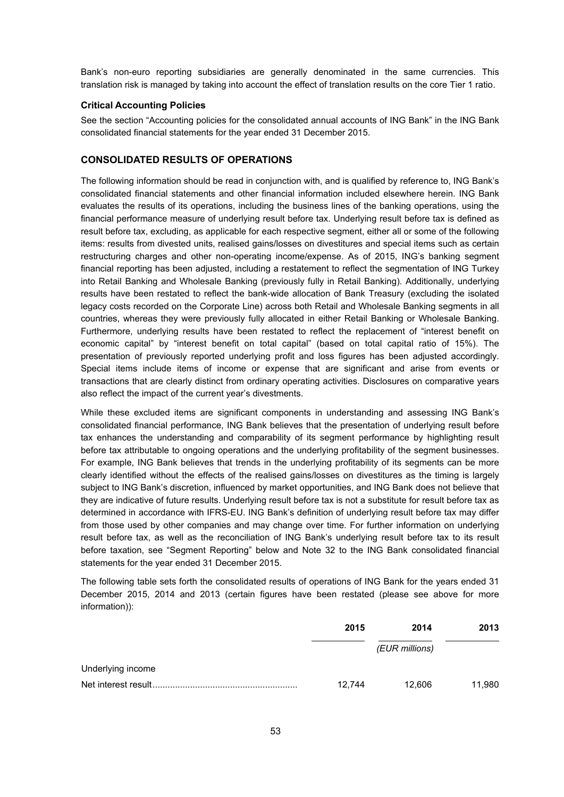Bank's non-euro reporting subsidiaries are generally denominated in the same currencies. This translation risk is managed by taking into account the effect of translation results on the core Tier 1 ratio.

# **Critical Accounting Policies**

See the section "Accounting policies for the consolidated annual accounts of ING Bank" in the ING Bank consolidated financial statements for the year ended 31 December 2015.

# **CONSOLIDATED RESULTS OF OPERATIONS**

The following information should be read in conjunction with, and is qualified by reference to, ING Bank's consolidated financial statements and other financial information included elsewhere herein. ING Bank evaluates the results of its operations, including the business lines of the banking operations, using the financial performance measure of underlying result before tax. Underlying result before tax is defined as result before tax, excluding, as applicable for each respective segment, either all or some of the following items: results from divested units, realised gains/losses on divestitures and special items such as certain restructuring charges and other non-operating income/expense. As of 2015, ING's banking segment financial reporting has been adjusted, including a restatement to reflect the segmentation of ING Turkey into Retail Banking and Wholesale Banking (previously fully in Retail Banking). Additionally, underlying results have been restated to reflect the bank-wide allocation of Bank Treasury (excluding the isolated legacy costs recorded on the Corporate Line) across both Retail and Wholesale Banking segments in all countries, whereas they were previously fully allocated in either Retail Banking or Wholesale Banking. Furthermore, underlying results have been restated to reflect the replacement of "interest benefit on economic capital" by "interest benefit on total capital" (based on total capital ratio of 15%). The presentation of previously reported underlying profit and loss figures has been adjusted accordingly. Special items include items of income or expense that are significant and arise from events or transactions that are clearly distinct from ordinary operating activities. Disclosures on comparative years also reflect the impact of the current year's divestments.

While these excluded items are significant components in understanding and assessing ING Bank's consolidated financial performance, ING Bank believes that the presentation of underlying result before tax enhances the understanding and comparability of its segment performance by highlighting result before tax attributable to ongoing operations and the underlying profitability of the segment businesses. For example, ING Bank believes that trends in the underlying profitability of its segments can be more clearly identified without the effects of the realised gains/losses on divestitures as the timing is largely subject to ING Bank's discretion, influenced by market opportunities, and ING Bank does not believe that they are indicative of future results. Underlying result before tax is not a substitute for result before tax as determined in accordance with IFRS-EU. ING Bank's definition of underlying result before tax may differ from those used by other companies and may change over time. For further information on underlying result before tax, as well as the reconciliation of ING Bank's underlying result before tax to its result before taxation, see "Segment Reporting" below and Note 32 to the ING Bank consolidated financial statements for the year ended 31 December 2015.

The following table sets forth the consolidated results of operations of ING Bank for the years ended 31 December 2015, 2014 and 2013 (certain figures have been restated (please see above for more information)):

|                   | 2015   | 2014           | 2013   |
|-------------------|--------|----------------|--------|
|                   |        | (EUR millions) |        |
| Underlying income |        |                |        |
|                   | 12.744 | 12.606         | 11,980 |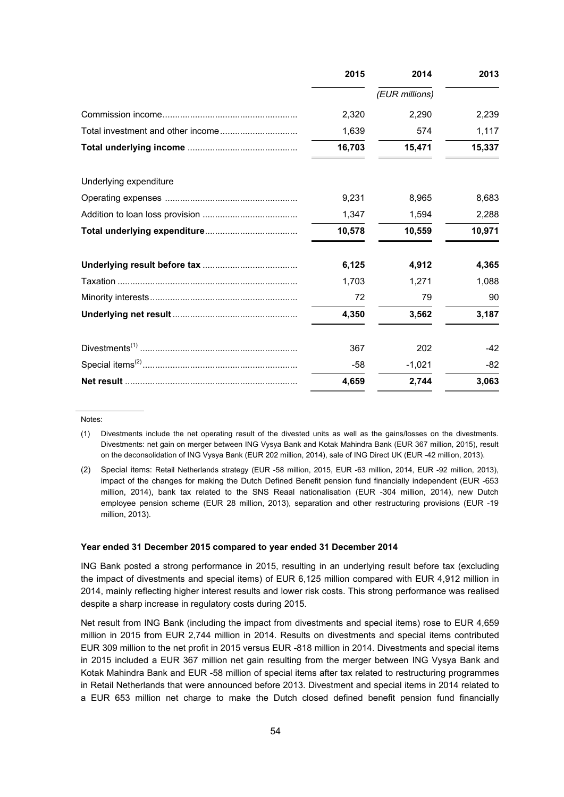|                        | 2015   | 2014           | 2013   |
|------------------------|--------|----------------|--------|
|                        |        | (EUR millions) |        |
|                        | 2,320  | 2,290          | 2,239  |
|                        | 1,639  | 574            | 1,117  |
|                        | 16,703 | 15,471         | 15,337 |
| Underlying expenditure |        |                |        |
|                        | 9,231  | 8,965          | 8,683  |
|                        | 1,347  | 1,594          | 2,288  |
|                        | 10,578 | 10,559         | 10,971 |
|                        | 6,125  | 4,912          | 4,365  |
|                        | 1,703  | 1,271          | 1,088  |
|                        | 72     | 79             | 90     |
|                        | 4,350  | 3,562          | 3,187  |
|                        | 367    | 202            | $-42$  |
|                        | $-58$  | $-1,021$       | $-82$  |
|                        | 4,659  | 2,744          | 3,063  |

Notes:

#### **Year ended 31 December 2015 compared to year ended 31 December 2014**

ING Bank posted a strong performance in 2015, resulting in an underlying result before tax (excluding the impact of divestments and special items) of EUR 6,125 million compared with EUR 4,912 million in 2014, mainly reflecting higher interest results and lower risk costs. This strong performance was realised despite a sharp increase in regulatory costs during 2015.

Net result from ING Bank (including the impact from divestments and special items) rose to EUR 4,659 million in 2015 from EUR 2,744 million in 2014. Results on divestments and special items contributed EUR 309 million to the net profit in 2015 versus EUR -818 million in 2014. Divestments and special items in 2015 included a EUR 367 million net gain resulting from the merger between ING Vysya Bank and Kotak Mahindra Bank and EUR -58 million of special items after tax related to restructuring programmes in Retail Netherlands that were announced before 2013. Divestment and special items in 2014 related to a EUR 653 million net charge to make the Dutch closed defined benefit pension fund financially

<sup>(1)</sup> Divestments include the net operating result of the divested units as well as the gains/losses on the divestments. Divestments: net gain on merger between ING Vysya Bank and Kotak Mahindra Bank (EUR 367 million, 2015), result on the deconsolidation of ING Vysya Bank (EUR 202 million, 2014), sale of ING Direct UK (EUR -42 million, 2013).

<sup>(2)</sup> Special items: Retail Netherlands strategy (EUR -58 million, 2015, EUR -63 million, 2014, EUR -92 million, 2013), impact of the changes for making the Dutch Defined Benefit pension fund financially independent (EUR -653 million, 2014), bank tax related to the SNS Reaal nationalisation (EUR -304 million, 2014), new Dutch employee pension scheme (EUR 28 million, 2013), separation and other restructuring provisions (EUR -19 million, 2013).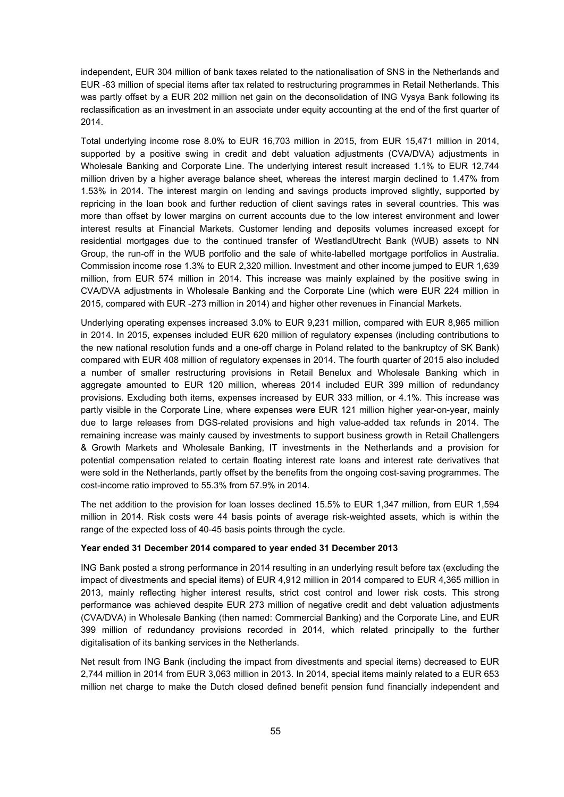independent, EUR 304 million of bank taxes related to the nationalisation of SNS in the Netherlands and EUR -63 million of special items after tax related to restructuring programmes in Retail Netherlands. This was partly offset by a EUR 202 million net gain on the deconsolidation of ING Vysya Bank following its reclassification as an investment in an associate under equity accounting at the end of the first quarter of 2014.

Total underlying income rose 8.0% to EUR 16,703 million in 2015, from EUR 15,471 million in 2014, supported by a positive swing in credit and debt valuation adjustments (CVA/DVA) adjustments in Wholesale Banking and Corporate Line. The underlying interest result increased 1.1% to EUR 12,744 million driven by a higher average balance sheet, whereas the interest margin declined to 1.47% from 1.53% in 2014. The interest margin on lending and savings products improved slightly, supported by repricing in the loan book and further reduction of client savings rates in several countries. This was more than offset by lower margins on current accounts due to the low interest environment and lower interest results at Financial Markets. Customer lending and deposits volumes increased except for residential mortgages due to the continued transfer of WestlandUtrecht Bank (WUB) assets to NN Group, the run-off in the WUB portfolio and the sale of white-labelled mortgage portfolios in Australia. Commission income rose 1.3% to EUR 2,320 million. Investment and other income jumped to EUR 1,639 million, from EUR 574 million in 2014. This increase was mainly explained by the positive swing in CVA/DVA adjustments in Wholesale Banking and the Corporate Line (which were EUR 224 million in 2015, compared with EUR -273 million in 2014) and higher other revenues in Financial Markets.

Underlying operating expenses increased 3.0% to EUR 9,231 million, compared with EUR 8,965 million in 2014. In 2015, expenses included EUR 620 million of regulatory expenses (including contributions to the new national resolution funds and a one-off charge in Poland related to the bankruptcy of SK Bank) compared with EUR 408 million of regulatory expenses in 2014. The fourth quarter of 2015 also included a number of smaller restructuring provisions in Retail Benelux and Wholesale Banking which in aggregate amounted to EUR 120 million, whereas 2014 included EUR 399 million of redundancy provisions. Excluding both items, expenses increased by EUR 333 million, or 4.1%. This increase was partly visible in the Corporate Line, where expenses were EUR 121 million higher year-on-year, mainly due to large releases from DGS-related provisions and high value-added tax refunds in 2014. The remaining increase was mainly caused by investments to support business growth in Retail Challengers & Growth Markets and Wholesale Banking, IT investments in the Netherlands and a provision for potential compensation related to certain floating interest rate loans and interest rate derivatives that were sold in the Netherlands, partly offset by the benefits from the ongoing cost-saving programmes. The cost-income ratio improved to 55.3% from 57.9% in 2014.

The net addition to the provision for loan losses declined 15.5% to EUR 1,347 million, from EUR 1,594 million in 2014. Risk costs were 44 basis points of average risk-weighted assets, which is within the range of the expected loss of 40-45 basis points through the cycle.

#### **Year ended 31 December 2014 compared to year ended 31 December 2013**

ING Bank posted a strong performance in 2014 resulting in an underlying result before tax (excluding the impact of divestments and special items) of EUR 4,912 million in 2014 compared to EUR 4,365 million in 2013, mainly reflecting higher interest results, strict cost control and lower risk costs. This strong performance was achieved despite EUR 273 million of negative credit and debt valuation adjustments (CVA/DVA) in Wholesale Banking (then named: Commercial Banking) and the Corporate Line, and EUR 399 million of redundancy provisions recorded in 2014, which related principally to the further digitalisation of its banking services in the Netherlands.

Net result from ING Bank (including the impact from divestments and special items) decreased to EUR 2,744 million in 2014 from EUR 3,063 million in 2013. In 2014, special items mainly related to a EUR 653 million net charge to make the Dutch closed defined benefit pension fund financially independent and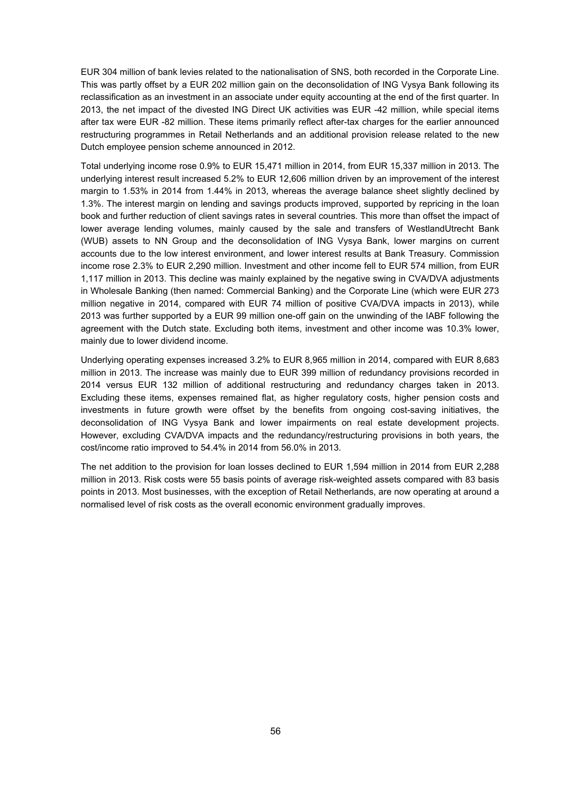EUR 304 million of bank levies related to the nationalisation of SNS, both recorded in the Corporate Line. This was partly offset by a EUR 202 million gain on the deconsolidation of ING Vysya Bank following its reclassification as an investment in an associate under equity accounting at the end of the first quarter. In 2013, the net impact of the divested ING Direct UK activities was EUR -42 million, while special items after tax were EUR -82 million. These items primarily reflect after-tax charges for the earlier announced restructuring programmes in Retail Netherlands and an additional provision release related to the new Dutch employee pension scheme announced in 2012.

Total underlying income rose 0.9% to EUR 15,471 million in 2014, from EUR 15,337 million in 2013. The underlying interest result increased 5.2% to EUR 12,606 million driven by an improvement of the interest margin to 1.53% in 2014 from 1.44% in 2013, whereas the average balance sheet slightly declined by 1.3%. The interest margin on lending and savings products improved, supported by repricing in the loan book and further reduction of client savings rates in several countries. This more than offset the impact of lower average lending volumes, mainly caused by the sale and transfers of WestlandUtrecht Bank (WUB) assets to NN Group and the deconsolidation of ING Vysya Bank, lower margins on current accounts due to the low interest environment, and lower interest results at Bank Treasury. Commission income rose 2.3% to EUR 2,290 million. Investment and other income fell to EUR 574 million, from EUR 1,117 million in 2013. This decline was mainly explained by the negative swing in CVA/DVA adjustments in Wholesale Banking (then named: Commercial Banking) and the Corporate Line (which were EUR 273 million negative in 2014, compared with EUR 74 million of positive CVA/DVA impacts in 2013), while 2013 was further supported by a EUR 99 million one-off gain on the unwinding of the IABF following the agreement with the Dutch state. Excluding both items, investment and other income was 10.3% lower, mainly due to lower dividend income.

Underlying operating expenses increased 3.2% to EUR 8,965 million in 2014, compared with EUR 8,683 million in 2013. The increase was mainly due to EUR 399 million of redundancy provisions recorded in 2014 versus EUR 132 million of additional restructuring and redundancy charges taken in 2013. Excluding these items, expenses remained flat, as higher regulatory costs, higher pension costs and investments in future growth were offset by the benefits from ongoing cost-saving initiatives, the deconsolidation of ING Vysya Bank and lower impairments on real estate development projects. However, excluding CVA/DVA impacts and the redundancy/restructuring provisions in both years, the cost/income ratio improved to 54.4% in 2014 from 56.0% in 2013.

The net addition to the provision for loan losses declined to EUR 1,594 million in 2014 from EUR 2,288 million in 2013. Risk costs were 55 basis points of average risk-weighted assets compared with 83 basis points in 2013. Most businesses, with the exception of Retail Netherlands, are now operating at around a normalised level of risk costs as the overall economic environment gradually improves.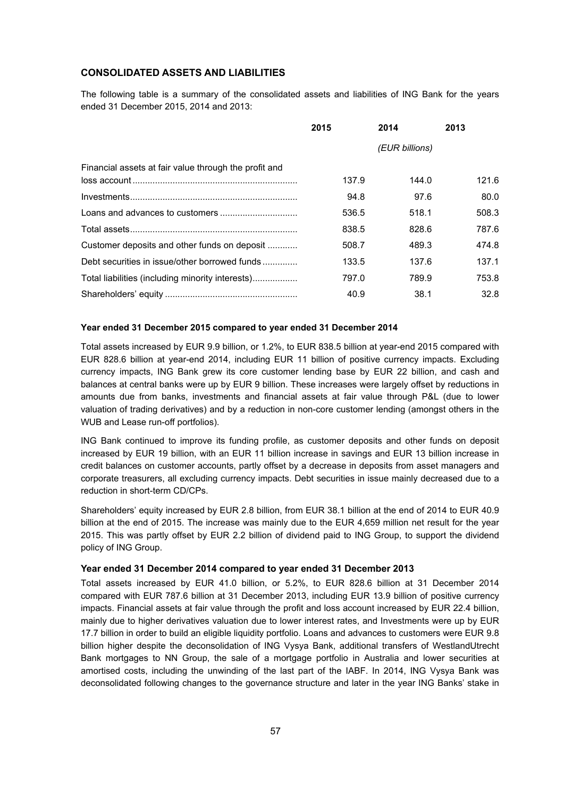# **CONSOLIDATED ASSETS AND LIABILITIES**

The following table is a summary of the consolidated assets and liabilities of ING Bank for the years ended 31 December 2015, 2014 and 2013:

|                                                       | 2015  | 2014           | 2013  |
|-------------------------------------------------------|-------|----------------|-------|
|                                                       |       | (EUR billions) |       |
| Financial assets at fair value through the profit and | 137.9 |                | 121.6 |
|                                                       |       | 144.0          |       |
|                                                       | 94.8  | 97.6           | 80.0  |
|                                                       | 536.5 | 518.1          | 508.3 |
|                                                       | 838.5 | 828.6          | 787.6 |
| Customer deposits and other funds on deposit          | 508.7 | 489.3          | 474.8 |
| Debt securities in issue/other borrowed funds         | 133.5 | 137.6          | 137.1 |
| Total liabilities (including minority interests)      | 797.0 | 789.9          | 753.8 |
|                                                       | 40.9  | 38.1           | 32.8  |

# **Year ended 31 December 2015 compared to year ended 31 December 2014**

Total assets increased by EUR 9.9 billion, or 1.2%, to EUR 838.5 billion at year-end 2015 compared with EUR 828.6 billion at year-end 2014, including EUR 11 billion of positive currency impacts. Excluding currency impacts, ING Bank grew its core customer lending base by EUR 22 billion, and cash and balances at central banks were up by EUR 9 billion. These increases were largely offset by reductions in amounts due from banks, investments and financial assets at fair value through P&L (due to lower valuation of trading derivatives) and by a reduction in non-core customer lending (amongst others in the WUB and Lease run-off portfolios).

ING Bank continued to improve its funding profile, as customer deposits and other funds on deposit increased by EUR 19 billion, with an EUR 11 billion increase in savings and EUR 13 billion increase in credit balances on customer accounts, partly offset by a decrease in deposits from asset managers and corporate treasurers, all excluding currency impacts. Debt securities in issue mainly decreased due to a reduction in short-term CD/CPs.

Shareholders' equity increased by EUR 2.8 billion, from EUR 38.1 billion at the end of 2014 to EUR 40.9 billion at the end of 2015. The increase was mainly due to the EUR 4,659 million net result for the year 2015. This was partly offset by EUR 2.2 billion of dividend paid to ING Group, to support the dividend policy of ING Group.

# **Year ended 31 December 2014 compared to year ended 31 December 2013**

Total assets increased by EUR 41.0 billion, or 5.2%, to EUR 828.6 billion at 31 December 2014 compared with EUR 787.6 billion at 31 December 2013, including EUR 13.9 billion of positive currency impacts. Financial assets at fair value through the profit and loss account increased by EUR 22.4 billion, mainly due to higher derivatives valuation due to lower interest rates, and Investments were up by EUR 17.7 billion in order to build an eligible liquidity portfolio. Loans and advances to customers were EUR 9.8 billion higher despite the deconsolidation of ING Vysya Bank, additional transfers of WestlandUtrecht Bank mortgages to NN Group, the sale of a mortgage portfolio in Australia and lower securities at amortised costs, including the unwinding of the last part of the IABF. In 2014, ING Vysya Bank was deconsolidated following changes to the governance structure and later in the year ING Banks' stake in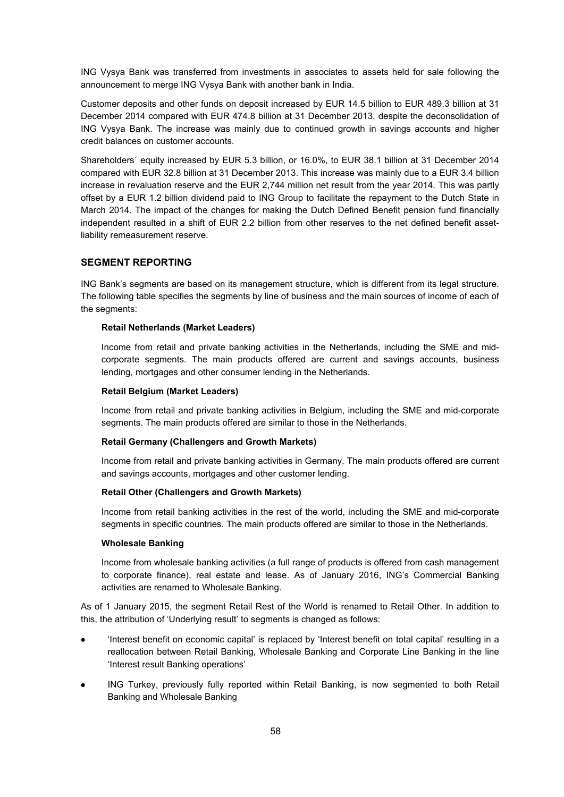ING Vysya Bank was transferred from investments in associates to assets held for sale following the announcement to merge ING Vysya Bank with another bank in India.

Customer deposits and other funds on deposit increased by EUR 14.5 billion to EUR 489.3 billion at 31 December 2014 compared with EUR 474.8 billion at 31 December 2013, despite the deconsolidation of ING Vysya Bank. The increase was mainly due to continued growth in savings accounts and higher credit balances on customer accounts.

Shareholders´ equity increased by EUR 5.3 billion, or 16.0%, to EUR 38.1 billion at 31 December 2014 compared with EUR 32.8 billion at 31 December 2013. This increase was mainly due to a EUR 3.4 billion increase in revaluation reserve and the EUR 2,744 million net result from the year 2014. This was partly offset by a EUR 1.2 billion dividend paid to ING Group to facilitate the repayment to the Dutch State in March 2014. The impact of the changes for making the Dutch Defined Benefit pension fund financially independent resulted in a shift of EUR 2.2 billion from other reserves to the net defined benefit assetliability remeasurement reserve.

# **SEGMENT REPORTING**

ING Bank's segments are based on its management structure, which is different from its legal structure. The following table specifies the segments by line of business and the main sources of income of each of the segments:

# **Retail Netherlands (Market Leaders)**

Income from retail and private banking activities in the Netherlands, including the SME and midcorporate segments. The main products offered are current and savings accounts, business lending, mortgages and other consumer lending in the Netherlands.

### **Retail Belgium (Market Leaders)**

Income from retail and private banking activities in Belgium, including the SME and mid-corporate segments. The main products offered are similar to those in the Netherlands.

# **Retail Germany (Challengers and Growth Markets)**

Income from retail and private banking activities in Germany. The main products offered are current and savings accounts, mortgages and other customer lending.

#### **Retail Other (Challengers and Growth Markets)**

Income from retail banking activities in the rest of the world, including the SME and mid-corporate segments in specific countries. The main products offered are similar to those in the Netherlands.

#### **Wholesale Banking**

Income from wholesale banking activities (a full range of products is offered from cash management to corporate finance), real estate and lease. As of January 2016, ING's Commercial Banking activities are renamed to Wholesale Banking.

As of 1 January 2015, the segment Retail Rest of the World is renamed to Retail Other. In addition to this, the attribution of 'Underlying result' to segments is changed as follows:

- 'Interest benefit on economic capital' is replaced by 'Interest benefit on total capital' resulting in a reallocation between Retail Banking, Wholesale Banking and Corporate Line Banking in the line 'Interest result Banking operations'
- ING Turkey, previously fully reported within Retail Banking, is now segmented to both Retail Banking and Wholesale Banking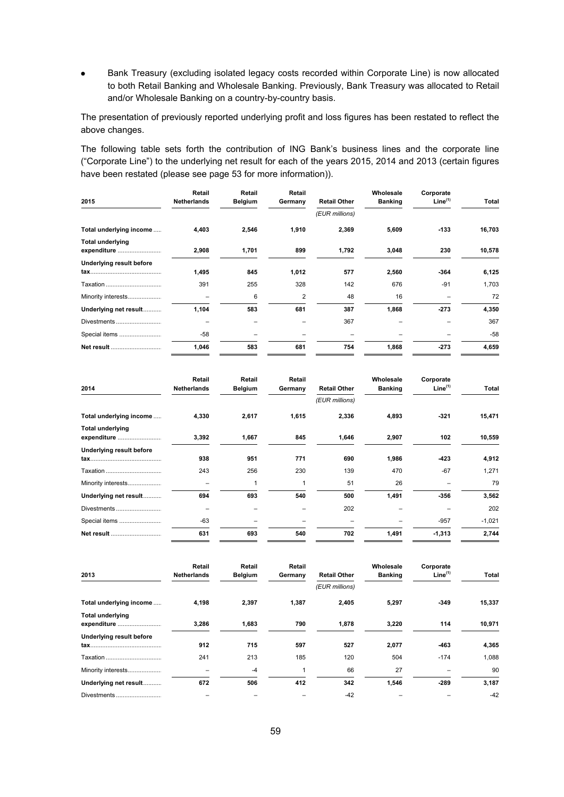Bank Treasury (excluding isolated legacy costs recorded within Corporate Line) is now allocated to both Retail Banking and Wholesale Banking. Previously, Bank Treasury was allocated to Retail and/or Wholesale Banking on a country-by-country basis.

The presentation of previously reported underlying profit and loss figures has been restated to reflect the above changes.

The following table sets forth the contribution of ING Bank's business lines and the corporate line ("Corporate Line") to the underlying net result for each of the years 2015, 2014 and 2013 (certain figures have been restated (please see page 53 for more information)).

| 2015                                   | Retail<br><b>Netherlands</b> | Retail<br><b>Belgium</b> | Retail<br>Germany | <b>Retail Other</b> | Wholesale<br><b>Banking</b> | Corporate<br>Line <sup>(1)</sup> | Total  |
|----------------------------------------|------------------------------|--------------------------|-------------------|---------------------|-----------------------------|----------------------------------|--------|
|                                        |                              |                          |                   | (EUR millions)      |                             |                                  |        |
| Total underlying income                | 4,403                        | 2,546                    | 1,910             | 2,369               | 5,609                       | $-133$                           | 16,703 |
| <b>Total underlying</b><br>expenditure | 2,908                        | 1,701                    | 899               | 1,792               | 3,048                       | 230                              | 10,578 |
| Underlying result before               | 1,495                        | 845                      | 1,012             | 577                 | 2,560                       | $-364$                           | 6,125  |
| Taxation                               | 391                          | 255                      | 328               | 142                 | 676                         | $-91$                            | 1,703  |
| Minority interests                     |                              | 6                        | 2                 | 48                  | 16                          |                                  | 72     |
| Underlying net result                  | 1,104                        | 583                      | 681               | 387                 | 1,868                       | $-273$                           | 4,350  |
| Divestments                            |                              |                          |                   | 367                 |                             |                                  | 367    |
| Special items                          | $-58$                        |                          |                   |                     |                             |                                  | $-58$  |
| Net result                             | 1,046                        | 583                      | 681               | 754                 | 1,868                       | $-273$                           | 4,659  |

| 2014                                   | <b>Retail</b><br><b>Netherlands</b> | Retail<br>Belgium | Retail<br>Germany | <b>Retail Other</b> | Wholesale<br><b>Banking</b> | Corporate<br>Line <sup>(1)</sup> | Total    |
|----------------------------------------|-------------------------------------|-------------------|-------------------|---------------------|-----------------------------|----------------------------------|----------|
|                                        |                                     |                   |                   | (EUR millions)      |                             |                                  |          |
| Total underlying income                | 4,330                               | 2,617             | 1,615             | 2,336               | 4,893                       | -321                             | 15,471   |
| <b>Total underlying</b><br>expenditure | 3,392                               | 1,667             | 845               | 1,646               | 2,907                       | 102                              | 10,559   |
| Underlying result before               | 938                                 | 951               | 771               | 690                 | 1,986                       | -423                             | 4,912    |
| Taxation                               | 243                                 | 256               | 230               | 139                 | 470                         | $-67$                            | 1,271    |
| Minority interests                     | -                                   | 1                 |                   | 51                  | 26                          |                                  | 79       |
| Underlying net result                  | 694                                 | 693               | 540               | 500                 | 1,491                       | $-356$                           | 3,562    |
| Divestments                            | -                                   |                   |                   | 202                 |                             |                                  | 202      |
| Special items                          | $-63$                               |                   |                   |                     |                             | $-957$                           | $-1,021$ |
| Net result                             | 631                                 | 693               | 540               | 702                 | 1,491                       | $-1,313$                         | 2,744    |

| 2013                                   | Retail<br><b>Netherlands</b> | Retail<br><b>Belgium</b> | Retail<br>Germany | <b>Retail Other</b> | Wholesale<br><b>Banking</b> | Corporate<br>Line <sup>(1)</sup> | Total  |
|----------------------------------------|------------------------------|--------------------------|-------------------|---------------------|-----------------------------|----------------------------------|--------|
|                                        |                              |                          |                   | (EUR millions)      |                             |                                  |        |
| Total underlying income                | 4,198                        | 2,397                    | 1,387             | 2,405               | 5,297                       | $-349$                           | 15,337 |
| <b>Total underlying</b><br>expenditure | 3,286                        | 1,683                    | 790               | 1,878               | 3,220                       | 114                              | 10,971 |
| <b>Underlying result before</b>        | 912                          | 715                      | 597               | 527                 | 2,077                       | -463                             | 4,365  |
|                                        | 241                          | 213                      | 185               | 120                 | 504                         | $-174$                           | 1,088  |
| Minority interests                     |                              | $-4$                     |                   | 66                  | 27                          |                                  | 90     |
| Underlying net result                  | 672                          | 506                      | 412               | 342                 | 1,546                       | $-289$                           | 3,187  |
| Divestments                            |                              |                          |                   | $-42$               |                             |                                  | $-42$  |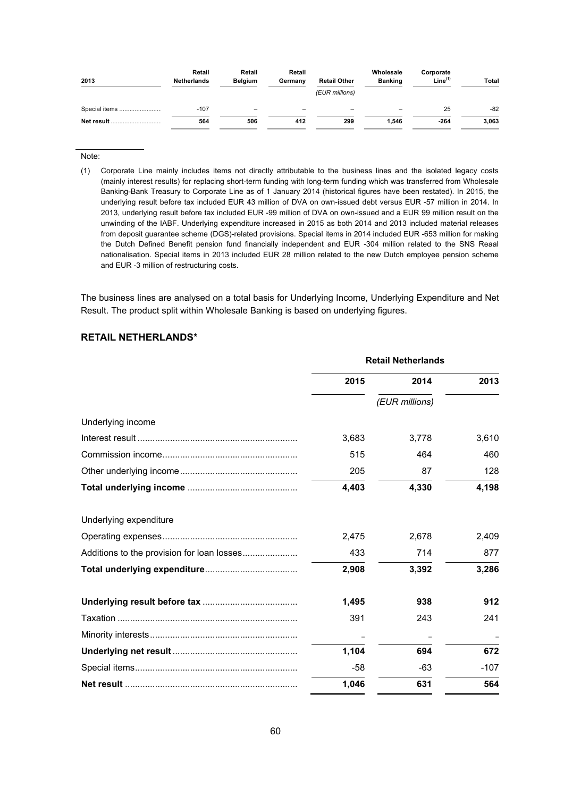| 2013          | Retail<br><b>Netherlands</b> | Retail<br><b>Belgium</b> | Retail<br>Germany | <b>Retail Other</b><br>(EUR millions) | Wholesale<br><b>Banking</b> | Corporate<br>Line <sup>(1)</sup> | Total |
|---------------|------------------------------|--------------------------|-------------------|---------------------------------------|-----------------------------|----------------------------------|-------|
| Special items | $-107$                       | -                        |                   |                                       |                             | 25                               | $-82$ |
| Net result    | 564                          | 506                      | 412               | 299                                   | 1.546                       | $-264$                           | 3,063 |

Note:

(1) Corporate Line mainly includes items not directly attributable to the business lines and the isolated legacy costs (mainly interest results) for replacing short-term funding with long-term funding which was transferred from Wholesale Banking-Bank Treasury to Corporate Line as of 1 January 2014 (historical figures have been restated). In 2015, the underlying result before tax included EUR 43 million of DVA on own-issued debt versus EUR -57 million in 2014. In 2013, underlying result before tax included EUR -99 million of DVA on own-issued and a EUR 99 million result on the unwinding of the IABF. Underlying expenditure increased in 2015 as both 2014 and 2013 included material releases from deposit guarantee scheme (DGS)-related provisions. Special items in 2014 included EUR -653 million for making the Dutch Defined Benefit pension fund financially independent and EUR -304 million related to the SNS Reaal nationalisation. Special items in 2013 included EUR 28 million related to the new Dutch employee pension scheme and EUR -3 million of restructuring costs.

The business lines are analysed on a total basis for Underlying Income, Underlying Expenditure and Net Result. The product split within Wholesale Banking is based on underlying figures.

# **RETAIL NETHERLANDS\***

|                                            | <b>Retail Netherlands</b> |                |        |  |
|--------------------------------------------|---------------------------|----------------|--------|--|
|                                            | 2015                      | 2014           | 2013   |  |
|                                            |                           | (EUR millions) |        |  |
| Underlying income                          |                           |                |        |  |
|                                            | 3,683                     | 3,778          | 3,610  |  |
|                                            | 515                       | 464            | 460    |  |
|                                            | 205                       | 87             | 128    |  |
|                                            | 4,403                     | 4,330          | 4,198  |  |
| Underlying expenditure                     |                           |                |        |  |
|                                            | 2,475                     | 2,678          | 2,409  |  |
| Additions to the provision for loan losses | 433                       | 714            | 877    |  |
|                                            | 2,908                     | 3,392          | 3,286  |  |
|                                            | 1,495                     | 938            | 912    |  |
|                                            | 391                       | 243            | 241    |  |
|                                            |                           |                |        |  |
|                                            | 1,104                     | 694            | 672    |  |
|                                            | $-58$                     | -63            | $-107$ |  |
|                                            | 1,046                     | 631            | 564    |  |
|                                            |                           |                |        |  |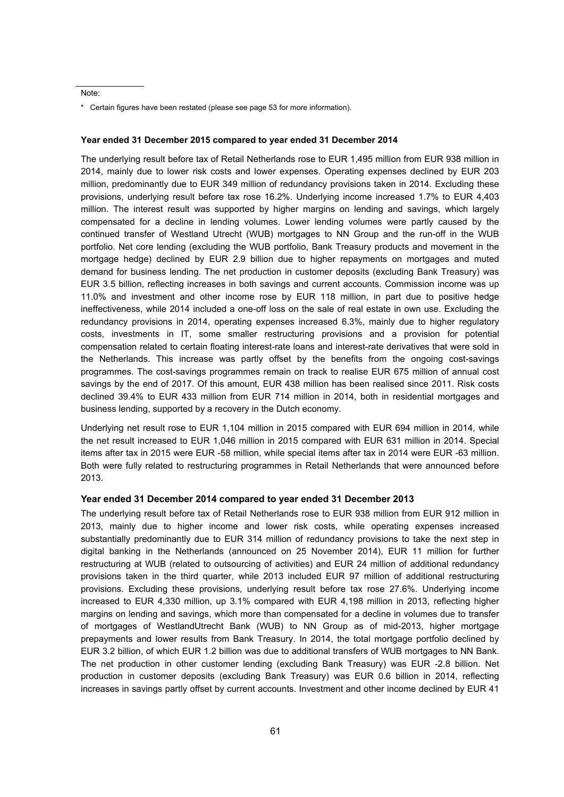Note:

#### **Year ended 31 December 2015 compared to year ended 31 December 2014**

The underlying result before tax of Retail Netherlands rose to EUR 1,495 million from EUR 938 million in 2014, mainly due to lower risk costs and lower expenses. Operating expenses declined by EUR 203 million, predominantly due to EUR 349 million of redundancy provisions taken in 2014. Excluding these provisions, underlying result before tax rose 16.2%. Underlying income increased 1.7% to EUR 4,403 million. The interest result was supported by higher margins on lending and savings, which largely compensated for a decline in lending volumes. Lower lending volumes were partly caused by the continued transfer of Westland Utrecht (WUB) mortgages to NN Group and the run-off in the WUB portfolio. Net core lending (excluding the WUB portfolio, Bank Treasury products and movement in the mortgage hedge) declined by EUR 2.9 billion due to higher repayments on mortgages and muted demand for business lending. The net production in customer deposits (excluding Bank Treasury) was EUR 3.5 billion, reflecting increases in both savings and current accounts. Commission income was up 11.0% and investment and other income rose by EUR 118 million, in part due to positive hedge ineffectiveness, while 2014 included a one-off loss on the sale of real estate in own use. Excluding the redundancy provisions in 2014, operating expenses increased 6.3%, mainly due to higher regulatory costs, investments in IT, some smaller restructuring provisions and a provision for potential compensation related to certain floating interest-rate loans and interest-rate derivatives that were sold in the Netherlands. This increase was partly offset by the benefits from the ongoing cost-savings programmes. The cost-savings programmes remain on track to realise EUR 675 million of annual cost savings by the end of 2017. Of this amount, EUR 438 million has been realised since 2011. Risk costs declined 39.4% to EUR 433 million from EUR 714 million in 2014, both in residential mortgages and business lending, supported by a recovery in the Dutch economy.

Underlying net result rose to EUR 1,104 million in 2015 compared with EUR 694 million in 2014, while the net result increased to EUR 1,046 million in 2015 compared with EUR 631 million in 2014. Special items after tax in 2015 were EUR -58 million, while special items after tax in 2014 were EUR -63 million. Both were fully related to restructuring programmes in Retail Netherlands that were announced before 2013.

#### **Year ended 31 December 2014 compared to year ended 31 December 2013**

The underlying result before tax of Retail Netherlands rose to EUR 938 million from EUR 912 million in 2013, mainly due to higher income and lower risk costs, while operating expenses increased substantially predominantly due to EUR 314 million of redundancy provisions to take the next step in digital banking in the Netherlands (announced on 25 November 2014), EUR 11 million for further restructuring at WUB (related to outsourcing of activities) and EUR 24 million of additional redundancy provisions taken in the third quarter, while 2013 included EUR 97 million of additional restructuring provisions. Excluding these provisions, underlying result before tax rose 27.6%. Underlying income increased to EUR 4,330 million, up 3.1% compared with EUR 4,198 million in 2013, reflecting higher margins on lending and savings, which more than compensated for a decline in volumes due to transfer of mortgages of WestlandUtrecht Bank (WUB) to NN Group as of mid-2013, higher mortgage prepayments and lower results from Bank Treasury. In 2014, the total mortgage portfolio declined by EUR 3.2 billion, of which EUR 1.2 billion was due to additional transfers of WUB mortgages to NN Bank. The net production in other customer lending (excluding Bank Treasury) was EUR -2.8 billion. Net production in customer deposits (excluding Bank Treasury) was EUR 0.6 billion in 2014, reflecting increases in savings partly offset by current accounts. Investment and other income declined by EUR 41

<sup>\*</sup> Certain figures have been restated (please see page 53 for more information).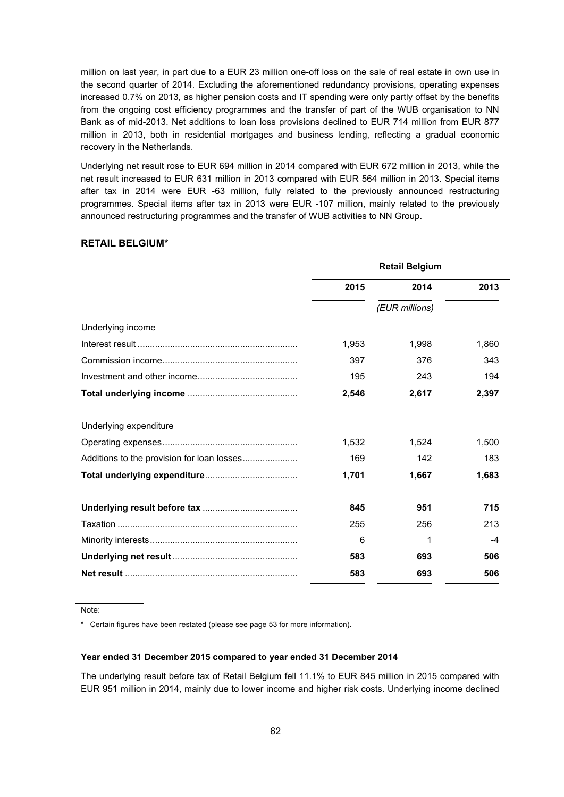million on last year, in part due to a EUR 23 million one-off loss on the sale of real estate in own use in the second quarter of 2014. Excluding the aforementioned redundancy provisions, operating expenses increased 0.7% on 2013, as higher pension costs and IT spending were only partly offset by the benefits from the ongoing cost efficiency programmes and the transfer of part of the WUB organisation to NN Bank as of mid-2013. Net additions to loan loss provisions declined to EUR 714 million from EUR 877 million in 2013, both in residential mortgages and business lending, reflecting a gradual economic recovery in the Netherlands.

Underlying net result rose to EUR 694 million in 2014 compared with EUR 672 million in 2013, while the net result increased to EUR 631 million in 2013 compared with EUR 564 million in 2013. Special items after tax in 2014 were EUR -63 million, fully related to the previously announced restructuring programmes. Special items after tax in 2013 were EUR -107 million, mainly related to the previously announced restructuring programmes and the transfer of WUB activities to NN Group.

# **RETAIL BELGIUM\***

|                                            | <b>Retail Belgium</b> |                |       |  |
|--------------------------------------------|-----------------------|----------------|-------|--|
|                                            | 2015                  | 2014           | 2013  |  |
|                                            |                       | (EUR millions) |       |  |
| Underlying income                          |                       |                |       |  |
|                                            | 1,953                 | 1,998          | 1,860 |  |
|                                            | 397                   | 376            | 343   |  |
|                                            | 195                   | 243            | 194   |  |
|                                            | 2.546                 | 2.617          | 2,397 |  |
| Underlying expenditure                     |                       |                |       |  |
|                                            | 1,532                 | 1,524          | 1,500 |  |
| Additions to the provision for loan losses | 169                   | 142            | 183   |  |
|                                            | 1,701                 | 1,667          | 1,683 |  |
|                                            | 845                   | 951            | 715   |  |
|                                            | 255                   | 256            | 213   |  |
|                                            | 6                     | 1              | -4    |  |
|                                            | 583                   | 693            | 506   |  |
|                                            | 583                   | 693            | 506   |  |

Note:

\* Certain figures have been restated (please see page 53 for more information).

# **Year ended 31 December 2015 compared to year ended 31 December 2014**

The underlying result before tax of Retail Belgium fell 11.1% to EUR 845 million in 2015 compared with EUR 951 million in 2014, mainly due to lower income and higher risk costs. Underlying income declined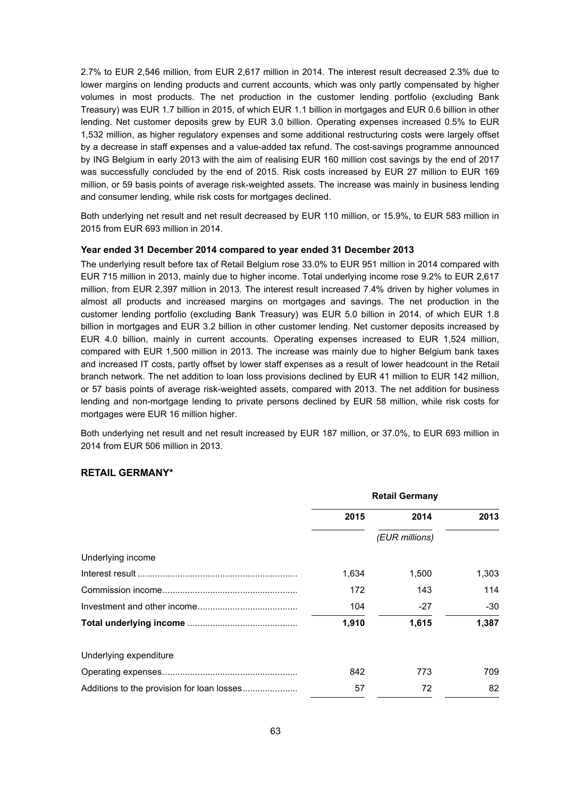2.7% to EUR 2,546 million, from EUR 2,617 million in 2014. The interest result decreased 2.3% due to lower margins on lending products and current accounts, which was only partly compensated by higher volumes in most products. The net production in the customer lending portfolio (excluding Bank Treasury) was EUR 1.7 billion in 2015, of which EUR 1.1 billion in mortgages and EUR 0.6 billion in other lending. Net customer deposits grew by EUR 3.0 billion. Operating expenses increased 0.5% to EUR 1,532 million, as higher regulatory expenses and some additional restructuring costs were largely offset by a decrease in staff expenses and a value-added tax refund. The cost-savings programme announced by ING Belgium in early 2013 with the aim of realising EUR 160 million cost savings by the end of 2017 was successfully concluded by the end of 2015. Risk costs increased by EUR 27 million to EUR 169 million, or 59 basis points of average risk-weighted assets. The increase was mainly in business lending and consumer lending, while risk costs for mortgages declined.

Both underlying net result and net result decreased by EUR 110 million, or 15.9%, to EUR 583 million in 2015 from EUR 693 million in 2014.

# **Year ended 31 December 2014 compared to year ended 31 December 2013**

The underlying result before tax of Retail Belgium rose 33.0% to EUR 951 million in 2014 compared with EUR 715 million in 2013, mainly due to higher income. Total underlying income rose 9.2% to EUR 2,617 million, from EUR 2,397 million in 2013. The interest result increased 7.4% driven by higher volumes in almost all products and increased margins on mortgages and savings. The net production in the customer lending portfolio (excluding Bank Treasury) was EUR 5.0 billion in 2014, of which EUR 1.8 billion in mortgages and EUR 3.2 billion in other customer lending. Net customer deposits increased by EUR 4.0 billion, mainly in current accounts. Operating expenses increased to EUR 1,524 million, compared with EUR 1,500 million in 2013. The increase was mainly due to higher Belgium bank taxes and increased IT costs, partly offset by lower staff expenses as a result of lower headcount in the Retail branch network. The net addition to loan loss provisions declined by EUR 41 million to EUR 142 million, or 57 basis points of average risk-weighted assets, compared with 2013. The net addition for business lending and non-mortgage lending to private persons declined by EUR 58 million, while risk costs for mortgages were EUR 16 million higher.

Both underlying net result and net result increased by EUR 187 million, or 37.0%, to EUR 693 million in 2014 from EUR 506 million in 2013.

## **RETAIL GERMANY\***

|                        | <b>Retail Germany</b> |                |       |
|------------------------|-----------------------|----------------|-------|
|                        | 2015                  | 2014           | 2013  |
|                        |                       | (EUR millions) |       |
| Underlying income      |                       |                |       |
|                        | 1,634                 | 1,500          | 1,303 |
|                        | 172                   | 143            | 114   |
|                        | 104                   | $-27$          | -30   |
|                        | 1,910                 | 1,615          | 1,387 |
| Underlying expenditure |                       |                |       |
|                        | 842                   | 773            | 709   |
|                        | 57                    | 72             | 82    |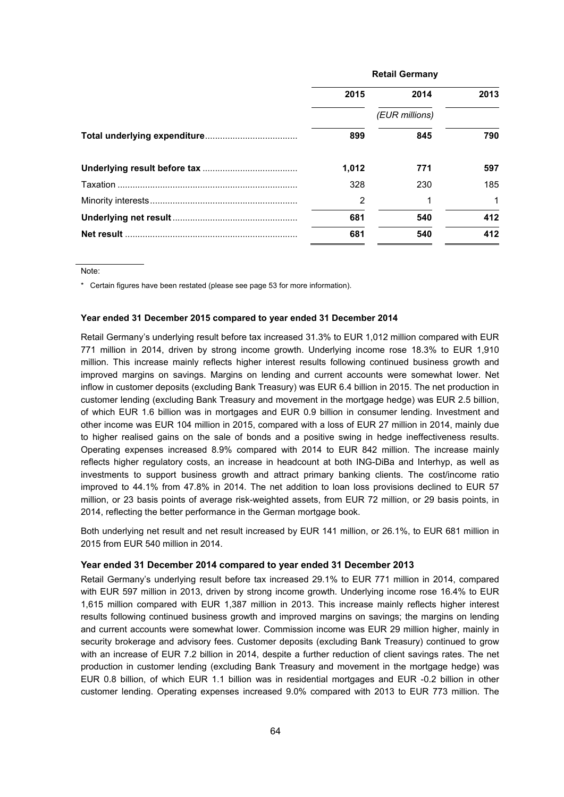| <b>Retail Germany</b> |                |              |
|-----------------------|----------------|--------------|
| 2015                  | 2014           | 2013         |
|                       | (EUR millions) |              |
| 899                   | 845            | 790          |
| 1.012                 | 771            | 597          |
| 328                   | 230            | 185          |
| 2                     |                | $\mathbf{1}$ |
| 681                   | 540            | 412          |
| 681                   | 540            | 412          |

Note:

\* Certain figures have been restated (please see page 53 for more information).

#### **Year ended 31 December 2015 compared to year ended 31 December 2014**

Retail Germany's underlying result before tax increased 31.3% to EUR 1,012 million compared with EUR 771 million in 2014, driven by strong income growth. Underlying income rose 18.3% to EUR 1,910 million. This increase mainly reflects higher interest results following continued business growth and improved margins on savings. Margins on lending and current accounts were somewhat lower. Net inflow in customer deposits (excluding Bank Treasury) was EUR 6.4 billion in 2015. The net production in customer lending (excluding Bank Treasury and movement in the mortgage hedge) was EUR 2.5 billion, of which EUR 1.6 billion was in mortgages and EUR 0.9 billion in consumer lending. Investment and other income was EUR 104 million in 2015, compared with a loss of EUR 27 million in 2014, mainly due to higher realised gains on the sale of bonds and a positive swing in hedge ineffectiveness results. Operating expenses increased 8.9% compared with 2014 to EUR 842 million. The increase mainly reflects higher regulatory costs, an increase in headcount at both ING-DiBa and Interhyp, as well as investments to support business growth and attract primary banking clients. The cost/income ratio improved to 44.1% from 47.8% in 2014. The net addition to loan loss provisions declined to EUR 57 million, or 23 basis points of average risk-weighted assets, from EUR 72 million, or 29 basis points, in 2014, reflecting the better performance in the German mortgage book.

Both underlying net result and net result increased by EUR 141 million, or 26.1%, to EUR 681 million in 2015 from EUR 540 million in 2014.

### **Year ended 31 December 2014 compared to year ended 31 December 2013**

Retail Germany's underlying result before tax increased 29.1% to EUR 771 million in 2014, compared with EUR 597 million in 2013, driven by strong income growth. Underlying income rose 16.4% to EUR 1,615 million compared with EUR 1,387 million in 2013. This increase mainly reflects higher interest results following continued business growth and improved margins on savings; the margins on lending and current accounts were somewhat lower. Commission income was EUR 29 million higher, mainly in security brokerage and advisory fees. Customer deposits (excluding Bank Treasury) continued to grow with an increase of EUR 7.2 billion in 2014, despite a further reduction of client savings rates. The net production in customer lending (excluding Bank Treasury and movement in the mortgage hedge) was EUR 0.8 billion, of which EUR 1.1 billion was in residential mortgages and EUR -0.2 billion in other customer lending. Operating expenses increased 9.0% compared with 2013 to EUR 773 million. The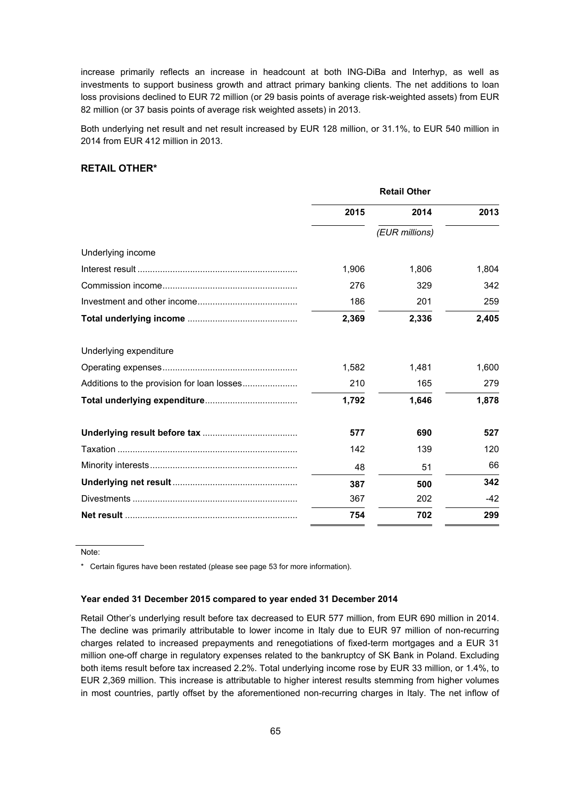increase primarily reflects an increase in headcount at both ING-DiBa and Interhyp, as well as investments to support business growth and attract primary banking clients. The net additions to loan loss provisions declined to EUR 72 million (or 29 basis points of average risk-weighted assets) from EUR 82 million (or 37 basis points of average risk weighted assets) in 2013.

Both underlying net result and net result increased by EUR 128 million, or 31.1%, to EUR 540 million in 2014 from EUR 412 million in 2013.

# **RETAIL OTHER\***

|                        | <b>Retail Other</b> |                |       |
|------------------------|---------------------|----------------|-------|
|                        | 2015                | 2014           | 2013  |
|                        |                     | (EUR millions) |       |
| Underlying income      |                     |                |       |
|                        | 1,906               | 1,806          | 1,804 |
|                        | 276                 | 329            | 342   |
|                        | 186                 | 201            | 259   |
|                        | 2,369               | 2,336          | 2,405 |
| Underlying expenditure |                     |                |       |
|                        | 1,582               | 1,481          | 1,600 |
|                        | 210                 | 165            | 279   |
|                        | 1,792               | 1,646          | 1,878 |
|                        | 577                 | 690            | 527   |
|                        | 142                 | 139            | 120   |
|                        | 48                  | 51             | 66    |
|                        | 387                 | 500            | 342   |
|                        | 367                 | 202            | $-42$ |
|                        | 754                 | 702            | 299   |

Note:

\* Certain figures have been restated (please see page 53 for more information).

# **Year ended 31 December 2015 compared to year ended 31 December 2014**

Retail Other's underlying result before tax decreased to EUR 577 million, from EUR 690 million in 2014. The decline was primarily attributable to lower income in Italy due to EUR 97 million of non-recurring charges related to increased prepayments and renegotiations of fixed-term mortgages and a EUR 31 million one-off charge in regulatory expenses related to the bankruptcy of SK Bank in Poland. Excluding both items result before tax increased 2.2%. Total underlying income rose by EUR 33 million, or 1.4%, to EUR 2,369 million. This increase is attributable to higher interest results stemming from higher volumes in most countries, partly offset by the aforementioned non-recurring charges in Italy. The net inflow of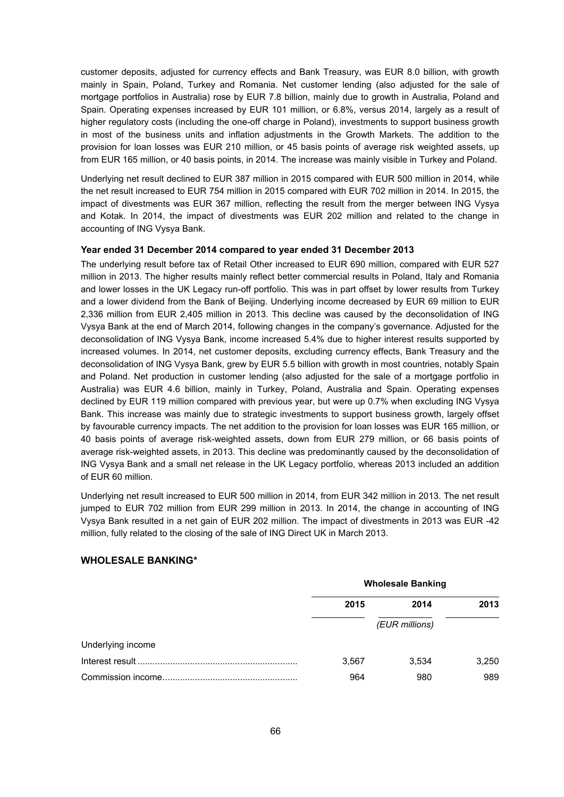customer deposits, adjusted for currency effects and Bank Treasury, was EUR 8.0 billion, with growth mainly in Spain, Poland, Turkey and Romania. Net customer lending (also adjusted for the sale of mortgage portfolios in Australia) rose by EUR 7.8 billion, mainly due to growth in Australia, Poland and Spain. Operating expenses increased by EUR 101 million, or 6.8%, versus 2014, largely as a result of higher regulatory costs (including the one-off charge in Poland), investments to support business growth in most of the business units and inflation adjustments in the Growth Markets. The addition to the provision for loan losses was EUR 210 million, or 45 basis points of average risk weighted assets, up from EUR 165 million, or 40 basis points, in 2014. The increase was mainly visible in Turkey and Poland.

Underlying net result declined to EUR 387 million in 2015 compared with EUR 500 million in 2014, while the net result increased to EUR 754 million in 2015 compared with EUR 702 million in 2014. In 2015, the impact of divestments was EUR 367 million, reflecting the result from the merger between ING Vysya and Kotak. In 2014, the impact of divestments was EUR 202 million and related to the change in accounting of ING Vysya Bank.

# **Year ended 31 December 2014 compared to year ended 31 December 2013**

The underlying result before tax of Retail Other increased to EUR 690 million, compared with EUR 527 million in 2013. The higher results mainly reflect better commercial results in Poland, Italy and Romania and lower losses in the UK Legacy run-off portfolio. This was in part offset by lower results from Turkey and a lower dividend from the Bank of Beijing. Underlying income decreased by EUR 69 million to EUR 2,336 million from EUR 2,405 million in 2013. This decline was caused by the deconsolidation of ING Vysya Bank at the end of March 2014, following changes in the company's governance. Adjusted for the deconsolidation of ING Vysya Bank, income increased 5.4% due to higher interest results supported by increased volumes. In 2014, net customer deposits, excluding currency effects, Bank Treasury and the deconsolidation of ING Vysya Bank, grew by EUR 5.5 billion with growth in most countries, notably Spain and Poland. Net production in customer lending (also adjusted for the sale of a mortgage portfolio in Australia) was EUR 4.6 billion, mainly in Turkey, Poland, Australia and Spain. Operating expenses declined by EUR 119 million compared with previous year, but were up 0.7% when excluding ING Vysya Bank. This increase was mainly due to strategic investments to support business growth, largely offset by favourable currency impacts. The net addition to the provision for loan losses was EUR 165 million, or 40 basis points of average risk-weighted assets, down from EUR 279 million, or 66 basis points of average risk-weighted assets, in 2013. This decline was predominantly caused by the deconsolidation of ING Vysya Bank and a small net release in the UK Legacy portfolio, whereas 2013 included an addition of EUR 60 million.

Underlying net result increased to EUR 500 million in 2014, from EUR 342 million in 2013. The net result jumped to EUR 702 million from EUR 299 million in 2013. In 2014, the change in accounting of ING Vysya Bank resulted in a net gain of EUR 202 million. The impact of divestments in 2013 was EUR -42 million, fully related to the closing of the sale of ING Direct UK in March 2013.

# **WHOLESALE BANKING\***

|                   | <b>Wholesale Banking</b> |       |       |
|-------------------|--------------------------|-------|-------|
|                   | 2015                     | 2014  | 2013  |
|                   | (EUR millions)           |       |       |
| Underlying income |                          |       |       |
|                   | 3,567                    | 3.534 | 3,250 |
|                   | 964                      | 980   | 989   |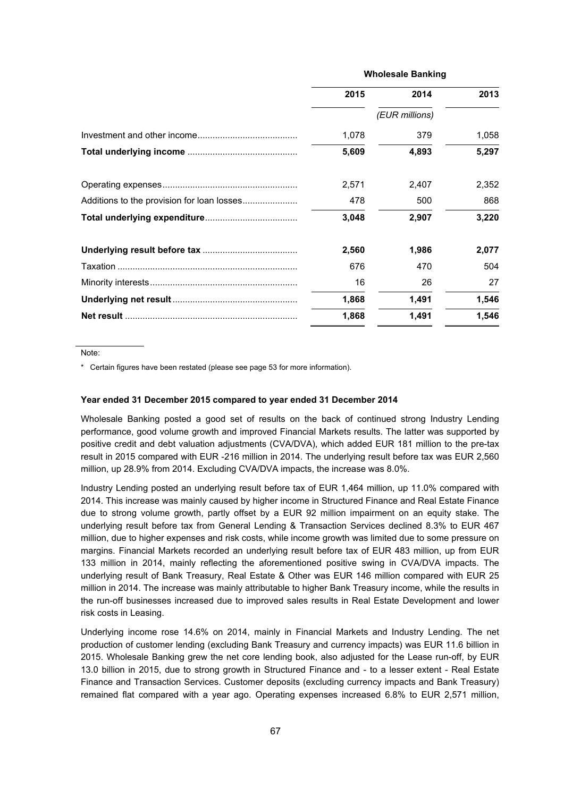| <b>Wholesale Banking</b> |                |       |
|--------------------------|----------------|-------|
| 2015                     | 2014           | 2013  |
|                          | (EUR millions) |       |
| 1,078                    | 379            | 1,058 |
| 5,609                    | 4,893          | 5,297 |
| 2,571                    | 2,407          | 2,352 |
| 478                      | 500            | 868   |
| 3,048                    | 2,907          | 3,220 |
| 2,560                    | 1,986          | 2,077 |
| 676                      | 470            | 504   |
| 16                       | 26             | 27    |
| 1,868                    | 1,491          | 1,546 |
| 1,868                    | 1.491          | 1,546 |

Note:

\* Certain figures have been restated (please see page 53 for more information).

#### **Year ended 31 December 2015 compared to year ended 31 December 2014**

Wholesale Banking posted a good set of results on the back of continued strong Industry Lending performance, good volume growth and improved Financial Markets results. The latter was supported by positive credit and debt valuation adjustments (CVA/DVA), which added EUR 181 million to the pre-tax result in 2015 compared with EUR -216 million in 2014. The underlying result before tax was EUR 2,560 million, up 28.9% from 2014. Excluding CVA/DVA impacts, the increase was 8.0%.

Industry Lending posted an underlying result before tax of EUR 1,464 million, up 11.0% compared with 2014. This increase was mainly caused by higher income in Structured Finance and Real Estate Finance due to strong volume growth, partly offset by a EUR 92 million impairment on an equity stake. The underlying result before tax from General Lending & Transaction Services declined 8.3% to EUR 467 million, due to higher expenses and risk costs, while income growth was limited due to some pressure on margins. Financial Markets recorded an underlying result before tax of EUR 483 million, up from EUR 133 million in 2014, mainly reflecting the aforementioned positive swing in CVA/DVA impacts. The underlying result of Bank Treasury, Real Estate & Other was EUR 146 million compared with EUR 25 million in 2014. The increase was mainly attributable to higher Bank Treasury income, while the results in the run-off businesses increased due to improved sales results in Real Estate Development and lower risk costs in Leasing.

Underlying income rose 14.6% on 2014, mainly in Financial Markets and Industry Lending. The net production of customer lending (excluding Bank Treasury and currency impacts) was EUR 11.6 billion in 2015. Wholesale Banking grew the net core lending book, also adjusted for the Lease run-off, by EUR 13.0 billion in 2015, due to strong growth in Structured Finance and - to a lesser extent - Real Estate Finance and Transaction Services. Customer deposits (excluding currency impacts and Bank Treasury) remained flat compared with a year ago. Operating expenses increased 6.8% to EUR 2,571 million,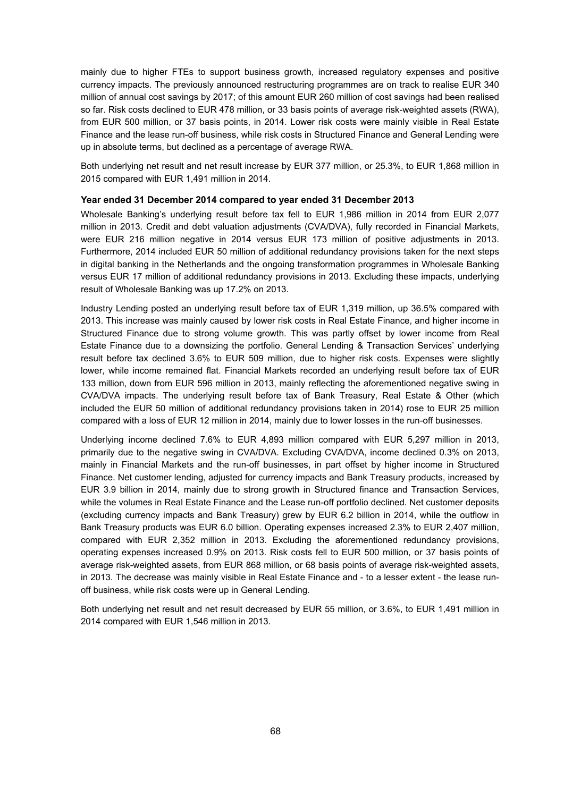mainly due to higher FTEs to support business growth, increased regulatory expenses and positive currency impacts. The previously announced restructuring programmes are on track to realise EUR 340 million of annual cost savings by 2017; of this amount EUR 260 million of cost savings had been realised so far. Risk costs declined to EUR 478 million, or 33 basis points of average risk-weighted assets (RWA), from EUR 500 million, or 37 basis points, in 2014. Lower risk costs were mainly visible in Real Estate Finance and the lease run-off business, while risk costs in Structured Finance and General Lending were up in absolute terms, but declined as a percentage of average RWA.

Both underlying net result and net result increase by EUR 377 million, or 25.3%, to EUR 1,868 million in 2015 compared with EUR 1,491 million in 2014.

# **Year ended 31 December 2014 compared to year ended 31 December 2013**

Wholesale Banking's underlying result before tax fell to EUR 1,986 million in 2014 from EUR 2,077 million in 2013. Credit and debt valuation adjustments (CVA/DVA), fully recorded in Financial Markets, were EUR 216 million negative in 2014 versus EUR 173 million of positive adjustments in 2013. Furthermore, 2014 included EUR 50 million of additional redundancy provisions taken for the next steps in digital banking in the Netherlands and the ongoing transformation programmes in Wholesale Banking versus EUR 17 million of additional redundancy provisions in 2013. Excluding these impacts, underlying result of Wholesale Banking was up 17.2% on 2013.

Industry Lending posted an underlying result before tax of EUR 1,319 million, up 36.5% compared with 2013. This increase was mainly caused by lower risk costs in Real Estate Finance, and higher income in Structured Finance due to strong volume growth. This was partly offset by lower income from Real Estate Finance due to a downsizing the portfolio. General Lending & Transaction Services' underlying result before tax declined 3.6% to EUR 509 million, due to higher risk costs. Expenses were slightly lower, while income remained flat. Financial Markets recorded an underlying result before tax of EUR 133 million, down from EUR 596 million in 2013, mainly reflecting the aforementioned negative swing in CVA/DVA impacts. The underlying result before tax of Bank Treasury, Real Estate & Other (which included the EUR 50 million of additional redundancy provisions taken in 2014) rose to EUR 25 million compared with a loss of EUR 12 million in 2014, mainly due to lower losses in the run-off businesses.

Underlying income declined 7.6% to EUR 4,893 million compared with EUR 5,297 million in 2013, primarily due to the negative swing in CVA/DVA. Excluding CVA/DVA, income declined 0.3% on 2013, mainly in Financial Markets and the run-off businesses, in part offset by higher income in Structured Finance. Net customer lending, adjusted for currency impacts and Bank Treasury products, increased by EUR 3.9 billion in 2014, mainly due to strong growth in Structured finance and Transaction Services, while the volumes in Real Estate Finance and the Lease run-off portfolio declined. Net customer deposits (excluding currency impacts and Bank Treasury) grew by EUR 6.2 billion in 2014, while the outflow in Bank Treasury products was EUR 6.0 billion. Operating expenses increased 2.3% to EUR 2,407 million, compared with EUR 2,352 million in 2013. Excluding the aforementioned redundancy provisions, operating expenses increased 0.9% on 2013. Risk costs fell to EUR 500 million, or 37 basis points of average risk-weighted assets, from EUR 868 million, or 68 basis points of average risk-weighted assets, in 2013. The decrease was mainly visible in Real Estate Finance and - to a lesser extent - the lease runoff business, while risk costs were up in General Lending.

Both underlying net result and net result decreased by EUR 55 million, or 3.6%, to EUR 1,491 million in 2014 compared with EUR 1,546 million in 2013.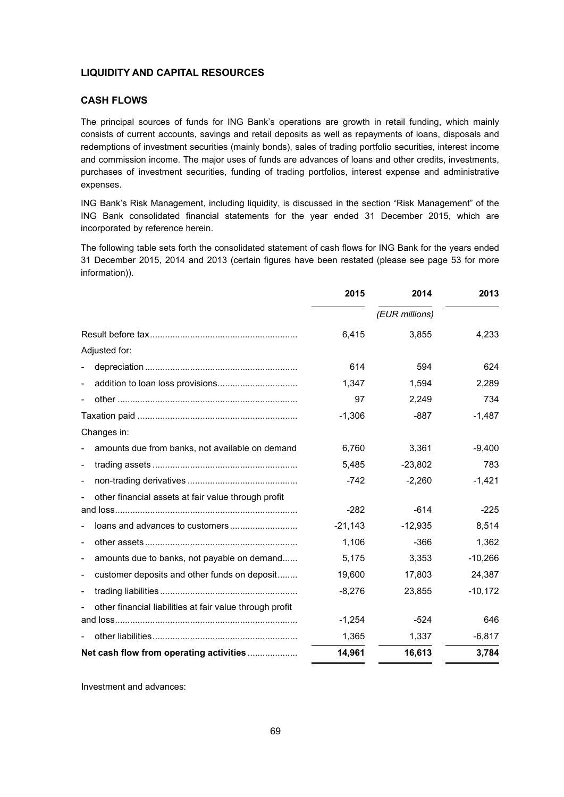# **LIQUIDITY AND CAPITAL RESOURCES**

# **CASH FLOWS**

The principal sources of funds for ING Bank's operations are growth in retail funding, which mainly consists of current accounts, savings and retail deposits as well as repayments of loans, disposals and redemptions of investment securities (mainly bonds), sales of trading portfolio securities, interest income and commission income. The major uses of funds are advances of loans and other credits, investments, purchases of investment securities, funding of trading portfolios, interest expense and administrative expenses.

ING Bank's Risk Management, including liquidity, is discussed in the section "Risk Management" of the ING Bank consolidated financial statements for the year ended 31 December 2015, which are incorporated by reference herein.

The following table sets forth the consolidated statement of cash flows for ING Bank for the years ended 31 December 2015, 2014 and 2013 (certain figures have been restated (please see page 53 for more information)).

|                                                                             | 2015           | 2014      | 2013      |
|-----------------------------------------------------------------------------|----------------|-----------|-----------|
|                                                                             | (EUR millions) |           |           |
|                                                                             | 6,415          | 3,855     | 4,233     |
| Adjusted for:                                                               |                |           |           |
|                                                                             | 614            | 594       | 624       |
|                                                                             | 1,347          | 1,594     | 2,289     |
|                                                                             | 97             | 2,249     | 734       |
|                                                                             | $-1,306$       | $-887$    | $-1,487$  |
| Changes in:                                                                 |                |           |           |
| amounts due from banks, not available on demand<br>$\overline{\phantom{m}}$ | 6,760          | 3,361     | $-9,400$  |
| $\overline{\phantom{m}}$                                                    | 5,485          | $-23,802$ | 783       |
|                                                                             | $-742$         | $-2,260$  | $-1,421$  |
| other financial assets at fair value through profit                         |                |           |           |
|                                                                             | $-282$         | $-614$    | $-225$    |
|                                                                             | $-21,143$      | $-12,935$ | 8,514     |
| $\overline{\phantom{a}}$                                                    | 1,106          | $-366$    | 1,362     |
| amounts due to banks, not payable on demand<br>$\overline{\phantom{a}}$     | 5,175          | 3,353     | $-10,266$ |
| customer deposits and other funds on deposit                                | 19,600         | 17,803    | 24,387    |
|                                                                             | $-8,276$       | 23,855    | $-10,172$ |
| other financial liabilities at fair value through profit                    |                |           |           |
|                                                                             | $-1,254$       | -524      | 646       |
|                                                                             | 1,365          | 1,337     | $-6,817$  |
| Net cash flow from operating activities                                     | 14,961         | 16,613    | 3,784     |

Investment and advances: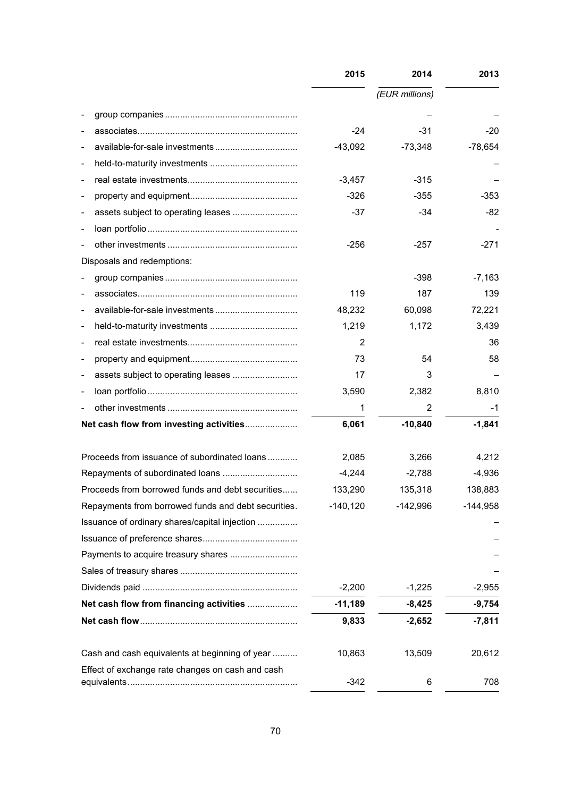|                          |                                                     | 2015       | 2014           | 2013       |
|--------------------------|-----------------------------------------------------|------------|----------------|------------|
|                          |                                                     |            | (EUR millions) |            |
|                          |                                                     |            |                |            |
|                          |                                                     | $-24$      | $-31$          | $-20$      |
|                          |                                                     | $-43,092$  | $-73,348$      | $-78,654$  |
| $\overline{\phantom{a}}$ |                                                     |            |                |            |
| $\overline{\phantom{a}}$ |                                                     | $-3,457$   | $-315$         |            |
| $\overline{\phantom{a}}$ |                                                     | $-326$     | $-355$         | $-353$     |
|                          |                                                     | $-37$      | $-34$          | $-82$      |
|                          |                                                     |            |                |            |
|                          |                                                     | $-256$     | $-257$         | $-271$     |
|                          | Disposals and redemptions:                          |            |                |            |
|                          |                                                     |            | $-398$         | $-7,163$   |
|                          |                                                     | 119        | 187            | 139        |
| $\overline{\phantom{a}}$ |                                                     | 48,232     | 60,098         | 72,221     |
| $\overline{\phantom{a}}$ |                                                     | 1,219      | 1,172          | 3,439      |
|                          |                                                     | 2          |                | 36         |
|                          |                                                     | 73         | 54             | 58         |
| -                        | assets subject to operating leases                  | 17         | 3              |            |
|                          |                                                     | 3,590      | 2,382          | 8,810      |
|                          |                                                     | 1          | 2              | -1         |
|                          | Net cash flow from investing activities             | 6,061      | $-10,840$      | $-1,841$   |
|                          | Proceeds from issuance of subordinated loans        | 2,085      | 3,266          | 4,212      |
|                          |                                                     | $-4,244$   | $-2,788$       | $-4,936$   |
|                          | Proceeds from borrowed funds and debt securities    | 133,290    | 135,318        | 138,883    |
|                          | Repayments from borrowed funds and debt securities. | $-140,120$ | $-142,996$     | $-144,958$ |
|                          | Issuance of ordinary shares/capital injection       |            |                |            |
|                          |                                                     |            |                |            |
|                          |                                                     |            |                |            |
|                          |                                                     |            |                |            |
|                          |                                                     | $-2,200$   | $-1,225$       | $-2,955$   |
|                          | Net cash flow from financing activities             | $-11,189$  | $-8,425$       | $-9,754$   |
|                          |                                                     | 9,833      | $-2,652$       | $-7,811$   |
|                          | Cash and cash equivalents at beginning of year      | 10,863     | 13,509         | 20,612     |
|                          | Effect of exchange rate changes on cash and cash    | -342       | 6              | 708        |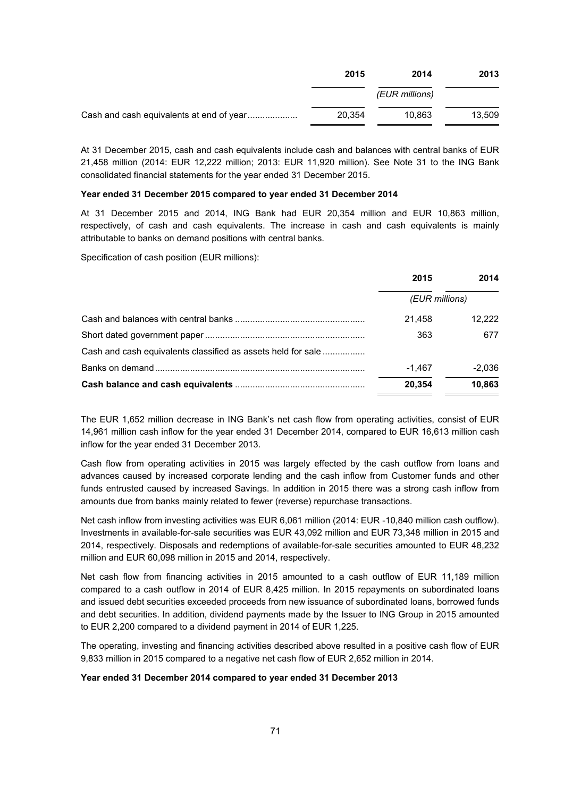| 2015   | 2014           | 2013   |
|--------|----------------|--------|
|        | (EUR millions) |        |
| 20.354 | 10.863         | 13.509 |

At 31 December 2015, cash and cash equivalents include cash and balances with central banks of EUR 21,458 million (2014: EUR 12,222 million; 2013: EUR 11,920 million). See Note 31 to the ING Bank consolidated financial statements for the year ended 31 December 2015.

#### **Year ended 31 December 2015 compared to year ended 31 December 2014**

At 31 December 2015 and 2014, ING Bank had EUR 20,354 million and EUR 10,863 million, respectively, of cash and cash equivalents. The increase in cash and cash equivalents is mainly attributable to banks on demand positions with central banks.

Specification of cash position (EUR millions):

|                                                              | 2015           | 2014     |
|--------------------------------------------------------------|----------------|----------|
|                                                              | (EUR millions) |          |
|                                                              | 21.458         | 12.222   |
|                                                              | 363            | 677      |
| Cash and cash equivalents classified as assets held for sale |                |          |
|                                                              | $-1.467$       | $-2.036$ |
|                                                              | 20,354         | 10,863   |

The EUR 1,652 million decrease in ING Bank's net cash flow from operating activities, consist of EUR 14,961 million cash inflow for the year ended 31 December 2014, compared to EUR 16,613 million cash inflow for the year ended 31 December 2013.

Cash flow from operating activities in 2015 was largely effected by the cash outflow from loans and advances caused by increased corporate lending and the cash inflow from Customer funds and other funds entrusted caused by increased Savings. In addition in 2015 there was a strong cash inflow from amounts due from banks mainly related to fewer (reverse) repurchase transactions.

Net cash inflow from investing activities was EUR 6,061 million (2014: EUR -10,840 million cash outflow). Investments in available-for-sale securities was EUR 43,092 million and EUR 73,348 million in 2015 and 2014, respectively. Disposals and redemptions of available-for-sale securities amounted to EUR 48,232 million and EUR 60,098 million in 2015 and 2014, respectively.

Net cash flow from financing activities in 2015 amounted to a cash outflow of EUR 11,189 million compared to a cash outflow in 2014 of EUR 8,425 million. In 2015 repayments on subordinated loans and issued debt securities exceeded proceeds from new issuance of subordinated loans, borrowed funds and debt securities. In addition, dividend payments made by the Issuer to ING Group in 2015 amounted to EUR 2,200 compared to a dividend payment in 2014 of EUR 1,225.

The operating, investing and financing activities described above resulted in a positive cash flow of EUR 9,833 million in 2015 compared to a negative net cash flow of EUR 2,652 million in 2014.

## **Year ended 31 December 2014 compared to year ended 31 December 2013**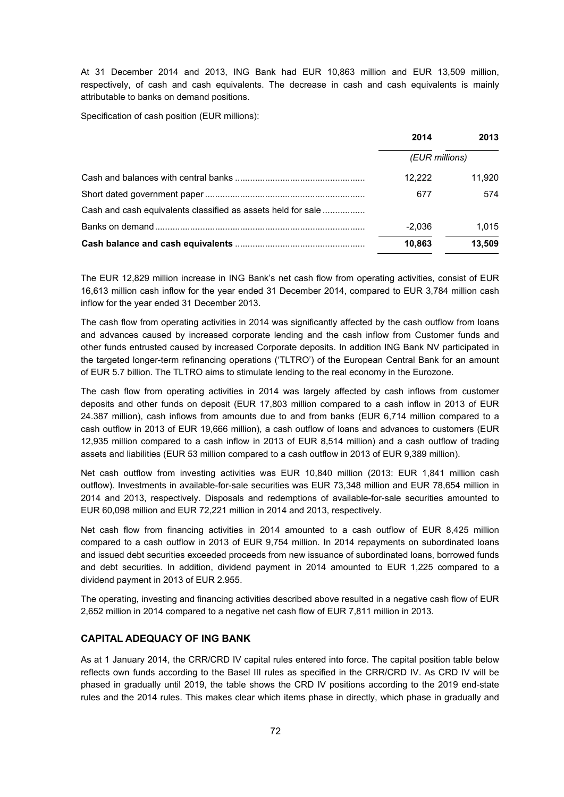At 31 December 2014 and 2013, ING Bank had EUR 10,863 million and EUR 13,509 million, respectively, of cash and cash equivalents. The decrease in cash and cash equivalents is mainly attributable to banks on demand positions.

Specification of cash position (EUR millions):

|                                                              | 2014           | 2013   |
|--------------------------------------------------------------|----------------|--------|
|                                                              | (EUR millions) |        |
|                                                              | 12.222         | 11.920 |
|                                                              | 677            | 574    |
| Cash and cash equivalents classified as assets held for sale |                |        |
|                                                              | $-2.036$       | 1.015  |
|                                                              | 10,863         | 13,509 |

The EUR 12,829 million increase in ING Bank's net cash flow from operating activities, consist of EUR 16,613 million cash inflow for the year ended 31 December 2014, compared to EUR 3,784 million cash inflow for the year ended 31 December 2013.

The cash flow from operating activities in 2014 was significantly affected by the cash outflow from loans and advances caused by increased corporate lending and the cash inflow from Customer funds and other funds entrusted caused by increased Corporate deposits. In addition ING Bank NV participated in the targeted longer-term refinancing operations ('TLTRO') of the European Central Bank for an amount of EUR 5.7 billion. The TLTRO aims to stimulate lending to the real economy in the Eurozone.

The cash flow from operating activities in 2014 was largely affected by cash inflows from customer deposits and other funds on deposit (EUR 17,803 million compared to a cash inflow in 2013 of EUR 24.387 million), cash inflows from amounts due to and from banks (EUR 6,714 million compared to a cash outflow in 2013 of EUR 19,666 million), a cash outflow of loans and advances to customers (EUR 12,935 million compared to a cash inflow in 2013 of EUR 8,514 million) and a cash outflow of trading assets and liabilities (EUR 53 million compared to a cash outflow in 2013 of EUR 9,389 million).

Net cash outflow from investing activities was EUR 10,840 million (2013: EUR 1,841 million cash outflow). Investments in available-for-sale securities was EUR 73,348 million and EUR 78,654 million in 2014 and 2013, respectively. Disposals and redemptions of available-for-sale securities amounted to EUR 60,098 million and EUR 72,221 million in 2014 and 2013, respectively.

Net cash flow from financing activities in 2014 amounted to a cash outflow of EUR 8,425 million compared to a cash outflow in 2013 of EUR 9,754 million. In 2014 repayments on subordinated loans and issued debt securities exceeded proceeds from new issuance of subordinated loans, borrowed funds and debt securities. In addition, dividend payment in 2014 amounted to EUR 1,225 compared to a dividend payment in 2013 of EUR 2.955.

The operating, investing and financing activities described above resulted in a negative cash flow of EUR 2,652 million in 2014 compared to a negative net cash flow of EUR 7,811 million in 2013.

# **CAPITAL ADEQUACY OF ING BANK**

As at 1 January 2014, the CRR/CRD IV capital rules entered into force. The capital position table below reflects own funds according to the Basel III rules as specified in the CRR/CRD IV. As CRD IV will be phased in gradually until 2019, the table shows the CRD IV positions according to the 2019 end-state rules and the 2014 rules. This makes clear which items phase in directly, which phase in gradually and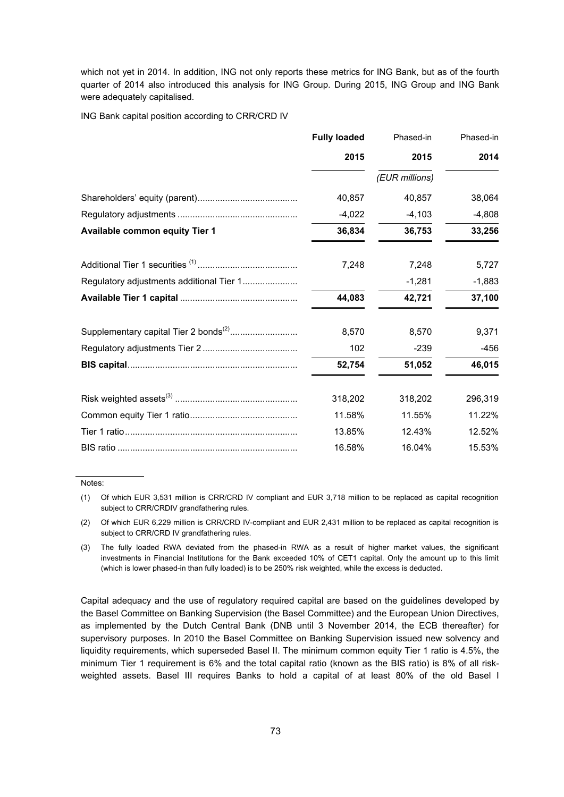which not yet in 2014. In addition, ING not only reports these metrics for ING Bank, but as of the fourth quarter of 2014 also introduced this analysis for ING Group. During 2015, ING Group and ING Bank were adequately capitalised.

ING Bank capital position according to CRR/CRD IV

|                                          | <b>Fully loaded</b> | Phased-in      | Phased-in |
|------------------------------------------|---------------------|----------------|-----------|
|                                          | 2015                | 2015           | 2014      |
|                                          |                     | (EUR millions) |           |
|                                          | 40,857              | 40,857         | 38,064    |
|                                          | $-4,022$            | $-4,103$       | $-4,808$  |
| Available common equity Tier 1           | 36,834              | 36,753         | 33,256    |
|                                          | 7,248               | 7,248          | 5,727     |
| Regulatory adjustments additional Tier 1 |                     | $-1,281$       | $-1,883$  |
|                                          | 44,083              | 42,721         | 37,100    |
|                                          | 8,570               | 8,570          | 9,371     |
|                                          | 102                 | $-239$         | -456      |
|                                          | 52,754              | 51,052         | 46,015    |
|                                          | 318,202             | 318,202        | 296,319   |
|                                          | 11.58%              | 11.55%         | 11.22%    |
|                                          | 13.85%              | 12.43%         | 12.52%    |
|                                          | 16.58%              | 16.04%         | 15.53%    |

Notes:

Capital adequacy and the use of regulatory required capital are based on the guidelines developed by the Basel Committee on Banking Supervision (the Basel Committee) and the European Union Directives, as implemented by the Dutch Central Bank (DNB until 3 November 2014, the ECB thereafter) for supervisory purposes. In 2010 the Basel Committee on Banking Supervision issued new solvency and liquidity requirements, which superseded Basel II. The minimum common equity Tier 1 ratio is 4.5%, the minimum Tier 1 requirement is 6% and the total capital ratio (known as the BIS ratio) is 8% of all riskweighted assets. Basel III requires Banks to hold a capital of at least 80% of the old Basel I

<sup>(1)</sup> Of which EUR 3,531 million is CRR/CRD IV compliant and EUR 3,718 million to be replaced as capital recognition subject to CRR/CRDIV grandfathering rules.

<sup>(2)</sup> Of which EUR 6,229 million is CRR/CRD IV-compliant and EUR 2,431 million to be replaced as capital recognition is subject to CRR/CRD IV grandfathering rules.

<sup>(3)</sup> The fully loaded RWA deviated from the phased-in RWA as a result of higher market values, the significant investments in Financial Institutions for the Bank exceeded 10% of CET1 capital. Only the amount up to this limit (which is lower phased-in than fully loaded) is to be 250% risk weighted, while the excess is deducted.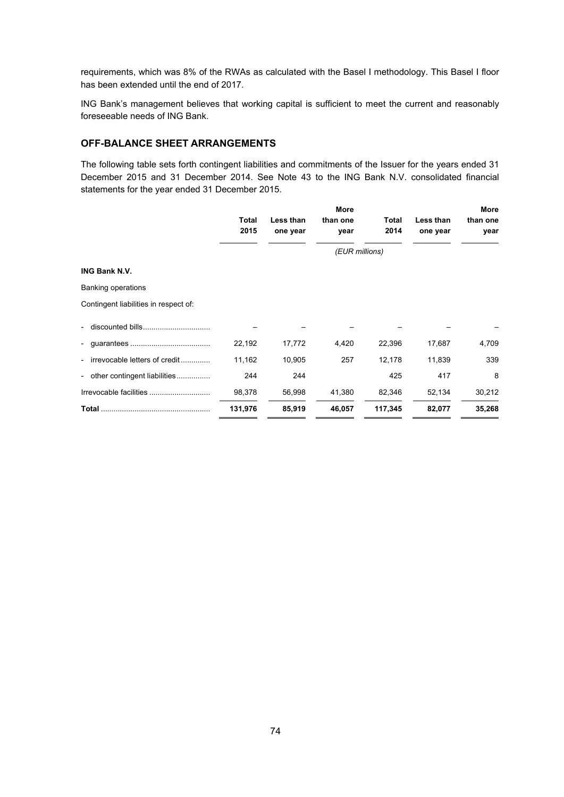requirements, which was 8% of the RWAs as calculated with the Basel I methodology. This Basel I floor has been extended until the end of 2017.

ING Bank's management believes that working capital is sufficient to meet the current and reasonably foreseeable needs of ING Bank.

# **OFF-BALANCE SHEET ARRANGEMENTS**

The following table sets forth contingent liabilities and commitments of the Issuer for the years ended 31 December 2015 and 31 December 2014. See Note 43 to the ING Bank N.V. consolidated financial statements for the year ended 31 December 2015.

|                                                          | Total   | Less than      | More<br>than one | Total   | Less than | More<br>than one |  |  |  |  |  |
|----------------------------------------------------------|---------|----------------|------------------|---------|-----------|------------------|--|--|--|--|--|
|                                                          | 2015    | one year       | year             | 2014    | one year  | year             |  |  |  |  |  |
|                                                          |         | (EUR millions) |                  |         |           |                  |  |  |  |  |  |
| <b>ING Bank N.V.</b>                                     |         |                |                  |         |           |                  |  |  |  |  |  |
| <b>Banking operations</b>                                |         |                |                  |         |           |                  |  |  |  |  |  |
| Contingent liabilities in respect of:                    |         |                |                  |         |           |                  |  |  |  |  |  |
| $\overline{a}$                                           |         |                |                  |         |           |                  |  |  |  |  |  |
| $\overline{\phantom{a}}$                                 | 22,192  | 17,772         | 4,420            | 22,396  | 17,687    | 4,709            |  |  |  |  |  |
| irrevocable letters of credit<br>$\qquad \qquad -$       | 11,162  | 10,905         | 257              | 12,178  | 11,839    | 339              |  |  |  |  |  |
| other contingent liabilities<br>$\overline{\phantom{0}}$ | 244     | 244            |                  | 425     | 417       | 8                |  |  |  |  |  |
|                                                          | 98,378  | 56,998         | 41,380           | 82,346  | 52,134    | 30,212           |  |  |  |  |  |
|                                                          | 131,976 | 85,919         | 46,057           | 117,345 | 82,077    | 35,268           |  |  |  |  |  |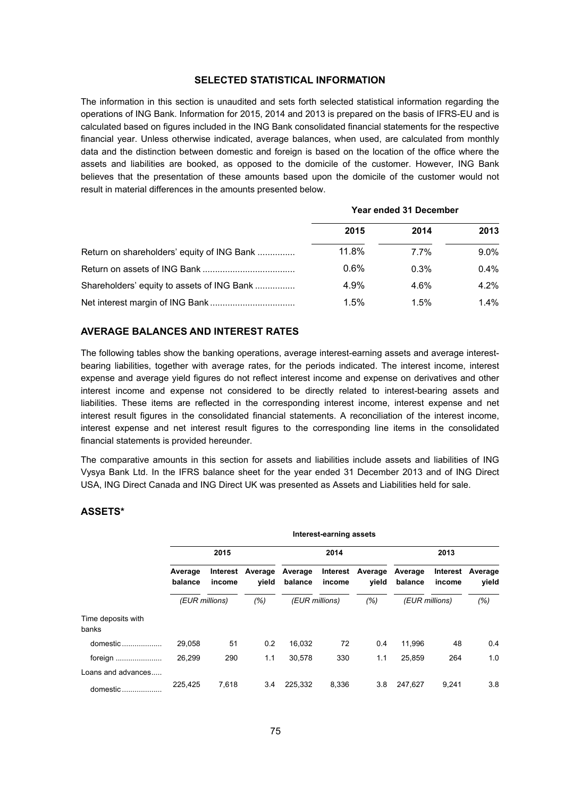# **SELECTED STATISTICAL INFORMATION**

The information in this section is unaudited and sets forth selected statistical information regarding the operations of ING Bank. Information for 2015, 2014 and 2013 is prepared on the basis of IFRS-EU and is calculated based on figures included in the ING Bank consolidated financial statements for the respective financial year. Unless otherwise indicated, average balances, when used, are calculated from monthly data and the distinction between domestic and foreign is based on the location of the office where the assets and liabilities are booked, as opposed to the domicile of the customer. However, ING Bank believes that the presentation of these amounts based upon the domicile of the customer would not result in material differences in the amounts presented below.

|                                            | Year ended 31 December |         |         |  |  |
|--------------------------------------------|------------------------|---------|---------|--|--|
|                                            | 2015                   | 2014    | 2013    |  |  |
| Return on shareholders' equity of ING Bank | 11.8%                  | $7.7\%$ | $9.0\%$ |  |  |
|                                            | $0.6\%$                | 0.3%    | 0.4%    |  |  |
| Shareholders' equity to assets of ING Bank | 4.9%                   | 4.6%    | 4.2%    |  |  |
|                                            | 1.5%                   | 1.5%    | $1.4\%$ |  |  |

# **AVERAGE BALANCES AND INTEREST RATES**

The following tables show the banking operations, average interest-earning assets and average interestbearing liabilities, together with average rates, for the periods indicated. The interest income, interest expense and average yield figures do not reflect interest income and expense on derivatives and other interest income and expense not considered to be directly related to interest-bearing assets and liabilities. These items are reflected in the corresponding interest income, interest expense and net interest result figures in the consolidated financial statements. A reconciliation of the interest income, interest expense and net interest result figures to the corresponding line items in the consolidated financial statements is provided hereunder.

The comparative amounts in this section for assets and liabilities include assets and liabilities of ING Vysya Bank Ltd. In the IFRS balance sheet for the year ended 31 December 2013 and of ING Direct USA, ING Direct Canada and ING Direct UK was presented as Assets and Liabilities held for sale.

| Interest-earning assets |        |                  |                    |                    |                  |                    |                    |                  |  |  |
|-------------------------|--------|------------------|--------------------|--------------------|------------------|--------------------|--------------------|------------------|--|--|
| 2015                    |        |                  | 2014               |                    |                  | 2013               |                    |                  |  |  |
| Average<br>balance      | income | Average<br>vield | Average<br>balance | Interest<br>income | Average<br>vield | Average<br>balance | Interest<br>income | Average<br>vield |  |  |
| (EUR millions)          |        | (% )             | (EUR millions)     |                    | (% )             | (EUR millions)     |                    | $(\% )$          |  |  |
|                         |        |                  |                    |                    |                  |                    |                    |                  |  |  |
| 29,058                  | 51     | 0.2              | 16,032             | 72                 | 0.4              | 11,996             | 48                 | $0.4^{\circ}$    |  |  |
| 26.299                  | 290    | 1.1              | 30,578             | 330                | 1.1              | 25,859             | 264                | 1.0              |  |  |
| 225,425                 | 7,618  | 3.4              | 225,332            | 8,336              | 3.8              | 247,627            | 9,241              | 3.8              |  |  |
|                         |        |                  | Interest           |                    |                  |                    |                    |                  |  |  |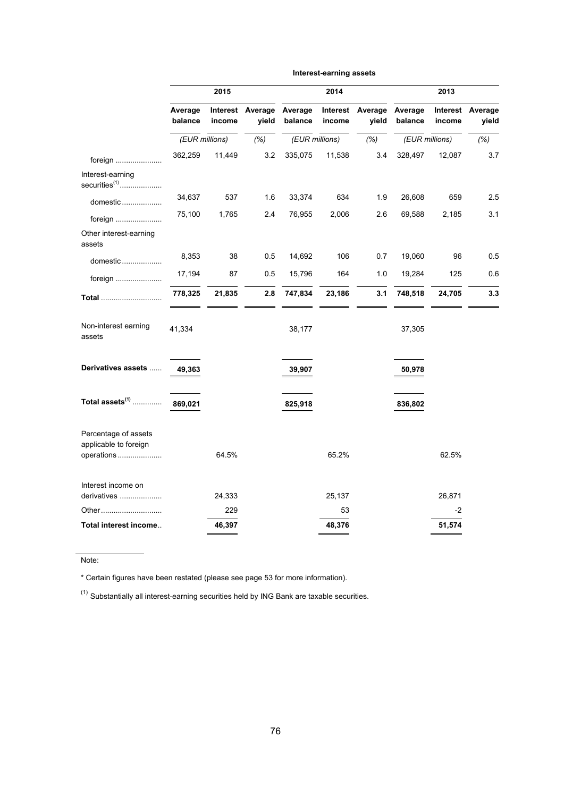|                                                             | 2015               |                    |                  |                    | 2014               |                  | 2013               |                    |                  |  |
|-------------------------------------------------------------|--------------------|--------------------|------------------|--------------------|--------------------|------------------|--------------------|--------------------|------------------|--|
|                                                             | Average<br>balance | Interest<br>income | Average<br>yield | Average<br>balance | Interest<br>income | Average<br>yield | Average<br>balance | Interest<br>income | Average<br>yield |  |
|                                                             | (EUR millions)     |                    | (%)              | (EUR millions)     |                    | (% )             | (EUR millions)     |                    | (% )             |  |
| foreign                                                     | 362,259            | 11,449             | 3.2              | 335,075            | 11,538             | 3.4              | 328,497            | 12,087             | 3.7              |  |
| Interest-earning<br>securities $(1)$                        |                    |                    |                  |                    |                    |                  |                    |                    |                  |  |
| domestic                                                    | 34,637             | 537                | 1.6              | 33,374             | 634                | 1.9              | 26,608             | 659                | 2.5              |  |
| foreign                                                     | 75,100             | 1,765              | 2.4              | 76,955             | 2,006              | 2.6              | 69,588             | 2,185              | 3.1              |  |
| Other interest-earning<br>assets                            |                    |                    |                  |                    |                    |                  |                    |                    |                  |  |
| domestic                                                    | 8,353              | 38                 | 0.5              | 14,692             | 106                | 0.7              | 19,060             | 96                 | 0.5              |  |
| foreign                                                     | 17,194             | 87                 | 0.5              | 15,796             | 164                | 1.0              | 19,284             | 125                | 0.6              |  |
| Total                                                       | 778,325            | 21,835             | 2.8              | 747,834            | 23,186             | 3.1              | 748,518            | 24,705             | 3.3              |  |
| Non-interest earning<br>assets                              | 41,334             |                    |                  | 38,177             |                    |                  | 37,305             |                    |                  |  |
| Derivatives assets                                          | 49,363             |                    |                  | 39,907             |                    |                  | 50,978             |                    |                  |  |
| Total assets $(1)$                                          | 869,021            |                    |                  | 825,918            |                    |                  | 836,802            |                    |                  |  |
| Percentage of assets<br>applicable to foreign<br>operations |                    | 64.5%              |                  |                    | 65.2%              |                  |                    | 62.5%              |                  |  |
| Interest income on<br>derivatives                           |                    | 24,333             |                  |                    | 25,137             |                  |                    | 26,871             |                  |  |
| Other                                                       |                    | 229                |                  |                    | 53                 |                  |                    | $-2$               |                  |  |
| Total interest income                                       |                    | 46,397             |                  |                    | 48,376             |                  |                    | 51,574             |                  |  |

**Interest-earning assets**

Note:

\* Certain figures have been restated (please see page 53 for more information).

 $<sup>(1)</sup>$  Substantially all interest-earning securities held by ING Bank are taxable securities.</sup>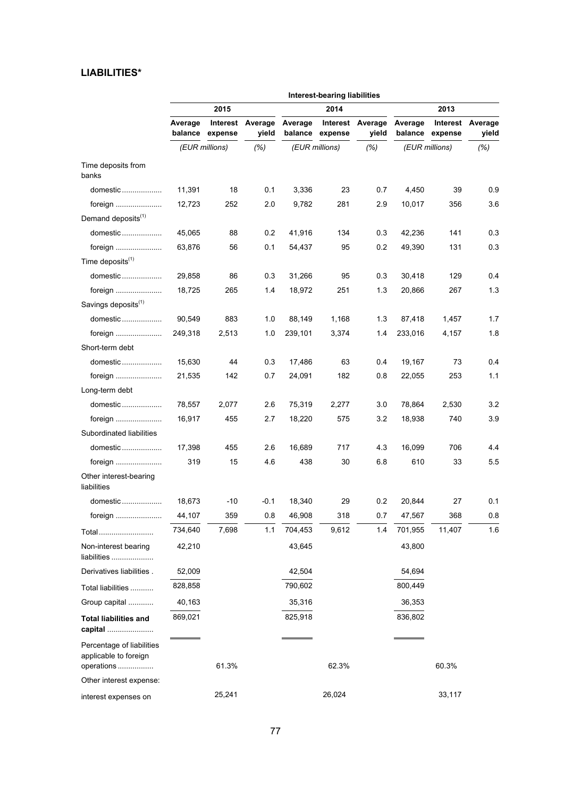# **LIABILITIES\***

|                                                                  | Interest-bearing liabilities |                             |                  |         |                 |                           |         |                                    |                  |  |
|------------------------------------------------------------------|------------------------------|-----------------------------|------------------|---------|-----------------|---------------------------|---------|------------------------------------|------------------|--|
|                                                                  |                              | 2015                        |                  |         | 2014            |                           | 2013    |                                    |                  |  |
|                                                                  | Average                      | Interest<br>balance expense | Average<br>yield | Average | balance expense | Interest Average<br>yield | Average | <b>Interest</b><br>balance expense | Average<br>yield |  |
|                                                                  |                              | (EUR millions)              | (% )             |         | (EUR millions)  | (%)                       |         | (EUR millions)                     | (%)              |  |
| Time deposits from<br>banks                                      |                              |                             |                  |         |                 |                           |         |                                    |                  |  |
| domestic                                                         | 11,391                       | 18                          | 0.1              | 3,336   | 23              | 0.7                       | 4,450   | 39                                 | 0.9              |  |
| foreign                                                          | 12,723                       | 252                         | 2.0              | 9,782   | 281             | 2.9                       | 10,017  | 356                                | 3.6              |  |
| Demand deposits <sup>(1)</sup>                                   |                              |                             |                  |         |                 |                           |         |                                    |                  |  |
| domestic                                                         | 45,065                       | 88                          | 0.2              | 41,916  | 134             | 0.3                       | 42,236  | 141                                | 0.3              |  |
| foreign                                                          | 63,876                       | 56                          | 0.1              | 54,437  | 95              | 0.2                       | 49,390  | 131                                | 0.3              |  |
| Time deposits $(1)$                                              |                              |                             |                  |         |                 |                           |         |                                    |                  |  |
| domestic                                                         | 29,858                       | 86                          | 0.3              | 31,266  | 95              | 0.3                       | 30,418  | 129                                | 0.4              |  |
| foreign                                                          | 18,725                       | 265                         | 1.4              | 18,972  | 251             | 1.3                       | 20,866  | 267                                | 1.3              |  |
| Savings deposits <sup>(1)</sup>                                  |                              |                             |                  |         |                 |                           |         |                                    |                  |  |
| domestic                                                         | 90,549                       | 883                         | 1.0              | 88,149  | 1,168           | 1.3                       | 87,418  | 1,457                              | 1.7              |  |
|                                                                  | 249,318                      | 2,513                       | 1.0              | 239,101 | 3,374           | 1.4                       | 233,016 | 4,157                              | 1.8              |  |
| Short-term debt                                                  |                              |                             |                  |         |                 |                           |         |                                    |                  |  |
| domestic                                                         | 15,630                       | 44                          | 0.3              | 17,486  | 63              | 0.4                       | 19,167  | 73                                 | 0.4              |  |
| foreign                                                          | 21,535                       | 142                         | 0.7              | 24,091  | 182             | 0.8                       | 22,055  | 253                                | 1.1              |  |
| Long-term debt                                                   |                              |                             |                  |         |                 |                           |         |                                    |                  |  |
| domestic                                                         | 78,557                       | 2,077                       | 2.6              | 75,319  | 2,277           | 3.0                       | 78,864  | 2,530                              | 3.2              |  |
| foreign                                                          | 16,917                       | 455                         | 2.7              | 18,220  | 575             | 3.2                       | 18,938  | 740                                | 3.9              |  |
| Subordinated liabilities                                         |                              |                             |                  |         |                 |                           |         |                                    |                  |  |
| domestic                                                         | 17,398                       | 455                         | 2.6              | 16,689  | 717             | 4.3                       | 16,099  | 706                                | 4.4              |  |
| foreign                                                          | 319                          | 15                          | 4.6              | 438     | 30              | 6.8                       | 610     | 33                                 | 5.5              |  |
| Other interest-bearing<br>liabilities                            |                              |                             |                  |         |                 |                           |         |                                    |                  |  |
| domestic                                                         | 18,673                       | -10                         | -0.1             | 18,340  | 29              | 0.2                       | 20,844  | 27                                 | 0.1              |  |
| foreian                                                          | 44,107                       | 359                         | 0.8              | 46,908  | 318             | 0.7                       | 47,567  | 368                                | $0.8\,$          |  |
| Total                                                            | 734,640                      | 7,698                       | 1.1              | 704,453 | 9,612           | 1.4                       | 701,955 | 11,407                             | 1.6              |  |
| Non-interest bearing<br>liabilities                              | 42,210                       |                             |                  | 43,645  |                 |                           | 43,800  |                                    |                  |  |
| Derivatives liabilities.                                         | 52,009                       |                             |                  | 42,504  |                 |                           | 54,694  |                                    |                  |  |
| Total liabilities                                                | 828,858                      |                             |                  | 790,602 |                 |                           | 800,449 |                                    |                  |  |
| Group capital                                                    | 40,163                       |                             |                  | 35,316  |                 |                           | 36,353  |                                    |                  |  |
| <b>Total liabilities and</b><br>capital                          | 869,021                      |                             |                  | 825,918 |                 |                           | 836,802 |                                    |                  |  |
| Percentage of liabilities<br>applicable to foreign<br>operations |                              | 61.3%                       |                  |         | 62.3%           |                           |         | 60.3%                              |                  |  |
| Other interest expense:                                          |                              |                             |                  |         |                 |                           |         |                                    |                  |  |
| interest expenses on                                             |                              | 25,241                      |                  |         | 26,024          |                           |         | 33,117                             |                  |  |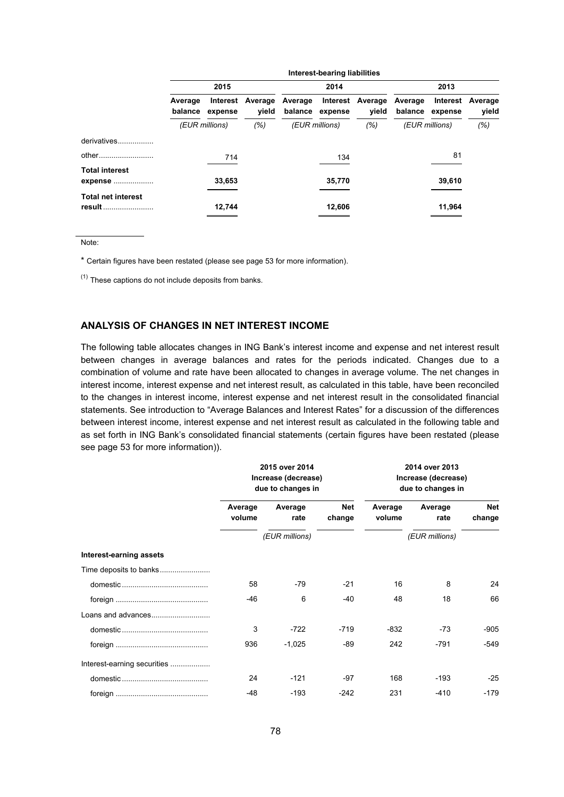|                                     | Interest-bearing liabilities |                     |                  |                    |         |                           |                    |                     |                  |  |
|-------------------------------------|------------------------------|---------------------|------------------|--------------------|---------|---------------------------|--------------------|---------------------|------------------|--|
|                                     | 2015                         |                     |                  |                    | 2014    |                           |                    | 2013                |                  |  |
|                                     | Average<br>balance           | Interest<br>expense | Average<br>vield | Average<br>balance | expense | Interest Average<br>vield | Average<br>balance | Interest<br>expense | Average<br>yield |  |
|                                     | (EUR millions)               |                     | (% )             | (EUR millions)     |         | (% )                      | (EUR millions)     |                     | (% )             |  |
| derivatives                         |                              |                     |                  |                    |         |                           |                    |                     |                  |  |
| other                               |                              | 714                 |                  |                    | 134     |                           |                    | 81                  |                  |  |
| <b>Total interest</b><br>expense    |                              | 33,653              |                  |                    | 35,770  |                           |                    | 39,610              |                  |  |
| <b>Total net interest</b><br>result |                              | 12,744              |                  |                    | 12,606  |                           |                    | 11,964              |                  |  |

Note:

\* Certain figures have been restated (please see page 53 for more information).

 $(1)$  These captions do not include deposits from banks.

# **ANALYSIS OF CHANGES IN NET INTEREST INCOME**

The following table allocates changes in ING Bank's interest income and expense and net interest result between changes in average balances and rates for the periods indicated. Changes due to a combination of volume and rate have been allocated to changes in average volume. The net changes in interest income, interest expense and net interest result, as calculated in this table, have been reconciled to the changes in interest income, interest expense and net interest result in the consolidated financial statements. See introduction to "Average Balances and Interest Rates" for a discussion of the differences between interest income, interest expense and net interest result as calculated in the following table and as set forth in ING Bank's consolidated financial statements (certain figures have been restated (please see page 53 for more information)).

|                             |                   | 2015 over 2014<br>Increase (decrease)<br>due to changes in |                      | 2014 over 2013<br>Increase (decrease)<br>due to changes in |                 |                      |  |
|-----------------------------|-------------------|------------------------------------------------------------|----------------------|------------------------------------------------------------|-----------------|----------------------|--|
|                             | Average<br>volume | Average<br>rate                                            | <b>Net</b><br>change | Average<br>volume                                          | Average<br>rate | <b>Net</b><br>change |  |
|                             | (EUR millions)    |                                                            |                      | (EUR millions)                                             |                 |                      |  |
| Interest-earning assets     |                   |                                                            |                      |                                                            |                 |                      |  |
| Time deposits to banks      |                   |                                                            |                      |                                                            |                 |                      |  |
|                             | 58                | $-79$                                                      | $-21$                | 16                                                         | 8               | 24                   |  |
|                             | $-46$             | 6                                                          | $-40$                | 48                                                         | 18              | 66                   |  |
|                             |                   |                                                            |                      |                                                            |                 |                      |  |
|                             | 3                 | $-722$                                                     | $-719$               | $-832$                                                     | $-73$           | $-905$               |  |
|                             | 936               | $-1,025$                                                   | -89                  | 242                                                        | $-791$          | -549                 |  |
| Interest-earning securities |                   |                                                            |                      |                                                            |                 |                      |  |
|                             | 24                | $-121$                                                     | -97                  | 168                                                        | $-193$          | $-25$                |  |
|                             | $-48$             | $-193$                                                     | $-242$               | 231                                                        | $-410$          | $-179$               |  |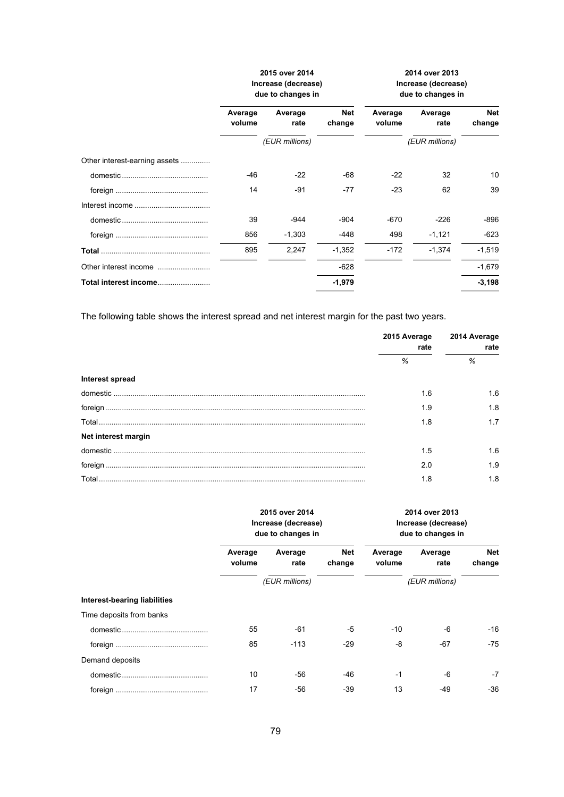|                               | 2015 over 2014<br>Increase (decrease)<br>due to changes in |                 |                      | 2014 over 2013<br>Increase (decrease)<br>due to changes in |                 |                      |
|-------------------------------|------------------------------------------------------------|-----------------|----------------------|------------------------------------------------------------|-----------------|----------------------|
|                               | Average<br>volume                                          | Average<br>rate | <b>Net</b><br>change | Average<br>volume                                          | Average<br>rate | <b>Net</b><br>change |
|                               | (EUR millions)                                             |                 | (EUR millions)       |                                                            |                 |                      |
| Other interest-earning assets |                                                            |                 |                      |                                                            |                 |                      |
|                               | $-46$                                                      | $-22$           | -68                  | $-22$                                                      | 32              | 10                   |
|                               | 14                                                         | -91             | $-77$                | $-23$                                                      | 62              | 39                   |
|                               |                                                            |                 |                      |                                                            |                 |                      |
|                               | 39                                                         | $-944$          | $-904$               | $-670$                                                     | $-226$          | -896                 |
|                               | 856                                                        | $-1,303$        | -448                 | 498                                                        | $-1,121$        | $-623$               |
|                               | 895                                                        | 2,247           | $-1,352$             | $-172$                                                     | $-1.374$        | $-1,519$             |
|                               |                                                            |                 | $-628$               |                                                            |                 | $-1,679$             |
| Total interest income         |                                                            |                 | $-1,979$             |                                                            |                 | $-3,198$             |

The following table shows the interest spread and net interest margin for the past two years.

|                     | 2015 Average<br>rate | 2014 Average<br>rate |  |
|---------------------|----------------------|----------------------|--|
|                     | $\%$                 | %                    |  |
| Interest spread     |                      |                      |  |
|                     | 1.6                  | 1.6                  |  |
|                     | 1.9                  | 1.8                  |  |
|                     | 1.8                  | 1.7                  |  |
| Net interest margin |                      |                      |  |
|                     | 1.5                  | 1.6                  |  |
|                     | 2.0                  | 1.9                  |  |
|                     | 1.8                  | 1.8                  |  |

|                              | 2015 over 2014<br>Increase (decrease)<br>due to changes in |                 |                      | 2014 over 2013<br>Increase (decrease)<br>due to changes in |                 |               |
|------------------------------|------------------------------------------------------------|-----------------|----------------------|------------------------------------------------------------|-----------------|---------------|
|                              | Average<br>volume                                          | Average<br>rate | <b>Net</b><br>change | Average<br>volume                                          | Average<br>rate | Net<br>change |
|                              |                                                            | (EUR millions)  |                      |                                                            | (EUR millions)  |               |
| Interest-bearing liabilities |                                                            |                 |                      |                                                            |                 |               |
| Time deposits from banks     |                                                            |                 |                      |                                                            |                 |               |
|                              | 55                                                         | $-61$           | -5                   | $-10$                                                      | -6              | $-16$         |
|                              | 85                                                         | $-113$          | $-29$                | -8                                                         | $-67$           | $-75$         |
| Demand deposits              |                                                            |                 |                      |                                                            |                 |               |
|                              | 10                                                         | -56             | -46                  | $-1$                                                       | $-6$            | $-7$          |
|                              | 17                                                         | -56             | $-39$                | 13                                                         | $-49$           | $-36$         |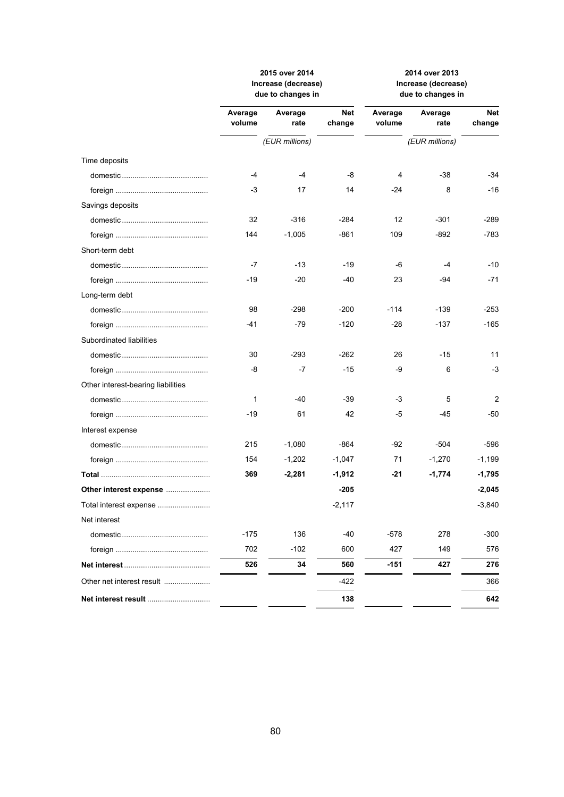|                                    | 2015 over 2014<br>Increase (decrease)<br>due to changes in |                 | 2014 over 2013<br>Increase (decrease)<br>due to changes in |                   |                 |               |
|------------------------------------|------------------------------------------------------------|-----------------|------------------------------------------------------------|-------------------|-----------------|---------------|
|                                    | Average<br>volume                                          | Average<br>rate | <b>Net</b><br>change                                       | Average<br>volume | Average<br>rate | Net<br>change |
|                                    |                                                            | (EUR millions)  |                                                            |                   | (EUR millions)  |               |
| Time deposits                      |                                                            |                 |                                                            |                   |                 |               |
|                                    | -4                                                         | $-4$            | -8                                                         | 4                 | $-38$           | -34           |
|                                    | -3                                                         | 17              | 14                                                         | $-24$             | 8               | $-16$         |
| Savings deposits                   |                                                            |                 |                                                            |                   |                 |               |
|                                    | 32                                                         | $-316$          | $-284$                                                     | 12                | $-301$          | -289          |
|                                    | 144                                                        | $-1,005$        | $-861$                                                     | 109               | $-892$          | -783          |
| Short-term debt                    |                                                            |                 |                                                            |                   |                 |               |
|                                    | -7                                                         | -13             | -19                                                        | -6                | $-4$            | $-10$         |
|                                    | -19                                                        | $-20$           | -40                                                        | 23                | -94             | $-71$         |
| Long-term debt                     |                                                            |                 |                                                            |                   |                 |               |
|                                    | 98                                                         | $-298$          | $-200$                                                     | $-114$            | $-139$          | -253          |
|                                    | -41                                                        | $-79$           | $-120$                                                     | $-28$             | $-137$          | -165          |
| Subordinated liabilities           |                                                            |                 |                                                            |                   |                 |               |
|                                    | 30                                                         | $-293$          | $-262$                                                     | 26                | $-15$           | 11            |
|                                    | -8                                                         | $-7$            | $-15$                                                      | -9                | 6               | -3            |
| Other interest-bearing liabilities |                                                            |                 |                                                            |                   |                 |               |
|                                    | 1                                                          | $-40$           | -39                                                        | $-3$              | 5               | 2             |
|                                    | -19                                                        | 61              | 42                                                         | -5                | -45             | -50           |
| Interest expense                   |                                                            |                 |                                                            |                   |                 |               |
|                                    | 215                                                        | $-1,080$        | -864                                                       | $-92$             | -504            | -596          |
|                                    | 154                                                        | $-1,202$        | $-1,047$                                                   | 71                | $-1,270$        | $-1,199$      |
|                                    | 369                                                        | $-2,281$        | $-1,912$                                                   | -21               | $-1,774$        | -1,795        |
| Other interest expense             |                                                            |                 | $-205$                                                     |                   |                 | $-2,045$      |
|                                    |                                                            |                 | $-2,117$                                                   |                   |                 | $-3,840$      |
| Net interest                       |                                                            |                 |                                                            |                   |                 |               |
|                                    | $-175$                                                     | 136             | -40                                                        | $-578$            | 278             | -300          |
|                                    | 702                                                        | $-102$          | 600                                                        | 427               | 149             | 576           |
|                                    | 526                                                        | 34              | 560                                                        | $-151$            | 427             | 276           |
| Other net interest result          |                                                            |                 | -422                                                       |                   |                 | 366           |
|                                    |                                                            |                 | 138                                                        |                   |                 | 642           |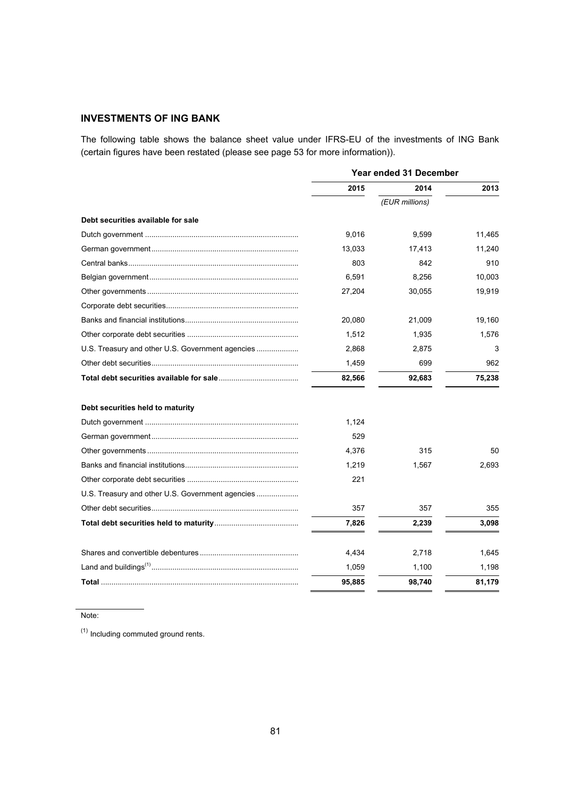# **INVESTMENTS OF ING BANK**

The following table shows the balance sheet value under IFRS-EU of the investments of ING Bank (certain figures have been restated (please see page 53 for more information)).

|                                                  | <b>Year ended 31 December</b> |                |        |  |
|--------------------------------------------------|-------------------------------|----------------|--------|--|
|                                                  | 2015                          | 2014           | 2013   |  |
|                                                  |                               | (EUR millions) |        |  |
| Debt securities available for sale               |                               |                |        |  |
|                                                  | 9,016                         | 9,599          | 11,465 |  |
|                                                  | 13,033                        | 17,413         | 11,240 |  |
|                                                  | 803                           | 842            | 910    |  |
|                                                  | 6,591                         | 8,256          | 10,003 |  |
|                                                  | 27,204                        | 30,055         | 19,919 |  |
|                                                  |                               |                |        |  |
|                                                  | 20,080                        | 21,009         | 19,160 |  |
|                                                  | 1,512                         | 1,935          | 1,576  |  |
| U.S. Treasury and other U.S. Government agencies | 2,868                         | 2,875          | 3      |  |
|                                                  | 1,459                         | 699            | 962    |  |
|                                                  | 82,566                        | 92,683         | 75,238 |  |
| Debt securities held to maturity                 |                               |                |        |  |
|                                                  | 1,124                         |                |        |  |
|                                                  | 529                           |                |        |  |
|                                                  | 4,376                         | 315            | 50     |  |
|                                                  | 1,219                         | 1,567          | 2,693  |  |
|                                                  | 221                           |                |        |  |
| U.S. Treasury and other U.S. Government agencies |                               |                |        |  |
|                                                  | 357                           | 357            | 355    |  |
|                                                  | 7,826                         | 2,239          | 3,098  |  |
|                                                  | 4,434                         | 2,718          | 1,645  |  |
|                                                  | 1,059                         | 1,100          | 1,198  |  |
|                                                  | 95,885                        | 98,740         | 81,179 |  |
|                                                  |                               |                |        |  |

Note:

 $<sup>(1)</sup>$  Including commuted ground rents.</sup>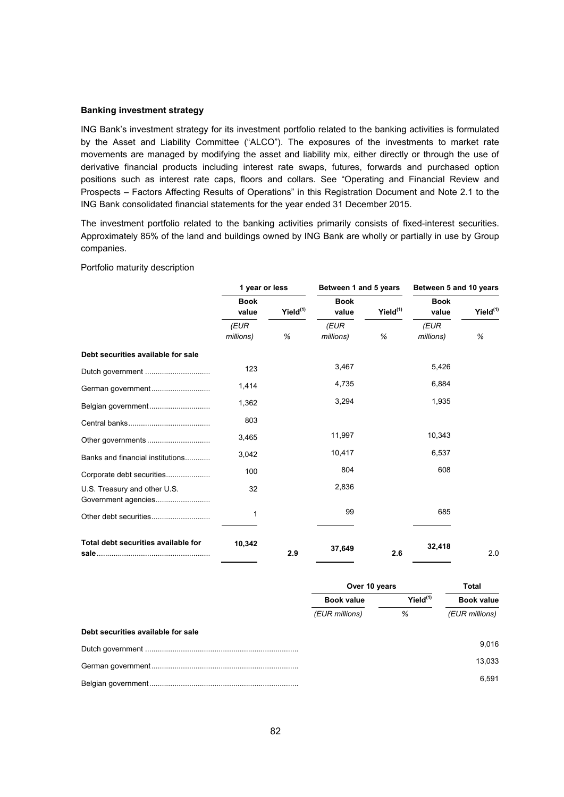#### **Banking investment strategy**

ING Bank's investment strategy for its investment portfolio related to the banking activities is formulated by the Asset and Liability Committee ("ALCO"). The exposures of the investments to market rate movements are managed by modifying the asset and liability mix, either directly or through the use of derivative financial products including interest rate swaps, futures, forwards and purchased option positions such as interest rate caps, floors and collars. See "Operating and Financial Review and Prospects – Factors Affecting Results of Operations" in this Registration Document and Note 2.1 to the ING Bank consolidated financial statements for the year ended 31 December 2015.

The investment portfolio related to the banking activities primarily consists of fixed-interest securities. Approximately 85% of the land and buildings owned by ING Bank are wholly or partially in use by Group companies.

Portfolio maturity description

|                                                     | 1 year or less       |             | Between 1 and 5 years |                      | Between 5 and 10 years |                      |
|-----------------------------------------------------|----------------------|-------------|-----------------------|----------------------|------------------------|----------------------|
|                                                     | <b>Book</b><br>value | Yield $(1)$ | <b>Book</b><br>value  | Yield <sup>(1)</sup> | <b>Book</b><br>value   | Yield <sup>(1)</sup> |
|                                                     | (EUR<br>millions)    | %           | (EUR<br>millions)     | %                    | (EUR<br>millions)      | %                    |
| Debt securities available for sale                  |                      |             |                       |                      |                        |                      |
|                                                     | 123                  |             | 3,467                 |                      | 5,426                  |                      |
| German government                                   | 1,414                |             | 4,735                 |                      | 6,884                  |                      |
| Belgian government                                  | 1,362                |             | 3,294                 |                      | 1,935                  |                      |
|                                                     | 803                  |             |                       |                      |                        |                      |
|                                                     | 3,465                |             | 11,997                |                      | 10,343                 |                      |
| Banks and financial institutions                    | 3,042                |             | 10,417                |                      | 6,537                  |                      |
| Corporate debt securities                           | 100                  |             | 804                   |                      | 608                    |                      |
| U.S. Treasury and other U.S.<br>Government agencies | 32                   |             | 2,836                 |                      |                        |                      |
|                                                     | 1                    |             | 99                    |                      | 685                    |                      |
| Total debt securities available for                 | 10,342               | 2.9         | 37,649                | 2.6                  | 32,418                 | 2.0                  |

|                                    | Over 10 years     |               | Total             |  |
|------------------------------------|-------------------|---------------|-------------------|--|
|                                    | <b>Book value</b> | $Yield^{(1)}$ | <b>Book value</b> |  |
|                                    | (EUR millions)    | %             | (EUR millions)    |  |
| Debt securities available for sale |                   |               |                   |  |
|                                    |                   |               | 9.016             |  |
|                                    |                   |               | 13.033            |  |
|                                    |                   |               | 6.591             |  |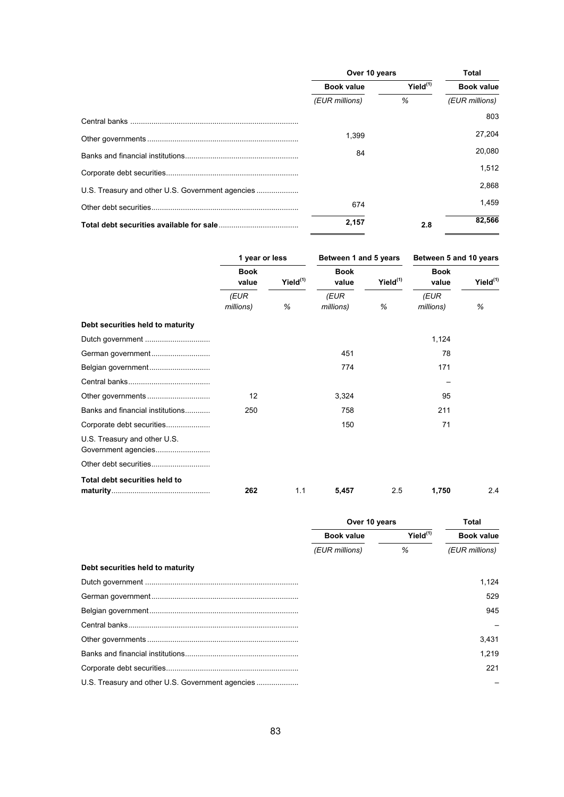|                                                  | Over 10 years     |               | <b>Total</b>      |  |
|--------------------------------------------------|-------------------|---------------|-------------------|--|
|                                                  | <b>Book value</b> | $Yield^{(1)}$ | <b>Book value</b> |  |
|                                                  | (EUR millions)    | %             | (EUR millions)    |  |
|                                                  |                   |               | 803               |  |
|                                                  | 1.399             |               | 27.204            |  |
|                                                  | 84                |               | 20,080            |  |
|                                                  |                   |               | 1.512             |  |
| U.S. Treasury and other U.S. Government agencies |                   |               | 2.868             |  |
|                                                  | 674               |               | 1.459             |  |
|                                                  | 2,157             | 2.8           | 82.566            |  |

|                                                     | 1 year or less       |                      |                      | Between 1 and 5 years |                      | Between 5 and 10 years |  |
|-----------------------------------------------------|----------------------|----------------------|----------------------|-----------------------|----------------------|------------------------|--|
|                                                     | <b>Book</b><br>value | Yield <sup>(1)</sup> | <b>Book</b><br>value | Yield <sup>(1)</sup>  | <b>Book</b><br>value | Yield <sup>(1)</sup>   |  |
|                                                     | (EUR                 |                      | (EUR                 |                       | (EUR                 |                        |  |
|                                                     | millions)            | %                    | millions)            | %                     | millions)            | %                      |  |
| Debt securities held to maturity                    |                      |                      |                      |                       |                      |                        |  |
|                                                     |                      |                      |                      |                       | 1,124                |                        |  |
|                                                     |                      |                      | 451                  |                       | 78                   |                        |  |
| Belgian government                                  |                      |                      | 774                  |                       | 171                  |                        |  |
|                                                     |                      |                      |                      |                       |                      |                        |  |
|                                                     | 12                   |                      | 3,324                |                       | 95                   |                        |  |
| Banks and financial institutions                    | 250                  |                      | 758                  |                       | 211                  |                        |  |
| Corporate debt securities                           |                      |                      | 150                  |                       | 71                   |                        |  |
| U.S. Treasury and other U.S.<br>Government agencies |                      |                      |                      |                       |                      |                        |  |
|                                                     |                      |                      |                      |                       |                      |                        |  |
| Total debt securities held to                       | 262                  | 1.1                  | 5,457                | 2.5                   | 1,750                | 2.4                    |  |

|                                  | Over 10 years     |               | Total             |  |
|----------------------------------|-------------------|---------------|-------------------|--|
|                                  | <b>Book value</b> | $Yield^{(1)}$ | <b>Book value</b> |  |
|                                  | (EUR millions)    | %             | (EUR millions)    |  |
| Debt securities held to maturity |                   |               |                   |  |
|                                  |                   |               | 1.124             |  |
|                                  |                   |               | 529               |  |
|                                  |                   |               | 945               |  |
|                                  |                   |               |                   |  |
|                                  |                   |               | 3,431             |  |
|                                  |                   |               | 1.219             |  |
|                                  |                   |               | 221               |  |
|                                  |                   |               |                   |  |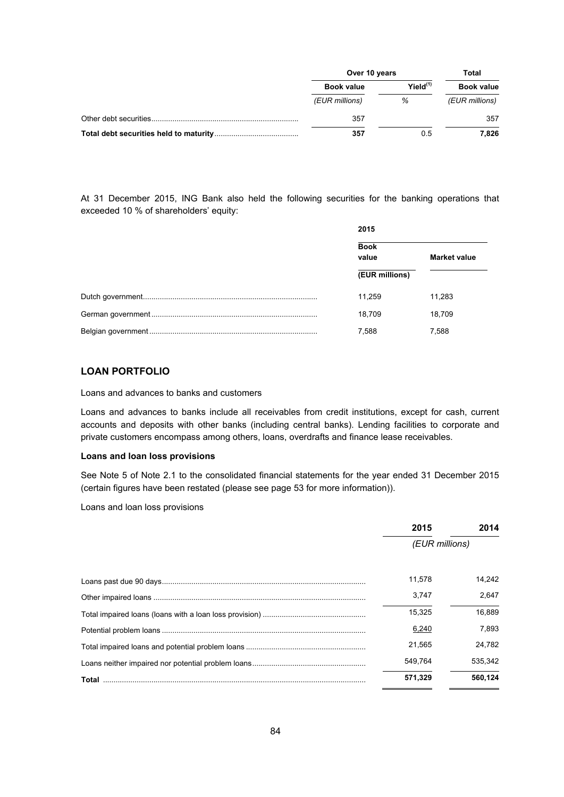| Over 10 years     |               | Total             |  |
|-------------------|---------------|-------------------|--|
| <b>Book value</b> | $Yield^{(1)}$ | <b>Book value</b> |  |
| (EUR millions)    | %             | (EUR millions)    |  |
| 357               |               | 357               |  |
| 357               | 0.5           | 7.826             |  |

At 31 December 2015, ING Bank also held the following securities for the banking operations that exceeded 10 % of shareholders' equity:

| 2015                 |                     |  |
|----------------------|---------------------|--|
| <b>Book</b><br>value | <b>Market value</b> |  |
| (EUR millions)       |                     |  |
| 11.259               | 11,283              |  |
| 18.709               | 18,709              |  |
| 7,588                | 7,588               |  |

# **LOAN PORTFOLIO**

Loans and advances to banks and customers

Loans and advances to banks include all receivables from credit institutions, except for cash, current accounts and deposits with other banks (including central banks). Lending facilities to corporate and private customers encompass among others, loans, overdrafts and finance lease receivables.

#### **Loans and loan loss provisions**

See Note 5 of Note 2.1 to the consolidated financial statements for the year ended 31 December 2015 (certain figures have been restated (please see page 53 for more information)).

Loans and loan loss provisions

| 2015           | 2014    |  |
|----------------|---------|--|
| (EUR millions) |         |  |
| 11.578         | 14.242  |  |
| 3.747          | 2.647   |  |
| 15,325         | 16,889  |  |
| 6,240          | 7.893   |  |
| 21.565         | 24.782  |  |
| 549.764        | 535.342 |  |
| 571,329        | 560,124 |  |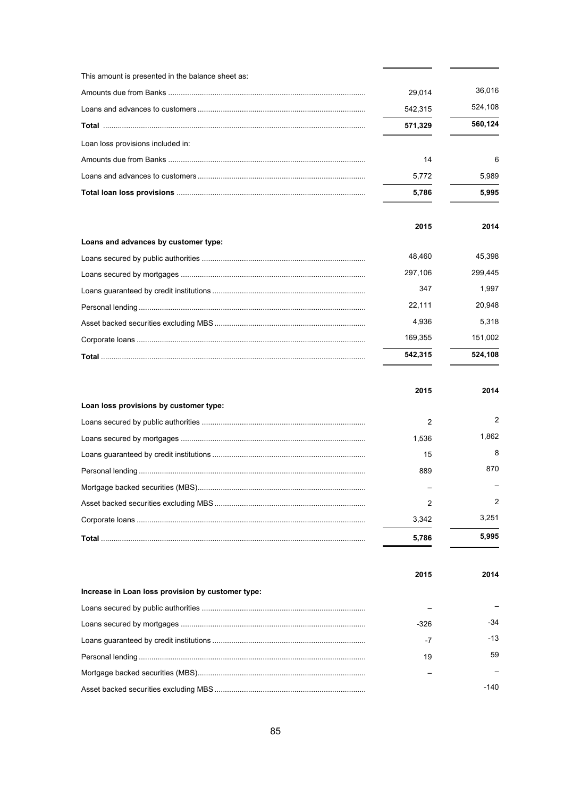| This amount is presented in the balance sheet as: |         |         |
|---------------------------------------------------|---------|---------|
|                                                   | 29,014  | 36,016  |
|                                                   | 542,315 | 524,108 |
|                                                   | 571,329 | 560,124 |
| Loan loss provisions included in:                 |         |         |
|                                                   | 14      | 6       |
|                                                   | 5,772   | 5,989   |
|                                                   | 5,786   | 5,995   |
|                                                   | 2015    | 2014    |
| Loans and advances by customer type:              |         |         |
|                                                   | 48,460  | 45,398  |
|                                                   | 297,106 | 299,445 |
|                                                   | 347     | 1,997   |
|                                                   | 22,111  | 20,948  |
|                                                   | 4,936   | 5,318   |
|                                                   | 169,355 | 151,002 |
|                                                   | 542,315 | 524,108 |
|                                                   |         |         |
|                                                   | 2015    | 2014    |
| Loan loss provisions by customer type:            |         |         |
|                                                   | 2       | 2       |
|                                                   | 1,536   | 1,862   |
|                                                   | 15      | 8       |
|                                                   | 889     | 870     |
|                                                   |         |         |
|                                                   | 2       | 2       |
|                                                   | 3,342   | 3,251   |
|                                                   | 5,786   | 5,995   |
|                                                   | 2015    | 2014    |
| Increase in Loan loss provision by customer type: |         |         |
|                                                   |         |         |
|                                                   | $-326$  | -34     |
|                                                   | -7      | $-13$   |
|                                                   | 19      | 59      |
|                                                   |         |         |

 $-140$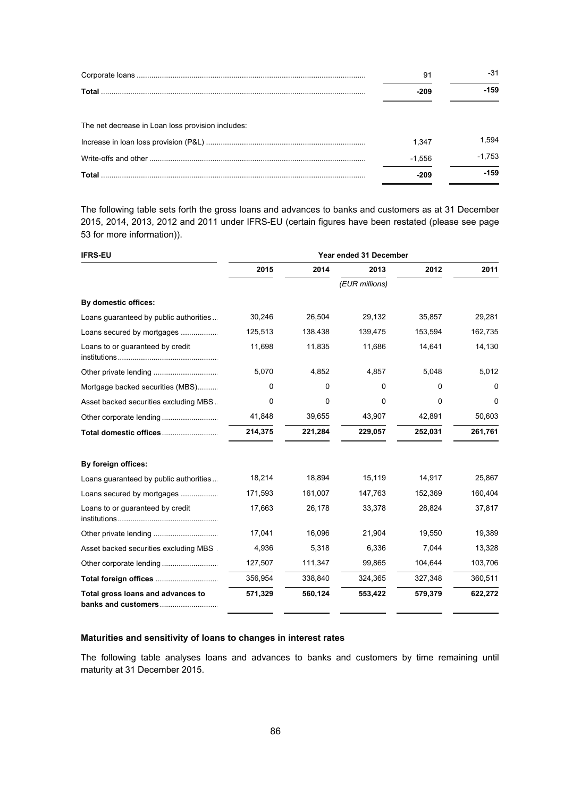|                                                   | 91       | -31      |
|---------------------------------------------------|----------|----------|
|                                                   | -209     | -159     |
| The net decrease in Loan loss provision includes: |          |          |
|                                                   | 1.347    | 1.594    |
|                                                   | $-1.556$ | $-1.753$ |
|                                                   |          | -159     |

The following table sets forth the gross loans and advances to banks and customers as at 31 December 2015, 2014, 2013, 2012 and 2011 under IFRS-EU (certain figures have been restated (please see page 53 for more information)).

| <b>IFRS-EU</b>                                           | Year ended 31 December |         |                |         |         |  |
|----------------------------------------------------------|------------------------|---------|----------------|---------|---------|--|
|                                                          | 2015                   | 2014    | 2013           | 2012    | 2011    |  |
|                                                          |                        |         | (EUR millions) |         |         |  |
| By domestic offices:                                     |                        |         |                |         |         |  |
| Loans guaranteed by public authorities                   | 30,246                 | 26,504  | 29,132         | 35,857  | 29,281  |  |
| Loans secured by mortgages                               | 125,513                | 138,438 | 139,475        | 153,594 | 162,735 |  |
| Loans to or guaranteed by credit                         | 11,698                 | 11,835  | 11,686         | 14,641  | 14,130  |  |
|                                                          | 5,070                  | 4,852   | 4,857          | 5,048   | 5,012   |  |
| Mortgage backed securities (MBS)                         | 0                      | 0       | 0              | 0       | 0       |  |
| Asset backed securities excluding MBS.                   | 0                      | 0       | 0              | 0       | 0       |  |
|                                                          | 41,848                 | 39,655  | 43,907         | 42,891  | 50,603  |  |
| Total domestic offices                                   | 214,375                | 221,284 | 229,057        | 252,031 | 261,761 |  |
| By foreign offices:                                      |                        |         |                |         |         |  |
| Loans guaranteed by public authorities                   | 18,214                 | 18,894  | 15,119         | 14,917  | 25,867  |  |
| Loans secured by mortgages                               | 171,593                | 161,007 | 147,763        | 152,369 | 160,404 |  |
| Loans to or guaranteed by credit                         | 17,663                 | 26,178  | 33,378         | 28,824  | 37,817  |  |
|                                                          | 17,041                 | 16,096  | 21,904         | 19,550  | 19,389  |  |
| Asset backed securities excluding MBS                    | 4,936                  | 5,318   | 6,336          | 7,044   | 13,328  |  |
|                                                          | 127,507                | 111,347 | 99,865         | 104,644 | 103,706 |  |
| Total foreign offices                                    | 356,954                | 338,840 | 324,365        | 327,348 | 360,511 |  |
| Total gross loans and advances to<br>banks and customers | 571,329                | 560,124 | 553,422        | 579,379 | 622,272 |  |

# **Maturities and sensitivity of loans to changes in interest rates**

The following table analyses loans and advances to banks and customers by time remaining until maturity at 31 December 2015.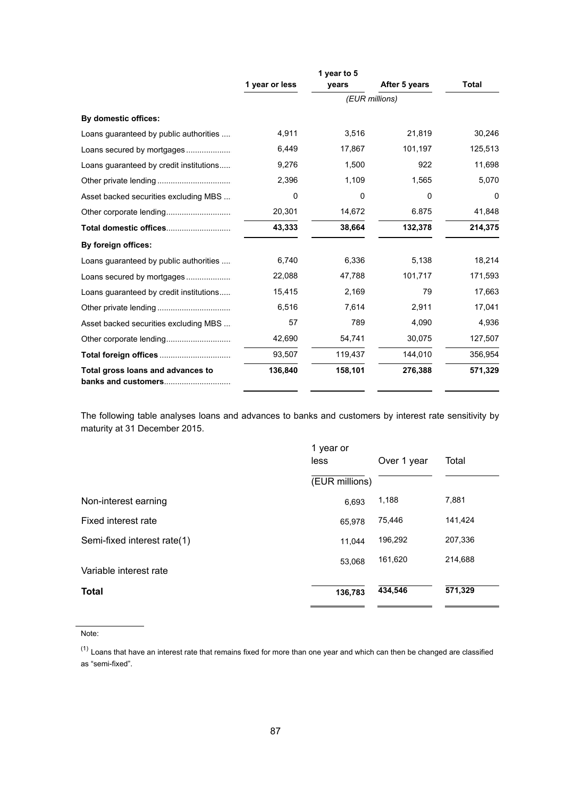|                                                          |                | 1 year to 5 |               |         |
|----------------------------------------------------------|----------------|-------------|---------------|---------|
|                                                          | 1 year or less | vears       | After 5 years | Total   |
|                                                          |                |             |               |         |
| By domestic offices:                                     |                |             |               |         |
| Loans guaranteed by public authorities                   | 4,911          | 3,516       | 21,819        | 30,246  |
| Loans secured by mortgages                               | 6,449          | 17,867      | 101,197       | 125,513 |
| Loans guaranteed by credit institutions                  | 9,276          | 1,500       | 922           | 11,698  |
|                                                          | 2,396          | 1,109       | 1,565         | 5,070   |
| Asset backed securities excluding MBS                    | 0              | 0           | 0             | 0       |
|                                                          | 20,301         | 14,672      | 6.875         | 41,848  |
| Total domestic offices                                   | 43,333         | 38,664      | 132,378       | 214,375 |
| By foreign offices:                                      |                |             |               |         |
| Loans guaranteed by public authorities                   | 6,740          | 6,336       | 5,138         | 18,214  |
|                                                          | 22,088         | 47,788      | 101,717       | 171,593 |
| Loans guaranteed by credit institutions                  | 15,415         | 2,169       | 79            | 17,663  |
|                                                          | 6,516          | 7,614       | 2,911         | 17,041  |
| Asset backed securities excluding MBS                    | 57             | 789         | 4,090         | 4,936   |
|                                                          | 42,690         | 54,741      | 30,075        | 127,507 |
|                                                          | 93,507         | 119,437     | 144,010       | 356,954 |
| Total gross loans and advances to<br>banks and customers | 136,840        | 158,101     | 276,388       | 571,329 |

The following table analyses loans and advances to banks and customers by interest rate sensitivity by maturity at 31 December 2015.

|                             | 1 year or<br>less<br>Over 1 year |         | Total   |  |
|-----------------------------|----------------------------------|---------|---------|--|
|                             | (EUR millions)                   |         |         |  |
| Non-interest earning        | 6,693                            | 1,188   | 7,881   |  |
| Fixed interest rate         | 65,978                           | 75,446  | 141,424 |  |
| Semi-fixed interest rate(1) | 11,044                           | 196,292 | 207,336 |  |
| Variable interest rate      | 53,068                           | 161,620 | 214,688 |  |
| <b>Total</b>                | 136,783                          | 434,546 | 571,329 |  |

Note:

 $(1)$  Loans that have an interest rate that remains fixed for more than one year and which can then be changed are classified as "semi-fixed".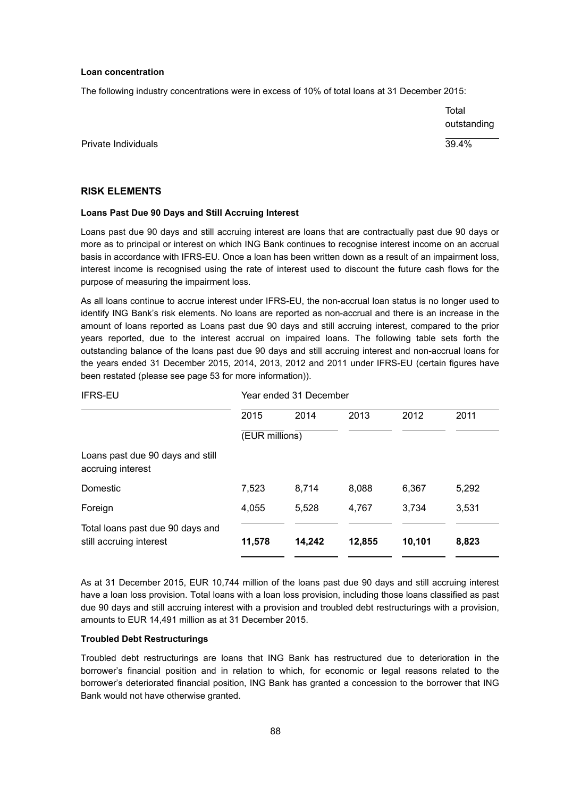#### **Loan concentration**

The following industry concentrations were in excess of 10% of total loans at 31 December 2015:

Total outstanding

Private Individuals 39.4%

#### **RISK ELEMENTS**

#### **Loans Past Due 90 Days and Still Accruing Interest**

Loans past due 90 days and still accruing interest are loans that are contractually past due 90 days or more as to principal or interest on which ING Bank continues to recognise interest income on an accrual basis in accordance with IFRS-EU. Once a loan has been written down as a result of an impairment loss, interest income is recognised using the rate of interest used to discount the future cash flows for the purpose of measuring the impairment loss.

As all loans continue to accrue interest under IFRS-EU, the non-accrual loan status is no longer used to identify ING Bank's risk elements. No loans are reported as non-accrual and there is an increase in the amount of loans reported as Loans past due 90 days and still accruing interest, compared to the prior years reported, due to the interest accrual on impaired loans. The following table sets forth the outstanding balance of the loans past due 90 days and still accruing interest and non-accrual loans for the years ended 31 December 2015, 2014, 2013, 2012 and 2011 under IFRS-EU (certain figures have been restated (please see page 53 for more information)).

| <b>IFRS-EU</b>                                              | Year ended 31 December |        |        |        |       |  |
|-------------------------------------------------------------|------------------------|--------|--------|--------|-------|--|
|                                                             | 2015                   | 2014   | 2013   | 2012   | 2011  |  |
|                                                             | (EUR millions)         |        |        |        |       |  |
| Loans past due 90 days and still<br>accruing interest       |                        |        |        |        |       |  |
| Domestic                                                    | 7,523                  | 8,714  | 8,088  | 6,367  | 5,292 |  |
| Foreign                                                     | 4,055                  | 5.528  | 4.767  | 3,734  | 3.531 |  |
| Total loans past due 90 days and<br>still accruing interest | 11,578                 | 14,242 | 12,855 | 10,101 | 8,823 |  |

As at 31 December 2015, EUR 10,744 million of the loans past due 90 days and still accruing interest have a loan loss provision. Total loans with a loan loss provision, including those loans classified as past due 90 days and still accruing interest with a provision and troubled debt restructurings with a provision, amounts to EUR 14,491 million as at 31 December 2015.

#### **Troubled Debt Restructurings**

Troubled debt restructurings are loans that ING Bank has restructured due to deterioration in the borrower's financial position and in relation to which, for economic or legal reasons related to the borrower's deteriorated financial position, ING Bank has granted a concession to the borrower that ING Bank would not have otherwise granted.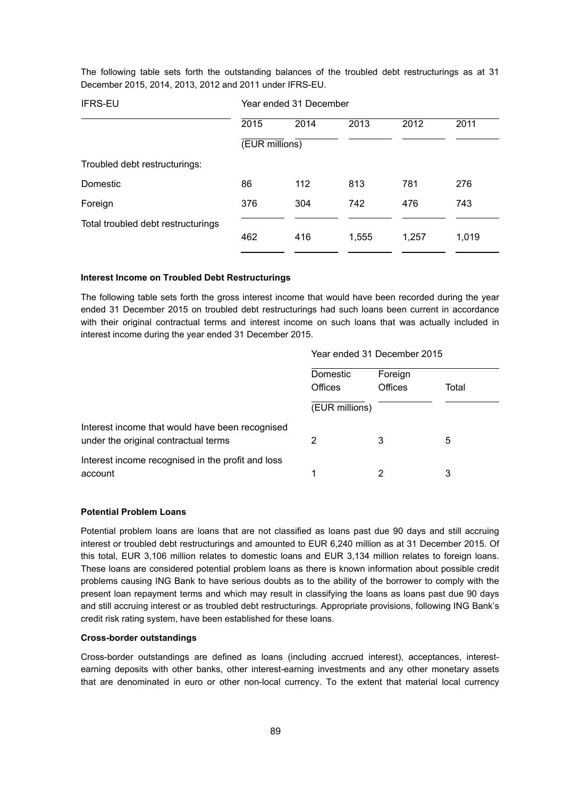The following table sets forth the outstanding balances of the troubled debt restructurings as at 31 December 2015, 2014, 2013, 2012 and 2011 under IFRS-EU.

| <b>IFRS-EU</b>                     | Year ended 31 December |      |       |       |       |
|------------------------------------|------------------------|------|-------|-------|-------|
|                                    | 2015                   | 2014 | 2013  | 2012  | 2011  |
|                                    | (EUR millions)         |      |       |       |       |
| Troubled debt restructurings:      |                        |      |       |       |       |
| Domestic                           | 86                     | 112  | 813   | 781   | 276   |
| Foreign                            | 376                    | 304  | 742   | 476   | 743   |
| Total troubled debt restructurings |                        |      |       |       |       |
|                                    | 462                    | 416  | 1,555 | 1,257 | 1,019 |
|                                    |                        |      |       |       |       |

#### **Interest Income on Troubled Debt Restructurings**

The following table sets forth the gross interest income that would have been recorded during the year ended 31 December 2015 on troubled debt restructurings had such loans been current in accordance with their original contractual terms and interest income on such loans that was actually included in interest income during the year ended 31 December 2015.

#### Year ended 31 December 2015

|                                                                                         | Domestic<br>Offices | Foreign<br>Offices | Total |
|-----------------------------------------------------------------------------------------|---------------------|--------------------|-------|
|                                                                                         | (EUR millions)      |                    |       |
| Interest income that would have been recognised<br>under the original contractual terms |                     | 3                  | 5     |
| Interest income recognised in the profit and loss<br>account                            |                     |                    | 3     |

#### **Potential Problem Loans**

Potential problem loans are loans that are not classified as loans past due 90 days and still accruing interest or troubled debt restructurings and amounted to EUR 6,240 million as at 31 December 2015. Of this total, EUR 3,106 million relates to domestic loans and EUR 3,134 million relates to foreign loans. These loans are considered potential problem loans as there is known information about possible credit problems causing ING Bank to have serious doubts as to the ability of the borrower to comply with the present loan repayment terms and which may result in classifying the loans as loans past due 90 days and still accruing interest or as troubled debt restructurings. Appropriate provisions, following ING Bank's credit risk rating system, have been established for these loans.

#### **Cross-border outstandings**

Cross-border outstandings are defined as loans (including accrued interest), acceptances, interestearning deposits with other banks, other interest-earning investments and any other monetary assets that are denominated in euro or other non-local currency. To the extent that material local currency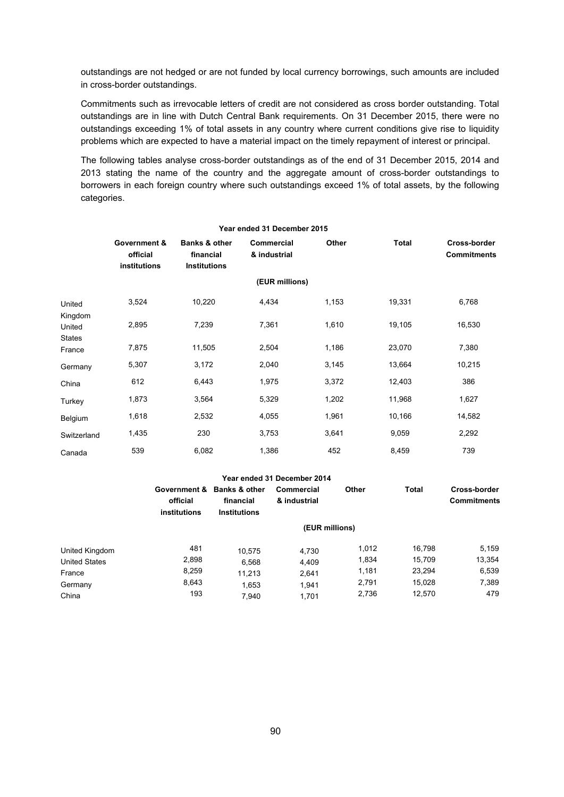outstandings are not hedged or are not funded by local currency borrowings, such amounts are included in cross-border outstandings.

Commitments such as irrevocable letters of credit are not considered as cross border outstanding. Total outstandings are in line with Dutch Central Bank requirements. On 31 December 2015, there were no outstandings exceeding 1% of total assets in any country where current conditions give rise to liquidity problems which are expected to have a material impact on the timely repayment of interest or principal.

The following tables analyse cross-border outstandings as of the end of 31 December 2015, 2014 and 2013 stating the name of the country and the aggregate amount of cross-border outstandings to borrowers in each foreign country where such outstandings exceed 1% of total assets, by the following categories.

|                                    |                                          |                                                              | Year ended 31 December 2015 |       |              |                                    |
|------------------------------------|------------------------------------------|--------------------------------------------------------------|-----------------------------|-------|--------------|------------------------------------|
|                                    | Government &<br>official<br>institutions | <b>Banks &amp; other</b><br>financial<br><b>Institutions</b> | Commercial<br>& industrial  | Other | <b>Total</b> | Cross-border<br><b>Commitments</b> |
|                                    |                                          |                                                              | (EUR millions)              |       |              |                                    |
| United                             | 3,524                                    | 10,220                                                       | 4,434                       | 1,153 | 19,331       | 6,768                              |
| Kingdom<br>United<br><b>States</b> | 2,895                                    | 7,239                                                        | 7,361                       | 1,610 | 19,105       | 16,530                             |
| France                             | 7,875                                    | 11,505                                                       | 2,504                       | 1,186 | 23,070       | 7,380                              |
| Germany                            | 5,307                                    | 3,172                                                        | 2,040                       | 3,145 | 13,664       | 10,215                             |
| China                              | 612                                      | 6,443                                                        | 1,975                       | 3,372 | 12,403       | 386                                |
| Turkey                             | 1,873                                    | 3,564                                                        | 5,329                       | 1,202 | 11,968       | 1,627                              |
| Belgium                            | 1,618                                    | 2,532                                                        | 4,055                       | 1,961 | 10,166       | 14,582                             |
| Switzerland                        | 1,435                                    | 230                                                          | 3,753                       | 3,641 | 9,059        | 2,292                              |
| Canada                             | 539                                      | 6,082                                                        | 1,386                       | 452   | 8,459        | 739                                |

|                      |                          |                                                                | Year ended 31 December 2014 |       |              |                                    |  |
|----------------------|--------------------------|----------------------------------------------------------------|-----------------------------|-------|--------------|------------------------------------|--|
|                      | official<br>institutions | Government & Banks & other<br>financial<br><b>Institutions</b> | Commercial<br>& industrial  | Other | <b>Total</b> | Cross-border<br><b>Commitments</b> |  |
|                      | (EUR millions)           |                                                                |                             |       |              |                                    |  |
| United Kingdom       | 481                      | 10.575                                                         | 4,730                       | 1.012 | 16.798       | 5.159                              |  |
| <b>United States</b> | 2,898                    | 6,568                                                          | 4,409                       | 1,834 | 15,709       | 13,354                             |  |
| France               | 8.259                    | 11.213                                                         | 2.641                       | 1,181 | 23.294       | 6,539                              |  |
| Germany              | 8,643                    | 1.653                                                          | 1.941                       | 2,791 | 15,028       | 7,389                              |  |
| China                | 193                      | 7,940                                                          | 1,701                       | 2,736 | 12.570       | 479                                |  |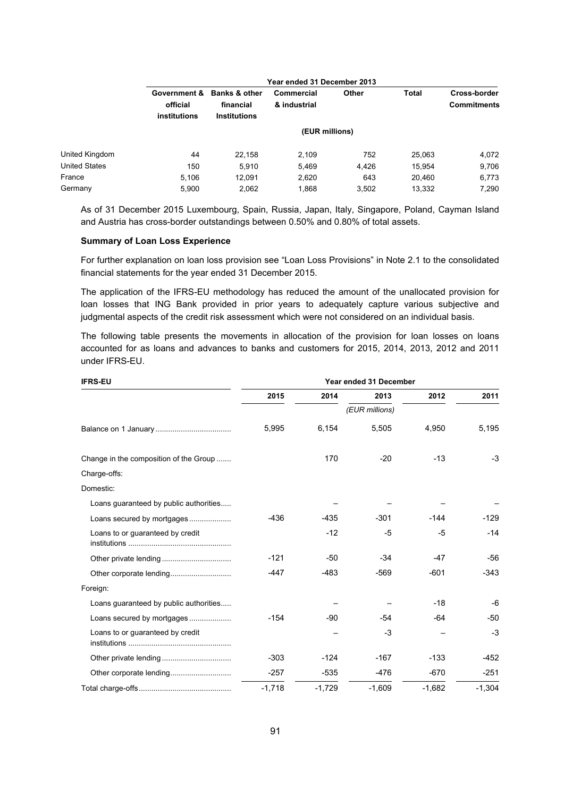|                | Year ended 31 December 2013              |                                                              |                            |       |        |                                    |  |
|----------------|------------------------------------------|--------------------------------------------------------------|----------------------------|-------|--------|------------------------------------|--|
|                | Government &<br>official<br>institutions | <b>Banks &amp; other</b><br>financial<br><b>Institutions</b> | Commercial<br>& industrial | Other | Total  | Cross-border<br><b>Commitments</b> |  |
|                | (EUR millions)                           |                                                              |                            |       |        |                                    |  |
| United Kingdom | 44                                       | 22,158                                                       | 2,109                      | 752   | 25,063 | 4,072                              |  |
| United States  | 150                                      | 5,910                                                        | 5,469                      | 4,426 | 15,954 | 9,706                              |  |
| France         | 5,106                                    | 12,091                                                       | 2,620                      | 643   | 20,460 | 6,773                              |  |
| Germany        | 5,900                                    | 2,062                                                        | 1,868                      | 3,502 | 13,332 | 7,290                              |  |

As of 31 December 2015 Luxembourg, Spain, Russia, Japan, Italy, Singapore, Poland, Cayman Island and Austria has cross-border outstandings between 0.50% and 0.80% of total assets.

#### **Summary of Loan Loss Experience**

For further explanation on loan loss provision see "Loan Loss Provisions" in Note 2.1 to the consolidated financial statements for the year ended 31 December 2015.

The application of the IFRS-EU methodology has reduced the amount of the unallocated provision for loan losses that ING Bank provided in prior years to adequately capture various subjective and judgmental aspects of the credit risk assessment which were not considered on an individual basis.

The following table presents the movements in allocation of the provision for loan losses on loans accounted for as loans and advances to banks and customers for 2015, 2014, 2013, 2012 and 2011 under IFRS-EU.

| <b>IFRS-EU</b>                         | Year ended 31 December |          |                |          |          |  |  |  |
|----------------------------------------|------------------------|----------|----------------|----------|----------|--|--|--|
|                                        | 2015                   | 2014     | 2013           | 2012     | 2011     |  |  |  |
|                                        |                        |          | (EUR millions) |          |          |  |  |  |
|                                        | 5,995                  | 6,154    | 5,505          | 4,950    | 5,195    |  |  |  |
| Change in the composition of the Group |                        | 170      | $-20$          | -13      | $-3$     |  |  |  |
| Charge-offs:                           |                        |          |                |          |          |  |  |  |
| Domestic:                              |                        |          |                |          |          |  |  |  |
| Loans guaranteed by public authorities |                        |          |                |          |          |  |  |  |
| Loans secured by mortgages             | $-436$                 | $-435$   | $-301$         | $-144$   | -129     |  |  |  |
| Loans to or guaranteed by credit       |                        | $-12$    | -5             | -5       | $-14$    |  |  |  |
|                                        | $-121$                 | $-50$    | $-34$          | -47      | $-56$    |  |  |  |
|                                        | $-447$                 | $-483$   | $-569$         | $-601$   | $-343$   |  |  |  |
| Foreign:                               |                        |          |                |          |          |  |  |  |
| Loans guaranteed by public authorities |                        |          |                | $-18$    | -6       |  |  |  |
| Loans secured by mortgages             | $-154$                 | -90      | -54            | -64      | $-50$    |  |  |  |
| Loans to or quaranteed by credit       |                        |          | $-3$           |          | $-3$     |  |  |  |
|                                        | $-303$                 | $-124$   | $-167$         | $-133$   | $-452$   |  |  |  |
|                                        | $-257$                 | $-535$   | $-476$         | $-670$   | $-251$   |  |  |  |
|                                        | $-1,718$               | $-1,729$ | $-1,609$       | $-1,682$ | $-1,304$ |  |  |  |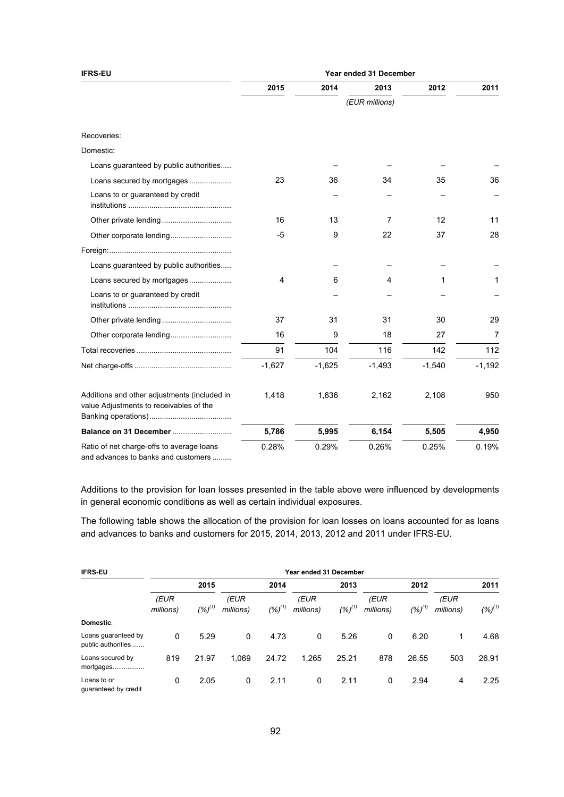| <b>IFRS-EU</b>                                                                          | Year ended 31 December |          |                |          |          |  |  |
|-----------------------------------------------------------------------------------------|------------------------|----------|----------------|----------|----------|--|--|
|                                                                                         | 2015                   | 2014     | 2013           | 2012     | 2011     |  |  |
|                                                                                         |                        |          | (EUR millions) |          |          |  |  |
| Recoveries:                                                                             |                        |          |                |          |          |  |  |
| Domestic:                                                                               |                        |          |                |          |          |  |  |
| Loans guaranteed by public authorities                                                  |                        |          |                |          |          |  |  |
| Loans secured by mortgages                                                              | 23                     | 36       | 34             | 35       | 36       |  |  |
| Loans to or guaranteed by credit                                                        |                        |          |                |          |          |  |  |
|                                                                                         | 16                     | 13       | $\overline{7}$ | 12       | 11       |  |  |
|                                                                                         | -5                     | 9        | 22             | 37       | 28       |  |  |
|                                                                                         |                        |          |                |          |          |  |  |
| Loans guaranteed by public authorities                                                  |                        |          |                |          |          |  |  |
| Loans secured by mortgages                                                              | 4                      | 6        | 4              | 1        | 1        |  |  |
| Loans to or guaranteed by credit                                                        |                        |          |                |          |          |  |  |
|                                                                                         | 37                     | 31       | 31             | 30       | 29       |  |  |
| Other corporate lending                                                                 | 16                     | 9        | 18             | 27       | 7        |  |  |
|                                                                                         | 91                     | 104      | 116            | 142      | 112      |  |  |
|                                                                                         | $-1,627$               | $-1,625$ | $-1,493$       | $-1,540$ | $-1,192$ |  |  |
| Additions and other adjustments (included in<br>value Adjustments to receivables of the | 1,418                  | 1,636    | 2,162          | 2,108    | 950      |  |  |
| Balance on 31 December                                                                  | 5,786                  | 5,995    | 6,154          | 5,505    | 4,950    |  |  |
| Ratio of net charge-offs to average loans<br>and advances to banks and customers        | 0.28%                  | 0.29%    | 0.26%          | 0.25%    | 0.19%    |  |  |

Additions to the provision for loan losses presented in the table above were influenced by developments in general economic conditions as well as certain individual exposures.

The following table shows the allocation of the provision for loan losses on loans accounted for as loans and advances to banks and customers for 2015, 2014, 2013, 2012 and 2011 under IFRS-EU.

| <b>IFRS-EU</b>                            |                   |             |                   |             | Year ended 31 December |             |                   |             |                   |             |
|-------------------------------------------|-------------------|-------------|-------------------|-------------|------------------------|-------------|-------------------|-------------|-------------------|-------------|
|                                           | 2015              |             |                   | 2014        |                        | 2013        |                   | 2012        |                   | 2011        |
|                                           | (EUR<br>millions) | $(%)^{(1)}$ | (EUR<br>millions) | $(%)^{(1)}$ | (EUR<br>millions)      | $(%)^{(1)}$ | (EUR<br>millions) | $(%)^{(1)}$ | (EUR<br>millions) | $(%)^{(1)}$ |
| Domestic:                                 |                   |             |                   |             |                        |             |                   |             |                   |             |
| Loans guaranteed by<br>public authorities | $\mathbf{0}$      | 5.29        | 0                 | 4.73        | 0                      | 5.26        | 0                 | 6.20        |                   | 4.68        |
| Loans secured by<br>mortgages<br>.        | 819               | 21.97       | 1.069             | 24.72       | 1,265                  | 25.21       | 878               | 26.55       | 503               | 26.91       |
| Loans to or<br>quaranteed by credit       | 0                 | 2.05        | 0                 | 2.11        | 0                      | 2.11        | 0                 | 2.94        | 4                 | 2.25        |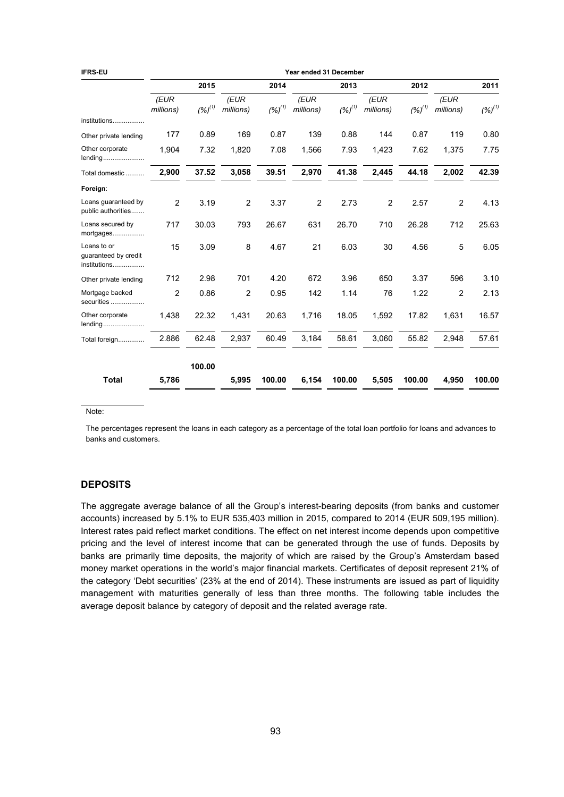| <b>IFRS-EU</b>                                      | Year ended 31 December |             |                   |             |                   |             |                   |             |                   |             |
|-----------------------------------------------------|------------------------|-------------|-------------------|-------------|-------------------|-------------|-------------------|-------------|-------------------|-------------|
|                                                     |                        | 2015        |                   | 2014        |                   | 2013        | 2012              |             |                   | 2011        |
|                                                     | (EUR<br>millions)      | $(%)^{(1)}$ | (EUR<br>millions) | $(%)^{(1)}$ | (EUR<br>millions) | $(%)^{(1)}$ | (EUR<br>millions) | $(%)^{(1)}$ | (EUR<br>millions) | $(%)^{(1)}$ |
| institutions                                        |                        |             |                   |             |                   |             |                   |             |                   |             |
| Other private lending                               | 177                    | 0.89        | 169               | 0.87        | 139               | 0.88        | 144               | 0.87        | 119               | 0.80        |
| Other corporate<br>lending                          | 1.904                  | 7.32        | 1,820             | 7.08        | 1,566             | 7.93        | 1,423             | 7.62        | 1,375             | 7.75        |
| Total domestic                                      | 2,900                  | 37.52       | 3,058             | 39.51       | 2,970             | 41.38       | 2,445             | 44.18       | 2,002             | 42.39       |
| Foreign:                                            |                        |             |                   |             |                   |             |                   |             |                   |             |
| Loans quaranteed by<br>public authorities           | $\overline{2}$         | 3.19        | 2                 | 3.37        | $\overline{2}$    | 2.73        | $\overline{2}$    | 2.57        | $\overline{c}$    | 4.13        |
| Loans secured by<br>mortgages                       | 717                    | 30.03       | 793               | 26.67       | 631               | 26.70       | 710               | 26.28       | 712               | 25.63       |
| Loans to or<br>guaranteed by credit<br>institutions | 15                     | 3.09        | 8                 | 4.67        | 21                | 6.03        | 30                | 4.56        | 5                 | 6.05        |
| Other private lending                               | 712                    | 2.98        | 701               | 4.20        | 672               | 3.96        | 650               | 3.37        | 596               | 3.10        |
| Mortgage backed<br>securities                       | $\overline{2}$         | 0.86        | 2                 | 0.95        | 142               | 1.14        | 76                | 1.22        | 2                 | 2.13        |
| Other corporate<br>lending                          | 1,438                  | 22.32       | 1,431             | 20.63       | 1,716             | 18.05       | 1,592             | 17.82       | 1,631             | 16.57       |
| Total foreign                                       | 2.886                  | 62.48       | 2,937             | 60.49       | 3,184             | 58.61       | 3,060             | 55.82       | 2,948             | 57.61       |
|                                                     |                        | 100.00      |                   |             |                   |             |                   |             |                   |             |
| <b>Total</b>                                        | 5,786                  |             | 5,995             | 100.00      | 6,154             | 100.00      | 5,505             | 100.00      | 4,950             | 100.00      |

Note:

The percentages represent the loans in each category as a percentage of the total loan portfolio for loans and advances to banks and customers.

# **DEPOSITS**

The aggregate average balance of all the Group's interest-bearing deposits (from banks and customer accounts) increased by 5.1% to EUR 535,403 million in 2015, compared to 2014 (EUR 509,195 million). Interest rates paid reflect market conditions. The effect on net interest income depends upon competitive pricing and the level of interest income that can be generated through the use of funds. Deposits by banks are primarily time deposits, the majority of which are raised by the Group's Amsterdam based money market operations in the world's major financial markets. Certificates of deposit represent 21% of the category 'Debt securities' (23% at the end of 2014). These instruments are issued as part of liquidity management with maturities generally of less than three months. The following table includes the average deposit balance by category of deposit and the related average rate.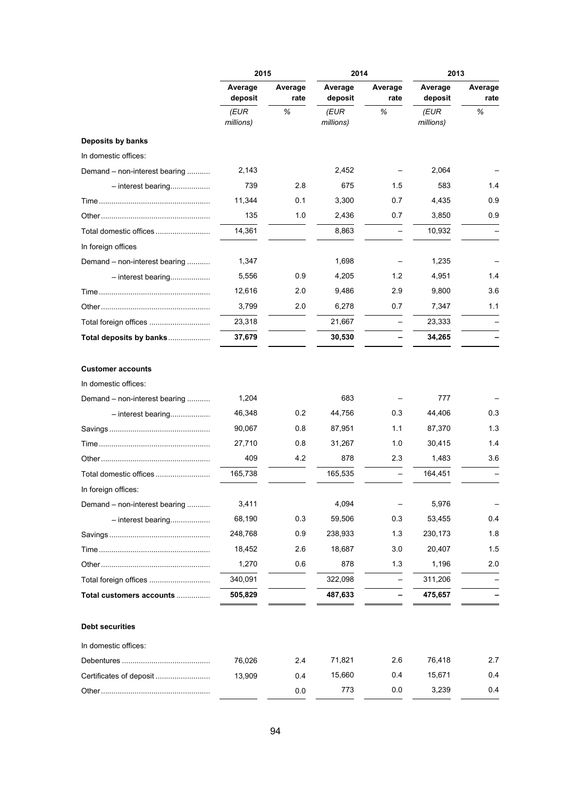|                               | 2015               |                 | 2014               |                 | 2013               |                 |
|-------------------------------|--------------------|-----------------|--------------------|-----------------|--------------------|-----------------|
|                               | Average<br>deposit | Average<br>rate | Average<br>deposit | Average<br>rate | Average<br>deposit | Average<br>rate |
|                               | (EUR<br>millions)  | %               | (EUR<br>millions)  | %               | (EUR<br>millions)  | %               |
| Deposits by banks             |                    |                 |                    |                 |                    |                 |
| In domestic offices:          |                    |                 |                    |                 |                    |                 |
| Demand – non-interest bearing | 2,143              |                 | 2,452              |                 | 2,064              |                 |
| $-$ interest bearing          | 739                | 2.8             | 675                | 1.5             | 583                | 1.4             |
|                               | 11,344             | 0.1             | 3,300              | 0.7             | 4,435              | 0.9             |
|                               | 135                | 1.0             | 2,436              | 0.7             | 3,850              | 0.9             |
|                               | 14,361             |                 | 8,863              |                 | 10,932             |                 |
| In foreign offices            |                    |                 |                    |                 |                    |                 |
| Demand - non-interest bearing | 1,347              |                 | 1,698              |                 | 1,235              |                 |
| $-$ interest bearing          | 5,556              | 0.9             | 4,205              | 1.2             | 4,951              | 1.4             |
|                               | 12,616             | 2.0             | 9,486              | 2.9             | 9,800              | 3.6             |
|                               | 3,799              | 2.0             | 6,278              | 0.7             | 7,347              | 1.1             |
|                               | 23,318             |                 | 21,667             |                 | 23,333             |                 |
| Total deposits by banks       | 37,679             |                 | 30,530             |                 | 34,265             |                 |
| <b>Customer accounts</b>      |                    |                 |                    |                 |                    |                 |
| In domestic offices:          |                    |                 |                    |                 |                    |                 |
| Demand – non-interest bearing | 1,204              |                 | 683                |                 | 777                |                 |
| $-$ interest bearing          | 46,348<br>90,067   | 0.2<br>0.8      | 44,756<br>87,951   | 0.3<br>1.1      | 44,406<br>87,370   | 0.3<br>1.3      |
|                               |                    | 0.8             |                    |                 |                    | 1.4             |
|                               | 27,710             |                 | 31,267             | 1.0             | 30,415             |                 |
|                               | 409                | 4.2             | 878                | 2.3             | 1,483              | 3.6             |
|                               | 165,738            |                 | 165,535            |                 | 164,451            |                 |
| In foreign offices:           |                    |                 |                    |                 |                    |                 |
| Demand – non-interest bearing | 3,411              |                 | 4,094              |                 | 5,976              |                 |
| $-$ interest bearing          | 68,190             | 0.3             | 59,506             | 0.3             | 53,455             | 0.4             |
|                               | 248,768            | 0.9             | 238,933            | 1.3             | 230,173            | 1.8             |
|                               | 18,452             | 2.6             | 18,687             | 3.0             | 20,407             | 1.5             |
|                               | 1,270              | 0.6             | 878                | 1.3             | 1,196              | 2.0             |
| Total foreign offices         | 340,091            |                 | 322,098            |                 | 311,206            |                 |
| Total customers accounts      | 505,829            |                 | 487,633            |                 | 475,657            |                 |
| <b>Debt securities</b>        |                    |                 |                    |                 |                    |                 |
| In domestic offices:          |                    |                 |                    |                 |                    |                 |
|                               | 76,026             | 2.4             | 71,821             | 2.6             | 76,418             | 2.7             |
| Certificates of deposit       | 13,909             | 0.4             | 15,660             | 0.4             | 15,671             | 0.4             |
|                               |                    | 0.0             | 773                | 0.0             | 3,239              | 0.4             |
|                               |                    |                 |                    |                 |                    |                 |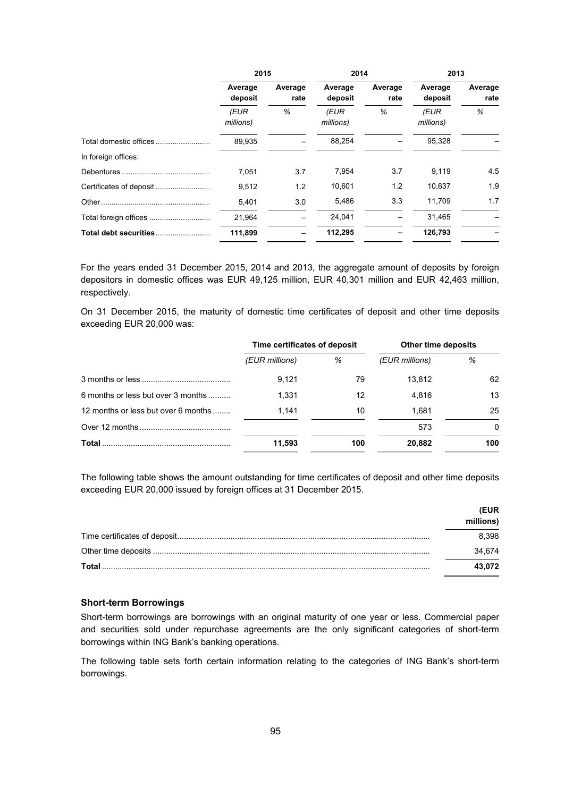|                     | 2015               |                 | 2014               |                 | 2013               |                 |
|---------------------|--------------------|-----------------|--------------------|-----------------|--------------------|-----------------|
|                     | Average<br>deposit | Average<br>rate | Average<br>deposit | Average<br>rate | Average<br>deposit | Average<br>rate |
|                     | (EUR<br>millions)  | %               | (EUR<br>millions)  | %               | (EUR<br>millions)  | %               |
|                     | 89,935             |                 | 88,254             |                 | 95,328             |                 |
| In foreign offices: |                    |                 |                    |                 |                    |                 |
|                     | 7.051              | 3.7             | 7,954              | 3.7             | 9,119              | 4.5             |
|                     | 9,512              | 1.2             | 10,601             | 1.2             | 10,637             | 1.9             |
|                     | 5,401              | 3.0             | 5.486              | 3.3             | 11.709             | 1.7             |
|                     | 21,964             |                 | 24,041             |                 | 31,465             |                 |
|                     | 111,899            |                 | 112,295            |                 | 126,793            |                 |

For the years ended 31 December 2015, 2014 and 2013, the aggregate amount of deposits by foreign depositors in domestic offices was EUR 49,125 million, EUR 40,301 million and EUR 42,463 million, respectively.

On 31 December 2015, the maturity of domestic time certificates of deposit and other time deposits exceeding EUR 20,000 was:

|                                     | Time certificates of deposit |     | Other time deposits |              |  |
|-------------------------------------|------------------------------|-----|---------------------|--------------|--|
|                                     | (EUR millions)               | %   | (EUR millions)      | %            |  |
|                                     | 9.121                        | 79  | 13.812              | 62           |  |
| 6 months or less but over 3 months  | 1.331                        | 12  | 4.816               | 13           |  |
| 12 months or less but over 6 months | 1.141                        | 10  | 1.681               | 25           |  |
|                                     |                              |     | 573                 | $\mathbf{0}$ |  |
| <b>Total</b>                        | 11,593                       | 100 | 20,882              | 100          |  |

The following table shows the amount outstanding for time certificates of deposit and other time deposits exceeding EUR 20,000 issued by foreign offices at 31 December 2015.

|        | <b>EUR</b> |
|--------|------------|
|        | millions)  |
|        | 8.398      |
|        | 34.674     |
| Total. | 43.072     |

## **Short-term Borrowings**

Short-term borrowings are borrowings with an original maturity of one year or less. Commercial paper and securities sold under repurchase agreements are the only significant categories of short-term borrowings within ING Bank's banking operations.

The following table sets forth certain information relating to the categories of ING Bank's short-term borrowings.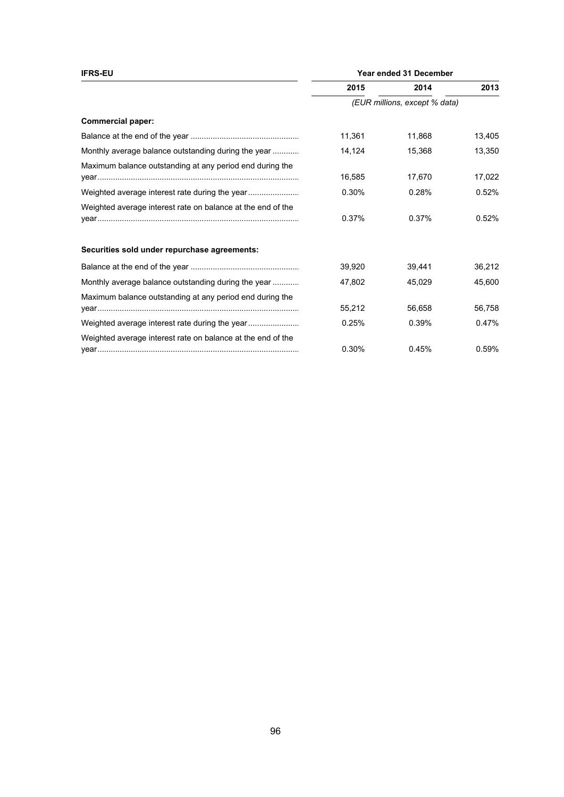| <b>IFRS-EU</b>                                              | Year ended 31 December |                               |        |  |
|-------------------------------------------------------------|------------------------|-------------------------------|--------|--|
|                                                             | 2015                   | 2014                          | 2013   |  |
|                                                             |                        | (EUR millions, except % data) |        |  |
| <b>Commercial paper:</b>                                    |                        |                               |        |  |
|                                                             | 11,361                 | 11,868                        | 13,405 |  |
| Monthly average balance outstanding during the year         | 14,124                 | 15,368                        | 13,350 |  |
| Maximum balance outstanding at any period end during the    | 16,585                 | 17,670                        | 17,022 |  |
|                                                             | 0.30%                  | 0.28%                         | 0.52%  |  |
| Weighted average interest rate on balance at the end of the | 0.37%                  | 0.37%                         | 0.52%  |  |
| Securities sold under repurchase agreements:                |                        |                               |        |  |
|                                                             | 39,920                 | 39.441                        | 36,212 |  |
| Monthly average balance outstanding during the year         | 47,802                 | 45,029                        | 45,600 |  |
| Maximum balance outstanding at any period end during the    | 55,212                 | 56,658                        | 56,758 |  |
|                                                             | 0.25%                  | 0.39%                         | 0.47%  |  |
| Weighted average interest rate on balance at the end of the | 0.30%                  | 0.45%                         | 0.59%  |  |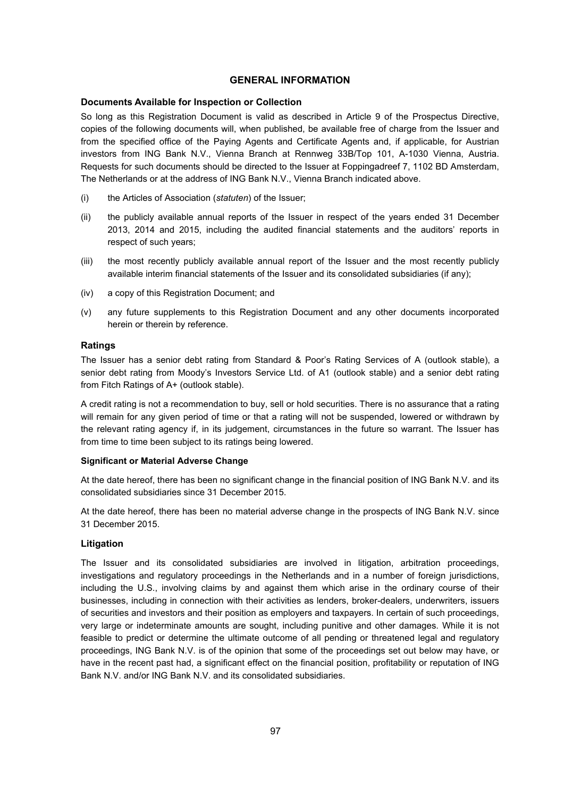# **GENERAL INFORMATION**

## **Documents Available for Inspection or Collection**

So long as this Registration Document is valid as described in Article 9 of the Prospectus Directive, copies of the following documents will, when published, be available free of charge from the Issuer and from the specified office of the Paying Agents and Certificate Agents and, if applicable, for Austrian investors from ING Bank N.V., Vienna Branch at Rennweg 33B/Top 101, A-1030 Vienna, Austria. Requests for such documents should be directed to the Issuer at Foppingadreef 7, 1102 BD Amsterdam, The Netherlands or at the address of ING Bank N.V., Vienna Branch indicated above.

- (i) the Articles of Association (*statuten*) of the Issuer;
- (ii) the publicly available annual reports of the Issuer in respect of the years ended 31 December 2013, 2014 and 2015, including the audited financial statements and the auditors' reports in respect of such years;
- (iii) the most recently publicly available annual report of the Issuer and the most recently publicly available interim financial statements of the Issuer and its consolidated subsidiaries (if any);
- (iv) a copy of this Registration Document; and
- (v) any future supplements to this Registration Document and any other documents incorporated herein or therein by reference.

# **Ratings**

The Issuer has a senior debt rating from Standard & Poor's Rating Services of A (outlook stable), a senior debt rating from Moody's Investors Service Ltd. of A1 (outlook stable) and a senior debt rating from Fitch Ratings of A+ (outlook stable).

A credit rating is not a recommendation to buy, sell or hold securities. There is no assurance that a rating will remain for any given period of time or that a rating will not be suspended, lowered or withdrawn by the relevant rating agency if, in its judgement, circumstances in the future so warrant. The Issuer has from time to time been subject to its ratings being lowered.

## **Significant or Material Adverse Change**

At the date hereof, there has been no significant change in the financial position of ING Bank N.V. and its consolidated subsidiaries since 31 December 2015.

At the date hereof, there has been no material adverse change in the prospects of ING Bank N.V. since 31 December 2015.

# **Litigation**

The Issuer and its consolidated subsidiaries are involved in litigation, arbitration proceedings, investigations and regulatory proceedings in the Netherlands and in a number of foreign jurisdictions, including the U.S., involving claims by and against them which arise in the ordinary course of their businesses, including in connection with their activities as lenders, broker-dealers, underwriters, issuers of securities and investors and their position as employers and taxpayers. In certain of such proceedings, very large or indeterminate amounts are sought, including punitive and other damages. While it is not feasible to predict or determine the ultimate outcome of all pending or threatened legal and regulatory proceedings, ING Bank N.V. is of the opinion that some of the proceedings set out below may have, or have in the recent past had, a significant effect on the financial position, profitability or reputation of ING Bank N.V. and/or ING Bank N.V. and its consolidated subsidiaries.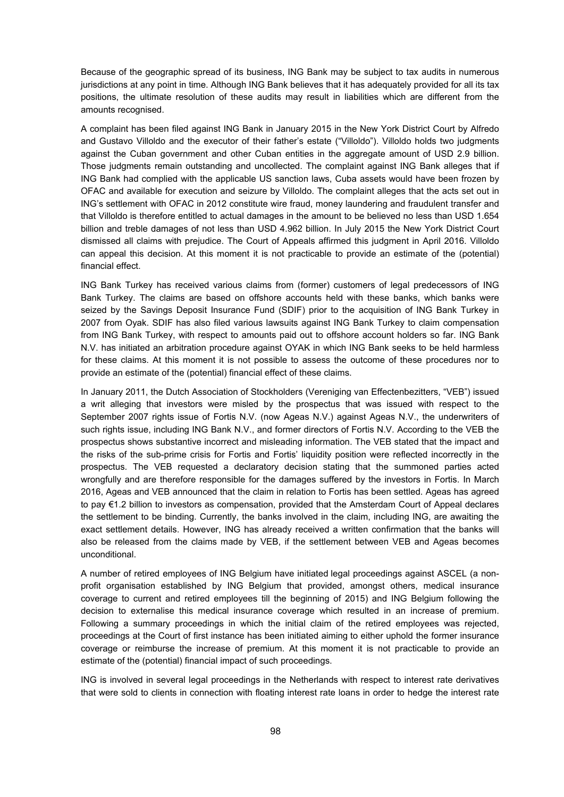Because of the geographic spread of its business, ING Bank may be subject to tax audits in numerous jurisdictions at any point in time. Although ING Bank believes that it has adequately provided for all its tax positions, the ultimate resolution of these audits may result in liabilities which are different from the amounts recognised.

A complaint has been filed against ING Bank in January 2015 in the New York District Court by Alfredo and Gustavo Villoldo and the executor of their father's estate ("Villoldo"). Villoldo holds two judgments against the Cuban government and other Cuban entities in the aggregate amount of USD 2.9 billion. Those judgments remain outstanding and uncollected. The complaint against ING Bank alleges that if ING Bank had complied with the applicable US sanction laws, Cuba assets would have been frozen by OFAC and available for execution and seizure by Villoldo. The complaint alleges that the acts set out in ING's settlement with OFAC in 2012 constitute wire fraud, money laundering and fraudulent transfer and that Villoldo is therefore entitled to actual damages in the amount to be believed no less than USD 1.654 billion and treble damages of not less than USD 4.962 billion. In July 2015 the New York District Court dismissed all claims with prejudice. The Court of Appeals affirmed this judgment in April 2016. Villoldo can appeal this decision. At this moment it is not practicable to provide an estimate of the (potential) financial effect.

ING Bank Turkey has received various claims from (former) customers of legal predecessors of ING Bank Turkey. The claims are based on offshore accounts held with these banks, which banks were seized by the Savings Deposit Insurance Fund (SDIF) prior to the acquisition of ING Bank Turkey in 2007 from Oyak. SDIF has also filed various lawsuits against ING Bank Turkey to claim compensation from ING Bank Turkey, with respect to amounts paid out to offshore account holders so far. ING Bank N.V. has initiated an arbitration procedure against OYAK in which ING Bank seeks to be held harmless for these claims. At this moment it is not possible to assess the outcome of these procedures nor to provide an estimate of the (potential) financial effect of these claims.

In January 2011, the Dutch Association of Stockholders (Vereniging van Effectenbezitters, "VEB") issued a writ alleging that investors were misled by the prospectus that was issued with respect to the September 2007 rights issue of Fortis N.V. (now Ageas N.V.) against Ageas N.V., the underwriters of such rights issue, including ING Bank N.V., and former directors of Fortis N.V. According to the VEB the prospectus shows substantive incorrect and misleading information. The VEB stated that the impact and the risks of the sub-prime crisis for Fortis and Fortis' liquidity position were reflected incorrectly in the prospectus. The VEB requested a declaratory decision stating that the summoned parties acted wrongfully and are therefore responsible for the damages suffered by the investors in Fortis. In March 2016, Ageas and VEB announced that the claim in relation to Fortis has been settled. Ageas has agreed to pay €1.2 billion to investors as compensation, provided that the Amsterdam Court of Appeal declares the settlement to be binding. Currently, the banks involved in the claim, including ING, are awaiting the exact settlement details. However, ING has already received a written confirmation that the banks will also be released from the claims made by VEB, if the settlement between VEB and Ageas becomes unconditional.

A number of retired employees of ING Belgium have initiated legal proceedings against ASCEL (a nonprofit organisation established by ING Belgium that provided, amongst others, medical insurance coverage to current and retired employees till the beginning of 2015) and ING Belgium following the decision to externalise this medical insurance coverage which resulted in an increase of premium. Following a summary proceedings in which the initial claim of the retired employees was rejected, proceedings at the Court of first instance has been initiated aiming to either uphold the former insurance coverage or reimburse the increase of premium. At this moment it is not practicable to provide an estimate of the (potential) financial impact of such proceedings.

ING is involved in several legal proceedings in the Netherlands with respect to interest rate derivatives that were sold to clients in connection with floating interest rate loans in order to hedge the interest rate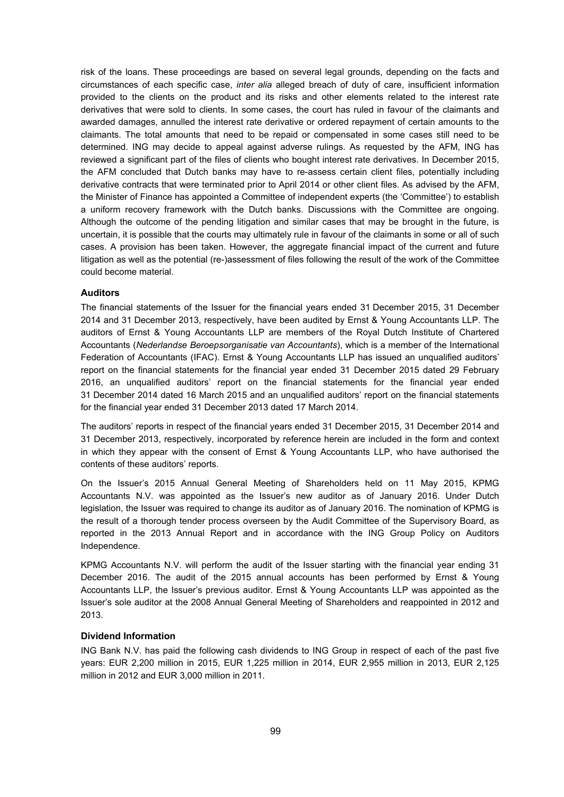risk of the loans. These proceedings are based on several legal grounds, depending on the facts and circumstances of each specific case, *inter alia* alleged breach of duty of care, insufficient information provided to the clients on the product and its risks and other elements related to the interest rate derivatives that were sold to clients. In some cases, the court has ruled in favour of the claimants and awarded damages, annulled the interest rate derivative or ordered repayment of certain amounts to the claimants. The total amounts that need to be repaid or compensated in some cases still need to be determined. ING may decide to appeal against adverse rulings. As requested by the AFM, ING has reviewed a significant part of the files of clients who bought interest rate derivatives. In December 2015, the AFM concluded that Dutch banks may have to re-assess certain client files, potentially including derivative contracts that were terminated prior to April 2014 or other client files. As advised by the AFM, the Minister of Finance has appointed a Committee of independent experts (the 'Committee') to establish a uniform recovery framework with the Dutch banks. Discussions with the Committee are ongoing. Although the outcome of the pending litigation and similar cases that may be brought in the future, is uncertain, it is possible that the courts may ultimately rule in favour of the claimants in some or all of such cases. A provision has been taken. However, the aggregate financial impact of the current and future litigation as well as the potential (re-)assessment of files following the result of the work of the Committee could become material.

## **Auditors**

The financial statements of the Issuer for the financial years ended 31 December 2015, 31 December 2014 and 31 December 2013, respectively, have been audited by Ernst & Young Accountants LLP. The auditors of Ernst & Young Accountants LLP are members of the Royal Dutch Institute of Chartered Accountants (*Nederlandse Beroepsorganisatie van Accountants*), which is a member of the International Federation of Accountants (IFAC). Ernst & Young Accountants LLP has issued an unqualified auditors' report on the financial statements for the financial year ended 31 December 2015 dated 29 February 2016, an unqualified auditors' report on the financial statements for the financial year ended 31 December 2014 dated 16 March 2015 and an unqualified auditors' report on the financial statements for the financial year ended 31 December 2013 dated 17 March 2014.

The auditors' reports in respect of the financial years ended 31 December 2015, 31 December 2014 and 31 December 2013, respectively, incorporated by reference herein are included in the form and context in which they appear with the consent of Ernst & Young Accountants LLP, who have authorised the contents of these auditors' reports.

On the Issuer's 2015 Annual General Meeting of Shareholders held on 11 May 2015, KPMG Accountants N.V. was appointed as the Issuer's new auditor as of January 2016. Under Dutch legislation, the Issuer was required to change its auditor as of January 2016. The nomination of KPMG is the result of a thorough tender process overseen by the Audit Committee of the Supervisory Board, as reported in the 2013 Annual Report and in accordance with the ING Group Policy on Auditors Independence.

KPMG Accountants N.V. will perform the audit of the Issuer starting with the financial year ending 31 December 2016. The audit of the 2015 annual accounts has been performed by Ernst & Young Accountants LLP, the Issuer's previous auditor. Ernst & Young Accountants LLP was appointed as the Issuer's sole auditor at the 2008 Annual General Meeting of Shareholders and reappointed in 2012 and 2013.

#### **Dividend Information**

ING Bank N.V. has paid the following cash dividends to ING Group in respect of each of the past five years: EUR 2,200 million in 2015, EUR 1,225 million in 2014, EUR 2,955 million in 2013, EUR 2,125 million in 2012 and EUR 3,000 million in 2011.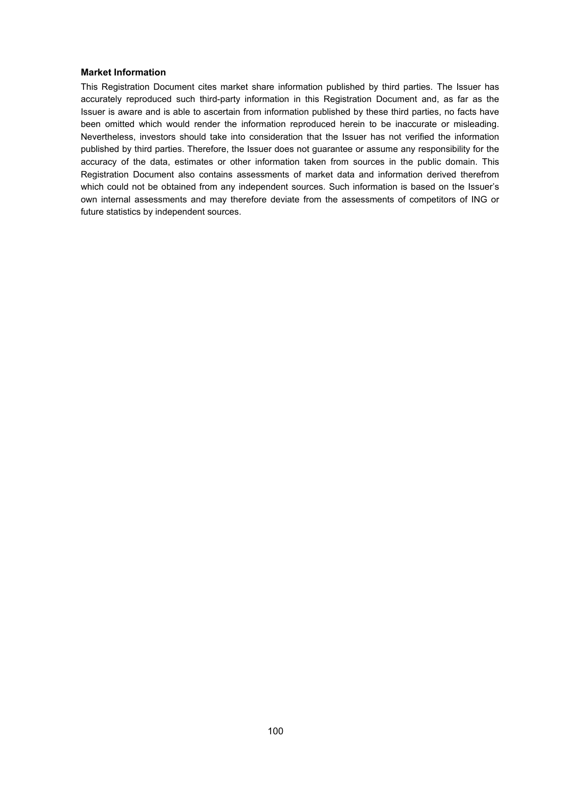# **Market Information**

This Registration Document cites market share information published by third parties. The Issuer has accurately reproduced such third-party information in this Registration Document and, as far as the Issuer is aware and is able to ascertain from information published by these third parties, no facts have been omitted which would render the information reproduced herein to be inaccurate or misleading. Nevertheless, investors should take into consideration that the Issuer has not verified the information published by third parties. Therefore, the Issuer does not guarantee or assume any responsibility for the accuracy of the data, estimates or other information taken from sources in the public domain. This Registration Document also contains assessments of market data and information derived therefrom which could not be obtained from any independent sources. Such information is based on the Issuer's own internal assessments and may therefore deviate from the assessments of competitors of ING or future statistics by independent sources.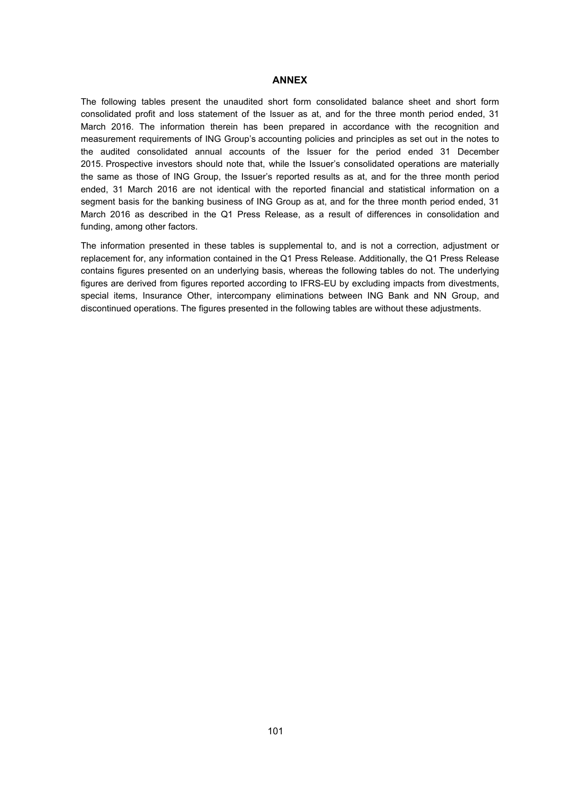## **ANNEX**

The following tables present the unaudited short form consolidated balance sheet and short form consolidated profit and loss statement of the Issuer as at, and for the three month period ended, 31 March 2016. The information therein has been prepared in accordance with the recognition and measurement requirements of ING Group's accounting policies and principles as set out in the notes to the audited consolidated annual accounts of the Issuer for the period ended 31 December 2015. Prospective investors should note that, while the Issuer's consolidated operations are materially the same as those of ING Group, the Issuer's reported results as at, and for the three month period ended, 31 March 2016 are not identical with the reported financial and statistical information on a segment basis for the banking business of ING Group as at, and for the three month period ended, 31 March 2016 as described in the Q1 Press Release, as a result of differences in consolidation and funding, among other factors.

The information presented in these tables is supplemental to, and is not a correction, adjustment or replacement for, any information contained in the Q1 Press Release. Additionally, the Q1 Press Release contains figures presented on an underlying basis, whereas the following tables do not. The underlying figures are derived from figures reported according to IFRS-EU by excluding impacts from divestments, special items, Insurance Other, intercompany eliminations between ING Bank and NN Group, and discontinued operations. The figures presented in the following tables are without these adjustments.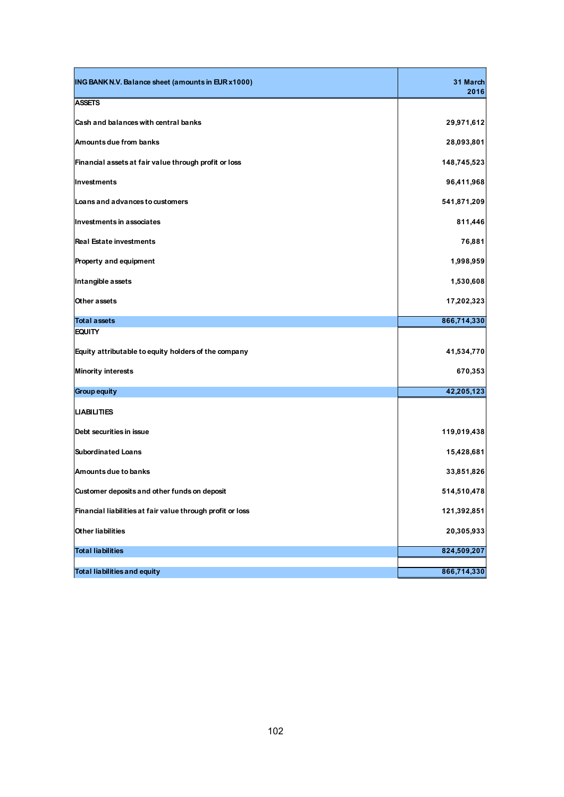| ING BANK N.V. Balance sheet (amounts in EUR x1000)         | 31 March<br>2016 |
|------------------------------------------------------------|------------------|
| <b>ASSETS</b>                                              |                  |
| Cash and balances with central banks                       | 29,971,612       |
| Amounts due from banks                                     | 28,093,801       |
| Financial assets at fair value through profit or loss      | 148,745,523      |
| Investments                                                | 96,411,968       |
| Loans and advances to customers                            | 541,871,209      |
| Investments in associates                                  | 811,446          |
| <b>Real Estate investments</b>                             | 76,881           |
| Property and equipment                                     | 1,998,959        |
| Intangible assets                                          | 1,530,608        |
| Other assets                                               | 17,202,323       |
| <b>Total assets</b>                                        | 866,714,330      |
| <b>EQUITY</b>                                              |                  |
| Equity attributable to equity holders of the company       | 41,534,770       |
| <b>Minority interests</b>                                  | 670,353          |
| <b>Group equity</b>                                        | 42,205,123       |
| <b>LIABILITIES</b>                                         |                  |
| Debt securities in issue                                   | 119,019,438      |
| <b>Subordinated Loans</b>                                  | 15,428,681       |
| Amounts due to banks                                       | 33,851,826       |
| Customer deposits and other funds on deposit               | 514,510,478      |
| Financial liabilities at fair value through profit or loss | 121,392,851      |
| <b>Other liabilities</b>                                   | 20,305,933       |
| <b>Total liabilities</b>                                   | 824,509,207      |
|                                                            |                  |
| <b>Total liabilities and equity</b>                        | 866,714,330      |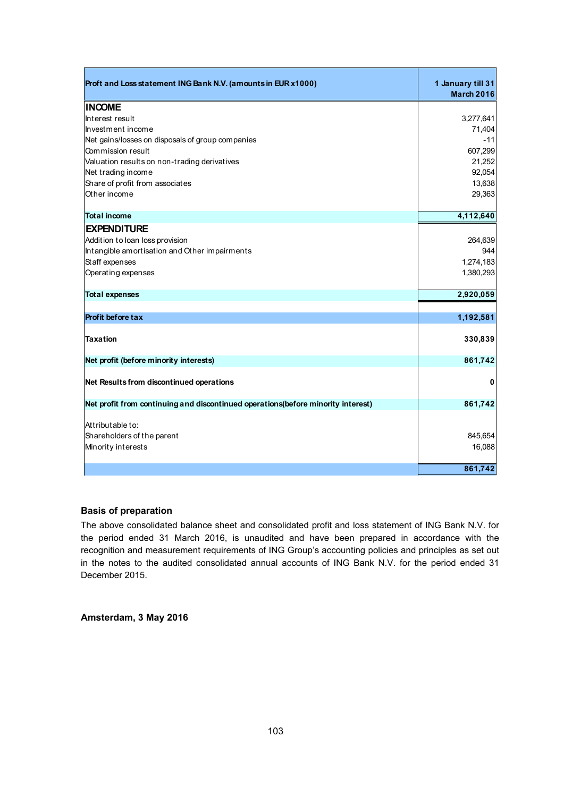| Proft and Loss statement ING Bank N.V. (amounts in EUR x1000)                     | 1 January till 31<br><b>March 2016</b> |
|-----------------------------------------------------------------------------------|----------------------------------------|
| <b>INCOME</b>                                                                     |                                        |
| Interest result                                                                   | 3,277,641                              |
| Investment income                                                                 | 71,404                                 |
| Net gains/losses on disposals of group companies                                  | $-11$                                  |
| Commission result                                                                 | 607,299                                |
| Valuation results on non-trading derivatives                                      | 21,252                                 |
| Net trading income                                                                | 92,054                                 |
| Share of profit from associates                                                   | 13,638                                 |
| Other income                                                                      | 29,363                                 |
| <b>Total income</b>                                                               | 4,112,640                              |
| <b>EXPENDITURE</b>                                                                |                                        |
| Addition to loan loss provision                                                   | 264,639                                |
| Intangible amortisation and Other impairments                                     | 944                                    |
| Staff expenses                                                                    | 1,274,183                              |
| Operating expenses                                                                | 1,380,293                              |
| <b>Total expenses</b>                                                             | 2,920,059                              |
|                                                                                   |                                        |
| <b>Profit before tax</b>                                                          | 1,192,581                              |
| <b>Taxation</b>                                                                   | 330,839                                |
| Net profit (before minority interests)                                            | 861,742                                |
| Net Results from discontinued operations                                          | 0                                      |
| Net profit from continuing and discontinued operations (before minority interest) | 861,742                                |
| Attributable to:<br>Shareholders of the parent<br>Minority interests              | 845,654<br>16,088                      |
|                                                                                   | 861,742                                |

# **Basis of preparation**

The above consolidated balance sheet and consolidated profit and loss statement of ING Bank N.V. for the period ended 31 March 2016, is unaudited and have been prepared in accordance with the recognition and measurement requirements of ING Group's accounting policies and principles as set out in the notes to the audited consolidated annual accounts of ING Bank N.V. for the period ended 31 December 2015.

**Amsterdam, 3 May 2016**